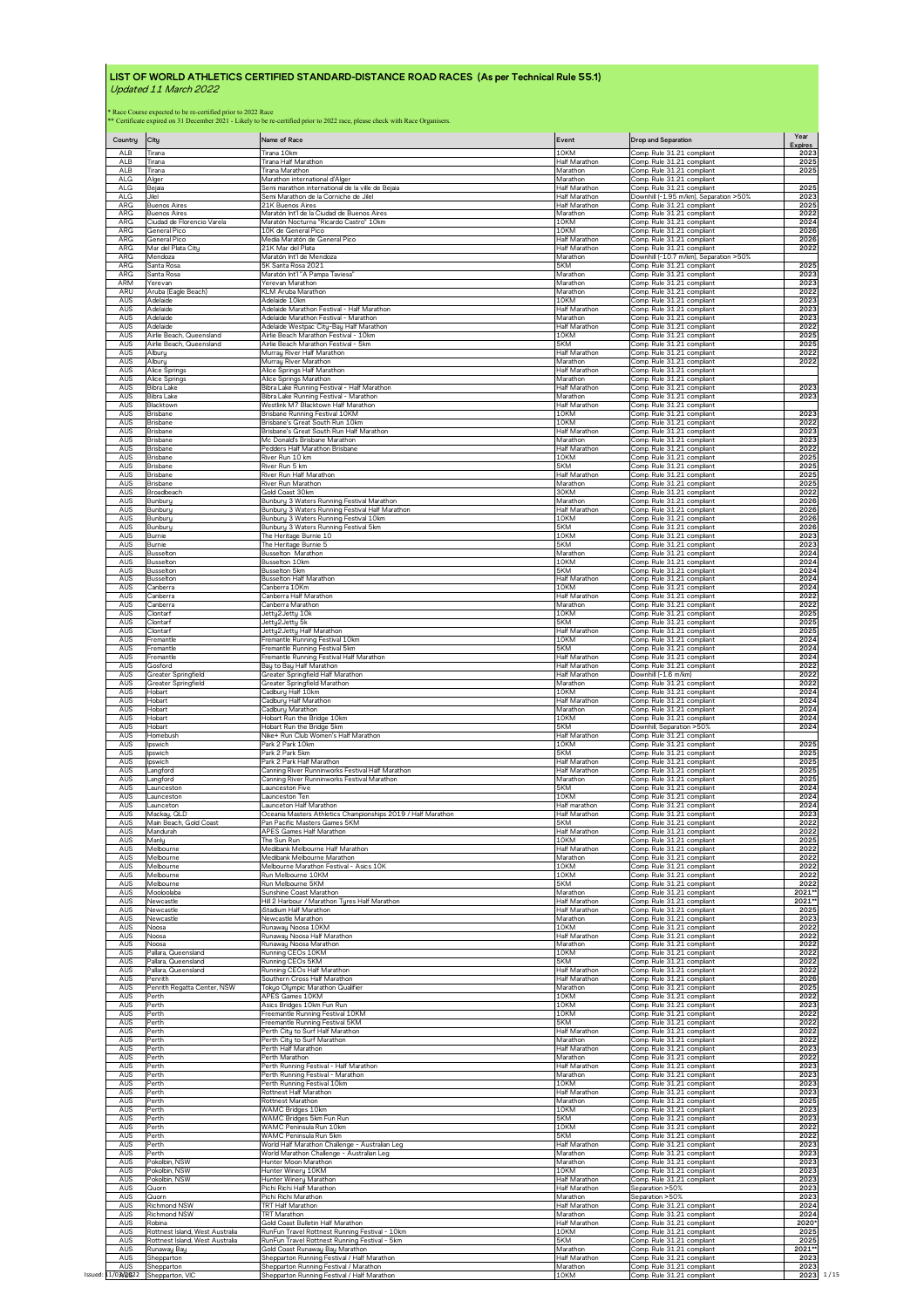| Country                  | City                                                               | Name of Race                                                                                                             | Event                                      | <b>Drop and Separation</b>                                                                         | Year<br><b>Expires</b> |
|--------------------------|--------------------------------------------------------------------|--------------------------------------------------------------------------------------------------------------------------|--------------------------------------------|----------------------------------------------------------------------------------------------------|------------------------|
| ALB                      | Tirana                                                             | Tirana 10km                                                                                                              | 10KM                                       | Comp. Rule 31.21 compliant                                                                         | 2023                   |
| ALB                      | Tirana                                                             | Tirana Half Marathon                                                                                                     | Half Marathon                              | Comp. Rule 31.21 compliant                                                                         | 2025                   |
| ALB                      | Tirana                                                             | Tirana Marathon                                                                                                          | Marathon                                   | Comp. Rule 31.21 compliant                                                                         | 2025                   |
| AL <sub>G</sub>          | Alger                                                              | Marathon international d'Alger                                                                                           | Marathon                                   | Comp. Rule 31.21 compliant                                                                         |                        |
| ALG                      | Bejaia                                                             | Semi marathon international de la ville de Bejaia                                                                        | Half Marathon                              | Comp. Rule 31.21 compliant                                                                         | 2025                   |
| <b>ALG</b>               | Jilel                                                              | Semi Marathon de la Corniche de Jilel                                                                                    | Half Marathon                              | Downhill (-1.95 m/km), Separation >50%                                                             | 2023                   |
| ARG                      | <b>Buenos Aires</b>                                                | 21K Buenos Aires                                                                                                         | Half Marathon                              | Comp. Rule 31.21 compliant                                                                         | 2025                   |
| <b>ARG</b>               | <b>Buenos Aires</b>                                                | Maratón Int'l de la Ciudad de Buenos Aires                                                                               | Marathon                                   | Comp. Rule 31.21 compliant                                                                         | 2022                   |
| ARG                      | Ciudad de Florencio Varela                                         | Maratón Nocturna "Ricardo Castro" 10km                                                                                   | 10KM                                       | Comp. Rule 31.21 compliant                                                                         | 2024                   |
| ARG                      | General Pico                                                       | 10K de General Pico                                                                                                      | 10KM                                       | Comp. Rule 31.21 compliant                                                                         | 2026                   |
| <b>ARG</b>               | General Pico                                                       | Media Maratón de General Pico                                                                                            | Half Marathon                              | Comp. Rule 31.21 compliant                                                                         | 2026                   |
| ARG                      | Mar del Plata City                                                 | 21K Mar del Plata                                                                                                        | Half Marathon                              | Comp. Rule 31.21 compliant                                                                         | 2022                   |
| ARG<br>ARG<br><b>ARG</b> | Mendoza<br>Santa Rosa<br>Santa Rosa                                | Maratón Int'l de Mendoza<br>5K Santa Rosa 2021                                                                           | Marathon<br>5KM<br>Marathon                | Downhill (-10.7 m/km), Separation >50%<br>Comp. Rule 31.21 compliant<br>Comp. Rule 31.21 compliant | 2025<br>2023           |
| ARM<br>ARU               | Yerevan<br>Aruba (Eagle Beach)                                     | Maratón Int'l "A Pampa Taviesa"<br>Yerevan Marathon<br>KLM Aruba Marathon                                                | Marathon<br>Marathon                       | Comp. Rule 31.21 compliant<br>Comp. Rule 31.21 compliant                                           | 2023<br>2022           |
| AUS                      | Adelaide                                                           | Adelaide 10km                                                                                                            | 10KM                                       | Comp. Rule 31.21 compliant                                                                         | 2023                   |
| AUS                      | Adelaide                                                           | Adelaide Marathon Festival - Half Marathon                                                                               | Half Marathon                              | Comp. Rule 31.21 compliant                                                                         | 2023                   |
| AUS                      | Adelaide                                                           | Adelaide Marathon Festival - Marathon                                                                                    | Marathon                                   | Comp. Rule 31.21 compliant                                                                         | 2023                   |
| AUS                      | Adelaide                                                           | Adelaide Westpac City-Bay Half Marathon                                                                                  | Half Marathon                              | Comp. Rule 31.21 compliant                                                                         | 2022                   |
| AUS                      | Airlie Beach, Queensland                                           | Airlie Beach Marathon Festival - 10km                                                                                    | 10KM                                       | Comp. Rule 31.21 compliant                                                                         | 2025                   |
| AUS                      | Airlie Beach, Queensland                                           | Airlie Beach Marathon Festival - 5km                                                                                     | 5KM                                        | Comp. Rule 31.21 compliant                                                                         | 2025                   |
| AUS                      | Alburu                                                             | Murray River Half Marathon                                                                                               | Half Marathon                              | Comp. Rule 31.21 compliant                                                                         | 2022                   |
| AUS                      | Albury                                                             | Murray River Marathon                                                                                                    | Marathon                                   | Comp. Rule 31.21 compliant                                                                         | 2022                   |
| AUS                      | Alice Springs                                                      | Alice Springs Half Marathon                                                                                              | Half Marathon                              | Comp. Rule 31.21 compliant                                                                         |                        |
| AUS                      | Alice Springs                                                      | Alice Springs Marathon                                                                                                   | Marathon                                   | Comp. Rule 31.21 compliant                                                                         |                        |
| AUS                      | Bibra Lake                                                         | Bibra Lake Running Festival - Half Marathon                                                                              | Half Marathon                              | Comp. Rule 31.21 compliant                                                                         | 2023                   |
| AUS                      | Bibra Lake                                                         | Bibra Lake Running Festival - Marathon                                                                                   | Marathon                                   | Comp. Rule 31.21 compliant                                                                         | 2023                   |
| AUS<br>AUS               | Blacktown<br>Brisbane                                              | Westlink M7 Blacktown Half Marathon<br>Brisbane Running Festival 10KM                                                    | Half Marathon<br>10KM<br>10KM              | Comp. Rule 31.21 compliant<br>Comp. Rule 31.21 compliant                                           | 2023                   |
| AUS<br>AUS<br>AUS        | <b>Brisbane</b><br><b>Brisbane</b><br>Brisbane                     | Brisbane's Great South Run 10km<br>Brisbane's Great South Run Half Marathon<br>Mc Donald's Brisbane Marathon             | <b>Half Marathon</b><br>Marathon           | Comp. Rule 31.21 compliant<br>Comp. Rule 31.21 compliant<br>Comp. Rule 31.21 compliant             | 2022<br>2023<br>2023   |
| AUS                      | Brisbane                                                           | Pedders Half Marathon Brisbane                                                                                           | Half Marathon                              | Comp. Rule 31.21 compliant                                                                         | 2022                   |
| AUS                      | Brisbane                                                           | River Run 10 km                                                                                                          | 10KM                                       | Comp. Rule 31.21 compliant                                                                         | 2025                   |
| AUS                      | <b>Brisbane</b>                                                    | River Run 5 km                                                                                                           | 5KM                                        | Comp. Rule 31.21 compliant                                                                         | 2025                   |
| AUS                      | Brisbane                                                           | River Run Half Marathon                                                                                                  | Half Marathon                              | Comp. Rule 31.21 compliant                                                                         | 2025                   |
| AUS                      | <b>Brisbane</b>                                                    | River Run Marathon                                                                                                       | Marathon                                   | Comp. Rule 31.21 compliant                                                                         | 2025                   |
| AUS                      | Broadbeach                                                         | Gold Coast 30km                                                                                                          | 30KM                                       | Comp. Rule 31.21 compliant                                                                         | 2022                   |
| AUS                      | Bunburu                                                            | Bunbury 3 Waters Running Festival Marathon                                                                               | Marathon                                   | Comp. Rule 31.21 compliant                                                                         | 2026                   |
| AUS                      | Bunbury                                                            | Bunbury 3 Waters Running Festival Half Marathon                                                                          | Half Marathon                              | Comp. Rule 31.21 compliant                                                                         | 2026                   |
| AUS                      | Bunbury                                                            | Bunbury 3 Waters Running Festival 10km                                                                                   | 10KM                                       | Comp. Rule 31.21 compliant                                                                         | 2026                   |
| AUS                      | Bunbury                                                            | Bunbury 3 Waters Running Festival 5km                                                                                    | 5KM                                        | Comp. Rule 31.21 compliant                                                                         | 2026                   |
| AUS                      | Burnie                                                             | The Heritage Burnie 10                                                                                                   | 10KM                                       | Comp. Rule 31.21 compliant                                                                         | 2023                   |
| AUS                      | Burnie                                                             | The Heritage Burnie 5                                                                                                    | 5KM                                        | Comp. Rule 31.21 compliant                                                                         | 2023                   |
| AUS                      | <b>Busselton</b>                                                   | Busselton Marathon                                                                                                       | Marathon                                   | Comp. Rule 31.21 compliant                                                                         | 2024                   |
| AUS                      | <b>Busselton</b>                                                   | Busselton 10km                                                                                                           | 10KM                                       | Comp. Rule 31.21 compliant                                                                         | 2024                   |
| AUS<br>AUS               | Busselton<br>Busselton                                             | Busselton 5km<br>Busselton Half Marathon                                                                                 | 5KM<br>Half Marathon<br>10KM               | Comp. Rule 31.21 compliant<br>Comp. Rule 31.21 compliant                                           | 2024<br>2024           |
| AUS<br>AUS<br>AUS        | Canberra<br>Canberra<br>Canberra                                   | Canberra 10Km<br>Canberra Half Marathon<br>Canberra Marathon                                                             | Half Marathon<br>Marathor                  | Comp. Rule 31.21 compliant<br>Comp. Rule 31.21 compliant<br>Comp. Rule 31.21 compliant             | 2024<br>2022<br>2022   |
| AUS                      | Clontarf                                                           | Jetty2Jetty 10k                                                                                                          | 10KM                                       | Comp. Rule 31.21 compliant                                                                         | 2025                   |
| AUS                      | Clontarf                                                           | Jetty2Jetty 5k                                                                                                           | 5KM                                        | Comp. Rule 31.21 compliant                                                                         | 2025                   |
| AUS                      | Clontarf                                                           | Jetty2Jetty Half Marathon                                                                                                | Half Marathon                              | Comp. Rule 31.21 compliant                                                                         | 2025                   |
| AUS                      | Fremantle                                                          | Fremantle Running Festival 10km                                                                                          | <b>LOKM</b>                                | Comp. Rule 31.21 compliant                                                                         | 2024                   |
| AUS                      | Fremantle                                                          | Fremantle Running Festival 5km                                                                                           | 5KM                                        | Comp. Rule 31.21 compliant                                                                         | 2024                   |
| AUS                      | Fremantle                                                          | Fremantle Running Festival Half Marathon                                                                                 | Half Marathon                              | Comp. Rule 31.21 compliant                                                                         | 2024                   |
| AUS                      | Gosford                                                            | Bau to Bau Half Marathon                                                                                                 | Half Marathon                              | Comp. Rule 31.21 compliant                                                                         | 2022                   |
| AUS                      | Greater Springfield                                                | Greater Springfield Half Marathon                                                                                        | Half Marathon                              | Downhill (-1.6 m/km)                                                                               | 2022                   |
| AUS                      | Greater Springfield                                                | Greater Springfield Marathon                                                                                             | Marathon                                   | Comp. Rule 31.21 compliant                                                                         | 2022                   |
| AUS                      | Hobart                                                             | Cadbury Half 10km                                                                                                        | 10KM                                       | Comp. Rule 31.21 compliant                                                                         | 2024                   |
| AUS                      | Hobart                                                             | Cadbury Half Marathon                                                                                                    | Half Marathon                              | Comp. Rule 31.21 compliant                                                                         | 2024                   |
| AUS                      | Hobart                                                             | Cadbury Marathon                                                                                                         | Marathon                                   | Comp. Rule 31.21 compliant                                                                         | 2024                   |
| AUS                      | Hobart                                                             | Hobart Run the Bridge 10km                                                                                               | 10KM                                       | Comp. Rule 31.21 compliant                                                                         | 2024                   |
| AUS                      | Hobart                                                             | <u>Hobart Run the Bridge 5km</u>                                                                                         | 5KM                                        | Downhill, Separation >50%                                                                          | 2024                   |
| AUS                      | Homebush                                                           | Nike+ Run Club Women's Half Marathon                                                                                     | Half Marathon                              | Comp. Rule 31.21 compliant                                                                         | 2025                   |
| AUS                      | Ipswich                                                            | Park 2 Park 10km                                                                                                         | 10KM                                       | Comp. Rule 31.21 compliant                                                                         |                        |
| AUS                      | Ipswich                                                            | Park 2 Park 5km                                                                                                          | 5KM                                        | Comp. Rule 31.21 compliant                                                                         | 2025                   |
| AUS                      | Ipswich                                                            | Park 2 Park Half Marathon                                                                                                | Half Marathon                              | Comp. Rule 31.21 compliant                                                                         | 2025                   |
| AUS                      | Langford                                                           | Canning River Runninworks Festival Half Marathon                                                                         | Half Marathon                              | Comp. Rule 31.21 compliant                                                                         | 2025                   |
| AUS                      | Langford                                                           | Canning River Runninworks Festival Marathon                                                                              | Marathon                                   | Comp. Rule 31.21 compliant                                                                         | 2025                   |
| AUS                      | Launcestor                                                         | aunceston Five                                                                                                           | 5KM                                        | Comp. Rule 31.21 compliant                                                                         | 2024                   |
| AUS                      | Launceston                                                         | Launceston Ten                                                                                                           | 10KM                                       | Comp. Rule 31.21 compliant                                                                         | 2024                   |
| AUS                      | Launceton                                                          | Launceton Half Marathon                                                                                                  | Half marathon                              | Comp. Rule 31.21 compliant                                                                         | 2024                   |
| AUS                      | Mackay, QLD                                                        | Oceania Masters Athletics Championships 2019 / Half Marathon                                                             | Half Marathon                              | Comp. Rule 31.21 compliant                                                                         | 2023                   |
| AUS                      | Main Beach, Gold Coast                                             | Pan Pacific Masters Games 5KM                                                                                            | 5KM                                        | Comp. Rule 31.21 compliant                                                                         | 2022                   |
| AUS                      | Mandurah                                                           | APES Games Half Marathon                                                                                                 | Half Marathon                              | Comp. Rule 31.21 compliant                                                                         | 2022                   |
| AUS                      | Manly                                                              | The Sun Run                                                                                                              | LOKM                                       | Comp. Rule 31.21 compliant                                                                         | 2025                   |
| AUS                      | Melbourne                                                          | Medibank Melbourne Half Marathon                                                                                         | Half Marathon                              | Comp. Rule 31.21 compliant                                                                         | 2022                   |
| AUS                      | Melbourne                                                          | Medibank Melbourne Marathon                                                                                              | Marathon                                   | Comp. Rule 31.21 compliant                                                                         | 2022                   |
| AUS                      | Melbourne                                                          | Melbourne Marathon Festival - Asics 10K                                                                                  | 10KM                                       | Comp. Rule 31.21 compliant                                                                         | 2022                   |
| AUS                      | Melbourne                                                          | Run Melbourne 10KM                                                                                                       | 10KM                                       | Comp. Rule 31.21 compliant                                                                         | 2022                   |
| AUS<br>AUS               | Melbourne<br>Mooloolaba<br>Newcastle                               | Run Melbourne 5KM<br>Sunshine Coast Marathon                                                                             | 5KM<br>Marathon                            | Comp. Rule 31.21 compliant<br>Comp. Rule 31.21 compliant<br>Comp. Rule 31.21 compliant             | 2022<br>$2021*$        |
| AUS<br>AUS<br>AUS        | Newcastle<br>Newcastle                                             | Hill 2 Harbour / Marathon Tyres Half Marathon<br>Stadium Half Marathon<br>Newcastle Marathon                             | Half Marathon<br>Half Marathon<br>Marathon | Comp. Rule 31.21 compliant<br>Comp. Rule 31.21 compliant                                           | 2021*<br>2025<br>2023  |
| AUS                      | Noosa                                                              | Runaway Noosa 10KM                                                                                                       | 10KM                                       | Comp. Rule 31.21 compliant                                                                         | 2022                   |
| AUS                      | Noosa                                                              | Runaway Noosa Half Marathon                                                                                              | <b>Half Marathon</b>                       | Comp. Rule 31.21 compliant                                                                         | 2022                   |
| AUS                      | Noosa                                                              | Runaway Noosa Marathon                                                                                                   | Marathon                                   | Comp. Rule 31.21 compliant                                                                         | 2022                   |
| AUS                      | Pallara, Queensland                                                | Running CEOs 10KM                                                                                                        | 10KM                                       | Comp. Rule 31.21 compliant                                                                         | 2022                   |
| AUS                      | Pallara, Queensland                                                | Running CEOs 5KM                                                                                                         | 5KM                                        | Comp. Rule 31.21 compliant                                                                         | 2022                   |
| AUS                      | Pallara, Queensland                                                | Running CEOs Half Marathon                                                                                               | Half Marathon                              | Comp. Rule 31.21 compliant                                                                         | 2022                   |
| AUS                      | Penrith                                                            | Southern Cross Half Marathon                                                                                             | Half Marathon                              | Comp. Rule 31.21 compliant                                                                         | 2026                   |
| AUS                      | Penrith Regatta Center, NSW                                        | Tokyo Olympic Marathon Qualifier                                                                                         | Marathon                                   | Comp. Rule 31.21 compliant                                                                         | 2025                   |
| AUS                      | Perth                                                              | APFS Games 10KM                                                                                                          | 10KM                                       | Comp. Rule 31.21 compliant                                                                         | 2022                   |
| AUS                      | Perth                                                              | Asics Bridges 10km Fun Run                                                                                               | 10KM                                       | Comp. Rule 31.21 compliant                                                                         | 2023                   |
| AUS                      | Perth                                                              | Freemantle Running Festival 10KM                                                                                         | 10KM                                       | Comp. Rule 31.21 compliant                                                                         | 2022                   |
| AUS                      | Perth                                                              | Freemantle Running Festival 5KM                                                                                          | 5KM                                        | Comp. Rule 31.21 compliant                                                                         | 2022                   |
| AUS                      | Perth                                                              | Perth City to Surf Half Marathon                                                                                         | Half Marathon                              | Comp. Rule 31.21 compliant                                                                         | 2022                   |
| AUS                      | Perth                                                              | Perth City to Surf Marathon                                                                                              | Marathon                                   | Comp. Rule 31.21 compliant                                                                         | 2022                   |
| AUS<br>AUS<br>AUS        | Perth<br>Perth<br>Perth                                            | Perth Half Marathon<br>Perth Marathon                                                                                    | Half Marathon<br>Marathon<br>Half Marathon | Comp. Rule 31.21 compliant<br>Comp. Rule 31.21 compliant<br>Comp. Rule 31.21 compliant             | 2023<br>2022<br>2023   |
| AUS<br>AUS               | Perth<br>Perth                                                     | Perth Running Festival - Half Marathon<br>Perth Running Festival - Marathon<br>Perth Running Festival 10km               | Marathon<br>10KM                           | Comp. Rule 31.21 compliant<br>Comp. Rule 31.21 compliant                                           | 2023<br>2023           |
| AUS                      | Perth                                                              | Rottnest Half Marathon                                                                                                   | Half Marathon                              | Comp. Rule 31.21 compliant                                                                         | 2023                   |
| AUS                      | Perth                                                              | Rottnest Marathon                                                                                                        | Marathon                                   | Comp. Rule 31.21 compliant                                                                         | 2025                   |
| AUS                      | Perth                                                              | WAMC Bridges 10km                                                                                                        | 10KM                                       | Comp. Rule 31.21 compliant                                                                         | 2023                   |
| AUS                      | Perth                                                              | WAMC Bridges 5km Fun Run                                                                                                 | 5KM                                        | Comp. Rule 31.21 compliant                                                                         | 2023                   |
| AUS                      | Perth                                                              | WAMC Peninsula Run 10km                                                                                                  | 10KM                                       | Comp. Rule 31.21 compliant                                                                         | 2022                   |
| AUS                      | Perth                                                              | WAMC Peninsula Run 5km                                                                                                   | 5KM                                        | Comp. Rule 31.21 compliant                                                                         | 2022                   |
| AUS                      | Perth                                                              | World Half Marathon Challenge - Australian Leg                                                                           | Half Marathon                              | Comp. Rule 31.21 compliant                                                                         | 2023                   |
| AUS                      | Perth                                                              | World Marathon Challenge - Australian Leg                                                                                | Marathon                                   | Comp. Rule 31.21 compliant                                                                         | 2023                   |
| AUS                      | Pokolbin, NSW                                                      | Hunter Moon Marathon                                                                                                     | Marathon                                   | Comp. Rule 31.21 compliant                                                                         | 2023                   |
| AUS                      | Pokolbin, NSW                                                      | Hunter Winery 10KM                                                                                                       | 10KM                                       | Comp. Rule 31.21 compliant                                                                         | 2023                   |
| AUS                      | Pokolbin, NSW                                                      | Hunter Winery Marathon                                                                                                   | Half Marathon                              | Comp. Rule 31.21 compliant                                                                         | 2023                   |
| AUS                      | Quorn                                                              | Pichi Richi Half Marathon                                                                                                | Half Marathon                              | Separation >50%                                                                                    | 2023                   |
| AUS                      | Quorn                                                              | Pichi Richi Marathon                                                                                                     | Marathon                                   | Separation >50%                                                                                    | 2023                   |
| AUS                      | Richmond NSW                                                       | TRT Half Marathon                                                                                                        | Half Marathon                              | Comp. Rule 31.21 compliant                                                                         | 2024                   |
| AUS                      | <b>Richmond NSW</b>                                                | <b>TRT</b> Marathon                                                                                                      | Marathon                                   | Comp. Rule 31.21 compliant                                                                         | 2024                   |
| AUS                      | Robina                                                             | Gold Coast Bulletin Half Marathon                                                                                        | Half Marathon                              | Comp. Rule 31.21 compliant                                                                         | 2020*                  |
| AUS<br>AUS<br>AUS        | Rottnest Island, West Australia<br>Rottnest Island, West Australia | RunFun Travel Rottnest Running Festival - 10km<br>RunFun Travel Rottnest Running Festival - 5km                          | <b>LOKM</b><br>5KM                         | Comp. Rule 31.21 compliant<br>Comp. Rule 31.21 compliant                                           | 2025<br>2025<br>2021*  |
| AUS<br>AUS               | Runaway Bay<br>Shepparton<br>Shepparton                            | Gold Coast Runaway Bay Marathon<br>Shepparton Running Festival / Half Marathon<br>Shepparton Running Festival / Marathon | Marathon<br>Half Marathon<br>Marathon      | Comp. Rule 31.21 compliant<br>Comp. Rule 31.21 compliant<br>Comp. Rule 31.21 compliant             | 2023<br>2023           |
| 1/03/0822                | Shepparton, VIC                                                    | Shepparton Running Festival / Half Marathon                                                                              | 10KM                                       | Comp. Rule 31.21 compliant                                                                         | 1/15<br>2023           |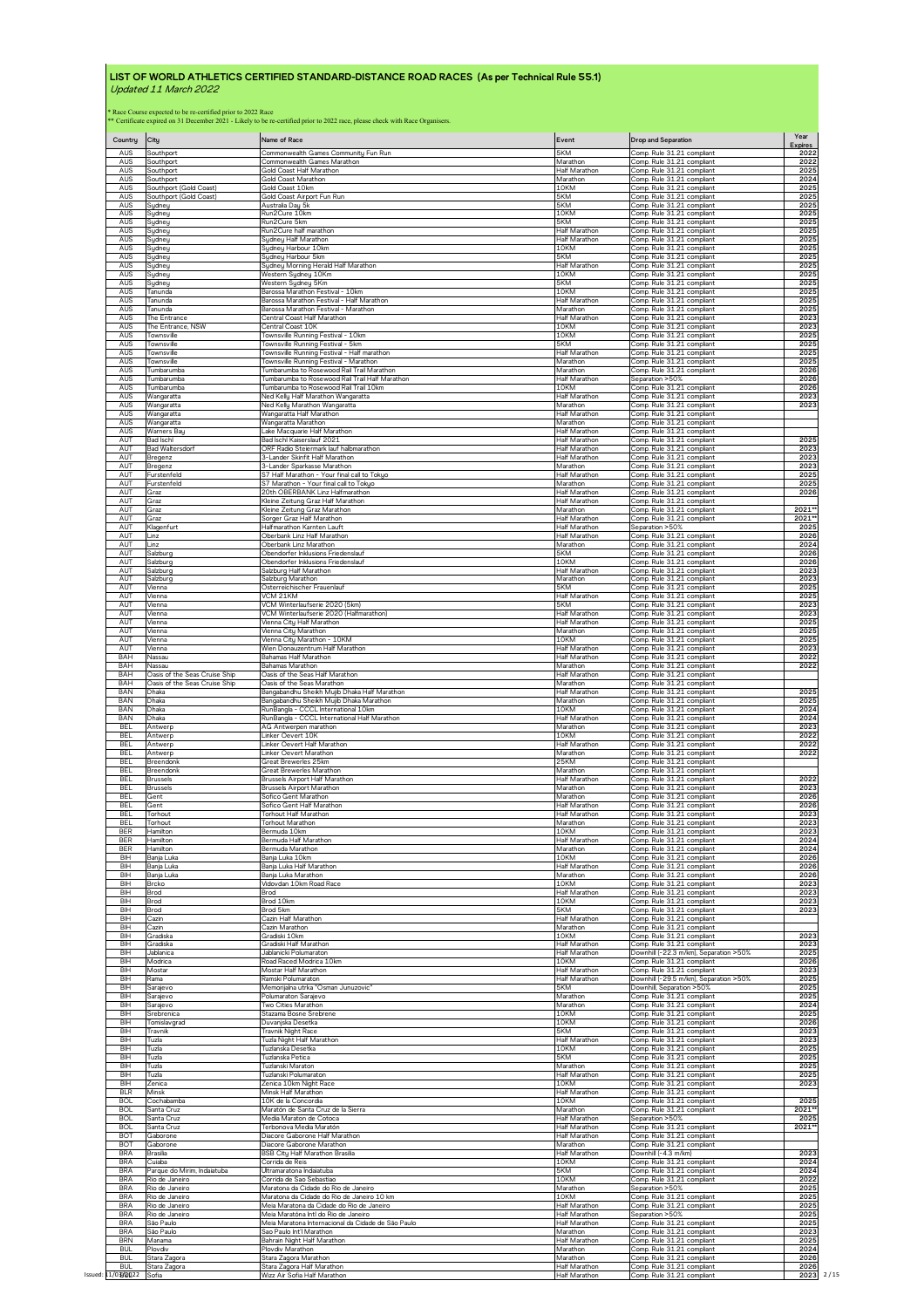| AUS<br>5KM<br>Comp. Rule 31.21 compliant<br>Southport<br>Commonwealth Games Community Fun Run<br>AUS<br>Southport<br>Commonwealth Games Marathon<br>Marathon<br>Comp. Rule 31.21 compliant<br>AUS<br>Gold Coast Half Marathor<br>Half Marathor<br>Comp. Rule 31.21 compliant<br>Southport<br>Comp. Rule 31.21 compliant<br>AUS<br>Gold Coast Marathon<br>Marathon<br>Southport<br>AUS<br>Southport (Gold Coast)<br>Gold Coast 10km<br>10KM<br>Comp. Rule 31.21 compliant<br>AUS<br>Southport (Gold Coast)<br>Gold Coast Airport Fun Run<br>5KM<br>Comp. Rule 31.21 compliant<br>AUS<br>Australia Day 5k<br>5KM<br>Comp. Rule 31.21 compliant<br>Sydney<br>AUS<br>Run2Cure 10km<br>10KM<br>Comp. Rule 31.21 compliant<br>Sydney<br>AUS<br>Sydney<br>Run2Cure 5km<br>5KM<br>Comp. Rule 31.21 compliant<br>AUS<br>Run2Cure half marathon<br>Half Marathon<br>Comp. Rule 31.21 compliant<br>Sydney<br>AUS<br>Sydney Half Marathon<br><b>Half Marathor</b><br>Comp. Rule 31.21 compliant<br>Sydney<br>10KM<br>Comp. Rule 31.21 compliant<br>AUS<br>Sydney Harbour 10km<br>Sydneu<br>Comp. Rule 31.21 compliant<br>AUS<br>Sydney<br>Sydney Harbour 5km<br>5KM<br>AUS<br>Sydney Morning Herald Half Marathon<br>Half Marathon<br>Comp. Rule 31.21 compliant<br>Sydney<br>10KM<br>AUS<br>Western Sydney 10Km<br>Comp. Rule 31.21 compliant<br>Sydney<br>AUS<br>5KM<br>Comp. Rule 31.21 compliant<br>Western Sydney 5Km<br>Sydney<br>AUS<br>Tanunda<br>Barossa Marathon Festival - 10km<br>10KM<br>Comp. Rule 31.21 compliant<br>AUS<br>Barossa Marathon Festival - Half Marathon<br>Half Marathon<br>Comp. Rule 31.21 compliant<br>Tanunda<br>AUS<br>Comp. Rule 31.21 compliant<br>Barossa Marathon Festival - Marathon<br>Marathon<br>Tanunda<br>AUS<br>Central Coast Half Marathon<br>Half Marathon<br>Comp. Rule 31.21 compliant<br>The Entrance<br>AUS<br>The Entrance, NSW<br>Central Coast 10K<br>10KM<br>Comp. Rule 31.21 compliant<br>AUS<br>Townsville Running Festival - 10km<br>Townsville<br>10KM<br>Comp. Rule 31.21 compliant<br>AUS<br>Townsville Running Festival - 5km<br>5KM<br>Comp. Rule 31.21 compliant<br>Townsville<br>AUS<br>Townsville<br>Townsville Running Festival - Half marathon<br>Half Marathon<br>Comp. Rule 31.21 compliant<br>AUS<br>Townsville Running Festival - Marathon<br>Marathon<br>Comp. Rule 31.21 compliant<br>Townsville<br>AUS<br>Comp. Rule 31.21 compliant<br>Tumbarumba to Rosewood Rail Trail Marathon<br>Tumbarumba<br>Marathon<br>AUS<br>Tumbarumba to Rosewood Rail Trail Half Marathon<br>Half Marathon<br>Separation >50%<br>Tumbarumba<br>Comp. Rule 31.21 compliant<br>AUS<br>Tumbarumba<br>Tumbarumba to Rosewood Rail Trail 10km<br>10KM<br>AUS<br>Wangaratta<br>Ned Kelly Half Marathon Wangaratta<br>Half Marathon<br>Comp. Rule 31.21 compliant<br>AUS<br>Ned Kelly Marathon Wangaratta<br>Marathon<br>Comp. Rule 31.21 compliant<br>Wangaratta<br>AUS<br>Wangaratta Half Marathon<br>Half Marathon<br>Comp. Rule 31.21 compliant<br>Wangaratta<br>AUS<br>Wangaratta<br>Wangaratta Marathon<br>Marathon<br>Comp. Rule 31.21 compliant<br>AUS<br>Lake Macquarie Half Marathon<br>Half Marathon<br>Comp. Rule 31.21 compliant<br>Warners Bau<br>AUT<br>Comp. Rule 31.21 compliant<br>Bad Ischl<br>Bad Ischl Kaiserslauf 2021<br><b>Half Marathon</b><br>AUT<br><b>Bad Waltersdorf</b><br>Half Marathon<br>Comp. Rule 31.21 compliant<br>ORF Radio Steiermark lauf halbmarathon<br>AUT<br>Bregenz<br>3-Lander Skinfit Half Marathon<br><b>Half Marathon</b><br>Comp. Rule 31.21 compliant<br>AUT<br>3-Lander Sparkasse Marathon<br>Marathon<br>Comp. Rule 31.21 compliant<br>Bregenz<br>Comp. Rule 31.21 compliant<br>AUT<br>S7 Half Marathon - Your final call to Tokyo<br>Half Marathon<br>Furstenfeld<br>AUT<br>Furstenfeld<br>S7 Marathon - Your final call to Tokyo<br>Marathon<br>Comp. Rule 31.21 compliant<br>AUT<br>20th OBERBANK Linz Halfmarathon<br>Half Marathon<br>Comp. Rule 31.21 compliant<br>Graz<br>AUT<br>Comp. Rule 31.21 compliant<br>Kleine Zeitung Graz Half Marathon<br><b>Half Marathon</b><br>Graz<br>AUT<br>Kleine Zeitung Graz Marathon<br>Comp. Rule 31.21 compliant<br>Marathon<br>Graz<br>AUT<br>Sorger Graz Half Marathon<br><b>Half Marathon</b><br>Comp. Rule 31.21 compliant<br>Graz<br>AUT<br>Klagenfurt<br>Halfmarathon Karnten Lauft<br>Half Marathon<br>Separation >50%<br>AUT<br>Oberbank Linz Half Marathon<br>Half Marathon<br>Comp. Rule 31.21 compliant<br>Linz<br>AUT<br>Marathon<br>Oberbank Linz Marathon<br>Comp Rule 31.21 compliant<br>Linz<br>AUT<br>Salzburg<br>Obendorfer Inklusions Friedenslauf<br>5KM<br>Comp. Rule 31.21 compliant<br>AUT<br>Salzburg<br>Obendorfer Inklusions Friedenslauf<br>10KM<br>Comp. Rule 31.21 compliant<br>AUT<br><b>Half Marathon</b><br>Comp. Rule 31.21 compliant<br>Salzburg<br>Salzburg Half Marathon<br>AUT<br>Salzburg Marathon<br>Marathon<br>Comp. Rule 31.21 compliant<br>Salzburg<br>Comp. Rule 31.21 compliant<br>AUT<br>Vienna<br>Osterreichischer Frauenlauf<br>5KM<br>AUT<br>VCM 21KM<br>Half Marathon<br>Comp. Rule 31.21 compliant<br>Vienna<br>VCM Winterlaufserie 2020 (5km)<br>5KM<br>AUT<br>Comp. Rule 31.21 compliant<br>Vienna<br>AUT<br>Vienna<br>VCM Winterlaufserie 2020 (Halfmarathon)<br>Half Marathon<br>Comp. Rule 31.21 compliant<br>AUT<br>Vienna City Half Marathon<br><b>Half Marathon</b><br>Comp. Rule 31.21 compliant<br>Vienna<br>AUT<br>Vienna City Marathon<br>Comp. Rule 31.21 compliant<br>Marathon<br>Vienna<br>Vienna City Marathon - 10KM<br>10KM<br>Comp. Rule 31.21 compliant<br>AUT<br>Vienna<br>Comp. Rule 31.21 compliant<br>AUT<br>Vienna<br>Wien Donauzentrum Half Marathon<br><b>Half Marathon</b><br>BAH<br>Nassau<br>Bahamas Half Marathon<br>Half Marathon<br>Comp. Rule 31.21 compliant | 2022<br>2022<br>2025<br>2024 |
|------------------------------------------------------------------------------------------------------------------------------------------------------------------------------------------------------------------------------------------------------------------------------------------------------------------------------------------------------------------------------------------------------------------------------------------------------------------------------------------------------------------------------------------------------------------------------------------------------------------------------------------------------------------------------------------------------------------------------------------------------------------------------------------------------------------------------------------------------------------------------------------------------------------------------------------------------------------------------------------------------------------------------------------------------------------------------------------------------------------------------------------------------------------------------------------------------------------------------------------------------------------------------------------------------------------------------------------------------------------------------------------------------------------------------------------------------------------------------------------------------------------------------------------------------------------------------------------------------------------------------------------------------------------------------------------------------------------------------------------------------------------------------------------------------------------------------------------------------------------------------------------------------------------------------------------------------------------------------------------------------------------------------------------------------------------------------------------------------------------------------------------------------------------------------------------------------------------------------------------------------------------------------------------------------------------------------------------------------------------------------------------------------------------------------------------------------------------------------------------------------------------------------------------------------------------------------------------------------------------------------------------------------------------------------------------------------------------------------------------------------------------------------------------------------------------------------------------------------------------------------------------------------------------------------------------------------------------------------------------------------------------------------------------------------------------------------------------------------------------------------------------------------------------------------------------------------------------------------------------------------------------------------------------------------------------------------------------------------------------------------------------------------------------------------------------------------------------------------------------------------------------------------------------------------------------------------------------------------------------------------------------------------------------------------------------------------------------------------------------------------------------------------------------------------------------------------------------------------------------------------------------------------------------------------------------------------------------------------------------------------------------------------------------------------------------------------------------------------------------------------------------------------------------------------------------------------------------------------------------------------------------------------------------------------------------------------------------------------------------------------------------------------------------------------------------------------------------------------------------------------------------------------------------------------------------------------------------------------------------------------------------------------------------------------------------------------------------------------------------------------------------------------------------------------------------------------------------------------------------------------------------------------------------------------------------------------------------------------------------------------------------------------------------------------------------------------------------------------------------------------------------------------------------------------------------------------------------------------------------------------------------------------------------------------------------------------------------------------------------------------------------------------------------------------------------------------------------------------------------------------------------------------------------------------------------------------------------------------------------------------------------------------------------------------------------------------------------------------------------------------------------------------------------|------------------------------|
|                                                                                                                                                                                                                                                                                                                                                                                                                                                                                                                                                                                                                                                                                                                                                                                                                                                                                                                                                                                                                                                                                                                                                                                                                                                                                                                                                                                                                                                                                                                                                                                                                                                                                                                                                                                                                                                                                                                                                                                                                                                                                                                                                                                                                                                                                                                                                                                                                                                                                                                                                                                                                                                                                                                                                                                                                                                                                                                                                                                                                                                                                                                                                                                                                                                                                                                                                                                                                                                                                                                                                                                                                                                                                                                                                                                                                                                                                                                                                                                                                                                                                                                                                                                                                                                                                                                                                                                                                                                                                                                                                                                                                                                                                                                                                                                                                                                                                                                                                                                                                                                                                                                                                                                                                                                                                                                                                                                                                                                                                                                                                                                                                                                                                                                                                                                          |                              |
|                                                                                                                                                                                                                                                                                                                                                                                                                                                                                                                                                                                                                                                                                                                                                                                                                                                                                                                                                                                                                                                                                                                                                                                                                                                                                                                                                                                                                                                                                                                                                                                                                                                                                                                                                                                                                                                                                                                                                                                                                                                                                                                                                                                                                                                                                                                                                                                                                                                                                                                                                                                                                                                                                                                                                                                                                                                                                                                                                                                                                                                                                                                                                                                                                                                                                                                                                                                                                                                                                                                                                                                                                                                                                                                                                                                                                                                                                                                                                                                                                                                                                                                                                                                                                                                                                                                                                                                                                                                                                                                                                                                                                                                                                                                                                                                                                                                                                                                                                                                                                                                                                                                                                                                                                                                                                                                                                                                                                                                                                                                                                                                                                                                                                                                                                                                          |                              |
|                                                                                                                                                                                                                                                                                                                                                                                                                                                                                                                                                                                                                                                                                                                                                                                                                                                                                                                                                                                                                                                                                                                                                                                                                                                                                                                                                                                                                                                                                                                                                                                                                                                                                                                                                                                                                                                                                                                                                                                                                                                                                                                                                                                                                                                                                                                                                                                                                                                                                                                                                                                                                                                                                                                                                                                                                                                                                                                                                                                                                                                                                                                                                                                                                                                                                                                                                                                                                                                                                                                                                                                                                                                                                                                                                                                                                                                                                                                                                                                                                                                                                                                                                                                                                                                                                                                                                                                                                                                                                                                                                                                                                                                                                                                                                                                                                                                                                                                                                                                                                                                                                                                                                                                                                                                                                                                                                                                                                                                                                                                                                                                                                                                                                                                                                                                          | 2025<br>2025                 |
|                                                                                                                                                                                                                                                                                                                                                                                                                                                                                                                                                                                                                                                                                                                                                                                                                                                                                                                                                                                                                                                                                                                                                                                                                                                                                                                                                                                                                                                                                                                                                                                                                                                                                                                                                                                                                                                                                                                                                                                                                                                                                                                                                                                                                                                                                                                                                                                                                                                                                                                                                                                                                                                                                                                                                                                                                                                                                                                                                                                                                                                                                                                                                                                                                                                                                                                                                                                                                                                                                                                                                                                                                                                                                                                                                                                                                                                                                                                                                                                                                                                                                                                                                                                                                                                                                                                                                                                                                                                                                                                                                                                                                                                                                                                                                                                                                                                                                                                                                                                                                                                                                                                                                                                                                                                                                                                                                                                                                                                                                                                                                                                                                                                                                                                                                                                          | 2025<br>2025                 |
|                                                                                                                                                                                                                                                                                                                                                                                                                                                                                                                                                                                                                                                                                                                                                                                                                                                                                                                                                                                                                                                                                                                                                                                                                                                                                                                                                                                                                                                                                                                                                                                                                                                                                                                                                                                                                                                                                                                                                                                                                                                                                                                                                                                                                                                                                                                                                                                                                                                                                                                                                                                                                                                                                                                                                                                                                                                                                                                                                                                                                                                                                                                                                                                                                                                                                                                                                                                                                                                                                                                                                                                                                                                                                                                                                                                                                                                                                                                                                                                                                                                                                                                                                                                                                                                                                                                                                                                                                                                                                                                                                                                                                                                                                                                                                                                                                                                                                                                                                                                                                                                                                                                                                                                                                                                                                                                                                                                                                                                                                                                                                                                                                                                                                                                                                                                          | 2025<br>2025                 |
|                                                                                                                                                                                                                                                                                                                                                                                                                                                                                                                                                                                                                                                                                                                                                                                                                                                                                                                                                                                                                                                                                                                                                                                                                                                                                                                                                                                                                                                                                                                                                                                                                                                                                                                                                                                                                                                                                                                                                                                                                                                                                                                                                                                                                                                                                                                                                                                                                                                                                                                                                                                                                                                                                                                                                                                                                                                                                                                                                                                                                                                                                                                                                                                                                                                                                                                                                                                                                                                                                                                                                                                                                                                                                                                                                                                                                                                                                                                                                                                                                                                                                                                                                                                                                                                                                                                                                                                                                                                                                                                                                                                                                                                                                                                                                                                                                                                                                                                                                                                                                                                                                                                                                                                                                                                                                                                                                                                                                                                                                                                                                                                                                                                                                                                                                                                          | 2025<br>2025                 |
|                                                                                                                                                                                                                                                                                                                                                                                                                                                                                                                                                                                                                                                                                                                                                                                                                                                                                                                                                                                                                                                                                                                                                                                                                                                                                                                                                                                                                                                                                                                                                                                                                                                                                                                                                                                                                                                                                                                                                                                                                                                                                                                                                                                                                                                                                                                                                                                                                                                                                                                                                                                                                                                                                                                                                                                                                                                                                                                                                                                                                                                                                                                                                                                                                                                                                                                                                                                                                                                                                                                                                                                                                                                                                                                                                                                                                                                                                                                                                                                                                                                                                                                                                                                                                                                                                                                                                                                                                                                                                                                                                                                                                                                                                                                                                                                                                                                                                                                                                                                                                                                                                                                                                                                                                                                                                                                                                                                                                                                                                                                                                                                                                                                                                                                                                                                          | 2025<br>2025                 |
|                                                                                                                                                                                                                                                                                                                                                                                                                                                                                                                                                                                                                                                                                                                                                                                                                                                                                                                                                                                                                                                                                                                                                                                                                                                                                                                                                                                                                                                                                                                                                                                                                                                                                                                                                                                                                                                                                                                                                                                                                                                                                                                                                                                                                                                                                                                                                                                                                                                                                                                                                                                                                                                                                                                                                                                                                                                                                                                                                                                                                                                                                                                                                                                                                                                                                                                                                                                                                                                                                                                                                                                                                                                                                                                                                                                                                                                                                                                                                                                                                                                                                                                                                                                                                                                                                                                                                                                                                                                                                                                                                                                                                                                                                                                                                                                                                                                                                                                                                                                                                                                                                                                                                                                                                                                                                                                                                                                                                                                                                                                                                                                                                                                                                                                                                                                          | 2025<br>2025                 |
|                                                                                                                                                                                                                                                                                                                                                                                                                                                                                                                                                                                                                                                                                                                                                                                                                                                                                                                                                                                                                                                                                                                                                                                                                                                                                                                                                                                                                                                                                                                                                                                                                                                                                                                                                                                                                                                                                                                                                                                                                                                                                                                                                                                                                                                                                                                                                                                                                                                                                                                                                                                                                                                                                                                                                                                                                                                                                                                                                                                                                                                                                                                                                                                                                                                                                                                                                                                                                                                                                                                                                                                                                                                                                                                                                                                                                                                                                                                                                                                                                                                                                                                                                                                                                                                                                                                                                                                                                                                                                                                                                                                                                                                                                                                                                                                                                                                                                                                                                                                                                                                                                                                                                                                                                                                                                                                                                                                                                                                                                                                                                                                                                                                                                                                                                                                          | 2025<br>2025                 |
|                                                                                                                                                                                                                                                                                                                                                                                                                                                                                                                                                                                                                                                                                                                                                                                                                                                                                                                                                                                                                                                                                                                                                                                                                                                                                                                                                                                                                                                                                                                                                                                                                                                                                                                                                                                                                                                                                                                                                                                                                                                                                                                                                                                                                                                                                                                                                                                                                                                                                                                                                                                                                                                                                                                                                                                                                                                                                                                                                                                                                                                                                                                                                                                                                                                                                                                                                                                                                                                                                                                                                                                                                                                                                                                                                                                                                                                                                                                                                                                                                                                                                                                                                                                                                                                                                                                                                                                                                                                                                                                                                                                                                                                                                                                                                                                                                                                                                                                                                                                                                                                                                                                                                                                                                                                                                                                                                                                                                                                                                                                                                                                                                                                                                                                                                                                          | 2025<br>2023                 |
|                                                                                                                                                                                                                                                                                                                                                                                                                                                                                                                                                                                                                                                                                                                                                                                                                                                                                                                                                                                                                                                                                                                                                                                                                                                                                                                                                                                                                                                                                                                                                                                                                                                                                                                                                                                                                                                                                                                                                                                                                                                                                                                                                                                                                                                                                                                                                                                                                                                                                                                                                                                                                                                                                                                                                                                                                                                                                                                                                                                                                                                                                                                                                                                                                                                                                                                                                                                                                                                                                                                                                                                                                                                                                                                                                                                                                                                                                                                                                                                                                                                                                                                                                                                                                                                                                                                                                                                                                                                                                                                                                                                                                                                                                                                                                                                                                                                                                                                                                                                                                                                                                                                                                                                                                                                                                                                                                                                                                                                                                                                                                                                                                                                                                                                                                                                          | 2023<br>2025                 |
|                                                                                                                                                                                                                                                                                                                                                                                                                                                                                                                                                                                                                                                                                                                                                                                                                                                                                                                                                                                                                                                                                                                                                                                                                                                                                                                                                                                                                                                                                                                                                                                                                                                                                                                                                                                                                                                                                                                                                                                                                                                                                                                                                                                                                                                                                                                                                                                                                                                                                                                                                                                                                                                                                                                                                                                                                                                                                                                                                                                                                                                                                                                                                                                                                                                                                                                                                                                                                                                                                                                                                                                                                                                                                                                                                                                                                                                                                                                                                                                                                                                                                                                                                                                                                                                                                                                                                                                                                                                                                                                                                                                                                                                                                                                                                                                                                                                                                                                                                                                                                                                                                                                                                                                                                                                                                                                                                                                                                                                                                                                                                                                                                                                                                                                                                                                          | 2025<br>2025                 |
|                                                                                                                                                                                                                                                                                                                                                                                                                                                                                                                                                                                                                                                                                                                                                                                                                                                                                                                                                                                                                                                                                                                                                                                                                                                                                                                                                                                                                                                                                                                                                                                                                                                                                                                                                                                                                                                                                                                                                                                                                                                                                                                                                                                                                                                                                                                                                                                                                                                                                                                                                                                                                                                                                                                                                                                                                                                                                                                                                                                                                                                                                                                                                                                                                                                                                                                                                                                                                                                                                                                                                                                                                                                                                                                                                                                                                                                                                                                                                                                                                                                                                                                                                                                                                                                                                                                                                                                                                                                                                                                                                                                                                                                                                                                                                                                                                                                                                                                                                                                                                                                                                                                                                                                                                                                                                                                                                                                                                                                                                                                                                                                                                                                                                                                                                                                          | 2025<br>2026                 |
|                                                                                                                                                                                                                                                                                                                                                                                                                                                                                                                                                                                                                                                                                                                                                                                                                                                                                                                                                                                                                                                                                                                                                                                                                                                                                                                                                                                                                                                                                                                                                                                                                                                                                                                                                                                                                                                                                                                                                                                                                                                                                                                                                                                                                                                                                                                                                                                                                                                                                                                                                                                                                                                                                                                                                                                                                                                                                                                                                                                                                                                                                                                                                                                                                                                                                                                                                                                                                                                                                                                                                                                                                                                                                                                                                                                                                                                                                                                                                                                                                                                                                                                                                                                                                                                                                                                                                                                                                                                                                                                                                                                                                                                                                                                                                                                                                                                                                                                                                                                                                                                                                                                                                                                                                                                                                                                                                                                                                                                                                                                                                                                                                                                                                                                                                                                          | 2026<br>2026                 |
|                                                                                                                                                                                                                                                                                                                                                                                                                                                                                                                                                                                                                                                                                                                                                                                                                                                                                                                                                                                                                                                                                                                                                                                                                                                                                                                                                                                                                                                                                                                                                                                                                                                                                                                                                                                                                                                                                                                                                                                                                                                                                                                                                                                                                                                                                                                                                                                                                                                                                                                                                                                                                                                                                                                                                                                                                                                                                                                                                                                                                                                                                                                                                                                                                                                                                                                                                                                                                                                                                                                                                                                                                                                                                                                                                                                                                                                                                                                                                                                                                                                                                                                                                                                                                                                                                                                                                                                                                                                                                                                                                                                                                                                                                                                                                                                                                                                                                                                                                                                                                                                                                                                                                                                                                                                                                                                                                                                                                                                                                                                                                                                                                                                                                                                                                                                          | 2023<br>2023                 |
|                                                                                                                                                                                                                                                                                                                                                                                                                                                                                                                                                                                                                                                                                                                                                                                                                                                                                                                                                                                                                                                                                                                                                                                                                                                                                                                                                                                                                                                                                                                                                                                                                                                                                                                                                                                                                                                                                                                                                                                                                                                                                                                                                                                                                                                                                                                                                                                                                                                                                                                                                                                                                                                                                                                                                                                                                                                                                                                                                                                                                                                                                                                                                                                                                                                                                                                                                                                                                                                                                                                                                                                                                                                                                                                                                                                                                                                                                                                                                                                                                                                                                                                                                                                                                                                                                                                                                                                                                                                                                                                                                                                                                                                                                                                                                                                                                                                                                                                                                                                                                                                                                                                                                                                                                                                                                                                                                                                                                                                                                                                                                                                                                                                                                                                                                                                          |                              |
|                                                                                                                                                                                                                                                                                                                                                                                                                                                                                                                                                                                                                                                                                                                                                                                                                                                                                                                                                                                                                                                                                                                                                                                                                                                                                                                                                                                                                                                                                                                                                                                                                                                                                                                                                                                                                                                                                                                                                                                                                                                                                                                                                                                                                                                                                                                                                                                                                                                                                                                                                                                                                                                                                                                                                                                                                                                                                                                                                                                                                                                                                                                                                                                                                                                                                                                                                                                                                                                                                                                                                                                                                                                                                                                                                                                                                                                                                                                                                                                                                                                                                                                                                                                                                                                                                                                                                                                                                                                                                                                                                                                                                                                                                                                                                                                                                                                                                                                                                                                                                                                                                                                                                                                                                                                                                                                                                                                                                                                                                                                                                                                                                                                                                                                                                                                          | 2025                         |
|                                                                                                                                                                                                                                                                                                                                                                                                                                                                                                                                                                                                                                                                                                                                                                                                                                                                                                                                                                                                                                                                                                                                                                                                                                                                                                                                                                                                                                                                                                                                                                                                                                                                                                                                                                                                                                                                                                                                                                                                                                                                                                                                                                                                                                                                                                                                                                                                                                                                                                                                                                                                                                                                                                                                                                                                                                                                                                                                                                                                                                                                                                                                                                                                                                                                                                                                                                                                                                                                                                                                                                                                                                                                                                                                                                                                                                                                                                                                                                                                                                                                                                                                                                                                                                                                                                                                                                                                                                                                                                                                                                                                                                                                                                                                                                                                                                                                                                                                                                                                                                                                                                                                                                                                                                                                                                                                                                                                                                                                                                                                                                                                                                                                                                                                                                                          | 2023                         |
|                                                                                                                                                                                                                                                                                                                                                                                                                                                                                                                                                                                                                                                                                                                                                                                                                                                                                                                                                                                                                                                                                                                                                                                                                                                                                                                                                                                                                                                                                                                                                                                                                                                                                                                                                                                                                                                                                                                                                                                                                                                                                                                                                                                                                                                                                                                                                                                                                                                                                                                                                                                                                                                                                                                                                                                                                                                                                                                                                                                                                                                                                                                                                                                                                                                                                                                                                                                                                                                                                                                                                                                                                                                                                                                                                                                                                                                                                                                                                                                                                                                                                                                                                                                                                                                                                                                                                                                                                                                                                                                                                                                                                                                                                                                                                                                                                                                                                                                                                                                                                                                                                                                                                                                                                                                                                                                                                                                                                                                                                                                                                                                                                                                                                                                                                                                          | 2023<br>2023                 |
|                                                                                                                                                                                                                                                                                                                                                                                                                                                                                                                                                                                                                                                                                                                                                                                                                                                                                                                                                                                                                                                                                                                                                                                                                                                                                                                                                                                                                                                                                                                                                                                                                                                                                                                                                                                                                                                                                                                                                                                                                                                                                                                                                                                                                                                                                                                                                                                                                                                                                                                                                                                                                                                                                                                                                                                                                                                                                                                                                                                                                                                                                                                                                                                                                                                                                                                                                                                                                                                                                                                                                                                                                                                                                                                                                                                                                                                                                                                                                                                                                                                                                                                                                                                                                                                                                                                                                                                                                                                                                                                                                                                                                                                                                                                                                                                                                                                                                                                                                                                                                                                                                                                                                                                                                                                                                                                                                                                                                                                                                                                                                                                                                                                                                                                                                                                          | 2025<br>2025                 |
|                                                                                                                                                                                                                                                                                                                                                                                                                                                                                                                                                                                                                                                                                                                                                                                                                                                                                                                                                                                                                                                                                                                                                                                                                                                                                                                                                                                                                                                                                                                                                                                                                                                                                                                                                                                                                                                                                                                                                                                                                                                                                                                                                                                                                                                                                                                                                                                                                                                                                                                                                                                                                                                                                                                                                                                                                                                                                                                                                                                                                                                                                                                                                                                                                                                                                                                                                                                                                                                                                                                                                                                                                                                                                                                                                                                                                                                                                                                                                                                                                                                                                                                                                                                                                                                                                                                                                                                                                                                                                                                                                                                                                                                                                                                                                                                                                                                                                                                                                                                                                                                                                                                                                                                                                                                                                                                                                                                                                                                                                                                                                                                                                                                                                                                                                                                          | 2026                         |
|                                                                                                                                                                                                                                                                                                                                                                                                                                                                                                                                                                                                                                                                                                                                                                                                                                                                                                                                                                                                                                                                                                                                                                                                                                                                                                                                                                                                                                                                                                                                                                                                                                                                                                                                                                                                                                                                                                                                                                                                                                                                                                                                                                                                                                                                                                                                                                                                                                                                                                                                                                                                                                                                                                                                                                                                                                                                                                                                                                                                                                                                                                                                                                                                                                                                                                                                                                                                                                                                                                                                                                                                                                                                                                                                                                                                                                                                                                                                                                                                                                                                                                                                                                                                                                                                                                                                                                                                                                                                                                                                                                                                                                                                                                                                                                                                                                                                                                                                                                                                                                                                                                                                                                                                                                                                                                                                                                                                                                                                                                                                                                                                                                                                                                                                                                                          | 2021*<br>2021*               |
|                                                                                                                                                                                                                                                                                                                                                                                                                                                                                                                                                                                                                                                                                                                                                                                                                                                                                                                                                                                                                                                                                                                                                                                                                                                                                                                                                                                                                                                                                                                                                                                                                                                                                                                                                                                                                                                                                                                                                                                                                                                                                                                                                                                                                                                                                                                                                                                                                                                                                                                                                                                                                                                                                                                                                                                                                                                                                                                                                                                                                                                                                                                                                                                                                                                                                                                                                                                                                                                                                                                                                                                                                                                                                                                                                                                                                                                                                                                                                                                                                                                                                                                                                                                                                                                                                                                                                                                                                                                                                                                                                                                                                                                                                                                                                                                                                                                                                                                                                                                                                                                                                                                                                                                                                                                                                                                                                                                                                                                                                                                                                                                                                                                                                                                                                                                          | 2025<br>2026                 |
|                                                                                                                                                                                                                                                                                                                                                                                                                                                                                                                                                                                                                                                                                                                                                                                                                                                                                                                                                                                                                                                                                                                                                                                                                                                                                                                                                                                                                                                                                                                                                                                                                                                                                                                                                                                                                                                                                                                                                                                                                                                                                                                                                                                                                                                                                                                                                                                                                                                                                                                                                                                                                                                                                                                                                                                                                                                                                                                                                                                                                                                                                                                                                                                                                                                                                                                                                                                                                                                                                                                                                                                                                                                                                                                                                                                                                                                                                                                                                                                                                                                                                                                                                                                                                                                                                                                                                                                                                                                                                                                                                                                                                                                                                                                                                                                                                                                                                                                                                                                                                                                                                                                                                                                                                                                                                                                                                                                                                                                                                                                                                                                                                                                                                                                                                                                          | 2024<br>2026                 |
|                                                                                                                                                                                                                                                                                                                                                                                                                                                                                                                                                                                                                                                                                                                                                                                                                                                                                                                                                                                                                                                                                                                                                                                                                                                                                                                                                                                                                                                                                                                                                                                                                                                                                                                                                                                                                                                                                                                                                                                                                                                                                                                                                                                                                                                                                                                                                                                                                                                                                                                                                                                                                                                                                                                                                                                                                                                                                                                                                                                                                                                                                                                                                                                                                                                                                                                                                                                                                                                                                                                                                                                                                                                                                                                                                                                                                                                                                                                                                                                                                                                                                                                                                                                                                                                                                                                                                                                                                                                                                                                                                                                                                                                                                                                                                                                                                                                                                                                                                                                                                                                                                                                                                                                                                                                                                                                                                                                                                                                                                                                                                                                                                                                                                                                                                                                          | 2026<br>2023                 |
|                                                                                                                                                                                                                                                                                                                                                                                                                                                                                                                                                                                                                                                                                                                                                                                                                                                                                                                                                                                                                                                                                                                                                                                                                                                                                                                                                                                                                                                                                                                                                                                                                                                                                                                                                                                                                                                                                                                                                                                                                                                                                                                                                                                                                                                                                                                                                                                                                                                                                                                                                                                                                                                                                                                                                                                                                                                                                                                                                                                                                                                                                                                                                                                                                                                                                                                                                                                                                                                                                                                                                                                                                                                                                                                                                                                                                                                                                                                                                                                                                                                                                                                                                                                                                                                                                                                                                                                                                                                                                                                                                                                                                                                                                                                                                                                                                                                                                                                                                                                                                                                                                                                                                                                                                                                                                                                                                                                                                                                                                                                                                                                                                                                                                                                                                                                          | 2023<br>2025                 |
|                                                                                                                                                                                                                                                                                                                                                                                                                                                                                                                                                                                                                                                                                                                                                                                                                                                                                                                                                                                                                                                                                                                                                                                                                                                                                                                                                                                                                                                                                                                                                                                                                                                                                                                                                                                                                                                                                                                                                                                                                                                                                                                                                                                                                                                                                                                                                                                                                                                                                                                                                                                                                                                                                                                                                                                                                                                                                                                                                                                                                                                                                                                                                                                                                                                                                                                                                                                                                                                                                                                                                                                                                                                                                                                                                                                                                                                                                                                                                                                                                                                                                                                                                                                                                                                                                                                                                                                                                                                                                                                                                                                                                                                                                                                                                                                                                                                                                                                                                                                                                                                                                                                                                                                                                                                                                                                                                                                                                                                                                                                                                                                                                                                                                                                                                                                          | 2025<br>2023                 |
|                                                                                                                                                                                                                                                                                                                                                                                                                                                                                                                                                                                                                                                                                                                                                                                                                                                                                                                                                                                                                                                                                                                                                                                                                                                                                                                                                                                                                                                                                                                                                                                                                                                                                                                                                                                                                                                                                                                                                                                                                                                                                                                                                                                                                                                                                                                                                                                                                                                                                                                                                                                                                                                                                                                                                                                                                                                                                                                                                                                                                                                                                                                                                                                                                                                                                                                                                                                                                                                                                                                                                                                                                                                                                                                                                                                                                                                                                                                                                                                                                                                                                                                                                                                                                                                                                                                                                                                                                                                                                                                                                                                                                                                                                                                                                                                                                                                                                                                                                                                                                                                                                                                                                                                                                                                                                                                                                                                                                                                                                                                                                                                                                                                                                                                                                                                          | 2023<br>2025                 |
|                                                                                                                                                                                                                                                                                                                                                                                                                                                                                                                                                                                                                                                                                                                                                                                                                                                                                                                                                                                                                                                                                                                                                                                                                                                                                                                                                                                                                                                                                                                                                                                                                                                                                                                                                                                                                                                                                                                                                                                                                                                                                                                                                                                                                                                                                                                                                                                                                                                                                                                                                                                                                                                                                                                                                                                                                                                                                                                                                                                                                                                                                                                                                                                                                                                                                                                                                                                                                                                                                                                                                                                                                                                                                                                                                                                                                                                                                                                                                                                                                                                                                                                                                                                                                                                                                                                                                                                                                                                                                                                                                                                                                                                                                                                                                                                                                                                                                                                                                                                                                                                                                                                                                                                                                                                                                                                                                                                                                                                                                                                                                                                                                                                                                                                                                                                          | 2025<br>2025                 |
|                                                                                                                                                                                                                                                                                                                                                                                                                                                                                                                                                                                                                                                                                                                                                                                                                                                                                                                                                                                                                                                                                                                                                                                                                                                                                                                                                                                                                                                                                                                                                                                                                                                                                                                                                                                                                                                                                                                                                                                                                                                                                                                                                                                                                                                                                                                                                                                                                                                                                                                                                                                                                                                                                                                                                                                                                                                                                                                                                                                                                                                                                                                                                                                                                                                                                                                                                                                                                                                                                                                                                                                                                                                                                                                                                                                                                                                                                                                                                                                                                                                                                                                                                                                                                                                                                                                                                                                                                                                                                                                                                                                                                                                                                                                                                                                                                                                                                                                                                                                                                                                                                                                                                                                                                                                                                                                                                                                                                                                                                                                                                                                                                                                                                                                                                                                          | 2023<br>2022                 |
| BAH<br>Bahamas Marathon<br>Marathon<br>Comp. Rule 31.21 compliant<br>Nassau<br><b>BAH</b><br>Oasis of the Seas Cruise Ship<br>Oasis of the Seas Half Marathon<br>Half Marathon<br>Comp. Rule 31.21 compliant                                                                                                                                                                                                                                                                                                                                                                                                                                                                                                                                                                                                                                                                                                                                                                                                                                                                                                                                                                                                                                                                                                                                                                                                                                                                                                                                                                                                                                                                                                                                                                                                                                                                                                                                                                                                                                                                                                                                                                                                                                                                                                                                                                                                                                                                                                                                                                                                                                                                                                                                                                                                                                                                                                                                                                                                                                                                                                                                                                                                                                                                                                                                                                                                                                                                                                                                                                                                                                                                                                                                                                                                                                                                                                                                                                                                                                                                                                                                                                                                                                                                                                                                                                                                                                                                                                                                                                                                                                                                                                                                                                                                                                                                                                                                                                                                                                                                                                                                                                                                                                                                                                                                                                                                                                                                                                                                                                                                                                                                                                                                                                             | 2022                         |
| BAH<br>Oasis of the Seas Cruise Ship<br>Oasis of the Seas Marathon<br>Marathon<br>Comp. Rule 31.21 compliant<br><b>BAN</b><br>Dhaka<br>Bangabandhu Sheikh Mujib Dhaka Half Marathon<br><b>Half Marathon</b><br>Comp. Rule 31.21 compliant                                                                                                                                                                                                                                                                                                                                                                                                                                                                                                                                                                                                                                                                                                                                                                                                                                                                                                                                                                                                                                                                                                                                                                                                                                                                                                                                                                                                                                                                                                                                                                                                                                                                                                                                                                                                                                                                                                                                                                                                                                                                                                                                                                                                                                                                                                                                                                                                                                                                                                                                                                                                                                                                                                                                                                                                                                                                                                                                                                                                                                                                                                                                                                                                                                                                                                                                                                                                                                                                                                                                                                                                                                                                                                                                                                                                                                                                                                                                                                                                                                                                                                                                                                                                                                                                                                                                                                                                                                                                                                                                                                                                                                                                                                                                                                                                                                                                                                                                                                                                                                                                                                                                                                                                                                                                                                                                                                                                                                                                                                                                                | 2025                         |
| BAN<br>Bangabandhu Sheikh Mujib Dhaka Marathon<br>Dhaka<br>Marathon<br>Comp. Rule 31.21 compliant<br><b>BAN</b><br>RunBangla - CCCL International 10km<br>10KM<br>Comp. Rule 31.21 compliant<br>Dhaka                                                                                                                                                                                                                                                                                                                                                                                                                                                                                                                                                                                                                                                                                                                                                                                                                                                                                                                                                                                                                                                                                                                                                                                                                                                                                                                                                                                                                                                                                                                                                                                                                                                                                                                                                                                                                                                                                                                                                                                                                                                                                                                                                                                                                                                                                                                                                                                                                                                                                                                                                                                                                                                                                                                                                                                                                                                                                                                                                                                                                                                                                                                                                                                                                                                                                                                                                                                                                                                                                                                                                                                                                                                                                                                                                                                                                                                                                                                                                                                                                                                                                                                                                                                                                                                                                                                                                                                                                                                                                                                                                                                                                                                                                                                                                                                                                                                                                                                                                                                                                                                                                                                                                                                                                                                                                                                                                                                                                                                                                                                                                                                    | 2025<br>2024                 |
| RunBangla - CCCL International Half Marathon<br>Comp. Rule 31.21 compliant<br><b>BAN</b><br>Dhaka<br>Half Marathon                                                                                                                                                                                                                                                                                                                                                                                                                                                                                                                                                                                                                                                                                                                                                                                                                                                                                                                                                                                                                                                                                                                                                                                                                                                                                                                                                                                                                                                                                                                                                                                                                                                                                                                                                                                                                                                                                                                                                                                                                                                                                                                                                                                                                                                                                                                                                                                                                                                                                                                                                                                                                                                                                                                                                                                                                                                                                                                                                                                                                                                                                                                                                                                                                                                                                                                                                                                                                                                                                                                                                                                                                                                                                                                                                                                                                                                                                                                                                                                                                                                                                                                                                                                                                                                                                                                                                                                                                                                                                                                                                                                                                                                                                                                                                                                                                                                                                                                                                                                                                                                                                                                                                                                                                                                                                                                                                                                                                                                                                                                                                                                                                                                                       | 2024                         |
| <b>BEL</b><br>AG Antwerpen marathon<br>Marathon<br>Comp. Rule 31.21 compliant<br>Antwerp<br>10KM<br><b>BEL</b><br>Linker Oevert 10K<br>Comp. Rule 31.21 compliant<br>Antwerp                                                                                                                                                                                                                                                                                                                                                                                                                                                                                                                                                                                                                                                                                                                                                                                                                                                                                                                                                                                                                                                                                                                                                                                                                                                                                                                                                                                                                                                                                                                                                                                                                                                                                                                                                                                                                                                                                                                                                                                                                                                                                                                                                                                                                                                                                                                                                                                                                                                                                                                                                                                                                                                                                                                                                                                                                                                                                                                                                                                                                                                                                                                                                                                                                                                                                                                                                                                                                                                                                                                                                                                                                                                                                                                                                                                                                                                                                                                                                                                                                                                                                                                                                                                                                                                                                                                                                                                                                                                                                                                                                                                                                                                                                                                                                                                                                                                                                                                                                                                                                                                                                                                                                                                                                                                                                                                                                                                                                                                                                                                                                                                                             | 2023<br>2022                 |
| <b>BEL</b><br>Linker Oevert Half Marathon<br>Half Marathon<br>Comp. Rule 31.21 compliant<br>Antwerp<br><b>BEL</b><br>Linker Oevert Marathon<br>Comp. Rule 31.21 compliant<br>Antwerp<br>Marathon                                                                                                                                                                                                                                                                                                                                                                                                                                                                                                                                                                                                                                                                                                                                                                                                                                                                                                                                                                                                                                                                                                                                                                                                                                                                                                                                                                                                                                                                                                                                                                                                                                                                                                                                                                                                                                                                                                                                                                                                                                                                                                                                                                                                                                                                                                                                                                                                                                                                                                                                                                                                                                                                                                                                                                                                                                                                                                                                                                                                                                                                                                                                                                                                                                                                                                                                                                                                                                                                                                                                                                                                                                                                                                                                                                                                                                                                                                                                                                                                                                                                                                                                                                                                                                                                                                                                                                                                                                                                                                                                                                                                                                                                                                                                                                                                                                                                                                                                                                                                                                                                                                                                                                                                                                                                                                                                                                                                                                                                                                                                                                                         | 2022<br>2022                 |
| <b>BEL</b><br><b>25KM</b><br>Comp. Rule 31.21 compliant<br><b>Breendonk</b><br>Great Brewerles 25km<br><b>BEL</b><br>Great Brewerles Marathon<br>Marathon<br>Comp Rule 31.21 compliant<br>Breendonk                                                                                                                                                                                                                                                                                                                                                                                                                                                                                                                                                                                                                                                                                                                                                                                                                                                                                                                                                                                                                                                                                                                                                                                                                                                                                                                                                                                                                                                                                                                                                                                                                                                                                                                                                                                                                                                                                                                                                                                                                                                                                                                                                                                                                                                                                                                                                                                                                                                                                                                                                                                                                                                                                                                                                                                                                                                                                                                                                                                                                                                                                                                                                                                                                                                                                                                                                                                                                                                                                                                                                                                                                                                                                                                                                                                                                                                                                                                                                                                                                                                                                                                                                                                                                                                                                                                                                                                                                                                                                                                                                                                                                                                                                                                                                                                                                                                                                                                                                                                                                                                                                                                                                                                                                                                                                                                                                                                                                                                                                                                                                                                      |                              |
| Comp. Rule 31.21 compliant<br><b>BEL</b><br><b>Brussels</b><br>Brussels Airport Half Marathon<br><b>Half Marathon</b><br><b>BEL</b><br><b>Brussels Airport Marathon</b><br>Marathon<br>Comp. Rule 31.21 compliant<br><b>Brussels</b>                                                                                                                                                                                                                                                                                                                                                                                                                                                                                                                                                                                                                                                                                                                                                                                                                                                                                                                                                                                                                                                                                                                                                                                                                                                                                                                                                                                                                                                                                                                                                                                                                                                                                                                                                                                                                                                                                                                                                                                                                                                                                                                                                                                                                                                                                                                                                                                                                                                                                                                                                                                                                                                                                                                                                                                                                                                                                                                                                                                                                                                                                                                                                                                                                                                                                                                                                                                                                                                                                                                                                                                                                                                                                                                                                                                                                                                                                                                                                                                                                                                                                                                                                                                                                                                                                                                                                                                                                                                                                                                                                                                                                                                                                                                                                                                                                                                                                                                                                                                                                                                                                                                                                                                                                                                                                                                                                                                                                                                                                                                                                     | 2022<br>2023                 |
| <b>BEL</b><br>Sofico Gent Marathon<br>Comp. Rule 31.21 compliant<br>Gent<br>Marathon<br><b>BEL</b><br>Sofico Gent Half Marathon<br>Half Marathon<br>Comp Rule 31.21 compliant<br>Gent                                                                                                                                                                                                                                                                                                                                                                                                                                                                                                                                                                                                                                                                                                                                                                                                                                                                                                                                                                                                                                                                                                                                                                                                                                                                                                                                                                                                                                                                                                                                                                                                                                                                                                                                                                                                                                                                                                                                                                                                                                                                                                                                                                                                                                                                                                                                                                                                                                                                                                                                                                                                                                                                                                                                                                                                                                                                                                                                                                                                                                                                                                                                                                                                                                                                                                                                                                                                                                                                                                                                                                                                                                                                                                                                                                                                                                                                                                                                                                                                                                                                                                                                                                                                                                                                                                                                                                                                                                                                                                                                                                                                                                                                                                                                                                                                                                                                                                                                                                                                                                                                                                                                                                                                                                                                                                                                                                                                                                                                                                                                                                                                    | 2026<br>2026                 |
| <b>BEL</b><br>Torhout<br>Torhout Half Marathon<br>Half Marathon<br>Comp. Rule 31.21 compliant<br><b>BEL</b><br><b>Torhout Marathon</b><br>Marathon<br>Comp. Rule 31.21 compliant<br>Torhout                                                                                                                                                                                                                                                                                                                                                                                                                                                                                                                                                                                                                                                                                                                                                                                                                                                                                                                                                                                                                                                                                                                                                                                                                                                                                                                                                                                                                                                                                                                                                                                                                                                                                                                                                                                                                                                                                                                                                                                                                                                                                                                                                                                                                                                                                                                                                                                                                                                                                                                                                                                                                                                                                                                                                                                                                                                                                                                                                                                                                                                                                                                                                                                                                                                                                                                                                                                                                                                                                                                                                                                                                                                                                                                                                                                                                                                                                                                                                                                                                                                                                                                                                                                                                                                                                                                                                                                                                                                                                                                                                                                                                                                                                                                                                                                                                                                                                                                                                                                                                                                                                                                                                                                                                                                                                                                                                                                                                                                                                                                                                                                              | 2023<br>2023                 |
| 10KM<br><b>BER</b><br>Hamilton<br>Bermuda 10km<br>Comp. Rule 31.21 compliant<br>Comp. Rule 31.21 compliant<br><b>BFR</b><br>Hamilton<br>Bermuda Half Marathon<br>Half Marathon                                                                                                                                                                                                                                                                                                                                                                                                                                                                                                                                                                                                                                                                                                                                                                                                                                                                                                                                                                                                                                                                                                                                                                                                                                                                                                                                                                                                                                                                                                                                                                                                                                                                                                                                                                                                                                                                                                                                                                                                                                                                                                                                                                                                                                                                                                                                                                                                                                                                                                                                                                                                                                                                                                                                                                                                                                                                                                                                                                                                                                                                                                                                                                                                                                                                                                                                                                                                                                                                                                                                                                                                                                                                                                                                                                                                                                                                                                                                                                                                                                                                                                                                                                                                                                                                                                                                                                                                                                                                                                                                                                                                                                                                                                                                                                                                                                                                                                                                                                                                                                                                                                                                                                                                                                                                                                                                                                                                                                                                                                                                                                                                           | 2023<br>2024                 |
| Comp. Rule 31.21 compliant<br><b>BER</b><br>Hamilton<br>Bermuda Marathon<br>Marathon<br>BIH<br>Banja Luka<br>Banja Luka 10km<br>10KM<br>Comp. Rule 31.21 compliant                                                                                                                                                                                                                                                                                                                                                                                                                                                                                                                                                                                                                                                                                                                                                                                                                                                                                                                                                                                                                                                                                                                                                                                                                                                                                                                                                                                                                                                                                                                                                                                                                                                                                                                                                                                                                                                                                                                                                                                                                                                                                                                                                                                                                                                                                                                                                                                                                                                                                                                                                                                                                                                                                                                                                                                                                                                                                                                                                                                                                                                                                                                                                                                                                                                                                                                                                                                                                                                                                                                                                                                                                                                                                                                                                                                                                                                                                                                                                                                                                                                                                                                                                                                                                                                                                                                                                                                                                                                                                                                                                                                                                                                                                                                                                                                                                                                                                                                                                                                                                                                                                                                                                                                                                                                                                                                                                                                                                                                                                                                                                                                                                       | 2024<br>2026                 |
| <b>BIH</b><br>Comp. Rule 31.21 compliant<br>Banja Luka Half Marathon<br>Half Marathon<br>Banja Luka<br>BIH<br>Banja Luka Marathon<br>Comp. Rule 31.21 compliant<br>Bania Luka<br>Marathon                                                                                                                                                                                                                                                                                                                                                                                                                                                                                                                                                                                                                                                                                                                                                                                                                                                                                                                                                                                                                                                                                                                                                                                                                                                                                                                                                                                                                                                                                                                                                                                                                                                                                                                                                                                                                                                                                                                                                                                                                                                                                                                                                                                                                                                                                                                                                                                                                                                                                                                                                                                                                                                                                                                                                                                                                                                                                                                                                                                                                                                                                                                                                                                                                                                                                                                                                                                                                                                                                                                                                                                                                                                                                                                                                                                                                                                                                                                                                                                                                                                                                                                                                                                                                                                                                                                                                                                                                                                                                                                                                                                                                                                                                                                                                                                                                                                                                                                                                                                                                                                                                                                                                                                                                                                                                                                                                                                                                                                                                                                                                                                                | 2026<br>2026                 |
| BH<br>Brcko<br>Vidovdan 10km Road Race<br>10KM<br>Comp. Rule 31.21 compliant<br>BIH<br>Half Marathon<br>Comp. Rule 31.21 compliant<br>Brod<br>Brod                                                                                                                                                                                                                                                                                                                                                                                                                                                                                                                                                                                                                                                                                                                                                                                                                                                                                                                                                                                                                                                                                                                                                                                                                                                                                                                                                                                                                                                                                                                                                                                                                                                                                                                                                                                                                                                                                                                                                                                                                                                                                                                                                                                                                                                                                                                                                                                                                                                                                                                                                                                                                                                                                                                                                                                                                                                                                                                                                                                                                                                                                                                                                                                                                                                                                                                                                                                                                                                                                                                                                                                                                                                                                                                                                                                                                                                                                                                                                                                                                                                                                                                                                                                                                                                                                                                                                                                                                                                                                                                                                                                                                                                                                                                                                                                                                                                                                                                                                                                                                                                                                                                                                                                                                                                                                                                                                                                                                                                                                                                                                                                                                                       | 2023<br>2023                 |
| BIH<br>10KM<br>Comp. Rule 31.21 compliant<br>Brod 10km<br>Brod<br>Comp. Rule 31.21 compliant<br>BIH<br>Brod<br>Brod 5km<br>5KM                                                                                                                                                                                                                                                                                                                                                                                                                                                                                                                                                                                                                                                                                                                                                                                                                                                                                                                                                                                                                                                                                                                                                                                                                                                                                                                                                                                                                                                                                                                                                                                                                                                                                                                                                                                                                                                                                                                                                                                                                                                                                                                                                                                                                                                                                                                                                                                                                                                                                                                                                                                                                                                                                                                                                                                                                                                                                                                                                                                                                                                                                                                                                                                                                                                                                                                                                                                                                                                                                                                                                                                                                                                                                                                                                                                                                                                                                                                                                                                                                                                                                                                                                                                                                                                                                                                                                                                                                                                                                                                                                                                                                                                                                                                                                                                                                                                                                                                                                                                                                                                                                                                                                                                                                                                                                                                                                                                                                                                                                                                                                                                                                                                           | 2023<br>2023                 |
| <b>BIH</b><br>Cazin<br>Cazin Half Marathon<br><b>Half Marathon</b><br>Comp. Rule 31.21 compliant<br><b>BH</b><br>Comp. Rule 31.21 compliant<br>Cazin Marathon<br>Marathon<br>Cazin                                                                                                                                                                                                                                                                                                                                                                                                                                                                                                                                                                                                                                                                                                                                                                                                                                                                                                                                                                                                                                                                                                                                                                                                                                                                                                                                                                                                                                                                                                                                                                                                                                                                                                                                                                                                                                                                                                                                                                                                                                                                                                                                                                                                                                                                                                                                                                                                                                                                                                                                                                                                                                                                                                                                                                                                                                                                                                                                                                                                                                                                                                                                                                                                                                                                                                                                                                                                                                                                                                                                                                                                                                                                                                                                                                                                                                                                                                                                                                                                                                                                                                                                                                                                                                                                                                                                                                                                                                                                                                                                                                                                                                                                                                                                                                                                                                                                                                                                                                                                                                                                                                                                                                                                                                                                                                                                                                                                                                                                                                                                                                                                       |                              |
| BIH<br>10KM<br>Comp. Rule 31.21 compliant<br>Gradiska<br>Gradiski 10km<br>BH<br>Gradiska<br>Gradiski Half Marathon<br>Half Marathon<br>Comp. Rule 31.21 compliant                                                                                                                                                                                                                                                                                                                                                                                                                                                                                                                                                                                                                                                                                                                                                                                                                                                                                                                                                                                                                                                                                                                                                                                                                                                                                                                                                                                                                                                                                                                                                                                                                                                                                                                                                                                                                                                                                                                                                                                                                                                                                                                                                                                                                                                                                                                                                                                                                                                                                                                                                                                                                                                                                                                                                                                                                                                                                                                                                                                                                                                                                                                                                                                                                                                                                                                                                                                                                                                                                                                                                                                                                                                                                                                                                                                                                                                                                                                                                                                                                                                                                                                                                                                                                                                                                                                                                                                                                                                                                                                                                                                                                                                                                                                                                                                                                                                                                                                                                                                                                                                                                                                                                                                                                                                                                                                                                                                                                                                                                                                                                                                                                        | 2023<br>2023                 |
| BIH<br>Jablanica<br>Jablanicki Polumaraton<br>Half Marathon<br>Downhill (-22.3 m/km), Separation >50%<br>BIH<br>10KM<br>Road Raced Modrica 10km                                                                                                                                                                                                                                                                                                                                                                                                                                                                                                                                                                                                                                                                                                                                                                                                                                                                                                                                                                                                                                                                                                                                                                                                                                                                                                                                                                                                                                                                                                                                                                                                                                                                                                                                                                                                                                                                                                                                                                                                                                                                                                                                                                                                                                                                                                                                                                                                                                                                                                                                                                                                                                                                                                                                                                                                                                                                                                                                                                                                                                                                                                                                                                                                                                                                                                                                                                                                                                                                                                                                                                                                                                                                                                                                                                                                                                                                                                                                                                                                                                                                                                                                                                                                                                                                                                                                                                                                                                                                                                                                                                                                                                                                                                                                                                                                                                                                                                                                                                                                                                                                                                                                                                                                                                                                                                                                                                                                                                                                                                                                                                                                                                          | 2025                         |
| Modrica<br>Comp. Rule 31.21 compliant<br>BIH<br>Comp. Rule 31.21 compliant<br>Mostar<br>Mostar Half Marathon<br><b>Half Marathon</b><br>Ramski Polumaraton<br><b>Half Marathon</b>                                                                                                                                                                                                                                                                                                                                                                                                                                                                                                                                                                                                                                                                                                                                                                                                                                                                                                                                                                                                                                                                                                                                                                                                                                                                                                                                                                                                                                                                                                                                                                                                                                                                                                                                                                                                                                                                                                                                                                                                                                                                                                                                                                                                                                                                                                                                                                                                                                                                                                                                                                                                                                                                                                                                                                                                                                                                                                                                                                                                                                                                                                                                                                                                                                                                                                                                                                                                                                                                                                                                                                                                                                                                                                                                                                                                                                                                                                                                                                                                                                                                                                                                                                                                                                                                                                                                                                                                                                                                                                                                                                                                                                                                                                                                                                                                                                                                                                                                                                                                                                                                                                                                                                                                                                                                                                                                                                                                                                                                                                                                                                                                       | 2026<br>2023                 |
| Downhill (-29.5 m/km), Separation >50%<br>BH<br>Rama<br><b>BIH</b><br>Sarajevo<br>Memorijalna utrka "Osman Junuzovic"<br>5KM<br>Downhill, Separation >50%                                                                                                                                                                                                                                                                                                                                                                                                                                                                                                                                                                                                                                                                                                                                                                                                                                                                                                                                                                                                                                                                                                                                                                                                                                                                                                                                                                                                                                                                                                                                                                                                                                                                                                                                                                                                                                                                                                                                                                                                                                                                                                                                                                                                                                                                                                                                                                                                                                                                                                                                                                                                                                                                                                                                                                                                                                                                                                                                                                                                                                                                                                                                                                                                                                                                                                                                                                                                                                                                                                                                                                                                                                                                                                                                                                                                                                                                                                                                                                                                                                                                                                                                                                                                                                                                                                                                                                                                                                                                                                                                                                                                                                                                                                                                                                                                                                                                                                                                                                                                                                                                                                                                                                                                                                                                                                                                                                                                                                                                                                                                                                                                                                | 2025<br>2025                 |
| <b>BH</b><br>Comp. Rule 31.21 compliant<br>Marathon<br>Sarajevo<br>Polumaraton Saraievo<br>BIH<br>Marathon<br>Comp. Rule 31.21 compliant<br>Two Cities Marathon<br>Saraievo                                                                                                                                                                                                                                                                                                                                                                                                                                                                                                                                                                                                                                                                                                                                                                                                                                                                                                                                                                                                                                                                                                                                                                                                                                                                                                                                                                                                                                                                                                                                                                                                                                                                                                                                                                                                                                                                                                                                                                                                                                                                                                                                                                                                                                                                                                                                                                                                                                                                                                                                                                                                                                                                                                                                                                                                                                                                                                                                                                                                                                                                                                                                                                                                                                                                                                                                                                                                                                                                                                                                                                                                                                                                                                                                                                                                                                                                                                                                                                                                                                                                                                                                                                                                                                                                                                                                                                                                                                                                                                                                                                                                                                                                                                                                                                                                                                                                                                                                                                                                                                                                                                                                                                                                                                                                                                                                                                                                                                                                                                                                                                                                              | 2025<br>2024                 |
| BH<br>Srebrenica<br>Stazama Bosne Srebrene<br>10KM<br>Comp. Rule 31.21 compliant<br>BIH<br>Duvanjska Desetka<br>10KM<br>Comp. Rule 31.21 compliant<br>Tomislavgrad                                                                                                                                                                                                                                                                                                                                                                                                                                                                                                                                                                                                                                                                                                                                                                                                                                                                                                                                                                                                                                                                                                                                                                                                                                                                                                                                                                                                                                                                                                                                                                                                                                                                                                                                                                                                                                                                                                                                                                                                                                                                                                                                                                                                                                                                                                                                                                                                                                                                                                                                                                                                                                                                                                                                                                                                                                                                                                                                                                                                                                                                                                                                                                                                                                                                                                                                                                                                                                                                                                                                                                                                                                                                                                                                                                                                                                                                                                                                                                                                                                                                                                                                                                                                                                                                                                                                                                                                                                                                                                                                                                                                                                                                                                                                                                                                                                                                                                                                                                                                                                                                                                                                                                                                                                                                                                                                                                                                                                                                                                                                                                                                                       | 2025<br>2026                 |
| BIH<br>5KM<br>Comp. Rule 31.21 compliant<br>Travnik Night Race<br>Travnik<br>BIH<br>Tuzla<br>Tuzla Night Half Marathon<br>Half Marathon<br>Comp. Rule 31.21 compliant                                                                                                                                                                                                                                                                                                                                                                                                                                                                                                                                                                                                                                                                                                                                                                                                                                                                                                                                                                                                                                                                                                                                                                                                                                                                                                                                                                                                                                                                                                                                                                                                                                                                                                                                                                                                                                                                                                                                                                                                                                                                                                                                                                                                                                                                                                                                                                                                                                                                                                                                                                                                                                                                                                                                                                                                                                                                                                                                                                                                                                                                                                                                                                                                                                                                                                                                                                                                                                                                                                                                                                                                                                                                                                                                                                                                                                                                                                                                                                                                                                                                                                                                                                                                                                                                                                                                                                                                                                                                                                                                                                                                                                                                                                                                                                                                                                                                                                                                                                                                                                                                                                                                                                                                                                                                                                                                                                                                                                                                                                                                                                                                                    | 2023<br>2023                 |
| BIH<br>Tuzlanska Desetka<br>10KM<br>Comp. Rule 31.21 compliant<br>Tuzla<br><b>BIH</b><br>Tuzlanska Petica<br>Comp. Rule 31.21 compliant<br>Tuzla<br>5KM                                                                                                                                                                                                                                                                                                                                                                                                                                                                                                                                                                                                                                                                                                                                                                                                                                                                                                                                                                                                                                                                                                                                                                                                                                                                                                                                                                                                                                                                                                                                                                                                                                                                                                                                                                                                                                                                                                                                                                                                                                                                                                                                                                                                                                                                                                                                                                                                                                                                                                                                                                                                                                                                                                                                                                                                                                                                                                                                                                                                                                                                                                                                                                                                                                                                                                                                                                                                                                                                                                                                                                                                                                                                                                                                                                                                                                                                                                                                                                                                                                                                                                                                                                                                                                                                                                                                                                                                                                                                                                                                                                                                                                                                                                                                                                                                                                                                                                                                                                                                                                                                                                                                                                                                                                                                                                                                                                                                                                                                                                                                                                                                                                  | 2025<br>2025                 |
| BIH<br>Tuzla<br>Marathon<br>Comp. Rule 31.21 compliant<br>Tuzlanski Maraton<br>BH<br>Tuzla<br>Tuzlanski Polumaraton<br>Half Marathon<br>Comp. Rule 31.21 compliant                                                                                                                                                                                                                                                                                                                                                                                                                                                                                                                                                                                                                                                                                                                                                                                                                                                                                                                                                                                                                                                                                                                                                                                                                                                                                                                                                                                                                                                                                                                                                                                                                                                                                                                                                                                                                                                                                                                                                                                                                                                                                                                                                                                                                                                                                                                                                                                                                                                                                                                                                                                                                                                                                                                                                                                                                                                                                                                                                                                                                                                                                                                                                                                                                                                                                                                                                                                                                                                                                                                                                                                                                                                                                                                                                                                                                                                                                                                                                                                                                                                                                                                                                                                                                                                                                                                                                                                                                                                                                                                                                                                                                                                                                                                                                                                                                                                                                                                                                                                                                                                                                                                                                                                                                                                                                                                                                                                                                                                                                                                                                                                                                       | 2025<br>2025                 |
| BH<br>Zenica<br>Zenica 10km Night Race<br>10KM<br>Comp. Rule 31.21 compliant<br><b>BIR</b><br>Comp. Rule 31.21 compliant<br>Minsk<br>Minsk Half Marathon<br><b>Half Marathon</b>                                                                                                                                                                                                                                                                                                                                                                                                                                                                                                                                                                                                                                                                                                                                                                                                                                                                                                                                                                                                                                                                                                                                                                                                                                                                                                                                                                                                                                                                                                                                                                                                                                                                                                                                                                                                                                                                                                                                                                                                                                                                                                                                                                                                                                                                                                                                                                                                                                                                                                                                                                                                                                                                                                                                                                                                                                                                                                                                                                                                                                                                                                                                                                                                                                                                                                                                                                                                                                                                                                                                                                                                                                                                                                                                                                                                                                                                                                                                                                                                                                                                                                                                                                                                                                                                                                                                                                                                                                                                                                                                                                                                                                                                                                                                                                                                                                                                                                                                                                                                                                                                                                                                                                                                                                                                                                                                                                                                                                                                                                                                                                                                         | 2023                         |
| <b>BOL</b><br>10KM<br>Comp. Rule 31.21 compliant<br>10K de la Concordia<br>Cochabamba<br><b>BOL</b><br>Santa Cruz<br>Maratón de Santa Cruz de la Sierra<br>Marathon<br>Comp. Rule 31.21 compliant                                                                                                                                                                                                                                                                                                                                                                                                                                                                                                                                                                                                                                                                                                                                                                                                                                                                                                                                                                                                                                                                                                                                                                                                                                                                                                                                                                                                                                                                                                                                                                                                                                                                                                                                                                                                                                                                                                                                                                                                                                                                                                                                                                                                                                                                                                                                                                                                                                                                                                                                                                                                                                                                                                                                                                                                                                                                                                                                                                                                                                                                                                                                                                                                                                                                                                                                                                                                                                                                                                                                                                                                                                                                                                                                                                                                                                                                                                                                                                                                                                                                                                                                                                                                                                                                                                                                                                                                                                                                                                                                                                                                                                                                                                                                                                                                                                                                                                                                                                                                                                                                                                                                                                                                                                                                                                                                                                                                                                                                                                                                                                                        | 2025<br>2021*                |
| <b>BOL</b><br>Santa Cruz<br>Media Maraton de Cotoca<br>Half Marathon<br>Separation >50%<br><b>BOL</b><br>Terbonova Media Maratón<br>Half Marathon<br>Comp. Rule 31.21 compliant<br>Santa Cruz                                                                                                                                                                                                                                                                                                                                                                                                                                                                                                                                                                                                                                                                                                                                                                                                                                                                                                                                                                                                                                                                                                                                                                                                                                                                                                                                                                                                                                                                                                                                                                                                                                                                                                                                                                                                                                                                                                                                                                                                                                                                                                                                                                                                                                                                                                                                                                                                                                                                                                                                                                                                                                                                                                                                                                                                                                                                                                                                                                                                                                                                                                                                                                                                                                                                                                                                                                                                                                                                                                                                                                                                                                                                                                                                                                                                                                                                                                                                                                                                                                                                                                                                                                                                                                                                                                                                                                                                                                                                                                                                                                                                                                                                                                                                                                                                                                                                                                                                                                                                                                                                                                                                                                                                                                                                                                                                                                                                                                                                                                                                                                                            | 2025<br>2021*                |
| <b>BOT</b><br>Diacore Gaborone Half Marathon<br>Half Marathon<br>Comp. Rule 31.21 compliant<br>Gaborone<br><b>BOT</b><br>Gaborone<br>Diacore Gaborone Marathon<br>Marathon<br>Comp. Rule 31.21 compliant                                                                                                                                                                                                                                                                                                                                                                                                                                                                                                                                                                                                                                                                                                                                                                                                                                                                                                                                                                                                                                                                                                                                                                                                                                                                                                                                                                                                                                                                                                                                                                                                                                                                                                                                                                                                                                                                                                                                                                                                                                                                                                                                                                                                                                                                                                                                                                                                                                                                                                                                                                                                                                                                                                                                                                                                                                                                                                                                                                                                                                                                                                                                                                                                                                                                                                                                                                                                                                                                                                                                                                                                                                                                                                                                                                                                                                                                                                                                                                                                                                                                                                                                                                                                                                                                                                                                                                                                                                                                                                                                                                                                                                                                                                                                                                                                                                                                                                                                                                                                                                                                                                                                                                                                                                                                                                                                                                                                                                                                                                                                                                                 |                              |
| <b>BRA</b><br>Brasilia<br>BSB City Half Marathon Brasilia<br>Half Marathon<br>Downhill (-4.3 m/km)<br><b>BRA</b><br>10KM<br>Comp. Rule 31.21 compliant<br>Cuiaba<br>Corrida de Reis                                                                                                                                                                                                                                                                                                                                                                                                                                                                                                                                                                                                                                                                                                                                                                                                                                                                                                                                                                                                                                                                                                                                                                                                                                                                                                                                                                                                                                                                                                                                                                                                                                                                                                                                                                                                                                                                                                                                                                                                                                                                                                                                                                                                                                                                                                                                                                                                                                                                                                                                                                                                                                                                                                                                                                                                                                                                                                                                                                                                                                                                                                                                                                                                                                                                                                                                                                                                                                                                                                                                                                                                                                                                                                                                                                                                                                                                                                                                                                                                                                                                                                                                                                                                                                                                                                                                                                                                                                                                                                                                                                                                                                                                                                                                                                                                                                                                                                                                                                                                                                                                                                                                                                                                                                                                                                                                                                                                                                                                                                                                                                                                      | 2023<br>2024                 |
| <b>BRA</b><br>Parque do Mirim, Indaiatuba<br>Ultramaratona Indaiatuba<br>5KM<br>Comp. Rule 31.21 compliant<br><b>BRA</b><br>Rio de Janeiro<br>Corrida de Sao Sebastiao<br>10KM<br>Comp. Rule 31.21 compliant                                                                                                                                                                                                                                                                                                                                                                                                                                                                                                                                                                                                                                                                                                                                                                                                                                                                                                                                                                                                                                                                                                                                                                                                                                                                                                                                                                                                                                                                                                                                                                                                                                                                                                                                                                                                                                                                                                                                                                                                                                                                                                                                                                                                                                                                                                                                                                                                                                                                                                                                                                                                                                                                                                                                                                                                                                                                                                                                                                                                                                                                                                                                                                                                                                                                                                                                                                                                                                                                                                                                                                                                                                                                                                                                                                                                                                                                                                                                                                                                                                                                                                                                                                                                                                                                                                                                                                                                                                                                                                                                                                                                                                                                                                                                                                                                                                                                                                                                                                                                                                                                                                                                                                                                                                                                                                                                                                                                                                                                                                                                                                             | 2024<br>2022                 |
| <b>BRA</b><br>Rio de Janeiro<br>Maratona da Cidade do Rio de Janeiro<br>Marathon<br>Separation >50%                                                                                                                                                                                                                                                                                                                                                                                                                                                                                                                                                                                                                                                                                                                                                                                                                                                                                                                                                                                                                                                                                                                                                                                                                                                                                                                                                                                                                                                                                                                                                                                                                                                                                                                                                                                                                                                                                                                                                                                                                                                                                                                                                                                                                                                                                                                                                                                                                                                                                                                                                                                                                                                                                                                                                                                                                                                                                                                                                                                                                                                                                                                                                                                                                                                                                                                                                                                                                                                                                                                                                                                                                                                                                                                                                                                                                                                                                                                                                                                                                                                                                                                                                                                                                                                                                                                                                                                                                                                                                                                                                                                                                                                                                                                                                                                                                                                                                                                                                                                                                                                                                                                                                                                                                                                                                                                                                                                                                                                                                                                                                                                                                                                                                      | 2025                         |
| <b>BRA</b><br>10KM<br>Comp. Rule 31.21 compliant<br>Rio de Janeiro<br>Maratona da Cidade do Rio de Janeiro 10 km<br><b>BRA</b><br>Rio de Janeiro<br>Meia Maratona da Cidade do Rio de Janeiro<br>Half Marathon<br>Comp. Rule 31.21 compliant                                                                                                                                                                                                                                                                                                                                                                                                                                                                                                                                                                                                                                                                                                                                                                                                                                                                                                                                                                                                                                                                                                                                                                                                                                                                                                                                                                                                                                                                                                                                                                                                                                                                                                                                                                                                                                                                                                                                                                                                                                                                                                                                                                                                                                                                                                                                                                                                                                                                                                                                                                                                                                                                                                                                                                                                                                                                                                                                                                                                                                                                                                                                                                                                                                                                                                                                                                                                                                                                                                                                                                                                                                                                                                                                                                                                                                                                                                                                                                                                                                                                                                                                                                                                                                                                                                                                                                                                                                                                                                                                                                                                                                                                                                                                                                                                                                                                                                                                                                                                                                                                                                                                                                                                                                                                                                                                                                                                                                                                                                                                             | 2025<br>2025                 |
| <b>BRA</b><br>Rio de Janeiro<br>Meia Maratóna Intl do Rio de Janeiro<br>Half Marathon<br>Separation >50%<br><b>BRA</b><br>Meia Maratona Internacional da Cidade de São Paulo<br>Comp. Rule 31.21 compliant<br>São Paulo<br>Half Marathon                                                                                                                                                                                                                                                                                                                                                                                                                                                                                                                                                                                                                                                                                                                                                                                                                                                                                                                                                                                                                                                                                                                                                                                                                                                                                                                                                                                                                                                                                                                                                                                                                                                                                                                                                                                                                                                                                                                                                                                                                                                                                                                                                                                                                                                                                                                                                                                                                                                                                                                                                                                                                                                                                                                                                                                                                                                                                                                                                                                                                                                                                                                                                                                                                                                                                                                                                                                                                                                                                                                                                                                                                                                                                                                                                                                                                                                                                                                                                                                                                                                                                                                                                                                                                                                                                                                                                                                                                                                                                                                                                                                                                                                                                                                                                                                                                                                                                                                                                                                                                                                                                                                                                                                                                                                                                                                                                                                                                                                                                                                                                 | 2025                         |
| <b>BRA</b><br>São Paulo<br>Sao Paulo Int'l Marathon<br>Comp. Rule 31.21 compliant<br>Marathon<br><b>BRN</b><br>Manama<br>Bahrain Night Half Marathon<br><b>Half Marathon</b><br>Comp. Rule 31.21 compliant                                                                                                                                                                                                                                                                                                                                                                                                                                                                                                                                                                                                                                                                                                                                                                                                                                                                                                                                                                                                                                                                                                                                                                                                                                                                                                                                                                                                                                                                                                                                                                                                                                                                                                                                                                                                                                                                                                                                                                                                                                                                                                                                                                                                                                                                                                                                                                                                                                                                                                                                                                                                                                                                                                                                                                                                                                                                                                                                                                                                                                                                                                                                                                                                                                                                                                                                                                                                                                                                                                                                                                                                                                                                                                                                                                                                                                                                                                                                                                                                                                                                                                                                                                                                                                                                                                                                                                                                                                                                                                                                                                                                                                                                                                                                                                                                                                                                                                                                                                                                                                                                                                                                                                                                                                                                                                                                                                                                                                                                                                                                                                               | 2025                         |
| <b>BUL</b><br>Plovdiv<br>Plovdiv Marathon<br>Marathon<br>Comp. Rule 31.21 compliant<br><b>BUL</b><br>Stara Zagora Marathon<br>Comp. Rule 31.21 compliant<br>Stara Zagora<br>Marathon                                                                                                                                                                                                                                                                                                                                                                                                                                                                                                                                                                                                                                                                                                                                                                                                                                                                                                                                                                                                                                                                                                                                                                                                                                                                                                                                                                                                                                                                                                                                                                                                                                                                                                                                                                                                                                                                                                                                                                                                                                                                                                                                                                                                                                                                                                                                                                                                                                                                                                                                                                                                                                                                                                                                                                                                                                                                                                                                                                                                                                                                                                                                                                                                                                                                                                                                                                                                                                                                                                                                                                                                                                                                                                                                                                                                                                                                                                                                                                                                                                                                                                                                                                                                                                                                                                                                                                                                                                                                                                                                                                                                                                                                                                                                                                                                                                                                                                                                                                                                                                                                                                                                                                                                                                                                                                                                                                                                                                                                                                                                                                                                     | 2023<br>2025                 |
| <b>BUI</b><br>Stara Zagora Half Marathon<br>Half Marathon<br>Comp. Rule 31.21 compliant<br>Stara Zagora<br>Issued: 11/0302022 Sofia<br>Wizz Air Sofia Half Marathon<br>Half Marathon<br>Comp. Rule 31.21 compliant                                                                                                                                                                                                                                                                                                                                                                                                                                                                                                                                                                                                                                                                                                                                                                                                                                                                                                                                                                                                                                                                                                                                                                                                                                                                                                                                                                                                                                                                                                                                                                                                                                                                                                                                                                                                                                                                                                                                                                                                                                                                                                                                                                                                                                                                                                                                                                                                                                                                                                                                                                                                                                                                                                                                                                                                                                                                                                                                                                                                                                                                                                                                                                                                                                                                                                                                                                                                                                                                                                                                                                                                                                                                                                                                                                                                                                                                                                                                                                                                                                                                                                                                                                                                                                                                                                                                                                                                                                                                                                                                                                                                                                                                                                                                                                                                                                                                                                                                                                                                                                                                                                                                                                                                                                                                                                                                                                                                                                                                                                                                                                       | 2024<br>2026<br>2026         |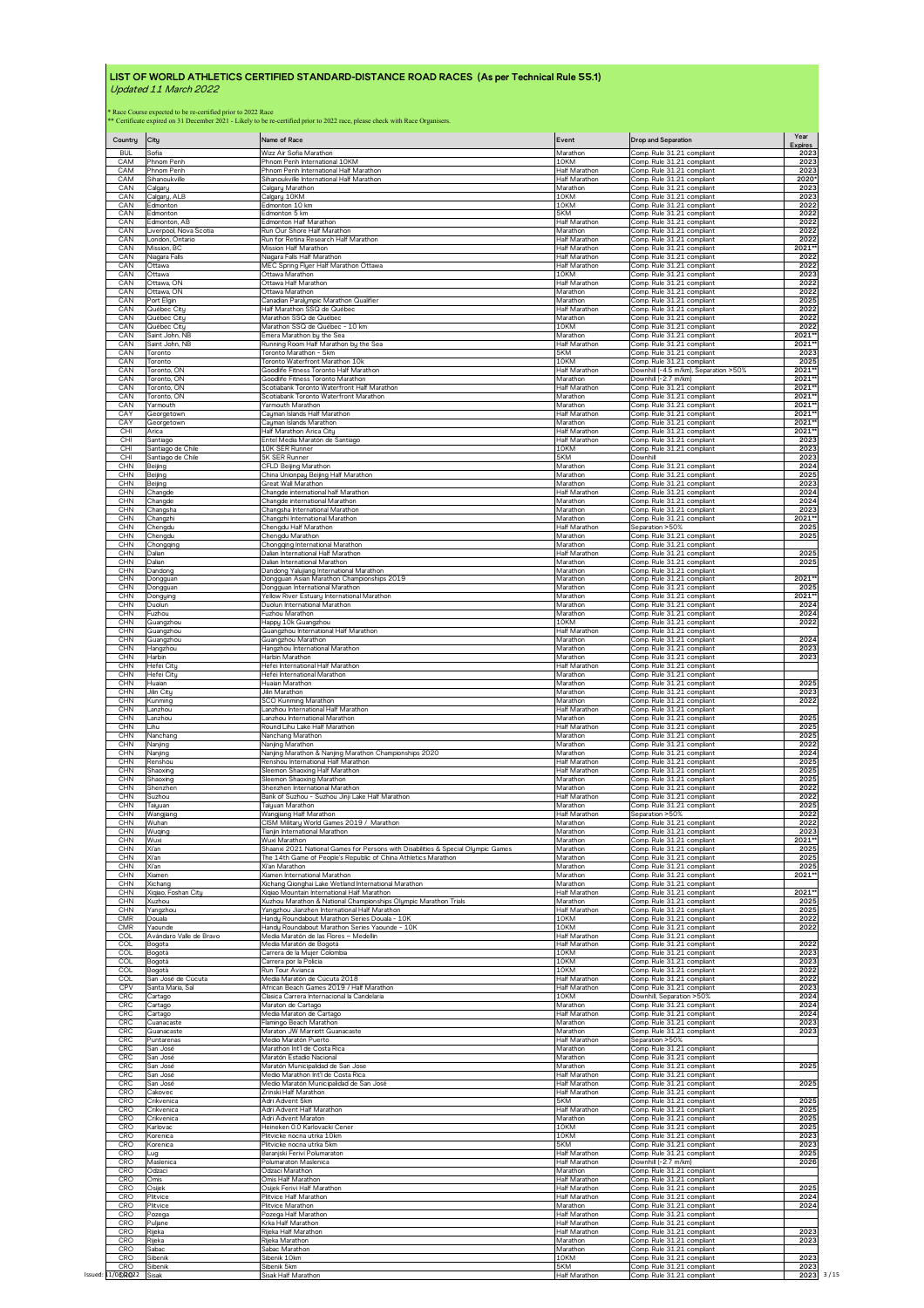| Country                                | City                                                                                                                      | Name of Race                                                                                    | Event                                      | <b>Drop and Separation</b>                                                             | Year<br><b>Expires</b> |
|----------------------------------------|---------------------------------------------------------------------------------------------------------------------------|-------------------------------------------------------------------------------------------------|--------------------------------------------|----------------------------------------------------------------------------------------|------------------------|
| <b>BUL</b>                             | Sofia                                                                                                                     | Wizz Air Sofia Marathon                                                                         | Marathon                                   | Comp. Rule 31.21 compliant                                                             | 2023                   |
| CAM                                    | Phnom Penh                                                                                                                | Phnom Penh International 10KM                                                                   | 10KM                                       | Comp. Rule 31.21 compliant                                                             | 2023                   |
| CAM<br>CAM<br>CAN                      | Phnom Penh<br>Sihanoukville                                                                                               | Phnom Penh International Half Marathon<br>Sihanoukville International Half Marathon             | Half Marathor<br>Half Marathon<br>Marathon | Comp. Rule 31.21 compliant<br>Comp. Rule 31.21 compliant<br>Comp. Rule 31.21 compliant | 2023<br>2020<br>2023   |
| CAN<br>CAN                             | Calgary<br>Calgary, ALB<br>Edmonton                                                                                       | Calgary Marathon<br>Calgary 10KM<br>Edmonton 10 km                                              | 10KM<br>10KM                               | Comp. Rule 31.21 compliant<br>Comp. Rule 31.21 compliant                               | 2023<br>2022           |
| CAN                                    | Edmonton                                                                                                                  | Edmonton 5 km                                                                                   | 5KM                                        | Comp. Rule 31.21 compliant                                                             | 2022                   |
| CAN                                    | Edmonton, AB                                                                                                              | Edmonton Half Marathon                                                                          | Half Marathon                              | Comp. Rule 31.21 compliant                                                             | 2022                   |
| CAN                                    | Liverpool, Nova Scotia                                                                                                    | Run Our Shore Half Marathon                                                                     | Marathon                                   | Comp. Rule 31.21 compliant                                                             | 2022                   |
| CAN                                    | London, Ontario                                                                                                           | Run for Retina Research Half Marathon                                                           | Half Marathon                              | Comp. Rule 31.21 compliant                                                             | 2022                   |
| CAN                                    | Mission, BC                                                                                                               | Mission Half Marathon                                                                           | <b>Half Marathor</b>                       | Comp. Rule 31.21 compliant                                                             | 2021*                  |
| CAN                                    | Niagara Falls                                                                                                             | Niagara Falls Half Marathon                                                                     | <b>Half Marathor</b>                       | Comp. Rule 31.21 compliant                                                             | 2022                   |
| CAN                                    | Ottawa                                                                                                                    | MEC Spring Flyer Half Marathon Ottawa                                                           | <b>Half Marathon</b>                       | Comp. Rule 31.21 compliant                                                             | 2022                   |
| CAN                                    | Ottawa                                                                                                                    | Ottawa Marathon                                                                                 | 10KM                                       | Comp. Rule 31.21 compliant                                                             | 2023                   |
| CAN                                    | Ottawa, ON                                                                                                                | Ottawa Half Marathon                                                                            | Half Marathon                              | Comp. Rule 31.21 compliant                                                             | 2022                   |
| CAN                                    | Ottawa, ON                                                                                                                | Ottawa Marathon                                                                                 | Marathon                                   | Comp. Rule 31.21 compliant                                                             | 2022                   |
| CAN                                    | Port Elgin                                                                                                                | Canadian Paralympic Marathon Qualifier                                                          | Marathon                                   | Comp. Rule 31.21 compliant                                                             | 2025                   |
| CAN                                    | Québec City                                                                                                               | Half Marathon SSQ de Québec                                                                     | Half Marathon                              | Comp. Rule 31.21 compliant                                                             | 2022                   |
| CAN                                    | Québec Citu                                                                                                               | Marathon SSQ de Québec                                                                          | Marathon                                   | Comp. Rule 31.21 compliant                                                             | 2022                   |
| CAN                                    | Québec City                                                                                                               | Marathon SSQ de Québec - 10 km                                                                  | 10KM                                       | Comp. Rule 31.21 compliant                                                             | 2022                   |
| CAN                                    | Saint John, NB                                                                                                            | Emera Marathon by the Sea                                                                       | Marathon                                   | Comp. Rule 31.21 compliant                                                             | 2021'                  |
| CAN                                    | Saint John NB                                                                                                             | Running Room Half Marathon by the Sea                                                           | Half Marathon                              | Comp. Rule 31.21 compliant                                                             | 2021*                  |
| CAN                                    | Toronto                                                                                                                   | Toronto Marathon - 5km                                                                          | 5KM                                        | Comp. Rule 31.21 compliant                                                             | 2023                   |
| CAN                                    | Toronto                                                                                                                   | Toronto Waterfront Marathon 10k                                                                 | 10KM                                       | Comp. Rule 31.21 compliant                                                             | 2025                   |
| CAN                                    | Toronto, ON                                                                                                               | Goodlife Fitness Toronto Half Marathon                                                          | Half Marathon                              | Downhill (-4.5 m/km), Separation >50%                                                  | 2021                   |
| CAN                                    | Toronto, ON                                                                                                               | Goodlife Fitness Toronto Marathon                                                               | Marathon                                   | Downhill (-2.7 m/km)                                                                   | 2021*                  |
| CAN                                    | Toronto, ON                                                                                                               | Scotiabank Toronto Waterfront Half Marathon                                                     | <b>Half Marathor</b>                       | Comp. Rule 31.21 compliant                                                             | 2021                   |
| CAN                                    | Toronto, ON                                                                                                               | Scotiabank Toronto Waterfront Marathon                                                          | Marathon                                   | Comp. Rule 31.21 compliant                                                             | 2021'                  |
| CAN                                    | Yarmouth                                                                                                                  | Yarmouth Marathon                                                                               | Marathon                                   | Comp. Rule 31.21 compliant                                                             | 2021                   |
| CAY                                    | Georgetown                                                                                                                | Cayman Islands Half Marathon                                                                    | Half Marathon                              | Comp. Rule 31.21 compliant                                                             | 2021                   |
| CAY                                    | Georgetown                                                                                                                | Cayman Islands Marathon                                                                         | Marathon                                   | Comp. Rule 31.21 compliant                                                             | 2021                   |
| CHI                                    | Arica                                                                                                                     | Half Marathon Arica Citu                                                                        | Half Marathor                              | Comp. Rule 31.21 compliant                                                             | 2021                   |
| CHI                                    | Santiago                                                                                                                  | Entel Media Maratón de Santiago                                                                 | Half Marathon                              | Comp. Rule 31.21 compliant                                                             | 2023                   |
| CHI                                    | Santiago de Chile                                                                                                         | 10K SER Runner                                                                                  | 10KM                                       | Comp. Rule 31.21 compliant                                                             | 2023                   |
| CHI                                    | Santiago de Chile                                                                                                         | 5K SER Runner                                                                                   | 5KM                                        | Downhill                                                                               | 2023                   |
| <b>CHN</b>                             | Beijing                                                                                                                   | CFLD Beijing Marathon                                                                           | Marathon                                   | Comp. Rule 31.21 compliant                                                             | 2024                   |
| <b>CHN</b>                             | Beijing                                                                                                                   | China Unionpay Beijing Half Marathon                                                            | Marathon                                   | Comp. Rule 31.21 compliant                                                             | 2025                   |
| CHN                                    | Beijing                                                                                                                   | Great Wall Marathon                                                                             | Marathon                                   | Comp. Rule 31.21 compliant                                                             | 2023                   |
| <b>CHN</b>                             | Changde                                                                                                                   | Changde international half Marathon                                                             | Half Marathon                              | Comp. Rule 31.21 compliant                                                             | 2024                   |
| CHN                                    | Changde                                                                                                                   | Changde international Marathon                                                                  | Marathon                                   | Comp. Rule 31.21 compliant                                                             | 2024                   |
| CHN                                    | Changsha                                                                                                                  | Changsha International Marathon                                                                 | Marathon                                   | Comp. Rule 31.21 compliant                                                             | 2023                   |
| <b>CHN</b>                             | Changzhi                                                                                                                  | Changzhi International Marathon                                                                 | Marathon                                   | Comp. Rule 31.21 compliant                                                             | 2021*                  |
| <b>CHN</b>                             | Chengdu                                                                                                                   | Chengdu Half Marathon                                                                           | Half Marathon                              | Separation >50%                                                                        | 2025                   |
| CHN                                    | Chengdu                                                                                                                   | Chengdu Marathon                                                                                | Marathon                                   | Comp. Rule 31.21 compliant                                                             | 2025                   |
| <b>CHN</b>                             | Chongqing                                                                                                                 | Chongqing International Marathon                                                                | Marathon                                   | Comp Rule 31.21 compliant                                                              | 2025                   |
| CHN                                    | Dalian                                                                                                                    | Dalian International Half Marathon                                                              | Half Marathon                              | Comp. Rule 31.21 compliant                                                             |                        |
| <b>CHN</b>                             | Dalian                                                                                                                    | Dalian International Marathon                                                                   | Marathon                                   | Comp. Rule 31.21 compliant                                                             | 2025                   |
| <b>CHN</b>                             | Dandono                                                                                                                   | Dandong Yalujiang International Marathon                                                        | Marathon                                   | Comp. Rule 31.21 compliant                                                             |                        |
| <b>CHN</b>                             | Dongguar                                                                                                                  | Dongguan Asian Marathon Championships 2019                                                      | Marathon                                   | Comp. Rule 31.21 compliant                                                             | 2021*                  |
| <b>CHN</b>                             | Dongguan                                                                                                                  | Dongguan International Marathon                                                                 | Marathon                                   | Comp. Rule 31.21 compliant                                                             | 2025                   |
| CHN                                    | Dongying                                                                                                                  | Yellow River Estuary International Marathon                                                     | Marathon                                   | Comp. Rule 31.21 compliant                                                             | 2021*                  |
| CHN                                    | Duolun                                                                                                                    | Duolun International Marathon                                                                   | Marathon                                   | Comp. Rule 31.21 compliant                                                             | 2024                   |
| CHN                                    | Fuzhou                                                                                                                    | Fuzhou Marathon                                                                                 | Marathon                                   | Comp. Rule 31.21 compliant                                                             | 2024                   |
| <b>CHN</b>                             | Guangzhou                                                                                                                 | Happy 10k Guangzhou                                                                             | 10KM                                       | Comp. Rule 31.21 compliant                                                             | 2022                   |
| CHN                                    | Guangzhou                                                                                                                 | Guangzhou International Half Marathon                                                           | <b>Half Marathon</b>                       | Comp. Rule 31.21 compliant                                                             | 2024                   |
| CHN                                    | Guangzhou                                                                                                                 | Guangzhou Marathon                                                                              | Marathon                                   | Comp. Rule 31.21 compliant                                                             |                        |
| <b>CHN</b><br><b>CHN</b><br><b>CHN</b> | Hangzhou<br>Harbin                                                                                                        | Hangzhou International Marathon<br>Harbin Marathon                                              | Marathon<br>Marathon                       | Comp. Rule 31.21 compliant<br>Comp. Rule 31.21 compliant                               | 2023<br>2023           |
| <b>CHN</b><br>CHN                      | Hefei Citu<br>Hefei Citu<br>Huaian                                                                                        | Hefei International Half Marathon<br>Hefei International Marathon<br>Huaian Marathon            | Half Marathon<br>Marathon<br>Marathon      | Comp. Rule 31.21 compliant<br>Comp. Rule 31.21 compliant<br>Comp. Rule 31.21 compliant | 2025                   |
| <b>CHN</b><br><b>CHN</b>               | Jilin City                                                                                                                | Jilin Marathon                                                                                  | Marathon<br>Marathon                       | Comp. Rule 31.21 compliant<br>Comp. Rule 31.21 compliant                               | 2023<br>2022           |
| CHN<br><b>CHN</b>                      | Kunming<br>Lanzhou<br>Lanzhou                                                                                             | SCO Kunming Marathon<br>Lanzhou International Half Marathon<br>Lanzhou International Marathon   | Half Marathon<br>Marathon                  | Comp. Rule 31.21 compliant<br>Comp. Rule 31.21 compliant                               | 2025                   |
| <b>CHN</b>                             | Lihu                                                                                                                      | Round Lihu Lake Half Marathon                                                                   | Half Marathon                              | Comp. Rule 31.21 compliant                                                             | 2025                   |
| CHN                                    | Nanchang                                                                                                                  |                                                                                                 | Marathon                                   | Comp. Rule 31.21 compliant                                                             | 2025                   |
| <b>CHN</b><br><b>CHN</b>               | Nanjing<br>Nanjing                                                                                                        | Nanchang Marathon<br>Nanjing Marathon<br>Nanjing Marathon & Nanjing Marathon Championships 2020 | Marathon<br>Marathon                       | Comp. Rule 31.21 compliant<br>Comp. Rule 31.21 compliant                               | 2022<br>2024           |
| CHN                                    | Renshou                                                                                                                   | Renshou International Half Marathon                                                             | Half Marathon                              | Comp. Rule 31.21 compliant                                                             | 2025                   |
| CHN                                    | Shaoxino                                                                                                                  | Sleemon Shaoxing Half Marathon                                                                  | <b>Half Marathor</b>                       | Comp Rule 31.21 compliant                                                              | 2025                   |
| <b>CHN</b>                             | Shaoxing                                                                                                                  | Sleemon Shaoxing Marathon                                                                       | Marathon                                   | Comp. Rule 31.21 compliant                                                             | 2025                   |
| <b>CHN</b>                             | Shenzhen                                                                                                                  | Shenzhen International Marathon                                                                 | Marathon                                   | Comp. Rule 31.21 compliant                                                             | 2022                   |
| <b>CHN</b>                             | Suzhou                                                                                                                    | Bank of Suzhou - Suzhou Jinji Lake Half Marathon                                                | Half Marathon                              | Comp. Rule 31.21 compliant                                                             | 2022                   |
| <b>CHN</b>                             | Taiuuan                                                                                                                   | Taiuuan Marathon                                                                                | Marathon                                   | Comp. Rule 31.21 compliant                                                             | 2025                   |
| <b>CHN</b>                             | Wangjiang                                                                                                                 | Wangjiang Half Marathon                                                                         | Half Marathon                              | Separation >50%                                                                        | 2022                   |
| <b>CHN</b>                             | Wuhan                                                                                                                     | CISM Military World Games 2019 / Marathon                                                       | Marathon                                   | Comp. Rule 31.21 compliant                                                             | 2022                   |
| CHN                                    | Wuqing                                                                                                                    | Tianjin International Marathon                                                                  | Marathon                                   | Comp. Rule 31.21 compliant                                                             | 2023                   |
| <b>CHN</b>                             | Wuxi                                                                                                                      | Wuxi Marathon                                                                                   | Marathon                                   | Comp. Rule 31.21 compliant                                                             | 2021**                 |
| <b>CHN</b>                             | Xi'an                                                                                                                     | Shaanxi 2021 National Games for Persons with Disabilities & Special Olympic Games               | Marathon                                   | Comp. Rule 31.21 compliant                                                             | 2025                   |
| <b>CHN</b>                             | Xi'an                                                                                                                     | The 14th Game of People's Republic of China Athletics Marathon                                  | Marathon                                   | Comp. Rule 31.21 compliant                                                             | 2025                   |
| CHN                                    | Xi'an                                                                                                                     | Xi'an Marathon                                                                                  | Marathon                                   | Comp. Rule 31.21 compliant                                                             | 2025                   |
| <b>CHN</b>                             | Xiamen                                                                                                                    | Xiamen International Marathon                                                                   | Marathon                                   | Comp. Rule 31.21 compliant                                                             | 2021*                  |
| <b>CHN</b>                             | Xichang                                                                                                                   | Xichang Qionghai Lake Wetland International Marathon                                            | Marathon                                   | Comp. Rule 31.21 compliant                                                             | 2021*                  |
| <b>CHN</b>                             | Xiqiao, Foshan City                                                                                                       | Xiqiao Mountain International Half Marathon                                                     | Half Marathon                              | Comp. Rule 31.21 compliant                                                             |                        |
| CHN                                    | Xuzhou                                                                                                                    | Xuzhou Marathon & National Championships Olympic Marathon Trials                                | Marathon                                   | Comp. Rule 31.21 compliant                                                             | 2025                   |
| <b>CHN</b>                             | Yangzhou                                                                                                                  | Yangzhou Jianzhen International Half Marathon                                                   | <b>Half Marathon</b>                       | Comp. Rule 31.21 compliant                                                             | 2025                   |
| <b>CMR</b>                             | Douala                                                                                                                    | Handy Roundabout Marathon Series Douala - 10K                                                   | 10KM                                       | Comp. Rule 31.21 compliant                                                             | 2022                   |
| <b>CMR</b>                             | Yaounde                                                                                                                   | Handy Roundabout Marathon Series Yaounde - 10K                                                  | 10KM                                       | Comp. Rule 31.21 compliant                                                             | 2022                   |
| COL                                    | Avándaro Valle de Bravo                                                                                                   | Media Maratón de las Flores - Medellin                                                          | Half Marathon                              | Comp. Rule 31.21 compliant                                                             | 2022                   |
| <b>COL</b>                             | Bogota                                                                                                                    | Media Maratón de Bogotá                                                                         | Half Marathon                              | Comp. Rule 31.21 compliant                                                             |                        |
| <b>COL</b>                             | Bogotá                                                                                                                    | Carrera de la Mujer Colombia                                                                    | 10KM                                       | Comp. Rule 31.21 compliant                                                             | 2023                   |
| COL                                    | Bogotá                                                                                                                    | Carrera por la Policia                                                                          | 10KM                                       | Comp. Rule 31.21 compliant                                                             | 2023                   |
| COL                                    | Bogotà                                                                                                                    | Run Tour Avianca                                                                                | 10KM                                       | Comp. Rule 31.21 compliant                                                             | 2022                   |
| COL                                    | San José de Cúcuta                                                                                                        | Media Maratón de Cúcuta 2018                                                                    | <b>Half Marathon</b>                       | Comp. Rule 31.21 compliant                                                             | 2022                   |
| CPV<br><b>CRC</b>                      | Santa Maria, Sal<br>Cartago                                                                                               | African Beach Games 2019 / Half Marathon<br>Clasica Carrera Internacional la Candelaria         | Half Marathon<br>10KM                      | Comp. Rule 31.21 compliant<br>Downhill, Separation >50%<br>Comp. Rule 31.21 compliant  | 2023<br>2024           |
| CRC<br>CRC<br>CRC                      | Cartago<br>Cartago                                                                                                        | Maraton de Cartago<br>Media Maraton de Cartago<br>Flamingo Beach Marathon                       | Marathon<br>Half Marathon                  | Comp. Rule 31.21 compliant<br>Comp. Rule 31.21 compliant                               | 2024<br>2024           |
| <b>CRC</b><br><b>CRC</b>               | Cuanacaste<br>Guanacaste<br>Puntarenas                                                                                    | Maraton JW Marriott Guanacaste<br>Medio Maratón Puerto                                          | Marathon<br>Marathon<br>Half Marathon      | Comp. Rule 31.21 compliant<br>Separation >50%                                          | 2023<br>2023           |
| <b>CRC</b>                             | San José                                                                                                                  | Marathon Int'l de Costa Rica                                                                    | Marathon                                   | Comp. Rule 31.21 compliant                                                             |                        |
| <b>CRC</b>                             | San José                                                                                                                  | Maratón Estadio Nacional                                                                        | Marathon                                   | Comp. Rule 31.21 compliant                                                             |                        |
| CRC                                    | San José                                                                                                                  | Maratón Municipalidad de San Jose                                                               | Marathon                                   | Comp. Rule 31.21 compliant                                                             | 2025                   |
| CRC                                    | San José                                                                                                                  | Medio Marathon Int'l de Costa Rica                                                              | Half Marathon                              | Comp. Rule 31.21 compliant                                                             |                        |
| CRC                                    | San José                                                                                                                  | Medio Maratón Municipalidad de San José                                                         | Half Marathon                              | Comp. Rule 31.21 compliant                                                             | 2025                   |
| CRO                                    | Cakovec                                                                                                                   | Zrinski Half Marathon                                                                           | <b>Half Marathon</b>                       | Comp. Rule 31.21 compliant                                                             |                        |
| <b>CRO</b>                             | Crikvenica                                                                                                                | Adri Advent 5km                                                                                 | 5KM                                        | Comp. Rule 31.21 compliant                                                             | 2025                   |
| CRO                                    | Crikvenica                                                                                                                | Adri Advent Half Marathon                                                                       | Half Marathon                              | Comp. Rule 31.21 compliant                                                             | 2025                   |
| <b>CRO</b>                             | Crikvenica                                                                                                                | Adri Advent Maraton                                                                             | Marathon                                   | Comp. Rule 31.21 compliant                                                             | 2025                   |
| CRO                                    | Karlovac                                                                                                                  | Heineken 0.0 Karlovacki Cener                                                                   | 10KM                                       | Comp. Rule 31.21 compliant                                                             | 2025                   |
| <b>CRO</b>                             | Korenica                                                                                                                  | Plitvicke nocna utrka 10km                                                                      | 10KM                                       | Comp. Rule 31.21 compliant                                                             | 2023                   |
| <b>CRO</b>                             | <orenica< td=""><td>Plitvicke nocna utrka 5km</td><td>5KM</td><td>Comp. Rule 31.21 compliant</td><td>2023</td></orenica<> | Plitvicke nocna utrka 5km                                                                       | 5KM                                        | Comp. Rule 31.21 compliant                                                             | 2023                   |
| CRO                                    | Lug                                                                                                                       | Baranjski Ferivi Polumaraton                                                                    | Half Marathon                              | Comp. Rule 31.21 compliant                                                             | 2025                   |
| CRO                                    | Maslenica                                                                                                                 | Polumaraton Maslenica                                                                           | Half Marathon                              | Downhill (-2.7 m/km)                                                                   | 2026                   |
| CRO                                    | Odzaci                                                                                                                    | Odzaci Marathon                                                                                 | Marathon                                   | Comp. Rule 31.21 compliant                                                             |                        |
| <b>CRO</b>                             | Omis                                                                                                                      | Omis Half Marathon                                                                              | Half Marathon                              | Comp. Rule 31.21 compliant                                                             |                        |
| CRO                                    | Osijek                                                                                                                    | Osijek Ferivi Half Marathon                                                                     | Half Marathon                              | Comp. Rule 31.21 compliant                                                             | 2025                   |
| <b>CRO</b>                             | Plitvice                                                                                                                  | Plitvice Half Marathon                                                                          | Half Marathon                              | Comp. Rule 31.21 compliant                                                             | 2024                   |
| CRO                                    | Plitvice                                                                                                                  | Plitvice Marathon                                                                               | Marathon                                   | Comp. Rule 31.21 compliant                                                             | 2024                   |
| CRO                                    | Pozega                                                                                                                    | Pozega Half Marathon                                                                            | Half Marathon                              | Comp. Rule 31.21 compliant                                                             |                        |
| CRO                                    | Puljane                                                                                                                   | Krka Half Marathon                                                                              | <b>Half Marathon</b>                       | Comp. Rule 31.21 compliant                                                             | 2023                   |
| <b>CRO</b>                             | Rijeka                                                                                                                    | Rijeka Half Marathon                                                                            | Half Marathon                              | Comp. Rule 31.21 compliant                                                             |                        |
| CRO                                    | Rijeka                                                                                                                    | Rijeka Marathon                                                                                 | Marathon                                   | Comp. Rule 31.21 compliant                                                             | 202                    |
| CRO                                    | Sabac                                                                                                                     | Sabac Marathon                                                                                  | Marathon                                   | Comp. Rule 31.21 compliant                                                             |                        |
| CRO                                    | Sibenik                                                                                                                   | Sibenik 10km                                                                                    | 10KM                                       | Comp. Rule 31.21 compliant                                                             | 2023                   |
| CRO                                    | Sibenik                                                                                                                   | Sibenik 5km                                                                                     | 5KM                                        | Comp. Rule 31.21 compliant                                                             | 2023                   |
| Issued: 11/06/R022                     | Sisak                                                                                                                     | Sisak Half Marathon                                                                             | Half Marathon                              | Comp. Rule 31.21 compliant                                                             | 2023                   |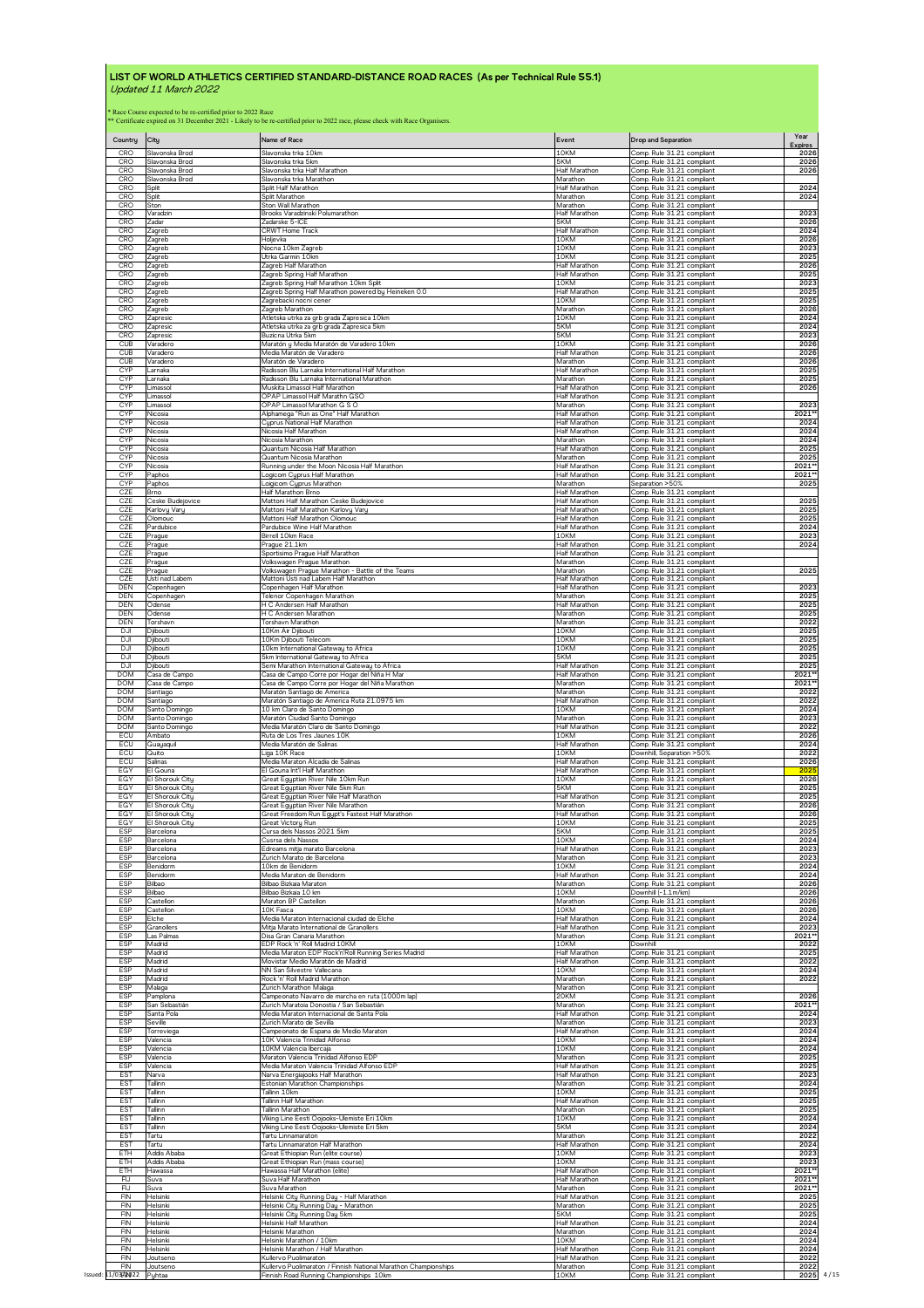| Country<br><b>CRO</b>    | City<br>Slavonska Brod | Name of Race<br>Slavonska trka 10km                                                                              | Event<br>10KM           | <b>Drop and Separation</b><br>Comp. Rule 31.21 compliant | Year<br>Expires<br>2026 |
|--------------------------|------------------------|------------------------------------------------------------------------------------------------------------------|-------------------------|----------------------------------------------------------|-------------------------|
| CRO                      | Slavonska Brod         | Slavonska trka 5km                                                                                               | 5KM                     | Comp. Rule 31.21 compliant                               | 2026                    |
| CRO                      | Slavonska Brod         | Slavonska trka Half Marathon                                                                                     | Half Marathon           | Comp. Rule 31.21 compliant                               | 2026                    |
| CRO                      | Slavonska Brod         | Slavonska trka Marathon                                                                                          | Marathon                | Comp. Rule 31.21 compliant                               | 2024                    |
| CRO                      | Split                  | Split Half Marathon                                                                                              | Half Marathon           | Comp. Rule 31.21 compliant                               |                         |
| <b>CRO</b>               | Split                  | Split Marathon                                                                                                   | Marathon                | Comp. Rule 31.21 compliant                               | 2024                    |
| CRO                      | Ston                   | Ston Wall Marathon                                                                                               | Marathon                | Comp. Rule 31.21 compliant                               |                         |
| CRO                      | Varadzin               | Brooks Varadzinski Polumarathon                                                                                  | Half Marathon           | Comp. Rule 31.21 compliant                               | 2023                    |
| CRO                      | Zadar                  | Zadarske 5-ICE                                                                                                   | 5KM                     | Comp. Rule 31.21 compliant                               | 2026                    |
| CRO                      | Zagreb                 | <b>CRWT Home Track</b>                                                                                           | Half Marathon           | Comp. Rule 31.21 compliant                               | 2024                    |
| CRO                      | Zagreb                 | Holjevka                                                                                                         | 10KM                    | Comp. Rule 31.21 compliant                               | 2026                    |
| <b>CRO</b>               | Zagreb                 | Nocna 10km Zagreb                                                                                                | 10KM                    | Comp. Rule 31.21 compliant                               | 2023                    |
| CRO                      | Zagreb                 | Utrka Garmin 10km                                                                                                | 10KM                    | Comp. Rule 31.21 compliant                               | 2025                    |
| <b>CRO</b>               | Zagreb                 | Zagreb Half Marathon                                                                                             | Half Marathon           | Comp. Rule 31.21 compliant                               | 2026                    |
| CRO                      | Zagreb                 | Zagreb Spring Half Marathon                                                                                      | Half Marathon           | Comp. Rule 31.21 compliant                               | 2025                    |
| CRO                      | Zagreb                 | Zagreb Spring Half Marathon 10km Split                                                                           | 10KM                    | Comp. Rule 31.21 compliant                               | 2023                    |
| CRO                      |                        | Zagreb Spring Half Marathon powered by Heineken 0.0                                                              | <b>Half Marathon</b>    | Comp. Rule 31.21 compliant                               | 2025                    |
| CRO<br>CRO               | Zagreb<br>Zagreb       | Zagrebacki nocni cener                                                                                           | 10KM                    | Comp. Rule 31.21 compliant                               | 2025<br>2026            |
| CRO<br>CRO               | Zagreb<br>Zapresic     | Zagreb Marathon<br>Atletska utrka za grb grada Zapresica 10km                                                    | Marathon<br>10KM<br>5KM | Comp. Rule 31.21 compliant<br>Comp. Rule 31.21 compliant | 2024<br>2024            |
| CRO                      | Zapresic<br>Zapresic   | Atletska utrka za grb grada Zapresica 5km<br>Buzicna Utrka 5km                                                   | 5KM                     | Comp. Rule 31.21 compliant<br>Comp. Rule 31.21 compliant | 2023                    |
| <b>CUB</b>               | Varaderc               | Maratón y Media Maratón de Varadero 10km                                                                         | 10KM                    | Comp. Rule 31.21 compliant                               | 2026                    |
| CUB                      | Varaderc               | Media Maratón de Varadero                                                                                        | Half Marathon           | Comp. Rule 31.21 compliant                               | 2026                    |
| CUB                      | Varaderc               | Maratón de Varadero                                                                                              | Marathor                | Comp. Rule 31.21 compliant                               | 2026                    |
| <b>CYP</b>               | Larnaka                | Radisson Blu Larnaka International Half Marathon                                                                 | Half Marathon           | Comp. Rule 31.21 compliant                               | 2025                    |
| <b>CYP</b>               | Larnaka                | Radisson Blu Larnaka International Marathon                                                                      | Marathon                | Comp. Rule 31.21 compliant                               | 2025                    |
| <b>CYP</b>               | Limasso                | Muskita Limassol Half Marathon                                                                                   | Half Marathon           | Comp. Rule 31.21 compliant                               | 2026                    |
| <b>CYP</b>               | Limassol               | OPAP Limassol Half Marathn GSO                                                                                   | Half Marathon           | Comp. Rule 31.21 compliant                               | 2023                    |
| <b>CYP</b>               | Limassol               | OPAP Limassol Marathon G S O                                                                                     | Marathon                | Comp. Rule 31.21 compliant                               |                         |
| <b>CYP</b>               | Nicosia                | Alphamega "Run as One" Half Marathon                                                                             | Half Marathon           | Comp. Rule 31.21 compliant                               | 2021*                   |
| <b>CYP</b>               | Nicosia                | Cyprus National Half Marathon                                                                                    | Half Marathon           | Comp. Rule 31.21 compliant                               | 2024                    |
| <b>CYP</b>               | Nicosia                | Nicosia Half Marathon                                                                                            | Half Marathon           | Comp. Rule 31.21 compliant                               | 2024                    |
| <b>CYP</b>               | Nicosia                | Nicosia Marathon                                                                                                 | Marathon                | Comp. Rule 31.21 compliant                               | 2024                    |
| <b>CYP</b>               | Nicosia                | Quantum Nicosia Half Marathon                                                                                    | Half Marathon           | Comp. Rule 31.21 compliant                               | 2025                    |
| CYP                      | Nicosia                | Quantum Nicosia Marathon                                                                                         | Marathon                | Comp. Rule 31.21 compliant                               | 2025                    |
| CYP                      | Nicosia                | Running under the Moon Nicosia Half Marathon                                                                     | Half Marathon           | Comp. Rule 31.21 compliant                               | 2021*                   |
| <b>CYP</b>               | Paphos                 | ogicom Cyprus Half Marathon                                                                                      | Half Marathon           | Comp. Rule 31.21 compliant                               | 2021*                   |
| <b>CYP</b>               | Paphos                 | Loigicom Cyprus Marathon                                                                                         | Marathon                | Separation >50%                                          | 2025                    |
| CZE                      | Brno                   | Half Marathon Brno                                                                                               | Half Marathon           | Comp. Rule 31.21 compliant                               |                         |
| CZE                      | Ceske Budejovice       | Mattoni Half Marathon Ceske Budejovice                                                                           | <b>Half Marathon</b>    | Comp. Rule 31.21 compliant                               | 2025                    |
| CZE                      | Karlovy Vary           | Mattoni Half Marathon Karlovy Vary                                                                               | Half Marathon           | Comp. Rule 31.21 compliant                               | 2025                    |
| CZE                      | Olomouc                | Mattoni Half Marathon Olomouc                                                                                    | Half Marathon           | Comp. Rule 31.21 compliant                               | 2025                    |
| CZE                      | Pardubice              | Pardubice Wine Half Marathon                                                                                     | Half Marathon           | Comp. Rule 31.21 compliant                               | 2024                    |
| CZE                      | Prague                 | Birrell 10km Race                                                                                                | 10KM                    | Comp. Rule 31.21 compliant                               | 2023                    |
| CZE                      | Prague                 | Prague 21.1km                                                                                                    | Half Marathon           | Comp. Rule 31.21 compliant                               | 2024                    |
| CZE                      | Prague                 | Sportisimo Prague Half Marathon                                                                                  | Half Marathon           | Comp. Rule 31.21 compliant                               |                         |
| CZE                      | Prague                 | Volkswagen Prague Marathon                                                                                       | Marathon                | Comp Rule 31.21 compliant                                |                         |
| CZE                      | Prague                 | Volkswagen Prague Marathon - Battle of the Teams                                                                 | Marathon                | Comp. Rule 31.21 compliant                               | 2025                    |
| CZE                      | Usti nad Labem         | Mattoni Usti nad Labem Half Marathon                                                                             | Half Marathon           | Comp. Rule 31.21 compliant                               |                         |
| DEN                      | Copenhagen             | Copenhagen Half Marathon                                                                                         | Half Marathon           | Comp. Rule 31.21 compliant                               | 2023                    |
| DEN                      | Copenhagen             | Telenor Copenhagen Marathon                                                                                      | Marathon                | Comp. Rule 31.21 compliant                               | 2025                    |
| DEN                      | Odense                 | I C Andersen Half Marathon                                                                                       | Half Marathon           | Comp. Rule 31.21 compliant                               | 2025                    |
| DEN                      | Odense                 | H C Andersen Marathon                                                                                            | Marathon                | Comp. Rule 31.21 compliant                               | 2025                    |
| DEN                      | Torshavn               | Torshavn Marathon                                                                                                | Marathon                | Comp. Rule 31.21 compliant                               | 2022                    |
| DJI                      | Djibouti               | 10Km Air Djibouti                                                                                                | 10KM                    | Comp. Rule 31.21 compliant                               | 2025                    |
| DJI                      | Djibouti               | 10Km Djibouti Telecom                                                                                            | 10KM                    | Comp. Rule 31.21 compliant                               | 2025                    |
| <b>DJI</b>               | Djibouti               | 10km International Gateway to Africa                                                                             | 10KM                    | Comp. Rule 31.21 compliant                               | 2025                    |
| <b>DJI</b>               | Diibouti               | 5km International Gatewau to Africa                                                                              | 5KM                     | Comp. Rule 31.21 compliant                               | 2025                    |
| DJI                      | Djibouti               | Semi Marathon International Gateway to Africa                                                                    | Half Marathon           | Comp. Rule 31.21 compliant                               | 2025                    |
| <b>DOM</b>               | Casa de Campo          | Casa de Campo Corre por Hogar del Niña H Mar                                                                     | Half Marathon           | Comp. Rule 31.21 compliant                               | 2021*                   |
| <b>DOM</b>               | Casa de Campo          | Casa de Campo Corre por Hogar del Niña Marathon                                                                  | Marathon                | Comp. Rule 31.21 compliant                               | 2021                    |
| <b>DOM</b>               | Santiago               | Maratón Santiago de America                                                                                      | Marathon                | Comp. Rule 31.21 compliant                               | 2022                    |
| <b>DOM</b>               | Santiago               | Maratón Santiago de America Ruta 21.0975 km                                                                      | Half Marathon           | Comp. Rule 31.21 compliant                               | 2022                    |
| <b>DOM</b>               | Santo Domingo          | 10 km Claro de Santo Domingo                                                                                     | 10KM                    | Comp. Rule 31.21 compliant                               | 2024                    |
| <b>DOM</b>               | Santo Domingo          | Maratón Ciudad Santo Domingo                                                                                     | Marathon                | Comp. Rule 31.21 compliant                               | 2023                    |
| <b>DOM</b>               | Santo Domingo          | Media Maratón Claro de Santo Domingo                                                                             | Half Marathon           | Comp. Rule 31.21 compliant                               | 2022                    |
| ECU                      | Ambato                 | Ruta de Los Tres Jaunes 10K                                                                                      | 10KM                    | Comp. Rule 31.21 compliant                               | 2026                    |
| ECU                      | Guayaquil              | Media Maratón de Salinas                                                                                         | Half Marathon           | Comp. Rule 31.21 compliant                               | 2024                    |
| ECU                      | Quito                  | Liga 10K Race                                                                                                    | 10KM                    | Downhill, Separation >50%                                | 2022                    |
| ECU                      | Salinas                | Media Maraton Alcadia de Salinas                                                                                 | <b>Half Marathon</b>    | Comp. Rule 31.21 compliant                               | 2026                    |
| EGY                      | El Gouna               | El Gouna Int'l Half Marathon                                                                                     | Half Marathon           | Comp. Rule 31.21 compliant                               | 202                     |
| EGY                      | El Shorouk City        | Great Egyptian River Nile 10km Run                                                                               | 10KM                    | Comp. Rule 31.21 compliant                               | 2026                    |
| EGY                      | El Shorouk Citu        | Great Egyptian River Nile 5km Run                                                                                | 5KM                     | Comp. Rule 31.21 compliant                               | 2025                    |
| EGY                      | El Shorouk City        | Great Egyptian River Nile Half Marathon                                                                          | Half Marathon           | Comp. Rule 31.21 compliant                               | 2025                    |
| EGY                      | El Shorouk City        | Great Egyptian River Nile Marathon                                                                               | Marathon                | Comp. Rule 31.21 compliant                               | 2026                    |
| EGY                      | El Shorouk City        | Great Freedom Run Egypt's Fastest Half Marathon                                                                  | Half Marathon           | Comp. Rule 31.21 compliant                               | 2026                    |
| EGY<br><b>ESP</b>        | El Shorouk City        | Great Victory Run                                                                                                | 10KM<br>5KM             | Comp. Rule 31.21 compliant                               | 2025<br>2025            |
| <b>ESP</b>               | Barcelona<br>Barcelona | Cursa dels Nassos 2021 5km<br>Cusrsa dels Nassos                                                                 | 10KM                    | Comp. Rule 31.21 compliant<br>Comp. Rule 31.21 compliant | 2024                    |
| <b>ESP</b>               | Barcelona              | Edreams mitja marato Barcelona                                                                                   | Half Marathon           | Comp. Rule 31.21 compliant                               | 2023                    |
| <b>ESP</b>               | Barcelona              | Zurich Marato de Barcelona                                                                                       | Marathon                | Comp. Rule 31.21 compliant                               | 2023                    |
| <b>ESP</b>               | Benidorm               | LOkm de Benidorm                                                                                                 | 10KM                    | Comp. Rule 31.21 compliant                               | 2024                    |
| ESP                      | Benidorm               | Media Maraton de Benidorm                                                                                        | Half Marathon           | Comp. Rule 31.21 compliant                               | 2024                    |
| <b>FSP</b>               | Bilbao                 | Bilbao Bizkaia Maraton                                                                                           | Marathon                | Comp. Rule 31.21 compliant                               | 2026                    |
| <b>ESP</b>               | Bilbao                 | Bilbao Bizkaia 10 km                                                                                             | 10KM                    | Downhill (-1.1m/km)                                      | 2026                    |
| ESP                      | Castellon              | Maraton BP Castellon                                                                                             | Marathon                | Comp. Rule 31.21 compliant                               | 2026                    |
| ESP                      | Castellon              | 10K Fasca                                                                                                        | 10KM                    | Comp. Rule 31.21 compliant                               | 2026                    |
| <b>ESP</b>               | Elche                  | Media Maraton Internacional ciudad de Elche                                                                      | Half Marathon           | Comp. Rule 31.21 compliant                               | 2024                    |
| <b>ESP</b>               | Granollers             | Mitja Marato International de Granollers                                                                         | Half Marathon           | Comp. Rule 31.21 compliant                               | 2023                    |
| <b>ESP</b>               | Las Palmas             | Disa Gran Canaria Marathon                                                                                       | Marathon                | Comp. Rule 31.21 compliant                               | 2021*                   |
| <b>ESP</b>               | Madrid                 | EDP Rock 'n' Roll Madrid 10KM                                                                                    | 10KM                    | Downhill                                                 | 2022                    |
| <b>ESP</b>               | Madrid                 | Media Maraton EDP Rock'n'Roll Running Series Madrid                                                              | <b>Half Marathon</b>    | Comp. Rule 31.21 compliant                               | 2025                    |
| ESP                      | Madrid                 | Movistar Medio Maratón de Madrid                                                                                 | Half Marathon           | Comp. Rule 31.21 compliant                               | 2022                    |
| ESP                      | Madrid                 | NN San Silvestre Vallecana                                                                                       | 10KM                    | Comp. Rule 31.21 compliant                               | 2024                    |
| ESP                      | Madrid                 | Rock 'n' Roll Madrid Marathon                                                                                    | Marathon                | Comp. Rule 31.21 compliant                               | 2022                    |
| <b>ESP</b>               | Malaga                 | Zurich Marathon Malaga                                                                                           | Marathon                | Comp. Rule 31.21 compliant                               | 2026                    |
| <b>ESP</b>               | Pamplona               | Campeonato Navarro de marcha en ruta (1000m lap)                                                                 | 20KM                    | Comp. Rule 31.21 compliant                               |                         |
| ESP                      | San Sebastián          | Zurich Maratoia Donostia / San Sebastián                                                                         | Marathon                | Comp. Rule 31.21 compliant                               | 2021*                   |
| ESP                      | Santa Pola             | <u>Media Maraton Internacional de Santa Pola</u>                                                                 | Half Marathon           | Comp. Rule 31.21 compliant                               | 2024                    |
| ESP                      | Seville                | Zurich Marato de Sevilla                                                                                         | Marathon                | Comp. Rule 31.21 compliant                               | 2023                    |
| ESP                      | Torreviega             | Campeonato de Espana de Medio Maraton                                                                            | Half Marathon           | Comp. Rule 31.21 compliant                               | 2024                    |
| <b>ESP</b>               | Valencia               | 10K Valencia Trinidad Alfonso                                                                                    | 10KM                    | Comp. Rule 31.21 compliant                               | 2024                    |
| <b>ESP</b>               | Valencia               | 10KM Valencia Ibercaia                                                                                           | 10KM                    | Comp. Rule 31.21 compliant                               | 2024                    |
| <b>ESP</b>               | Valencia               | Maraton Valencia Trinidad Alfonso EDP                                                                            | Marathon                | Comp. Rule 31.21 compliant                               | 2025                    |
| ESP                      | Valencia               | Media Maraton Valencia Trinidad Alfonso EDP                                                                      | Half Marathon           | Comp. Rule 31.21 compliant                               | 2025                    |
| <b>EST</b>               | Narva                  | Narva Energiajooks Half Marathon                                                                                 | Half Marathon           | Comp. Rule 31.21 compliant                               | 2023                    |
| <b>EST</b>               | Tallinn                | Estonian Marathon Championships                                                                                  | Marathon                | Comp. Rule 31.21 compliant                               | 2024                    |
| <b>EST</b>               | Tallinn                | Tallinn 10km                                                                                                     | 10KM                    | Comp. Rule 31.21 compliant                               | 2025                    |
| EST                      | Tallinn                | Tallinn Half Marathon                                                                                            | Half Marathon           | Comp. Rule 31.21 compliant                               | 2025                    |
| <b>EST</b>               | Tallinn                | Tallinn Marathon                                                                                                 | Marathon                | Comp. Rule 31.21 compliant                               | 2025                    |
| <b>EST</b>               | Tallinn                | Viking Line Eesti Õojooks-Ülemiste Eri 10km                                                                      | 10KM                    | Comp. Rule 31.21 compliant                               | 2024                    |
| <b>EST</b>               | Tallinn                | Viking Line Eesti Öojooks-Ülemiste Eri 5km                                                                       | 5KM                     | Comp. Rule 31.21 compliant                               | 2024                    |
| EST                      | Tartu                  | Fartu Linnamaraton                                                                                               | Marathon                | Comp. Rule 31.21 compliant                               | 2022                    |
| <b>EST</b>               | Tartu                  | Tartu Linnamaraton Half Marathon                                                                                 | Half Marathon           | Comp. Rule 31.21 compliant                               | 2024                    |
| ETH                      | Addis Ababa            | Great Ethiopian Run (elite course)                                                                               | 10KM                    | Comp. Rule 31.21 compliant                               | 2023                    |
| ETH                      | Addis Ababa            | Great Ethiopian Run (mass course)                                                                                | 10KM                    | Comp. Rule 31.21 compliant                               | 2023                    |
| ETH                      | Hawassa                | Hawassa Half Marathon (elite)                                                                                    | Half Marathon           | Comp. Rule 31.21 compliant                               | 2021*                   |
| <b>FIJ</b>               | Suva                   | Suva Half Marathon                                                                                               | Half Marathon           | Comp. Rule 31.21 compliant                               | 2021*                   |
| FIJ                      | Suva                   | Suva Marathon                                                                                                    | Marathon                | Comp. Rule 31.21 compliant                               | 2021*                   |
| <b>FIN</b>               | Helsinki               | Helsinki City Running Day - Half Marathon                                                                        | Half Marathon           | Comp. Rule 31.21 compliant                               | 2025                    |
| <b>FIN</b>               | Helsinki               | Helsinki City Running Day - Marathon                                                                             | Marathon                | Comp. Rule 31.21 compliant                               | 2025                    |
| FIN                      | Helsinki               | Helsinki City Running Day 5km                                                                                    | 5KM                     | Comp. Rule 31.21 compliant                               | 2025                    |
| <b>FIN</b><br><b>FIN</b> | Helsinki               | Helsinki Half Marathon                                                                                           | Half Marathon           | Comp. Rule 31.21 compliant                               | 2024                    |
| <b>FIN</b>               | Helsinki               | Helsinki Marathon                                                                                                | Marathon                | Comp. Rule 31.21 compliant                               | 2024                    |
|                          | Helsinki               | Helsinki Marathon / 10km                                                                                         | 10KM                    | Comp. Rule 31.21 compliant                               | 2024                    |
| FIN                      | Helsinki               | Helsinki Marathon / Half Marathon                                                                                | Half Marathon           | Comp. Rule 31.21 compliant                               | 2024                    |
| <b>FIN</b>               | Joutseno               | <ullervo puolimaraton<="" td=""><td>Half Marathon</td><td>Comp. Rule 31.21 compliant</td><td>2022</td></ullervo> | Half Marathon           | Comp. Rule 31.21 compliant                               | 2022                    |
| <b>FIN</b>               | Joutseno               | Kullervo Puolimaraton / Finnish National Marathon Championships                                                  | Marathon                | Comp. Rule 31.21 compliant                               | 2022                    |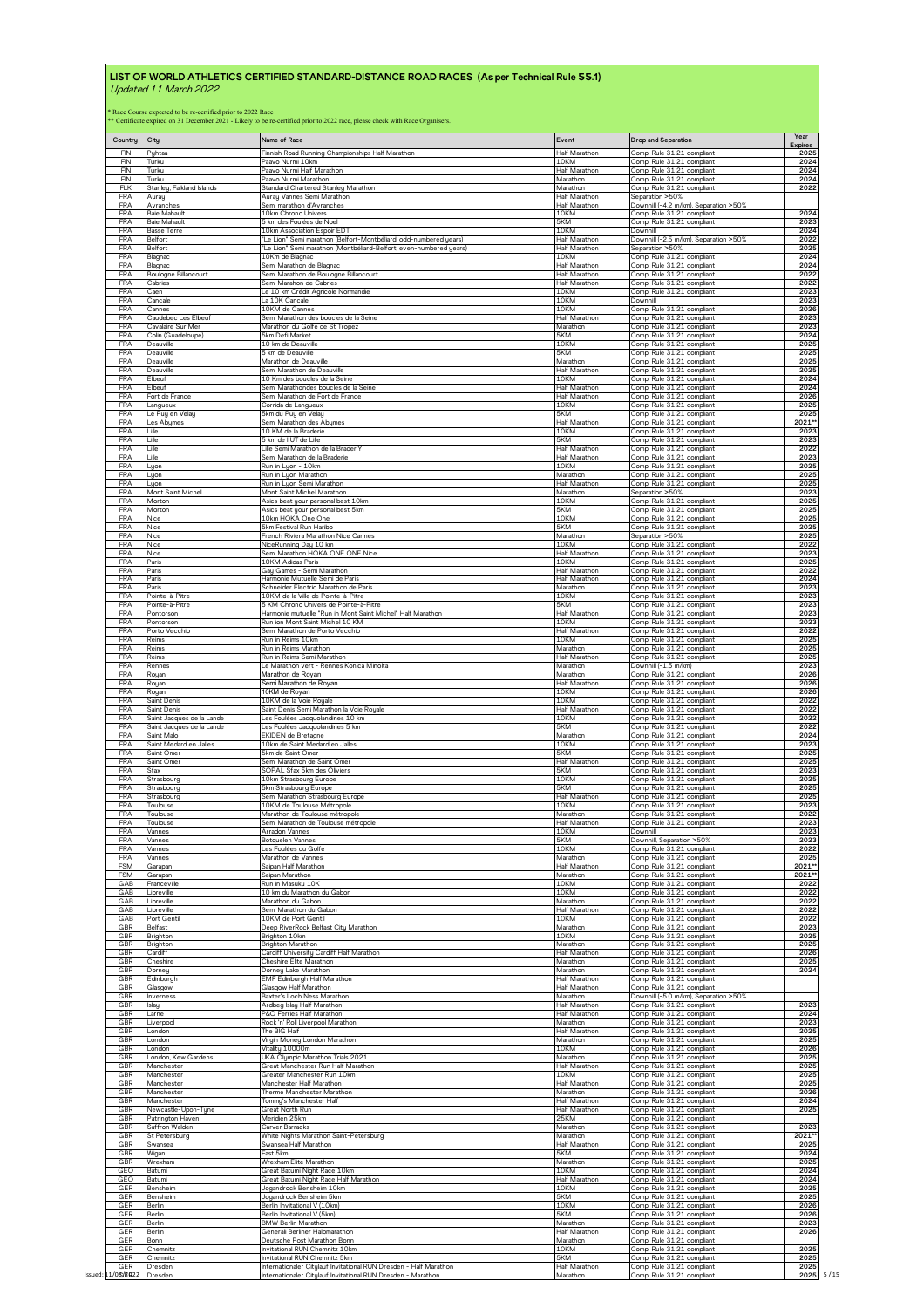| Country                                                            | City                               | Name of Race                                                          | Event                          | <b>Drop and Separation</b>                               | Year<br><b>Expires</b>                                                                                                                                                        |
|--------------------------------------------------------------------|------------------------------------|-----------------------------------------------------------------------|--------------------------------|----------------------------------------------------------|-------------------------------------------------------------------------------------------------------------------------------------------------------------------------------|
| FIN                                                                | Pyhtaa                             | Finnish Road Running Championships Half Marathon                      | Half Marathon                  | Comp. Rule 31.21 compliant                               | 2025                                                                                                                                                                          |
| <b>FIN</b>                                                         | Turku                              | Paavo Nurmi 10km                                                      | 10KM                           | Comp. Rule 31.21 compliant                               | 2024                                                                                                                                                                          |
| FIN                                                                | Turku                              | Paavo Nurmi Half Marathon                                             | Half Marathon                  | Comp. Rule 31.21 compliant                               | 2024                                                                                                                                                                          |
| <b>FIN</b>                                                         | Turku                              | Paavo Nurmi Marathon                                                  | Marathon                       | Comp. Rule 31.21 compliant                               | 2024                                                                                                                                                                          |
| <b>FLK</b>                                                         | Stanley, Falkland Islands          | Standard Chartered Stanley Marathon                                   | Marathon                       | Comp. Rule 31.21 compliant                               | 2022                                                                                                                                                                          |
| <b>FRA</b>                                                         | Aurau                              | Auray Vannes Semi Marathon                                            | Half Marathon                  | Separation >50%                                          |                                                                                                                                                                               |
| <b>FRA</b>                                                         | Avranches                          | Semi marathon d'Avranches                                             | <b>Half Marathon</b>           | Downhill (-4.2 m/km), Separation >50%                    | 2024                                                                                                                                                                          |
| <b>FRA</b>                                                         | Baie Mahault                       | 10km Chrono Univers                                                   | 10KM                           | Comp. Rule 31.21 compliant                               |                                                                                                                                                                               |
| <b>FRA</b>                                                         | Baie Mahault                       | 5 km des Foulées de Noel                                              | 5KM                            | Comp. Rule 31.21 compliant                               | 2023                                                                                                                                                                          |
| <b>FRA</b>                                                         | <b>Basse Terre</b>                 | 10km Association Espoir EDT                                           | 10KM                           | Downhill                                                 | 2024                                                                                                                                                                          |
| <b>FRA</b>                                                         | Belfort                            | "Le Lion" Semi marathon (Belfort-Montbéliard, odd-numbered years)     | Half Marathor                  | Downhill (-2.5 m/km), Separation >50%                    | 2022                                                                                                                                                                          |
| <b>FRA</b>                                                         | Belfort                            | "Le Lion" Semi marathon (Montbéliard-Belfort, even-numbered years)    | <b>Half Marathon</b>           | Separation > 50%                                         | 2025                                                                                                                                                                          |
| <b>FRA</b>                                                         | Blagnac                            | 10Km de Blagnac                                                       | 10KM                           | Comp. Rule 31.21 compliant                               | 2024                                                                                                                                                                          |
| <b>FRA</b>                                                         | Blagnac                            | Semi Marathon de Blagnac                                              | Half Marathon                  | Comp. Rule 31.21 compliant                               | 2024                                                                                                                                                                          |
| <b>FRA</b>                                                         | Boulogne Billancourt               | Semi Marathon de Boulogne Billancourt                                 | <b>Half Marathor</b>           | Comp. Rule 31.21 compliant                               | 2022                                                                                                                                                                          |
| <b>FRA</b>                                                         | Cabries                            | Semi Marahon de Cabries                                               | Half Marathon                  | Comp. Rule 31.21 compliant                               | 2022                                                                                                                                                                          |
| <b>FRA</b>                                                         | Caen                               | Le 10 km Crédit Agricole Normandie                                    | 10KM                           | Comp. Rule 31.21 compliant                               | 2023                                                                                                                                                                          |
| <b>FRA</b>                                                         | Cancale                            | La 10K Cancale                                                        | 10KM                           | Downhill                                                 | 2023                                                                                                                                                                          |
| <b>FRA</b>                                                         | Cannes                             | 10KM de Cannes                                                        | 10KM                           | Comp. Rule 31.21 compliant                               | 2026                                                                                                                                                                          |
| <b>FRA</b>                                                         | Caudebec Les Elbeuf                | Semi Marathon des boucles de la Seine                                 | Half Marathon                  | Comp. Rule 31.21 compliant                               | 2023                                                                                                                                                                          |
| <b>FRA</b>                                                         | Cavalaire Sur Mer                  | Marathon du Golfe de St Tropez                                        | Marathon                       | Comp. Rule 31.21 compliant                               | 2023                                                                                                                                                                          |
| <b>FRA</b>                                                         | Colin (Guadeloupe)                 | 5km Defi Market                                                       | 5KM                            | Comp. Rule 31.21 compliant                               | 2024                                                                                                                                                                          |
| <b>FRA</b>                                                         | Deauville                          | 10 km de Deauville                                                    | 10KM                           | Comp. Rule 31.21 compliant                               | 2025                                                                                                                                                                          |
| <b>FRA</b>                                                         | Deauville                          | 5 km de Deauville                                                     | 5KM                            | Comp. Rule 31.21 compliant                               | 2025                                                                                                                                                                          |
| <b>FRA</b>                                                         | Deauville                          | Marathon de Deauville                                                 | Marathon                       | Comp. Rule 31.21 compliant                               | 2025                                                                                                                                                                          |
| <b>FRA</b>                                                         | Deauville                          | Semi Marathon de Deauville                                            | Half Marathon                  | Comp. Rule 31.21 compliant                               | 2025                                                                                                                                                                          |
| <b>FRA</b>                                                         | Elbeuf                             | 10 Km des boucles de la Seine                                         | 10KM                           | Comp. Rule 31.21 compliant                               | 2024                                                                                                                                                                          |
| <b>FRA</b>                                                         | Elbeuf                             | Semi Marathondes boucles de la Seine                                  | Half Marathon                  | Comp. Rule 31.21 compliant                               | 2024                                                                                                                                                                          |
| <b>FRA</b>                                                         | Fort de France                     | Semi Marathon de Fort de France                                       | <b>Half Marathor</b>           | Comp. Rule 31.21 compliant                               | 2026                                                                                                                                                                          |
| <b>FRA</b>                                                         | Langueux                           | Corrida de Langueux                                                   | 10KM                           | Comp. Rule 31.21 compliant                               | 2025                                                                                                                                                                          |
| <b>FRA</b>                                                         | Le Puy en Velau                    | 5km du Puy en Velay                                                   | 5KM                            | Comp. Rule 31.21 compliant                               | 2025                                                                                                                                                                          |
| <b>FRA</b>                                                         | Les Abymes                         | Semi Marathon des Abymes                                              | Half Marathon                  | Comp. Rule 31.21 compliant                               | 2021*                                                                                                                                                                         |
| <b>FRA</b>                                                         | Lille                              | 10 KM de la Braderie                                                  | 10KM                           | Comp Rule 31.21 compliant                                | 2023                                                                                                                                                                          |
| <b>FRA</b>                                                         | ille                               | 5 km de LUT de Lille                                                  | 5KM                            | Comp. Rule 31.21 compliant                               | 2023                                                                                                                                                                          |
| <b>FRA</b>                                                         | Lille                              | Lille Semi Marathon de la Brader'Y                                    | Half Marathor                  | Comp. Rule 31.21 compliant                               | 2022                                                                                                                                                                          |
| <b>FRA</b>                                                         | l ille                             | Semi Marathon de la Braderie                                          | <b>Half Marathor</b>           | Comp. Rule 31.21 compliant                               | 2023                                                                                                                                                                          |
| <b>FRA</b>                                                         | Lyon                               | Run in Luon - 10km                                                    | 10KM                           | Comp. Rule 31.21 compliant                               | 2025                                                                                                                                                                          |
| <b>FRA</b>                                                         |                                    | Run in Lyon Marathon                                                  | Marathon                       | Comp. Rule 31.21 compliant                               | 2025                                                                                                                                                                          |
| <b>FRA</b>                                                         | Lyon<br>Lyon                       | Run in Lyon Semi Marathon                                             | Half Marathon<br>Marathon      | Comp. Rule 31.21 compliant                               | 2025                                                                                                                                                                          |
| <b>FRA</b>                                                         | Mont Saint Michel                  | Mont Saint Michel Marathon                                            | 10KM                           | Separation >50%                                          | 2023                                                                                                                                                                          |
| <b>FRA</b>                                                         | Morton                             | Asics beat your personal best 10km                                    |                                | Comp. Rule 31.21 compliant                               | 2025                                                                                                                                                                          |
| <b>FRA</b>                                                         | Morton                             | Asics beat your personal best 5km                                     | 5KM                            | Comp. Rule 31.21 compliant                               | 2025                                                                                                                                                                          |
| <b>FRA</b>                                                         | Nice                               | 10km HOKA One One                                                     | 10KM                           | Comp. Rule 31.21 compliant                               | 2025                                                                                                                                                                          |
| <b>FRA</b>                                                         | Nice                               | 5km Festival Run Haribo                                               | 5KM                            | Comp. Rule 31.21 compliant                               | 2025                                                                                                                                                                          |
| <b>FRA</b>                                                         | Nice                               | French Riviera Marathon Nice Cannes                                   | Marathon                       | Separation > 50%                                         | 2025                                                                                                                                                                          |
| <b>FRA</b>                                                         | Nice                               | NiceRunning Day 10 km                                                 | 10KM                           | Comp. Rule 31.21 compliant                               | 2022                                                                                                                                                                          |
| <b>FRA</b>                                                         | Nice                               | Semi Marathon HOKA ONE ONE Nice                                       | Half Marathon                  | Comp. Rule 31.21 compliant                               | 2023                                                                                                                                                                          |
| <b>FRA</b>                                                         | Paris                              | 10KM Adidas Paris                                                     | 10KM                           | Comp. Rule 31.21 compliant                               | 2025                                                                                                                                                                          |
| <b>FRA</b>                                                         | Paris                              | Gay Games - Semi Marathon                                             | Half Marathon                  | Comp. Rule 31.21 compliant                               | 2022                                                                                                                                                                          |
| <b>FRA</b>                                                         | Paris                              | Harmonie Mutuelle Semi de Paris                                       | Half Marathor                  | Comp. Rule 31.21 compliant                               | 2024                                                                                                                                                                          |
| <b>FRA</b>                                                         | Paris                              | Schneider Electric Marathon de Paris                                  | Marathon                       | Comp. Rule 31.21 compliant                               | 2023                                                                                                                                                                          |
| <b>FRA</b>                                                         | Pointe-à-Pitre                     | 10KM de la Ville de Pointe-à-Pitre                                    | 10KM                           | Comp. Rule 31.21 compliant                               | 2023                                                                                                                                                                          |
| <b>FRA</b>                                                         | Pointe-à-Pitre                     | 5 KM Chrono Univers de Pointe-à-Pitre                                 | 5KM                            | Comp. Rule 31.21 compliant                               | 2023                                                                                                                                                                          |
| <b>FRA</b>                                                         | Pontorson                          | Harmonie mutuelle "Run in Mont Saint Michel" Half Marathon            | <b>Half Marathon</b>           | Comp. Rule 31.21 compliant                               | 2023                                                                                                                                                                          |
| <b>FRA</b>                                                         | Pontorson                          | Run ion Mont Saint Michel 10 KM                                       | 10KM                           | Comp. Rule 31.21 compliant                               | 2023                                                                                                                                                                          |
| <b>FRA</b>                                                         | Porto Vecchio                      | Semi Marathon de Porto Vecchio                                        | Half Marathon                  | Comp. Rule 31.21 compliant                               | 2022                                                                                                                                                                          |
| <b>FRA</b>                                                         | Reims                              | Run in Reims 10km                                                     | 10KM                           | Comp. Rule 31.21 compliant                               | 2025                                                                                                                                                                          |
| <b>FRA</b>                                                         | Reims                              | Run in Reims Marathon                                                 | Marathon                       | Comp. Rule 31.21 compliant                               | 2025                                                                                                                                                                          |
| <b>FRA</b>                                                         | Reims                              | Run in Reims Semi Marathon                                            | Half Marathon                  | Comp. Rule 31.21 compliant                               | 2025                                                                                                                                                                          |
| <b>FRA</b>                                                         | Rennes                             | Le Marathon vert - Rennes Konica Minolta                              | Marathon                       | Downhill (-1.5 m/km)                                     | 2023                                                                                                                                                                          |
| <b>FRA</b>                                                         | Royan                              | Marathon de Royan                                                     | Marathon                       | Comp. Rule 31.21 compliant                               | 2026                                                                                                                                                                          |
| <b>FRA</b>                                                         | Royan                              | Semi Marathon de Royan                                                | Half Marathon                  | Comp. Rule 31.21 compliant                               | 2026                                                                                                                                                                          |
| <b>FRA</b>                                                         | Royan                              | 10KM de Royan                                                         | 10KM                           | Comp. Rule 31.21 compliant                               | 2026                                                                                                                                                                          |
| <b>FRA</b>                                                         | Saint Denis                        | 10KM de la Voie Royale                                                | 10KM                           | Comp. Rule 31.21 compliant                               | 2022                                                                                                                                                                          |
| <b>FRA</b>                                                         | Saint Denis                        | Saint Denis Semi Marathon la Voie Royale                              | Half Marathon                  | Comp. Rule 31.21 compliant                               | 2022                                                                                                                                                                          |
| <b>FRA</b>                                                         | Saint Jacques de la Lande          | <u>Les Foulées Jacquolandines 10 km</u>                               | 10KM                           | Comp. Rule 31.21 compliant                               | 2022                                                                                                                                                                          |
| <b>FRA</b>                                                         | Saint Jacques de la Lande          | Les Foulées Jacquolandines 5 km                                       | 5KM                            | Comp. Rule 31.21 compliant                               | 2022                                                                                                                                                                          |
| <b>FRA</b>                                                         | Saint Malo                         | <b>EKIDEN</b> de Bretagne                                             | Marathon                       | Comp. Rule 31.21 compliant                               | 2024                                                                                                                                                                          |
| <b>FRA</b>                                                         | Saint Medard en Jalles             | 10km de Saint Medard en Jalles                                        | 10KM                           | Comp. Rule 31.21 compliant                               | 2023                                                                                                                                                                          |
| <b>FRA</b>                                                         | Saint Omer                         | 5km de Saint Omer                                                     | 5KM                            | Comp. Rule 31.21 compliant                               | 2025                                                                                                                                                                          |
| <b>FRA</b>                                                         | Saint Omer                         | Semi Marathon de Saint Omer                                           | Half Marathon                  | Comp. Rule 31.21 compliant                               | 2025                                                                                                                                                                          |
| <b>FRA</b><br><b>FRA</b>                                           | Sfax                               | SOPAL Sfax 5km des Oliviers                                           | 5KM                            | Comp. Rule 31.21 compliant                               | 2023                                                                                                                                                                          |
| <b>FRA</b>                                                         | Strasbourg                         | 10km Strasbourg Europe                                                | 10KM                           | Comp. Rule 31.21 compliant                               | 2025                                                                                                                                                                          |
|                                                                    | Strasbourg                         | 5km Strasbourg Europe                                                 | 5KM                            | Comp. Rule 31.21 compliant                               | 2025                                                                                                                                                                          |
| <b>FRA</b>                                                         | Strasbourg                         | Semi Marathon Strasbourg Europe                                       | Half Marathon                  | Comp. Rule 31.21 compliant                               | 2025                                                                                                                                                                          |
| <b>FRA</b>                                                         | Toulouse                           | 10KM de Toulouse Métropole                                            | 10KM                           | Comp. Rule 31.21 compliant                               | 2023                                                                                                                                                                          |
| <b>FRA</b>                                                         | Toulouse                           | Marathon de Toulouse métropole                                        | Marathon                       | Comp. Rule 31.21 compliant                               | 2022                                                                                                                                                                          |
| <b>FRA</b>                                                         | Toulouse                           | Semi Marathon de Toulouse métropole                                   | Half Marathon                  | Comp. Rule 31.21 compliant                               | 2023                                                                                                                                                                          |
| <b>FRA</b>                                                         | Vannes                             | Arradon Vannes                                                        | 10KM                           | Downhill                                                 | 2023                                                                                                                                                                          |
| <b>FRA</b>                                                         | Vannes                             | Botquelen Vannes                                                      | 5KM                            | Downhill, Separation >50%                                | 2023                                                                                                                                                                          |
| <b>FRA</b>                                                         | Vannes                             | Les Foulées du Golfe                                                  | 10KM                           | Comp. Rule 31.21 compliant                               | 2022                                                                                                                                                                          |
| <b>FRA</b>                                                         | Vannes                             | Marathon de Vannes                                                    | Marathon                       | Comp. Rule 31.21 compliant                               | 2025                                                                                                                                                                          |
| <b>FSM</b>                                                         | Garapan                            | Saipan Half Marathon                                                  | Half Marathon                  | Comp. Rule 31.21 compliant                               | 2021**                                                                                                                                                                        |
| <b>FSM</b>                                                         | Garapan                            | Saipan Marathon                                                       | Marathon                       | Comp. Rule 31.21 compliant                               | 2021*                                                                                                                                                                         |
| GAB                                                                | Franceville                        | Run in Masuku 10K                                                     | 10KM                           | Comp. Rule 31.21 compliant                               | 2022                                                                                                                                                                          |
| GAB                                                                | Libreville                         | 10 km du Marathon du Gabon                                            | 10KM                           | Comp. Rule 31.21 compliant                               | 2022                                                                                                                                                                          |
| GAB                                                                | Libreville                         | Marathon du Gabon                                                     | Marathon                       | Comp. Rule 31.21 compliant                               | 2022                                                                                                                                                                          |
| GAB                                                                | Libreville                         | Semi Marathon du Gabon                                                | Half Marathon                  | Comp. Rule 31.21 compliant                               | 2022                                                                                                                                                                          |
| GAB                                                                | Port Gentil                        | 10KM de Port Gentil                                                   | 10KM                           | Comp. Rule 31.21 compliant                               | 2022                                                                                                                                                                          |
| GBR                                                                | Belfast                            | Deep RiverRock Belfast City Marathon                                  | Marathon                       | Comp. Rule 31.21 compliant                               | 2023                                                                                                                                                                          |
| GBR                                                                | Brighton                           | Brighton 10km                                                         | 10KM                           | Comp. Rule 31.21 compliant                               | 2025                                                                                                                                                                          |
| GBR                                                                | Brighton                           | <b>Brighton Marathon</b>                                              | Marathon                       | Comp. Rule 31.21 compliant                               | 2025                                                                                                                                                                          |
| GBR                                                                | Cardiff                            | Cardiff University Cardiff Half Marathon                              | Half Marathon                  | Comp. Rule 31.21 compliant                               | 2026                                                                                                                                                                          |
| GBR                                                                | Cheshire                           | Cheshire Elite Marathon                                               | Marathon                       | Comp. Rule 31.21 compliant                               | 2025                                                                                                                                                                          |
| GBR                                                                | Dorney                             | Dorney Lake Marathon                                                  | Marathon                       | Comp. Rule 31.21 compliant                               | 2024                                                                                                                                                                          |
| GBR                                                                | Edinburgh                          | EMF Edinburgh Half Marathon                                           | Half Marathon                  | Comp. Rule 31.21 compliant                               |                                                                                                                                                                               |
| GBR                                                                | Glasgow                            | Glasgow Half Marathon                                                 | Half Marathon                  | Comp. Rule 31.21 compliant                               |                                                                                                                                                                               |
| GBR                                                                | Inverness                          | Baxter's Loch Ness Marathon                                           | Marathon                       | Downhill (-5.0 m/km), Separation >50%                    |                                                                                                                                                                               |
| GBR                                                                | Islay                              | Ardbeg Islay Half Marathon                                            | Half Marathon                  | Comp. Rule 31.21 compliant                               | 2023                                                                                                                                                                          |
| GBR                                                                | Larne                              | P&O Ferries Half Marathon                                             | Half Marathon                  | Comp. Rule 31.21 compliant                               | 2024                                                                                                                                                                          |
| GBR                                                                | Liverpool                          | Rock 'n' Roll Liverpool Marathon                                      | Marathon                       | Comp. Rule 31.21 compliant                               | 2023                                                                                                                                                                          |
| GBR                                                                |                                    | The BIG Half                                                          | Half Marathon                  | Comp. Rule 31.21 compliant                               | 2025                                                                                                                                                                          |
| GBR                                                                |                                    |                                                                       |                                |                                                          |                                                                                                                                                                               |
|                                                                    | London<br>London                   | Virgin Money London Marathon                                          | Marathon                       | Comp. Rule 31.21 compliant                               |                                                                                                                                                                               |
|                                                                    | London<br>London, Kew Gardens      | Vitality 10000m<br>UKA Olympic Marathon Trials 2021                   | 10KM<br>Marathon               | Comp. Rule 31.21 compliant<br>Comp. Rule 31.21 compliant |                                                                                                                                                                               |
|                                                                    | Manchester<br>Manchester           | Great Manchester Run Half Marathon<br>Greater Manchester Run 10km     | <b>Half Marathon</b><br>10KM   | Comp. Rule 31.21 compliant<br>Comp. Rule 31.21 compliant |                                                                                                                                                                               |
|                                                                    | Manchester<br>Manchester           | Manchester Half Marathon<br>Therme Manchester Marathon                | Half Marathon<br>Marathon      | Comp. Rule 31.21 compliant<br>Comp. Rule 31.21 compliant |                                                                                                                                                                               |
| GBR                                                                | Manchester<br>Newcastle-Upon-Tyne  | Tommy's Manchester Half<br>Great North Run                            | Half Marathon<br>Half Marathon | Comp. Rule 31.21 compliant<br>Comp. Rule 31.21 compliant |                                                                                                                                                                               |
|                                                                    | Patrington Haven<br>Saffron Walden | Meridien 25km<br>Carver Barracks                                      | 25KM<br>Marathon               | Comp. Rule 31.21 compliant<br>Comp. Rule 31.21 compliant |                                                                                                                                                                               |
| GBR<br>GBR<br>GBR                                                  | St Petersburg<br>Swansea           | White Nights Marathon Saint-Petersburg<br>Swansea Half Marathon       | Marathon<br>Half Marathon      | Comp. Rule 31.21 compliant<br>Comp. Rule 31.21 compliant |                                                                                                                                                                               |
| GBR<br>GBR<br>GBR<br>GBR<br>GBR<br>GBR<br>GBR<br>GBR<br>GBR<br>GBR | Wigan<br>Wrexham                   | Fast 5km<br>Wrexham Elite Marathon                                    | 5KM<br>Marathon                | Comp. Rule 31.21 compliant<br>Comp. Rule 31.21 compliant |                                                                                                                                                                               |
|                                                                    | Batumi<br>Batumi                   | Great Batumi Night Race 10km<br>Great Batumi Night Race Half Marathon | 10KM<br>Half Marathon          | Comp. Rule 31.21 compliant<br>Comp. Rule 31.21 compliant |                                                                                                                                                                               |
|                                                                    | Benshein                           | Jogandrock Bensheim 10km                                              | 10KM<br>5KM                    | Comp. Rule 31.21 compliant                               |                                                                                                                                                                               |
| GER<br>GER<br>GER                                                  | Bensheim<br>Berlin                 | Jogandrock Bensheim 5km<br>Berlin Invitational V (10km)               | 10KM                           | Comp. Rule 31.21 compliant<br>Comp. Rule 31.21 compliant |                                                                                                                                                                               |
| GER                                                                | Berlin                             | Berlin Invitational V (5km)                                           | 5KM                            | Comp. Rule 31.21 compliant                               |                                                                                                                                                                               |
| GER                                                                | Berlin                             | <b>BMW Berlin Marathon</b>                                            | Marathon                       | Comp. Rule 31.21 compliant                               |                                                                                                                                                                               |
| GEO<br>GEO<br>GER<br>GER                                           | Berlin<br>Bonn                     | Generali Berliner Halbmarathon<br>Deutsche Post Marathon Bonn         | Half Marathon<br>Marathon      | Comp. Rule 31.21 compliant<br>Comp. Rule 31.21 compliant | 2025<br>2026<br>2025<br>2025<br>2025<br>2025<br>2026<br>2024<br>2025<br>2023<br>2021*<br>2025<br>2024<br>2025<br>2024<br>2024<br>2025<br>2025<br>2026<br>2026<br>2023<br>2026 |
| GER                                                                | Chemnitz                           | Invitational RUN Chemnitz 10km                                        | 10KM                           | Comp. Rule 31.21 compliant                               | 2025                                                                                                                                                                          |
| GER                                                                | Chemnitz                           | Invitational RUN Chemnitz 5km                                         | 5KM                            | Comp. Rule 31.21 compliant                               | 2025                                                                                                                                                                          |
| <b>GER</b>                                                         | Dresden                            | Internationaler Citylauf Invitational RUN Dresden - Half Marathon     | <b>Half Marathon</b>           | Comp. Rule 31.21 compliant                               | 2025                                                                                                                                                                          |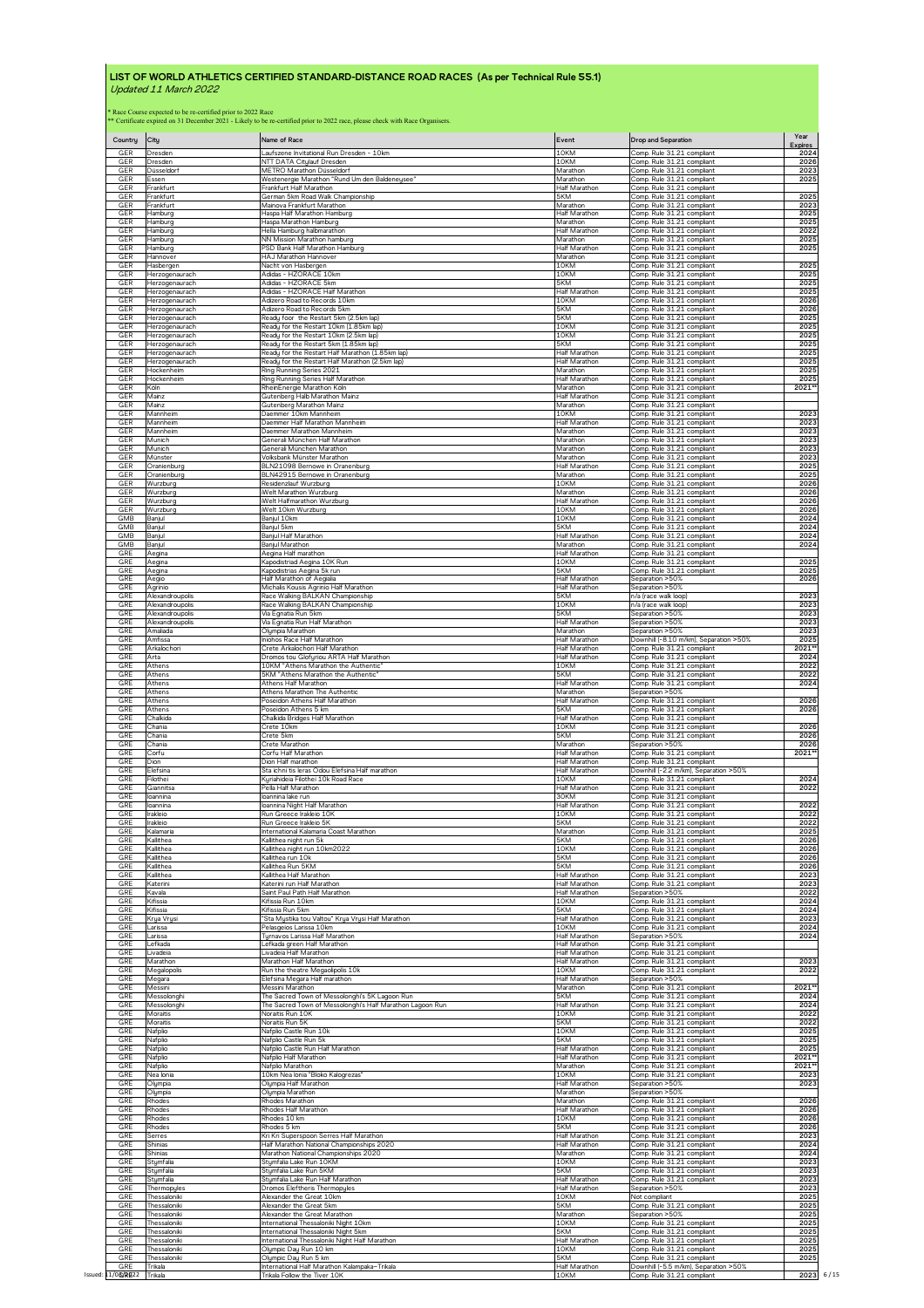| Comp. Rule 31.21 compliant<br>NTT DATA Citylauf Dresden<br>10KM<br>Comp. Rule 31.21 compliant<br>Dresden<br>Comp. Rule 31.21 compliant<br>GER<br>Düsseldorf<br>METRO Marathon Düsseldorf<br>Marathon<br>Essen<br>Westenergie Marathon "Rund Um den Baldeneysee"<br>Marathon<br>Comp. Rule 31.21 compliant<br>GER<br>Half Marathon<br>Frankfurt<br>Frankfurt Half Marathon<br>Comp. Rule 31.21 compliant<br>German 5km Road Walk Championship<br>GER<br>Frankfurt<br>5KM<br>Comp. Rule 31.21 compliant<br>GER<br>Frankfurt<br>Mainova Frankfurt Marathon<br>Marathon<br>Comp. Rule 31.21 compliant<br>Half Marathon<br>GER<br>Haspa Half Marathon Hamburg<br>Comp. Rule 31.21 compliant<br>Hamburg<br>Comp. Rule 31.21 compliant<br>GER<br>Haspa Marathon Hamburo<br>Marathon<br>Hamburg<br>GER<br>Hamburg<br>Hella Hamburg halbmarathon<br><b>Half Marathor</b><br>Comp. Rule 31.21 compliant<br>GER<br>Hamburg<br>NN Mission Marathon hamburg<br>Marathon<br>Comp. Rule 31.21 compliant<br>PSD Bank Half Marathon Hamburg<br><b>Half Marathon</b><br>Comp. Rule 31.21 compliant<br>GER<br>Hamburg<br>GER<br>HAJ Marathon Hannover<br>Marathon<br>Comp. Rule 31.21 compliant<br>Hannover<br>GER<br>Hasbergen<br>Nacht von Hasbergen<br>10KM<br>Comp. Rule 31.21 compliant<br>GER<br>Adidas - HZORACE 10km<br>10KM<br>Comp. Rule 31.21 compliant<br>Herzogenaurach<br>Adidas - HZORACE 5km<br>5KM<br>Comp. Rule 31.21 compliant<br>Herzogenaurach<br>Adidas - HZORACE Half Marathon<br>Half Marathon<br>Comp. Rule 31.21 compliant<br>Herzogenaurach<br>Comp. Rule 31.21 compliant<br>Herzogenaurach<br>Adizero Road to Records 10km<br>10KM<br>Adizero Road to Records 5km<br>5KM<br>Comp. Rule 31.21 compliant<br>Herzogenaurach<br>GER<br>5KM<br>Ready foor the Restart 5km (2.5km lap)<br>Comp. Rule 31.21 compliant<br>Herzogenaurach<br>GER<br>Readu for the Restart 10km (1.85km lap)<br>10KM<br>Comp. Rule 31.21 compliant<br>Herzogenaurach<br>GER<br>Ready for the Restart 10km (2.5km lap)<br>10KM<br>Comp. Rule 31.21 compliant<br>Herzogenaurach<br>GER<br>5KM<br>Comp. Rule 31.21 compliant<br>Herzogenaurach<br>Ready for the Restart 5km (1.85km lap)<br>GER<br>Ready for the Restart Half Marathon (1.85km lap)<br>Comp. Rule 31.21 compliant<br>Half Marathor<br>Herzogenaurach<br>GER<br>Herzogenaurach<br>Ready for the Restart Half Marathon (2.5km lap)<br><b>Half Marathor</b><br>Comp. Rule 31.21 compliant<br>GER<br>Ring Running Series 2021<br>Marathon<br>Comp. Rule 31.21 compliant<br>Hockenheim<br>GER<br>Ring Running Series Half Marathon<br>Half Marathon<br>Comp. Rule 31.21 compliant<br>Hockenheim<br>GER<br>RheinEnergie Marathon Köln<br>Marathon<br>Comp. Rule 31.21 compliant<br>Köln<br>GER<br>Mainz<br>Gutenberg Halb Marathon Mainz<br>Half Marathon<br>Comp. Rule 31.21 compliant<br>GER<br>Mainz<br>Gutenberg Marathon Mainz<br>Marathon<br>Comp. Rule 31.21 compliant<br>GER<br>10KM<br>Comp. Rule 31.21 compliant<br>Mannheim<br>Daemmer 10km Mannheim<br>Daemmer Half Marathon Mannheim<br>Comp. Rule 31.21 compliant<br>Mannheim<br>Half Marathon<br>GER<br>Mannheim<br>Daemmer Marathon Mannheim<br>Marathon<br>Comp. Rule 31.21 compliant<br>Munich<br>Generali München Half Marathon<br>Marathon<br>Comp. Rule 31.21 compliant<br><b>GER</b><br>Generali München Marathon<br>Marathon<br>Comp. Rule 31.21 compliant<br>Munich<br>GER<br>Volksbank Münster Marathon<br>Comp. Rule 31.21 compliant<br>Münster<br>Marathon<br>GER<br>Oranienburg<br>BLN21098 Bernowe in Oranenburg<br>Half Marathon<br>Comp. Rule 31.21 compliant<br>GER<br>Comp. Rule 31.21 compliant<br>Oranienburc<br>BLN42915 Bernowe in Oranenburg<br>Marathon<br>GER<br>10KM<br>Comp. Rule 31.21 compliant<br>Wurzburg<br>Residenzlauf Wurzburg<br>Comp. Rule 31.21 compliant<br>GER<br>Wurzburg<br>iWelt Marathon Wurzburg<br>Marathon<br>GER<br>Wurzburg<br>Melt Halfmarathon Wurzburg<br>Half Marathon<br>Comp. Rule 31.21 compliant<br>Welt 10km Wurzburg<br>GER<br>10KM<br>Comp. Rule 31.21 compliant<br>Wurzburc<br><b>GMB</b><br>10KM<br>Comp. Rule 31.21 compliant<br>Baniul<br>Baniul 10km<br><b>GMB</b><br>Banjul<br>Banjul 5km<br>5KM<br>Comp. Rule 31.21 compliant<br>Banjul<br>Banjul Half Marathon<br>Half Marathon<br>Comp. Rule 31.21 compliant<br>Comp. Rule 31.21 compliant<br>Banjul<br>Banjul Marathon<br>Marathon<br>GRE<br>Half Marathon<br>Comp. Rule 31.21 compliant<br>Aegina Half marathon<br>Aegina<br>Comp. Rule 31.21 compliant<br>GRE<br>Aegina<br>Kapodistriad Aegina 10K Run<br>10KM<br>Kapodistrias Aegina 5k run<br>5KM<br>Comp. Rule 31.21 compliant<br>Aegina<br>GRE<br>Half Marathon of Aegialia<br>Half Marathon<br>Separation >50%<br>Aegio<br>GRE<br>Michalis Kousis Agrinio Half Marathon<br>Half Marathon<br>Separation >50%<br>Aarinio<br>GRE<br>Alexandroupolis<br>Race Walking BALKAN Championship<br>5KM<br>n/a (race walk loop)<br>10KM<br>GRE<br>Alexandroupolis<br>Race Walking BALKAN Championship<br>n/a (race walk loop)<br>GRE<br>5KM<br>Via Egnatia Run 5km<br>Separation > 50%<br>Alexandroupolis<br>GRE<br>Alexandroupolis<br>Via Egnatia Run Half Marathon<br>Half Marathon<br>Separation >50%<br>GRE<br>Amaliada<br>Olympia Marathon<br>Marathon<br>Separation >50%<br>Iniohos Race Half Marathon<br>GRE<br>Amfissa<br>Half Marathon<br>Downhill (-8.10 m/km), Separation >50%<br>GRE<br>Crete Arkalochori Half Marathon<br>Half Marathon<br>Comp. Rule 31.21 compliant<br>Arkalochori<br>GRE<br>Arta<br>Dromos tou Glofyriou ARTA Half Marathon<br><b>Half Marathon</b><br>Comp. Rule 31.21 compliant<br>GRE<br>10KM "Athens Marathon the Authentic'<br>10KM<br>Comp. Rule 31.21 compliant<br>Athens<br>GRE<br>5KM<br>Comp. Rule 31.21 compliant<br>Athens<br>5KM "Athens Marathon the Authentic'<br>Half Marathon<br>Comp. Rule 31.21 compliant<br>Athens<br>Athens Half Marathon<br>GRE<br>Athens<br>Athens Marathon The Authentic<br>Marathon<br>Separation >50%<br>GRE<br>Athens<br>Poseidon Athens Half Marathon<br>Half Marathon<br>Comp. Rule 31.21 compliant<br>GRE<br>Athens<br>Poseidon Athens 5 km<br>5KM<br>Comp. Rule 31.21 compliant<br>GRE<br>Chalkida Bridges Half Marathon<br>Half Marathon<br>Chalkida<br>Comp. Rule 31.21 compliant<br>GRE<br>Chania<br>Crete 10km<br>10KM<br>Comp. Rule 31.21 compliant<br>GRE<br>Chania<br>Crete 5km<br>5KM<br>Comp. Rule 31.21 compliant<br>GRF<br>Chania<br>Crete Marathor<br>Separation >50%<br>Marathon<br>Comp. Rule 31.21 compliant<br>GRE<br>Corfu<br>Corfu Half Marathon<br><b>Half Marathor</b><br>GRE<br>Dion<br>Dion Half marathon<br>Half Marathon<br>Comp. Rule 31.21 compliant<br>GRE<br><b>Half Marathon</b><br>Elefsina<br>Sta ichni tis leras Odou Elefsina Half marathon<br>Downhill (-2.2 m/km), Separation >50%<br>Kuriahideia Filothei 10k Road Race<br>10KM<br>Comp. Rule 31.21 compliant<br>GRE<br>Filothei<br>GRE<br>Giannitsa<br>Pella Half Marathon<br>Half Marathon<br>Comp. Rule 31.21 compliant<br>GRE<br>30KM<br>Comp. Rule 31.21 compliant<br>oannina<br>loannina lake run<br>Ioannina Night Half Marathon<br><b>Half Marathor</b><br>Comp. Rule 31.21 compliant<br>loannina<br>Run Greece Irakleio 10K<br>10KM<br>Comp. Rule 31.21 compliant<br>Irakleio<br>Comp. Rule 31.21 complian<br>GRE<br>Irakleid<br>Run Greece Irakleio 5K<br>5KM<br>GRE<br>Kalamaria<br>International Kalamaria Coast Marathon<br>Marathon<br>Comp. Rule 31.21 compliant<br>GRE<br>Kallithea<br>Kallithea night run 5k<br>5KM<br>Comp. Rule 31.21 compliant<br>GRE<br>Kallithea<br>Kallithea night run 10km2022<br>10KM<br>Comp. Rule 31.21 compliant<br>GRE<br><allithea<br>Kallithea run 10k<br/>5KM<br/>Comp. Rule 31.21 compliant<br/>GRE<br/>Kallithea<br/>Kallithea Run 5KM<br/>5KM<br/>Comp. Rule 31.21 compliant<br/>GRF<br/>Kallithea Half Marathon<br/>Half Marathon<br/>Comp. Rule 31.21 compliant<br/>Kallithea<br/>2023<br/>GRE<br/>Katerini<br/>Katerini run Half Marathon<br/>Half Marathon<br/>Comp. Rule 31.21 compliant<br/>GRE<br/>Saint Paul Path Half Marathon<br/>Half Marathon<br/>Separation &gt;50%<br/>Kavala<br/>GRE<br/>Kifissia Run 10km<br/>10KM<br/>Comp. Rule 31.21 compliant<br/>Kifissia<br/>GRE<br/><b>Kifissia</b><br/>Kifissia Run 5km<br/>5KM<br/>Comp. Rule 31.21 compliant<br/>'Sta Mystika tou Valtou" Krya Vrysi Half Marathon<br/>GRE<br/>Krya Vrysi<br/>Half Marathon<br/>Comp. Rule 31.21 compliant<br/>GRE<br/>Pelasgeios Larissa 10km<br/>10KM<br/>Comp. Rule 31.21 compliant<br/>Larissa<br/>Tyrnavos Larissa Half Marathon<br/>Separation &gt;50%<br/>Half Marathon<br/>Larissa<br/>Lefkada green Half Marathon<br/>Half Marathon<br/>Comp. Rule 31.21 compliant<br/>Lefkada<br/>Livadeia Half Marathon<br/>Comp. Rule 31.21 compliant<br/>Livadeia<br/><b>Half Marathor</b><br/>Marathon<br/>Marathon Half Marathon<br/><b>Half Marathon</b><br/>Comp. Rule 31.21 compliant<br/>GRE<br/>10KM<br/>Comp. Rule 31.21 compliant<br/>Megalopolis<br/>Run the theatre Megaolipolis 10k<br/>GRE<br/>Megara<br/>Elefsina Megara Half marathon<br/>Half Marathon<br/>Separation &gt;50%<br/>Comp. Rule 31.21 compliant<br/>2021*<br/>GRE<br/>Messini<br/>Messini Marathon<br/>Marathon<br/>GRE<br/>Messolonghi<br/>The Sacred Town of Messolonghi's 5K Lagoon Run<br/>5KM<br/>Comp. Rule 31.21 compliant<br/>Comp. Rule 31.21 compliant<br/>GRE<br/>The Sacred Town of Messolonghi's Half Marathon Lagoon Run<br/>Half Marathon<br/>Messolonghi<br/>GRE<br/>Moraitis<br/>Noraitis Run 10K<br/>10KM<br/>Comp. Rule 31.21 compliant<br/>Comp. Rule 31.21 compliant<br/>GRE<br/>Moraitis<br/>Noraitis Run 5K<br/>5KM<br/>10KM<br/>GRE<br/>Nafplio Castle Run 10k<br/>Nafplio<br/>Comp. Rule 31.21 compliant<br/>GRE<br/>Nafplio<br/>Nafplio Castle Run 5k<br/>5KM<br/>Comp. Rule 31.21 compliant<br/>Nafplio Castle Run Half Marathon<br/>GRE<br/>Nafplio<br/>Half Marathon<br/>Comp. Rule 31.21 compliant<br/>GRE<br/>Nafplio<br/>Nafplio Half Marathon<br/>Half Marathon<br/>Comp. Rule 31.21 compliant<br/>GRE<br/>Comp. Rule 31.21 compliant<br/>Nafplio<br/>Marathon<br/>Nafplio Marathon<br/>GRE<br/>10km Nea Ionia "Bloko Kalogrezas"<br/>10KM<br/>Comp. Rule 31.21 compliant<br/>Nea Ionia<br/>GRE<br/>Olympia<br/>Olympia Half Marathon<br/><b>Half Marathon</b><br/>Separation &gt;50%<br/>GRE<br/>Olympia<br/>Olympia Marathon<br/>Marathon<br/>Separation &gt;50%<br/>GRE<br/>Rhodes<br/>Rhodes Marathon<br/>Marathon<br/>Comp. Rule 31.21 compliant<br/>GRE<br/>Rhodes<br/>Rhodes Half Marathon<br/>Half Marathon<br/>Comp. Rule 31.21 compliant<br/>GRE<br/>Rhodes<br/>Rhodes 10 km<br/>10KM<br/>Comp. Rule 31.21 compliant<br/>GRE<br/>Rhodes<br/>Rhodes 5 km<br/>5KM<br/>Comp. Rule 31.21 compliant<br/>Comp. Rule 31.21 compliant<br/>GRE<br/>Kri Kri Superspoon Serres Half Marathon<br/><b>Half Marathon</b><br/>Serres<br/>GRE<br/>Shinias<br/>Half Marathon National Championships 2020<br/>Half Marathon<br/>Comp. Rule 31.21 compliant<br/>Marathon National Championships 2020<br/>Comp. Rule 31.21 compliant<br/>GRE<br/>Shinias<br/>Marathon<br/>Stymfalia<br/>Stymfalia Lake Run 10KM<br/>10KM<br/>Comp. Rule 31.21 compliant<br/>GRE<br/>Stymfalia<br/>Stymfalia Lake Run 5KM<br/>5KM<br/>Comp. Rule 31.21 compliant<br/>Stymfalia Lake Run Half Marathon<br/>GRE<br/>Stymfalia<br/><b>Half Marathon</b><br/>Comp. Rule 31.21 compliant<br/>GRE<br/>Thermopyles<br/>Dromos Eleftheris Thermopyles<br/>Half Marathon<br/>Separation &gt;50%<br/>GRE<br/>10KM<br/>Alexander the Great 10km<br/>Not compliant<br/>Thessaloniki<br/>5KM<br/>Comp. Rule 31.21 compliant<br/>Thessaloniki<br/>Alexander the Great 5km<br/>GRE<br/>Thessaloniki<br/>Alexander the Great Marathon<br/>Marathon<br/>Separation &gt;50%<br/>Thessaloniki<br/>International Thessaloniki Night 10km<br/>10KM<br/>Comp. Rule 31.21 compliant<br/>GRE<br/>Thessaloniki<br/>International Thessaloniki Night 5km<br/>5KM<br/>Comp. Rule 31.21 compliant<br/>GRE<br/>International Thessaloniki Night Half Marathon<br/>Half Marathon<br/>Comp. Rule 31.21 compliant<br/>Thessaloniki<br/>GRE<br/>Thessaloniki<br/>Olympic Day Run 10 km<br/>10KM<br/>Comp. Rule 31.21 compliant<br/>GRE<br/>Thessaloniki<br/>Olympic Day Run 5 km<br/>5KM<br/>Comp. Rule 31.21 compliant<br/>Half Marathon<br/>International Half Marathon Kalampaka-Trikala<br/>Downhill (-5.5 m/km), Separation &gt;50%<br/>Trikala</allithea<br> | Country<br>GER            | City<br>Dresden | Name of Race<br>Laufszene Invitational Run Dresden - 10km | Event<br>10KM | <b>Drop and Separation</b> | Year<br><b>Expires</b><br>2024 |
|---------------------------------------------------------------------------------------------------------------------------------------------------------------------------------------------------------------------------------------------------------------------------------------------------------------------------------------------------------------------------------------------------------------------------------------------------------------------------------------------------------------------------------------------------------------------------------------------------------------------------------------------------------------------------------------------------------------------------------------------------------------------------------------------------------------------------------------------------------------------------------------------------------------------------------------------------------------------------------------------------------------------------------------------------------------------------------------------------------------------------------------------------------------------------------------------------------------------------------------------------------------------------------------------------------------------------------------------------------------------------------------------------------------------------------------------------------------------------------------------------------------------------------------------------------------------------------------------------------------------------------------------------------------------------------------------------------------------------------------------------------------------------------------------------------------------------------------------------------------------------------------------------------------------------------------------------------------------------------------------------------------------------------------------------------------------------------------------------------------------------------------------------------------------------------------------------------------------------------------------------------------------------------------------------------------------------------------------------------------------------------------------------------------------------------------------------------------------------------------------------------------------------------------------------------------------------------------------------------------------------------------------------------------------------------------------------------------------------------------------------------------------------------------------------------------------------------------------------------------------------------------------------------------------------------------------------------------------------------------------------------------------------------------------------------------------------------------------------------------------------------------------------------------------------------------------------------------------------------------------------------------------------------------------------------------------------------------------------------------------------------------------------------------------------------------------------------------------------------------------------------------------------------------------------------------------------------------------------------------------------------------------------------------------------------------------------------------------------------------------------------------------------------------------------------------------------------------------------------------------------------------------------------------------------------------------------------------------------------------------------------------------------------------------------------------------------------------------------------------------------------------------------------------------------------------------------------------------------------------------------------------------------------------------------------------------------------------------------------------------------------------------------------------------------------------------------------------------------------------------------------------------------------------------------------------------------------------------------------------------------------------------------------------------------------------------------------------------------------------------------------------------------------------------------------------------------------------------------------------------------------------------------------------------------------------------------------------------------------------------------------------------------------------------------------------------------------------------------------------------------------------------------------------------------------------------------------------------------------------------------------------------------------------------------------------------------------------------------------------------------------------------------------------------------------------------------------------------------------------------------------------------------------------------------------------------------------------------------------------------------------------------------------------------------------------------------------------------------------------------------------------------------------------------------------------------------------------------------------------------------------------------------------------------------------------------------------------------------------------------------------------------------------------------------------------------------------------------------------------------------------------------------------------------------------------------------------------------------------------------------------------------------------------------------------------------------------------------------------------------------------------------------------------------------------------------------------------------------------------------------------------------------------------------------------------------------------------------------------------------------------------------------------------------------------------------------------------------------------------------------------------------------------------------------------------------------------------------------------------------------------------------------------------------------------------------------------------------------------------------------------------------------------------------------------------------------------------------------------------------------------------------------------------------------------------------------------------------------------------------------------------------------------------------------------------------------------------------------------------------------------------------------------------------------------------------------------------------------------------------------------------------------------------------------------------------------------------------------------------------------------------------------------------------------------------------------------------------------------------------------------------------------------------------------------------------------------------------------------------------------------------------------------------------------------------------------------------------------------------------------------------------------------------------------------------------------------------------------------------------------------------------------------------------------------------------------------------------------------------------------------------------------------------------------------------------------------------------------------------------------------------------------------------------------------------------------------------------------------------------------------------------------------------------------------------------------------------------------------------------------------------------------------------------------------------------------------------------------------------------------------------------------------------------------------------------------------------------------------------------------------------------------------------------------------------------------------------------------------------------------------------------------------------------------------------------------------------------------------------------------------------------------------------------------------------------------------------------------------------------------------------------------------------------------------------------------------------------------------------------------------------------------------------------------------------------------------------------------------------------------------------------------------------------------------------------------------------------------------------------------------------------------------------------------------------------------------------------------------------------------------------------------------------------------------------------------------------------------------------------------------------------------------------------------------------------------------------------------------------------------------------------------------------------------------------------------------------------------------------------------------------------------------------------------------------------------------------------------------------------------------------------------------------------------------------------------------------------------------------------------------------------------------------------------------------------------------------------------------------------------------------------------------------------------------------------------------------------------------------------------------------------------------------------------------------------------------------------------------------------------------------------------------------------------------------------------------------------------------------------------------------------------------------------------------------------------------------------------------------------------------------------------------------------------------------------------------------------------------------------------------------------------------------------------------------------------------------------------------------------------------------------------------------------------------------------------------------------------------------------------------------------------------------------------------------------------------------------------------------------------------------------------------------------------------------------------------------------------------------------------------------------------------------------------------------------------------------------------------------------------------------------------------------------------------------------------------------------------------------------------------------------------------------------------------------------------------------------------------------------------------------------------------------------------------------------------------------------------------------------------------------------------------------------------------------------------------------------------------------------------------------------------------------------------------------------------------------------------------------------------------------------------------|---------------------------|-----------------|-----------------------------------------------------------|---------------|----------------------------|--------------------------------|
|                                                                                                                                                                                                                                                                                                                                                                                                                                                                                                                                                                                                                                                                                                                                                                                                                                                                                                                                                                                                                                                                                                                                                                                                                                                                                                                                                                                                                                                                                                                                                                                                                                                                                                                                                                                                                                                                                                                                                                                                                                                                                                                                                                                                                                                                                                                                                                                                                                                                                                                                                                                                                                                                                                                                                                                                                                                                                                                                                                                                                                                                                                                                                                                                                                                                                                                                                                                                                                                                                                                                                                                                                                                                                                                                                                                                                                                                                                                                                                                                                                                                                                                                                                                                                                                                                                                                                                                                                                                                                                                                                                                                                                                                                                                                                                                                                                                                                                                                                                                                                                                                                                                                                                                                                                                                                                                                                                                                                                                                                                                                                                                                                                                                                                                                                                                                                                                                                                                                                                                                                                                                                                                                                                                                                                                                                                                                                                                                                                                                                                                                                                                                                                                                                                                                                                                                                                                                                                                                                                                                                                                                                                                                                                                                                                                                                                                                                                                                                                                                                                                                                                                                                                                                                                                                                                                                                                                                                                                                                                                                                                                                                                                                                                                                                                                                                                                                                                                                                                                                                                                                                                                                                                                                                                                                                                                                                                                                                                                                                                                                                                                                                                                                                                                                                                                                                                                                                                                                                                                                                                                                                                                                                                                                                                                                                                                                                                                                                                                                                                                                                                                                                                                                                                                                                                                                                                                                                                                                                                                                                                                                                                                                                                                                                                                                                                                                                                                                                                                                                                                                                                                                                                                                                                                                                                                                                                                                                                                                                                                                                                                                                                                                                                                                                                                                                                                                                                                                                                                                                                                                                                                                                                                                                                                                                                                                                                                                                                                                         | GER                       |                 |                                                           |               |                            | 2026<br>2023                   |
|                                                                                                                                                                                                                                                                                                                                                                                                                                                                                                                                                                                                                                                                                                                                                                                                                                                                                                                                                                                                                                                                                                                                                                                                                                                                                                                                                                                                                                                                                                                                                                                                                                                                                                                                                                                                                                                                                                                                                                                                                                                                                                                                                                                                                                                                                                                                                                                                                                                                                                                                                                                                                                                                                                                                                                                                                                                                                                                                                                                                                                                                                                                                                                                                                                                                                                                                                                                                                                                                                                                                                                                                                                                                                                                                                                                                                                                                                                                                                                                                                                                                                                                                                                                                                                                                                                                                                                                                                                                                                                                                                                                                                                                                                                                                                                                                                                                                                                                                                                                                                                                                                                                                                                                                                                                                                                                                                                                                                                                                                                                                                                                                                                                                                                                                                                                                                                                                                                                                                                                                                                                                                                                                                                                                                                                                                                                                                                                                                                                                                                                                                                                                                                                                                                                                                                                                                                                                                                                                                                                                                                                                                                                                                                                                                                                                                                                                                                                                                                                                                                                                                                                                                                                                                                                                                                                                                                                                                                                                                                                                                                                                                                                                                                                                                                                                                                                                                                                                                                                                                                                                                                                                                                                                                                                                                                                                                                                                                                                                                                                                                                                                                                                                                                                                                                                                                                                                                                                                                                                                                                                                                                                                                                                                                                                                                                                                                                                                                                                                                                                                                                                                                                                                                                                                                                                                                                                                                                                                                                                                                                                                                                                                                                                                                                                                                                                                                                                                                                                                                                                                                                                                                                                                                                                                                                                                                                                                                                                                                                                                                                                                                                                                                                                                                                                                                                                                                                                                                                                                                                                                                                                                                                                                                                                                                                                                                                                                                                                                         | GER                       |                 |                                                           |               |                            | 2025                           |
|                                                                                                                                                                                                                                                                                                                                                                                                                                                                                                                                                                                                                                                                                                                                                                                                                                                                                                                                                                                                                                                                                                                                                                                                                                                                                                                                                                                                                                                                                                                                                                                                                                                                                                                                                                                                                                                                                                                                                                                                                                                                                                                                                                                                                                                                                                                                                                                                                                                                                                                                                                                                                                                                                                                                                                                                                                                                                                                                                                                                                                                                                                                                                                                                                                                                                                                                                                                                                                                                                                                                                                                                                                                                                                                                                                                                                                                                                                                                                                                                                                                                                                                                                                                                                                                                                                                                                                                                                                                                                                                                                                                                                                                                                                                                                                                                                                                                                                                                                                                                                                                                                                                                                                                                                                                                                                                                                                                                                                                                                                                                                                                                                                                                                                                                                                                                                                                                                                                                                                                                                                                                                                                                                                                                                                                                                                                                                                                                                                                                                                                                                                                                                                                                                                                                                                                                                                                                                                                                                                                                                                                                                                                                                                                                                                                                                                                                                                                                                                                                                                                                                                                                                                                                                                                                                                                                                                                                                                                                                                                                                                                                                                                                                                                                                                                                                                                                                                                                                                                                                                                                                                                                                                                                                                                                                                                                                                                                                                                                                                                                                                                                                                                                                                                                                                                                                                                                                                                                                                                                                                                                                                                                                                                                                                                                                                                                                                                                                                                                                                                                                                                                                                                                                                                                                                                                                                                                                                                                                                                                                                                                                                                                                                                                                                                                                                                                                                                                                                                                                                                                                                                                                                                                                                                                                                                                                                                                                                                                                                                                                                                                                                                                                                                                                                                                                                                                                                                                                                                                                                                                                                                                                                                                                                                                                                                                                                                                                                                                         |                           |                 |                                                           |               |                            | 2025                           |
|                                                                                                                                                                                                                                                                                                                                                                                                                                                                                                                                                                                                                                                                                                                                                                                                                                                                                                                                                                                                                                                                                                                                                                                                                                                                                                                                                                                                                                                                                                                                                                                                                                                                                                                                                                                                                                                                                                                                                                                                                                                                                                                                                                                                                                                                                                                                                                                                                                                                                                                                                                                                                                                                                                                                                                                                                                                                                                                                                                                                                                                                                                                                                                                                                                                                                                                                                                                                                                                                                                                                                                                                                                                                                                                                                                                                                                                                                                                                                                                                                                                                                                                                                                                                                                                                                                                                                                                                                                                                                                                                                                                                                                                                                                                                                                                                                                                                                                                                                                                                                                                                                                                                                                                                                                                                                                                                                                                                                                                                                                                                                                                                                                                                                                                                                                                                                                                                                                                                                                                                                                                                                                                                                                                                                                                                                                                                                                                                                                                                                                                                                                                                                                                                                                                                                                                                                                                                                                                                                                                                                                                                                                                                                                                                                                                                                                                                                                                                                                                                                                                                                                                                                                                                                                                                                                                                                                                                                                                                                                                                                                                                                                                                                                                                                                                                                                                                                                                                                                                                                                                                                                                                                                                                                                                                                                                                                                                                                                                                                                                                                                                                                                                                                                                                                                                                                                                                                                                                                                                                                                                                                                                                                                                                                                                                                                                                                                                                                                                                                                                                                                                                                                                                                                                                                                                                                                                                                                                                                                                                                                                                                                                                                                                                                                                                                                                                                                                                                                                                                                                                                                                                                                                                                                                                                                                                                                                                                                                                                                                                                                                                                                                                                                                                                                                                                                                                                                                                                                                                                                                                                                                                                                                                                                                                                                                                                                                                                                                                         |                           |                 |                                                           |               |                            | 2023<br>2025                   |
|                                                                                                                                                                                                                                                                                                                                                                                                                                                                                                                                                                                                                                                                                                                                                                                                                                                                                                                                                                                                                                                                                                                                                                                                                                                                                                                                                                                                                                                                                                                                                                                                                                                                                                                                                                                                                                                                                                                                                                                                                                                                                                                                                                                                                                                                                                                                                                                                                                                                                                                                                                                                                                                                                                                                                                                                                                                                                                                                                                                                                                                                                                                                                                                                                                                                                                                                                                                                                                                                                                                                                                                                                                                                                                                                                                                                                                                                                                                                                                                                                                                                                                                                                                                                                                                                                                                                                                                                                                                                                                                                                                                                                                                                                                                                                                                                                                                                                                                                                                                                                                                                                                                                                                                                                                                                                                                                                                                                                                                                                                                                                                                                                                                                                                                                                                                                                                                                                                                                                                                                                                                                                                                                                                                                                                                                                                                                                                                                                                                                                                                                                                                                                                                                                                                                                                                                                                                                                                                                                                                                                                                                                                                                                                                                                                                                                                                                                                                                                                                                                                                                                                                                                                                                                                                                                                                                                                                                                                                                                                                                                                                                                                                                                                                                                                                                                                                                                                                                                                                                                                                                                                                                                                                                                                                                                                                                                                                                                                                                                                                                                                                                                                                                                                                                                                                                                                                                                                                                                                                                                                                                                                                                                                                                                                                                                                                                                                                                                                                                                                                                                                                                                                                                                                                                                                                                                                                                                                                                                                                                                                                                                                                                                                                                                                                                                                                                                                                                                                                                                                                                                                                                                                                                                                                                                                                                                                                                                                                                                                                                                                                                                                                                                                                                                                                                                                                                                                                                                                                                                                                                                                                                                                                                                                                                                                                                                                                                                                                                         |                           |                 |                                                           |               |                            | 2025<br>2022                   |
|                                                                                                                                                                                                                                                                                                                                                                                                                                                                                                                                                                                                                                                                                                                                                                                                                                                                                                                                                                                                                                                                                                                                                                                                                                                                                                                                                                                                                                                                                                                                                                                                                                                                                                                                                                                                                                                                                                                                                                                                                                                                                                                                                                                                                                                                                                                                                                                                                                                                                                                                                                                                                                                                                                                                                                                                                                                                                                                                                                                                                                                                                                                                                                                                                                                                                                                                                                                                                                                                                                                                                                                                                                                                                                                                                                                                                                                                                                                                                                                                                                                                                                                                                                                                                                                                                                                                                                                                                                                                                                                                                                                                                                                                                                                                                                                                                                                                                                                                                                                                                                                                                                                                                                                                                                                                                                                                                                                                                                                                                                                                                                                                                                                                                                                                                                                                                                                                                                                                                                                                                                                                                                                                                                                                                                                                                                                                                                                                                                                                                                                                                                                                                                                                                                                                                                                                                                                                                                                                                                                                                                                                                                                                                                                                                                                                                                                                                                                                                                                                                                                                                                                                                                                                                                                                                                                                                                                                                                                                                                                                                                                                                                                                                                                                                                                                                                                                                                                                                                                                                                                                                                                                                                                                                                                                                                                                                                                                                                                                                                                                                                                                                                                                                                                                                                                                                                                                                                                                                                                                                                                                                                                                                                                                                                                                                                                                                                                                                                                                                                                                                                                                                                                                                                                                                                                                                                                                                                                                                                                                                                                                                                                                                                                                                                                                                                                                                                                                                                                                                                                                                                                                                                                                                                                                                                                                                                                                                                                                                                                                                                                                                                                                                                                                                                                                                                                                                                                                                                                                                                                                                                                                                                                                                                                                                                                                                                                                                                                                         |                           |                 |                                                           |               |                            | 2025<br>2025                   |
|                                                                                                                                                                                                                                                                                                                                                                                                                                                                                                                                                                                                                                                                                                                                                                                                                                                                                                                                                                                                                                                                                                                                                                                                                                                                                                                                                                                                                                                                                                                                                                                                                                                                                                                                                                                                                                                                                                                                                                                                                                                                                                                                                                                                                                                                                                                                                                                                                                                                                                                                                                                                                                                                                                                                                                                                                                                                                                                                                                                                                                                                                                                                                                                                                                                                                                                                                                                                                                                                                                                                                                                                                                                                                                                                                                                                                                                                                                                                                                                                                                                                                                                                                                                                                                                                                                                                                                                                                                                                                                                                                                                                                                                                                                                                                                                                                                                                                                                                                                                                                                                                                                                                                                                                                                                                                                                                                                                                                                                                                                                                                                                                                                                                                                                                                                                                                                                                                                                                                                                                                                                                                                                                                                                                                                                                                                                                                                                                                                                                                                                                                                                                                                                                                                                                                                                                                                                                                                                                                                                                                                                                                                                                                                                                                                                                                                                                                                                                                                                                                                                                                                                                                                                                                                                                                                                                                                                                                                                                                                                                                                                                                                                                                                                                                                                                                                                                                                                                                                                                                                                                                                                                                                                                                                                                                                                                                                                                                                                                                                                                                                                                                                                                                                                                                                                                                                                                                                                                                                                                                                                                                                                                                                                                                                                                                                                                                                                                                                                                                                                                                                                                                                                                                                                                                                                                                                                                                                                                                                                                                                                                                                                                                                                                                                                                                                                                                                                                                                                                                                                                                                                                                                                                                                                                                                                                                                                                                                                                                                                                                                                                                                                                                                                                                                                                                                                                                                                                                                                                                                                                                                                                                                                                                                                                                                                                                                                                                                                                         |                           |                 |                                                           |               |                            | 2025                           |
|                                                                                                                                                                                                                                                                                                                                                                                                                                                                                                                                                                                                                                                                                                                                                                                                                                                                                                                                                                                                                                                                                                                                                                                                                                                                                                                                                                                                                                                                                                                                                                                                                                                                                                                                                                                                                                                                                                                                                                                                                                                                                                                                                                                                                                                                                                                                                                                                                                                                                                                                                                                                                                                                                                                                                                                                                                                                                                                                                                                                                                                                                                                                                                                                                                                                                                                                                                                                                                                                                                                                                                                                                                                                                                                                                                                                                                                                                                                                                                                                                                                                                                                                                                                                                                                                                                                                                                                                                                                                                                                                                                                                                                                                                                                                                                                                                                                                                                                                                                                                                                                                                                                                                                                                                                                                                                                                                                                                                                                                                                                                                                                                                                                                                                                                                                                                                                                                                                                                                                                                                                                                                                                                                                                                                                                                                                                                                                                                                                                                                                                                                                                                                                                                                                                                                                                                                                                                                                                                                                                                                                                                                                                                                                                                                                                                                                                                                                                                                                                                                                                                                                                                                                                                                                                                                                                                                                                                                                                                                                                                                                                                                                                                                                                                                                                                                                                                                                                                                                                                                                                                                                                                                                                                                                                                                                                                                                                                                                                                                                                                                                                                                                                                                                                                                                                                                                                                                                                                                                                                                                                                                                                                                                                                                                                                                                                                                                                                                                                                                                                                                                                                                                                                                                                                                                                                                                                                                                                                                                                                                                                                                                                                                                                                                                                                                                                                                                                                                                                                                                                                                                                                                                                                                                                                                                                                                                                                                                                                                                                                                                                                                                                                                                                                                                                                                                                                                                                                                                                                                                                                                                                                                                                                                                                                                                                                                                                                                                                                         | GER                       |                 |                                                           |               |                            | 2025<br>2025                   |
|                                                                                                                                                                                                                                                                                                                                                                                                                                                                                                                                                                                                                                                                                                                                                                                                                                                                                                                                                                                                                                                                                                                                                                                                                                                                                                                                                                                                                                                                                                                                                                                                                                                                                                                                                                                                                                                                                                                                                                                                                                                                                                                                                                                                                                                                                                                                                                                                                                                                                                                                                                                                                                                                                                                                                                                                                                                                                                                                                                                                                                                                                                                                                                                                                                                                                                                                                                                                                                                                                                                                                                                                                                                                                                                                                                                                                                                                                                                                                                                                                                                                                                                                                                                                                                                                                                                                                                                                                                                                                                                                                                                                                                                                                                                                                                                                                                                                                                                                                                                                                                                                                                                                                                                                                                                                                                                                                                                                                                                                                                                                                                                                                                                                                                                                                                                                                                                                                                                                                                                                                                                                                                                                                                                                                                                                                                                                                                                                                                                                                                                                                                                                                                                                                                                                                                                                                                                                                                                                                                                                                                                                                                                                                                                                                                                                                                                                                                                                                                                                                                                                                                                                                                                                                                                                                                                                                                                                                                                                                                                                                                                                                                                                                                                                                                                                                                                                                                                                                                                                                                                                                                                                                                                                                                                                                                                                                                                                                                                                                                                                                                                                                                                                                                                                                                                                                                                                                                                                                                                                                                                                                                                                                                                                                                                                                                                                                                                                                                                                                                                                                                                                                                                                                                                                                                                                                                                                                                                                                                                                                                                                                                                                                                                                                                                                                                                                                                                                                                                                                                                                                                                                                                                                                                                                                                                                                                                                                                                                                                                                                                                                                                                                                                                                                                                                                                                                                                                                                                                                                                                                                                                                                                                                                                                                                                                                                                                                                                                                         | GER<br><b>GER</b>         |                 |                                                           |               |                            | 2025<br>2026                   |
|                                                                                                                                                                                                                                                                                                                                                                                                                                                                                                                                                                                                                                                                                                                                                                                                                                                                                                                                                                                                                                                                                                                                                                                                                                                                                                                                                                                                                                                                                                                                                                                                                                                                                                                                                                                                                                                                                                                                                                                                                                                                                                                                                                                                                                                                                                                                                                                                                                                                                                                                                                                                                                                                                                                                                                                                                                                                                                                                                                                                                                                                                                                                                                                                                                                                                                                                                                                                                                                                                                                                                                                                                                                                                                                                                                                                                                                                                                                                                                                                                                                                                                                                                                                                                                                                                                                                                                                                                                                                                                                                                                                                                                                                                                                                                                                                                                                                                                                                                                                                                                                                                                                                                                                                                                                                                                                                                                                                                                                                                                                                                                                                                                                                                                                                                                                                                                                                                                                                                                                                                                                                                                                                                                                                                                                                                                                                                                                                                                                                                                                                                                                                                                                                                                                                                                                                                                                                                                                                                                                                                                                                                                                                                                                                                                                                                                                                                                                                                                                                                                                                                                                                                                                                                                                                                                                                                                                                                                                                                                                                                                                                                                                                                                                                                                                                                                                                                                                                                                                                                                                                                                                                                                                                                                                                                                                                                                                                                                                                                                                                                                                                                                                                                                                                                                                                                                                                                                                                                                                                                                                                                                                                                                                                                                                                                                                                                                                                                                                                                                                                                                                                                                                                                                                                                                                                                                                                                                                                                                                                                                                                                                                                                                                                                                                                                                                                                                                                                                                                                                                                                                                                                                                                                                                                                                                                                                                                                                                                                                                                                                                                                                                                                                                                                                                                                                                                                                                                                                                                                                                                                                                                                                                                                                                                                                                                                                                                                                                                         | GER                       |                 |                                                           |               |                            | 2026<br>2025                   |
|                                                                                                                                                                                                                                                                                                                                                                                                                                                                                                                                                                                                                                                                                                                                                                                                                                                                                                                                                                                                                                                                                                                                                                                                                                                                                                                                                                                                                                                                                                                                                                                                                                                                                                                                                                                                                                                                                                                                                                                                                                                                                                                                                                                                                                                                                                                                                                                                                                                                                                                                                                                                                                                                                                                                                                                                                                                                                                                                                                                                                                                                                                                                                                                                                                                                                                                                                                                                                                                                                                                                                                                                                                                                                                                                                                                                                                                                                                                                                                                                                                                                                                                                                                                                                                                                                                                                                                                                                                                                                                                                                                                                                                                                                                                                                                                                                                                                                                                                                                                                                                                                                                                                                                                                                                                                                                                                                                                                                                                                                                                                                                                                                                                                                                                                                                                                                                                                                                                                                                                                                                                                                                                                                                                                                                                                                                                                                                                                                                                                                                                                                                                                                                                                                                                                                                                                                                                                                                                                                                                                                                                                                                                                                                                                                                                                                                                                                                                                                                                                                                                                                                                                                                                                                                                                                                                                                                                                                                                                                                                                                                                                                                                                                                                                                                                                                                                                                                                                                                                                                                                                                                                                                                                                                                                                                                                                                                                                                                                                                                                                                                                                                                                                                                                                                                                                                                                                                                                                                                                                                                                                                                                                                                                                                                                                                                                                                                                                                                                                                                                                                                                                                                                                                                                                                                                                                                                                                                                                                                                                                                                                                                                                                                                                                                                                                                                                                                                                                                                                                                                                                                                                                                                                                                                                                                                                                                                                                                                                                                                                                                                                                                                                                                                                                                                                                                                                                                                                                                                                                                                                                                                                                                                                                                                                                                                                                                                                                                                                         |                           |                 |                                                           |               |                            | 2025<br>2025                   |
|                                                                                                                                                                                                                                                                                                                                                                                                                                                                                                                                                                                                                                                                                                                                                                                                                                                                                                                                                                                                                                                                                                                                                                                                                                                                                                                                                                                                                                                                                                                                                                                                                                                                                                                                                                                                                                                                                                                                                                                                                                                                                                                                                                                                                                                                                                                                                                                                                                                                                                                                                                                                                                                                                                                                                                                                                                                                                                                                                                                                                                                                                                                                                                                                                                                                                                                                                                                                                                                                                                                                                                                                                                                                                                                                                                                                                                                                                                                                                                                                                                                                                                                                                                                                                                                                                                                                                                                                                                                                                                                                                                                                                                                                                                                                                                                                                                                                                                                                                                                                                                                                                                                                                                                                                                                                                                                                                                                                                                                                                                                                                                                                                                                                                                                                                                                                                                                                                                                                                                                                                                                                                                                                                                                                                                                                                                                                                                                                                                                                                                                                                                                                                                                                                                                                                                                                                                                                                                                                                                                                                                                                                                                                                                                                                                                                                                                                                                                                                                                                                                                                                                                                                                                                                                                                                                                                                                                                                                                                                                                                                                                                                                                                                                                                                                                                                                                                                                                                                                                                                                                                                                                                                                                                                                                                                                                                                                                                                                                                                                                                                                                                                                                                                                                                                                                                                                                                                                                                                                                                                                                                                                                                                                                                                                                                                                                                                                                                                                                                                                                                                                                                                                                                                                                                                                                                                                                                                                                                                                                                                                                                                                                                                                                                                                                                                                                                                                                                                                                                                                                                                                                                                                                                                                                                                                                                                                                                                                                                                                                                                                                                                                                                                                                                                                                                                                                                                                                                                                                                                                                                                                                                                                                                                                                                                                                                                                                                                                                                         |                           |                 |                                                           |               |                            | 2025<br>2025                   |
|                                                                                                                                                                                                                                                                                                                                                                                                                                                                                                                                                                                                                                                                                                                                                                                                                                                                                                                                                                                                                                                                                                                                                                                                                                                                                                                                                                                                                                                                                                                                                                                                                                                                                                                                                                                                                                                                                                                                                                                                                                                                                                                                                                                                                                                                                                                                                                                                                                                                                                                                                                                                                                                                                                                                                                                                                                                                                                                                                                                                                                                                                                                                                                                                                                                                                                                                                                                                                                                                                                                                                                                                                                                                                                                                                                                                                                                                                                                                                                                                                                                                                                                                                                                                                                                                                                                                                                                                                                                                                                                                                                                                                                                                                                                                                                                                                                                                                                                                                                                                                                                                                                                                                                                                                                                                                                                                                                                                                                                                                                                                                                                                                                                                                                                                                                                                                                                                                                                                                                                                                                                                                                                                                                                                                                                                                                                                                                                                                                                                                                                                                                                                                                                                                                                                                                                                                                                                                                                                                                                                                                                                                                                                                                                                                                                                                                                                                                                                                                                                                                                                                                                                                                                                                                                                                                                                                                                                                                                                                                                                                                                                                                                                                                                                                                                                                                                                                                                                                                                                                                                                                                                                                                                                                                                                                                                                                                                                                                                                                                                                                                                                                                                                                                                                                                                                                                                                                                                                                                                                                                                                                                                                                                                                                                                                                                                                                                                                                                                                                                                                                                                                                                                                                                                                                                                                                                                                                                                                                                                                                                                                                                                                                                                                                                                                                                                                                                                                                                                                                                                                                                                                                                                                                                                                                                                                                                                                                                                                                                                                                                                                                                                                                                                                                                                                                                                                                                                                                                                                                                                                                                                                                                                                                                                                                                                                                                                                                                                                         |                           |                 |                                                           |               |                            | 2025                           |
|                                                                                                                                                                                                                                                                                                                                                                                                                                                                                                                                                                                                                                                                                                                                                                                                                                                                                                                                                                                                                                                                                                                                                                                                                                                                                                                                                                                                                                                                                                                                                                                                                                                                                                                                                                                                                                                                                                                                                                                                                                                                                                                                                                                                                                                                                                                                                                                                                                                                                                                                                                                                                                                                                                                                                                                                                                                                                                                                                                                                                                                                                                                                                                                                                                                                                                                                                                                                                                                                                                                                                                                                                                                                                                                                                                                                                                                                                                                                                                                                                                                                                                                                                                                                                                                                                                                                                                                                                                                                                                                                                                                                                                                                                                                                                                                                                                                                                                                                                                                                                                                                                                                                                                                                                                                                                                                                                                                                                                                                                                                                                                                                                                                                                                                                                                                                                                                                                                                                                                                                                                                                                                                                                                                                                                                                                                                                                                                                                                                                                                                                                                                                                                                                                                                                                                                                                                                                                                                                                                                                                                                                                                                                                                                                                                                                                                                                                                                                                                                                                                                                                                                                                                                                                                                                                                                                                                                                                                                                                                                                                                                                                                                                                                                                                                                                                                                                                                                                                                                                                                                                                                                                                                                                                                                                                                                                                                                                                                                                                                                                                                                                                                                                                                                                                                                                                                                                                                                                                                                                                                                                                                                                                                                                                                                                                                                                                                                                                                                                                                                                                                                                                                                                                                                                                                                                                                                                                                                                                                                                                                                                                                                                                                                                                                                                                                                                                                                                                                                                                                                                                                                                                                                                                                                                                                                                                                                                                                                                                                                                                                                                                                                                                                                                                                                                                                                                                                                                                                                                                                                                                                                                                                                                                                                                                                                                                                                                                                                                         |                           |                 |                                                           |               |                            | 2025<br>2025                   |
|                                                                                                                                                                                                                                                                                                                                                                                                                                                                                                                                                                                                                                                                                                                                                                                                                                                                                                                                                                                                                                                                                                                                                                                                                                                                                                                                                                                                                                                                                                                                                                                                                                                                                                                                                                                                                                                                                                                                                                                                                                                                                                                                                                                                                                                                                                                                                                                                                                                                                                                                                                                                                                                                                                                                                                                                                                                                                                                                                                                                                                                                                                                                                                                                                                                                                                                                                                                                                                                                                                                                                                                                                                                                                                                                                                                                                                                                                                                                                                                                                                                                                                                                                                                                                                                                                                                                                                                                                                                                                                                                                                                                                                                                                                                                                                                                                                                                                                                                                                                                                                                                                                                                                                                                                                                                                                                                                                                                                                                                                                                                                                                                                                                                                                                                                                                                                                                                                                                                                                                                                                                                                                                                                                                                                                                                                                                                                                                                                                                                                                                                                                                                                                                                                                                                                                                                                                                                                                                                                                                                                                                                                                                                                                                                                                                                                                                                                                                                                                                                                                                                                                                                                                                                                                                                                                                                                                                                                                                                                                                                                                                                                                                                                                                                                                                                                                                                                                                                                                                                                                                                                                                                                                                                                                                                                                                                                                                                                                                                                                                                                                                                                                                                                                                                                                                                                                                                                                                                                                                                                                                                                                                                                                                                                                                                                                                                                                                                                                                                                                                                                                                                                                                                                                                                                                                                                                                                                                                                                                                                                                                                                                                                                                                                                                                                                                                                                                                                                                                                                                                                                                                                                                                                                                                                                                                                                                                                                                                                                                                                                                                                                                                                                                                                                                                                                                                                                                                                                                                                                                                                                                                                                                                                                                                                                                                                                                                                                                                                         |                           |                 |                                                           |               |                            | 2021*                          |
|                                                                                                                                                                                                                                                                                                                                                                                                                                                                                                                                                                                                                                                                                                                                                                                                                                                                                                                                                                                                                                                                                                                                                                                                                                                                                                                                                                                                                                                                                                                                                                                                                                                                                                                                                                                                                                                                                                                                                                                                                                                                                                                                                                                                                                                                                                                                                                                                                                                                                                                                                                                                                                                                                                                                                                                                                                                                                                                                                                                                                                                                                                                                                                                                                                                                                                                                                                                                                                                                                                                                                                                                                                                                                                                                                                                                                                                                                                                                                                                                                                                                                                                                                                                                                                                                                                                                                                                                                                                                                                                                                                                                                                                                                                                                                                                                                                                                                                                                                                                                                                                                                                                                                                                                                                                                                                                                                                                                                                                                                                                                                                                                                                                                                                                                                                                                                                                                                                                                                                                                                                                                                                                                                                                                                                                                                                                                                                                                                                                                                                                                                                                                                                                                                                                                                                                                                                                                                                                                                                                                                                                                                                                                                                                                                                                                                                                                                                                                                                                                                                                                                                                                                                                                                                                                                                                                                                                                                                                                                                                                                                                                                                                                                                                                                                                                                                                                                                                                                                                                                                                                                                                                                                                                                                                                                                                                                                                                                                                                                                                                                                                                                                                                                                                                                                                                                                                                                                                                                                                                                                                                                                                                                                                                                                                                                                                                                                                                                                                                                                                                                                                                                                                                                                                                                                                                                                                                                                                                                                                                                                                                                                                                                                                                                                                                                                                                                                                                                                                                                                                                                                                                                                                                                                                                                                                                                                                                                                                                                                                                                                                                                                                                                                                                                                                                                                                                                                                                                                                                                                                                                                                                                                                                                                                                                                                                                                                                                                                                         |                           |                 |                                                           |               |                            | 2023                           |
|                                                                                                                                                                                                                                                                                                                                                                                                                                                                                                                                                                                                                                                                                                                                                                                                                                                                                                                                                                                                                                                                                                                                                                                                                                                                                                                                                                                                                                                                                                                                                                                                                                                                                                                                                                                                                                                                                                                                                                                                                                                                                                                                                                                                                                                                                                                                                                                                                                                                                                                                                                                                                                                                                                                                                                                                                                                                                                                                                                                                                                                                                                                                                                                                                                                                                                                                                                                                                                                                                                                                                                                                                                                                                                                                                                                                                                                                                                                                                                                                                                                                                                                                                                                                                                                                                                                                                                                                                                                                                                                                                                                                                                                                                                                                                                                                                                                                                                                                                                                                                                                                                                                                                                                                                                                                                                                                                                                                                                                                                                                                                                                                                                                                                                                                                                                                                                                                                                                                                                                                                                                                                                                                                                                                                                                                                                                                                                                                                                                                                                                                                                                                                                                                                                                                                                                                                                                                                                                                                                                                                                                                                                                                                                                                                                                                                                                                                                                                                                                                                                                                                                                                                                                                                                                                                                                                                                                                                                                                                                                                                                                                                                                                                                                                                                                                                                                                                                                                                                                                                                                                                                                                                                                                                                                                                                                                                                                                                                                                                                                                                                                                                                                                                                                                                                                                                                                                                                                                                                                                                                                                                                                                                                                                                                                                                                                                                                                                                                                                                                                                                                                                                                                                                                                                                                                                                                                                                                                                                                                                                                                                                                                                                                                                                                                                                                                                                                                                                                                                                                                                                                                                                                                                                                                                                                                                                                                                                                                                                                                                                                                                                                                                                                                                                                                                                                                                                                                                                                                                                                                                                                                                                                                                                                                                                                                                                                                                                                                                         | GER                       |                 |                                                           |               |                            | 2023<br>2023                   |
|                                                                                                                                                                                                                                                                                                                                                                                                                                                                                                                                                                                                                                                                                                                                                                                                                                                                                                                                                                                                                                                                                                                                                                                                                                                                                                                                                                                                                                                                                                                                                                                                                                                                                                                                                                                                                                                                                                                                                                                                                                                                                                                                                                                                                                                                                                                                                                                                                                                                                                                                                                                                                                                                                                                                                                                                                                                                                                                                                                                                                                                                                                                                                                                                                                                                                                                                                                                                                                                                                                                                                                                                                                                                                                                                                                                                                                                                                                                                                                                                                                                                                                                                                                                                                                                                                                                                                                                                                                                                                                                                                                                                                                                                                                                                                                                                                                                                                                                                                                                                                                                                                                                                                                                                                                                                                                                                                                                                                                                                                                                                                                                                                                                                                                                                                                                                                                                                                                                                                                                                                                                                                                                                                                                                                                                                                                                                                                                                                                                                                                                                                                                                                                                                                                                                                                                                                                                                                                                                                                                                                                                                                                                                                                                                                                                                                                                                                                                                                                                                                                                                                                                                                                                                                                                                                                                                                                                                                                                                                                                                                                                                                                                                                                                                                                                                                                                                                                                                                                                                                                                                                                                                                                                                                                                                                                                                                                                                                                                                                                                                                                                                                                                                                                                                                                                                                                                                                                                                                                                                                                                                                                                                                                                                                                                                                                                                                                                                                                                                                                                                                                                                                                                                                                                                                                                                                                                                                                                                                                                                                                                                                                                                                                                                                                                                                                                                                                                                                                                                                                                                                                                                                                                                                                                                                                                                                                                                                                                                                                                                                                                                                                                                                                                                                                                                                                                                                                                                                                                                                                                                                                                                                                                                                                                                                                                                                                                                                                                                         | GER                       |                 |                                                           |               |                            | 2023<br>2023                   |
|                                                                                                                                                                                                                                                                                                                                                                                                                                                                                                                                                                                                                                                                                                                                                                                                                                                                                                                                                                                                                                                                                                                                                                                                                                                                                                                                                                                                                                                                                                                                                                                                                                                                                                                                                                                                                                                                                                                                                                                                                                                                                                                                                                                                                                                                                                                                                                                                                                                                                                                                                                                                                                                                                                                                                                                                                                                                                                                                                                                                                                                                                                                                                                                                                                                                                                                                                                                                                                                                                                                                                                                                                                                                                                                                                                                                                                                                                                                                                                                                                                                                                                                                                                                                                                                                                                                                                                                                                                                                                                                                                                                                                                                                                                                                                                                                                                                                                                                                                                                                                                                                                                                                                                                                                                                                                                                                                                                                                                                                                                                                                                                                                                                                                                                                                                                                                                                                                                                                                                                                                                                                                                                                                                                                                                                                                                                                                                                                                                                                                                                                                                                                                                                                                                                                                                                                                                                                                                                                                                                                                                                                                                                                                                                                                                                                                                                                                                                                                                                                                                                                                                                                                                                                                                                                                                                                                                                                                                                                                                                                                                                                                                                                                                                                                                                                                                                                                                                                                                                                                                                                                                                                                                                                                                                                                                                                                                                                                                                                                                                                                                                                                                                                                                                                                                                                                                                                                                                                                                                                                                                                                                                                                                                                                                                                                                                                                                                                                                                                                                                                                                                                                                                                                                                                                                                                                                                                                                                                                                                                                                                                                                                                                                                                                                                                                                                                                                                                                                                                                                                                                                                                                                                                                                                                                                                                                                                                                                                                                                                                                                                                                                                                                                                                                                                                                                                                                                                                                                                                                                                                                                                                                                                                                                                                                                                                                                                                                                                                         |                           |                 |                                                           |               |                            | 2023<br>2025                   |
|                                                                                                                                                                                                                                                                                                                                                                                                                                                                                                                                                                                                                                                                                                                                                                                                                                                                                                                                                                                                                                                                                                                                                                                                                                                                                                                                                                                                                                                                                                                                                                                                                                                                                                                                                                                                                                                                                                                                                                                                                                                                                                                                                                                                                                                                                                                                                                                                                                                                                                                                                                                                                                                                                                                                                                                                                                                                                                                                                                                                                                                                                                                                                                                                                                                                                                                                                                                                                                                                                                                                                                                                                                                                                                                                                                                                                                                                                                                                                                                                                                                                                                                                                                                                                                                                                                                                                                                                                                                                                                                                                                                                                                                                                                                                                                                                                                                                                                                                                                                                                                                                                                                                                                                                                                                                                                                                                                                                                                                                                                                                                                                                                                                                                                                                                                                                                                                                                                                                                                                                                                                                                                                                                                                                                                                                                                                                                                                                                                                                                                                                                                                                                                                                                                                                                                                                                                                                                                                                                                                                                                                                                                                                                                                                                                                                                                                                                                                                                                                                                                                                                                                                                                                                                                                                                                                                                                                                                                                                                                                                                                                                                                                                                                                                                                                                                                                                                                                                                                                                                                                                                                                                                                                                                                                                                                                                                                                                                                                                                                                                                                                                                                                                                                                                                                                                                                                                                                                                                                                                                                                                                                                                                                                                                                                                                                                                                                                                                                                                                                                                                                                                                                                                                                                                                                                                                                                                                                                                                                                                                                                                                                                                                                                                                                                                                                                                                                                                                                                                                                                                                                                                                                                                                                                                                                                                                                                                                                                                                                                                                                                                                                                                                                                                                                                                                                                                                                                                                                                                                                                                                                                                                                                                                                                                                                                                                                                                                                                                         |                           |                 |                                                           |               |                            | 2025<br>2026                   |
|                                                                                                                                                                                                                                                                                                                                                                                                                                                                                                                                                                                                                                                                                                                                                                                                                                                                                                                                                                                                                                                                                                                                                                                                                                                                                                                                                                                                                                                                                                                                                                                                                                                                                                                                                                                                                                                                                                                                                                                                                                                                                                                                                                                                                                                                                                                                                                                                                                                                                                                                                                                                                                                                                                                                                                                                                                                                                                                                                                                                                                                                                                                                                                                                                                                                                                                                                                                                                                                                                                                                                                                                                                                                                                                                                                                                                                                                                                                                                                                                                                                                                                                                                                                                                                                                                                                                                                                                                                                                                                                                                                                                                                                                                                                                                                                                                                                                                                                                                                                                                                                                                                                                                                                                                                                                                                                                                                                                                                                                                                                                                                                                                                                                                                                                                                                                                                                                                                                                                                                                                                                                                                                                                                                                                                                                                                                                                                                                                                                                                                                                                                                                                                                                                                                                                                                                                                                                                                                                                                                                                                                                                                                                                                                                                                                                                                                                                                                                                                                                                                                                                                                                                                                                                                                                                                                                                                                                                                                                                                                                                                                                                                                                                                                                                                                                                                                                                                                                                                                                                                                                                                                                                                                                                                                                                                                                                                                                                                                                                                                                                                                                                                                                                                                                                                                                                                                                                                                                                                                                                                                                                                                                                                                                                                                                                                                                                                                                                                                                                                                                                                                                                                                                                                                                                                                                                                                                                                                                                                                                                                                                                                                                                                                                                                                                                                                                                                                                                                                                                                                                                                                                                                                                                                                                                                                                                                                                                                                                                                                                                                                                                                                                                                                                                                                                                                                                                                                                                                                                                                                                                                                                                                                                                                                                                                                                                                                                                                                                         |                           |                 |                                                           |               |                            | 2026                           |
|                                                                                                                                                                                                                                                                                                                                                                                                                                                                                                                                                                                                                                                                                                                                                                                                                                                                                                                                                                                                                                                                                                                                                                                                                                                                                                                                                                                                                                                                                                                                                                                                                                                                                                                                                                                                                                                                                                                                                                                                                                                                                                                                                                                                                                                                                                                                                                                                                                                                                                                                                                                                                                                                                                                                                                                                                                                                                                                                                                                                                                                                                                                                                                                                                                                                                                                                                                                                                                                                                                                                                                                                                                                                                                                                                                                                                                                                                                                                                                                                                                                                                                                                                                                                                                                                                                                                                                                                                                                                                                                                                                                                                                                                                                                                                                                                                                                                                                                                                                                                                                                                                                                                                                                                                                                                                                                                                                                                                                                                                                                                                                                                                                                                                                                                                                                                                                                                                                                                                                                                                                                                                                                                                                                                                                                                                                                                                                                                                                                                                                                                                                                                                                                                                                                                                                                                                                                                                                                                                                                                                                                                                                                                                                                                                                                                                                                                                                                                                                                                                                                                                                                                                                                                                                                                                                                                                                                                                                                                                                                                                                                                                                                                                                                                                                                                                                                                                                                                                                                                                                                                                                                                                                                                                                                                                                                                                                                                                                                                                                                                                                                                                                                                                                                                                                                                                                                                                                                                                                                                                                                                                                                                                                                                                                                                                                                                                                                                                                                                                                                                                                                                                                                                                                                                                                                                                                                                                                                                                                                                                                                                                                                                                                                                                                                                                                                                                                                                                                                                                                                                                                                                                                                                                                                                                                                                                                                                                                                                                                                                                                                                                                                                                                                                                                                                                                                                                                                                                                                                                                                                                                                                                                                                                                                                                                                                                                                                                                                                         |                           |                 |                                                           |               |                            | 2026<br>2026                   |
|                                                                                                                                                                                                                                                                                                                                                                                                                                                                                                                                                                                                                                                                                                                                                                                                                                                                                                                                                                                                                                                                                                                                                                                                                                                                                                                                                                                                                                                                                                                                                                                                                                                                                                                                                                                                                                                                                                                                                                                                                                                                                                                                                                                                                                                                                                                                                                                                                                                                                                                                                                                                                                                                                                                                                                                                                                                                                                                                                                                                                                                                                                                                                                                                                                                                                                                                                                                                                                                                                                                                                                                                                                                                                                                                                                                                                                                                                                                                                                                                                                                                                                                                                                                                                                                                                                                                                                                                                                                                                                                                                                                                                                                                                                                                                                                                                                                                                                                                                                                                                                                                                                                                                                                                                                                                                                                                                                                                                                                                                                                                                                                                                                                                                                                                                                                                                                                                                                                                                                                                                                                                                                                                                                                                                                                                                                                                                                                                                                                                                                                                                                                                                                                                                                                                                                                                                                                                                                                                                                                                                                                                                                                                                                                                                                                                                                                                                                                                                                                                                                                                                                                                                                                                                                                                                                                                                                                                                                                                                                                                                                                                                                                                                                                                                                                                                                                                                                                                                                                                                                                                                                                                                                                                                                                                                                                                                                                                                                                                                                                                                                                                                                                                                                                                                                                                                                                                                                                                                                                                                                                                                                                                                                                                                                                                                                                                                                                                                                                                                                                                                                                                                                                                                                                                                                                                                                                                                                                                                                                                                                                                                                                                                                                                                                                                                                                                                                                                                                                                                                                                                                                                                                                                                                                                                                                                                                                                                                                                                                                                                                                                                                                                                                                                                                                                                                                                                                                                                                                                                                                                                                                                                                                                                                                                                                                                                                                                                                                                         |                           |                 |                                                           |               |                            | 2024<br>2024                   |
|                                                                                                                                                                                                                                                                                                                                                                                                                                                                                                                                                                                                                                                                                                                                                                                                                                                                                                                                                                                                                                                                                                                                                                                                                                                                                                                                                                                                                                                                                                                                                                                                                                                                                                                                                                                                                                                                                                                                                                                                                                                                                                                                                                                                                                                                                                                                                                                                                                                                                                                                                                                                                                                                                                                                                                                                                                                                                                                                                                                                                                                                                                                                                                                                                                                                                                                                                                                                                                                                                                                                                                                                                                                                                                                                                                                                                                                                                                                                                                                                                                                                                                                                                                                                                                                                                                                                                                                                                                                                                                                                                                                                                                                                                                                                                                                                                                                                                                                                                                                                                                                                                                                                                                                                                                                                                                                                                                                                                                                                                                                                                                                                                                                                                                                                                                                                                                                                                                                                                                                                                                                                                                                                                                                                                                                                                                                                                                                                                                                                                                                                                                                                                                                                                                                                                                                                                                                                                                                                                                                                                                                                                                                                                                                                                                                                                                                                                                                                                                                                                                                                                                                                                                                                                                                                                                                                                                                                                                                                                                                                                                                                                                                                                                                                                                                                                                                                                                                                                                                                                                                                                                                                                                                                                                                                                                                                                                                                                                                                                                                                                                                                                                                                                                                                                                                                                                                                                                                                                                                                                                                                                                                                                                                                                                                                                                                                                                                                                                                                                                                                                                                                                                                                                                                                                                                                                                                                                                                                                                                                                                                                                                                                                                                                                                                                                                                                                                                                                                                                                                                                                                                                                                                                                                                                                                                                                                                                                                                                                                                                                                                                                                                                                                                                                                                                                                                                                                                                                                                                                                                                                                                                                                                                                                                                                                                                                                                                                                                                         | GMB<br>GMB                |                 |                                                           |               |                            | 2024<br>2024                   |
|                                                                                                                                                                                                                                                                                                                                                                                                                                                                                                                                                                                                                                                                                                                                                                                                                                                                                                                                                                                                                                                                                                                                                                                                                                                                                                                                                                                                                                                                                                                                                                                                                                                                                                                                                                                                                                                                                                                                                                                                                                                                                                                                                                                                                                                                                                                                                                                                                                                                                                                                                                                                                                                                                                                                                                                                                                                                                                                                                                                                                                                                                                                                                                                                                                                                                                                                                                                                                                                                                                                                                                                                                                                                                                                                                                                                                                                                                                                                                                                                                                                                                                                                                                                                                                                                                                                                                                                                                                                                                                                                                                                                                                                                                                                                                                                                                                                                                                                                                                                                                                                                                                                                                                                                                                                                                                                                                                                                                                                                                                                                                                                                                                                                                                                                                                                                                                                                                                                                                                                                                                                                                                                                                                                                                                                                                                                                                                                                                                                                                                                                                                                                                                                                                                                                                                                                                                                                                                                                                                                                                                                                                                                                                                                                                                                                                                                                                                                                                                                                                                                                                                                                                                                                                                                                                                                                                                                                                                                                                                                                                                                                                                                                                                                                                                                                                                                                                                                                                                                                                                                                                                                                                                                                                                                                                                                                                                                                                                                                                                                                                                                                                                                                                                                                                                                                                                                                                                                                                                                                                                                                                                                                                                                                                                                                                                                                                                                                                                                                                                                                                                                                                                                                                                                                                                                                                                                                                                                                                                                                                                                                                                                                                                                                                                                                                                                                                                                                                                                                                                                                                                                                                                                                                                                                                                                                                                                                                                                                                                                                                                                                                                                                                                                                                                                                                                                                                                                                                                                                                                                                                                                                                                                                                                                                                                                                                                                                                                                                         |                           |                 |                                                           |               |                            | 2025                           |
|                                                                                                                                                                                                                                                                                                                                                                                                                                                                                                                                                                                                                                                                                                                                                                                                                                                                                                                                                                                                                                                                                                                                                                                                                                                                                                                                                                                                                                                                                                                                                                                                                                                                                                                                                                                                                                                                                                                                                                                                                                                                                                                                                                                                                                                                                                                                                                                                                                                                                                                                                                                                                                                                                                                                                                                                                                                                                                                                                                                                                                                                                                                                                                                                                                                                                                                                                                                                                                                                                                                                                                                                                                                                                                                                                                                                                                                                                                                                                                                                                                                                                                                                                                                                                                                                                                                                                                                                                                                                                                                                                                                                                                                                                                                                                                                                                                                                                                                                                                                                                                                                                                                                                                                                                                                                                                                                                                                                                                                                                                                                                                                                                                                                                                                                                                                                                                                                                                                                                                                                                                                                                                                                                                                                                                                                                                                                                                                                                                                                                                                                                                                                                                                                                                                                                                                                                                                                                                                                                                                                                                                                                                                                                                                                                                                                                                                                                                                                                                                                                                                                                                                                                                                                                                                                                                                                                                                                                                                                                                                                                                                                                                                                                                                                                                                                                                                                                                                                                                                                                                                                                                                                                                                                                                                                                                                                                                                                                                                                                                                                                                                                                                                                                                                                                                                                                                                                                                                                                                                                                                                                                                                                                                                                                                                                                                                                                                                                                                                                                                                                                                                                                                                                                                                                                                                                                                                                                                                                                                                                                                                                                                                                                                                                                                                                                                                                                                                                                                                                                                                                                                                                                                                                                                                                                                                                                                                                                                                                                                                                                                                                                                                                                                                                                                                                                                                                                                                                                                                                                                                                                                                                                                                                                                                                                                                                                                                                                                                                         | GRE                       |                 |                                                           |               |                            | 2025<br>2026                   |
|                                                                                                                                                                                                                                                                                                                                                                                                                                                                                                                                                                                                                                                                                                                                                                                                                                                                                                                                                                                                                                                                                                                                                                                                                                                                                                                                                                                                                                                                                                                                                                                                                                                                                                                                                                                                                                                                                                                                                                                                                                                                                                                                                                                                                                                                                                                                                                                                                                                                                                                                                                                                                                                                                                                                                                                                                                                                                                                                                                                                                                                                                                                                                                                                                                                                                                                                                                                                                                                                                                                                                                                                                                                                                                                                                                                                                                                                                                                                                                                                                                                                                                                                                                                                                                                                                                                                                                                                                                                                                                                                                                                                                                                                                                                                                                                                                                                                                                                                                                                                                                                                                                                                                                                                                                                                                                                                                                                                                                                                                                                                                                                                                                                                                                                                                                                                                                                                                                                                                                                                                                                                                                                                                                                                                                                                                                                                                                                                                                                                                                                                                                                                                                                                                                                                                                                                                                                                                                                                                                                                                                                                                                                                                                                                                                                                                                                                                                                                                                                                                                                                                                                                                                                                                                                                                                                                                                                                                                                                                                                                                                                                                                                                                                                                                                                                                                                                                                                                                                                                                                                                                                                                                                                                                                                                                                                                                                                                                                                                                                                                                                                                                                                                                                                                                                                                                                                                                                                                                                                                                                                                                                                                                                                                                                                                                                                                                                                                                                                                                                                                                                                                                                                                                                                                                                                                                                                                                                                                                                                                                                                                                                                                                                                                                                                                                                                                                                                                                                                                                                                                                                                                                                                                                                                                                                                                                                                                                                                                                                                                                                                                                                                                                                                                                                                                                                                                                                                                                                                                                                                                                                                                                                                                                                                                                                                                                                                                                                                                         |                           |                 |                                                           |               |                            | 2023                           |
|                                                                                                                                                                                                                                                                                                                                                                                                                                                                                                                                                                                                                                                                                                                                                                                                                                                                                                                                                                                                                                                                                                                                                                                                                                                                                                                                                                                                                                                                                                                                                                                                                                                                                                                                                                                                                                                                                                                                                                                                                                                                                                                                                                                                                                                                                                                                                                                                                                                                                                                                                                                                                                                                                                                                                                                                                                                                                                                                                                                                                                                                                                                                                                                                                                                                                                                                                                                                                                                                                                                                                                                                                                                                                                                                                                                                                                                                                                                                                                                                                                                                                                                                                                                                                                                                                                                                                                                                                                                                                                                                                                                                                                                                                                                                                                                                                                                                                                                                                                                                                                                                                                                                                                                                                                                                                                                                                                                                                                                                                                                                                                                                                                                                                                                                                                                                                                                                                                                                                                                                                                                                                                                                                                                                                                                                                                                                                                                                                                                                                                                                                                                                                                                                                                                                                                                                                                                                                                                                                                                                                                                                                                                                                                                                                                                                                                                                                                                                                                                                                                                                                                                                                                                                                                                                                                                                                                                                                                                                                                                                                                                                                                                                                                                                                                                                                                                                                                                                                                                                                                                                                                                                                                                                                                                                                                                                                                                                                                                                                                                                                                                                                                                                                                                                                                                                                                                                                                                                                                                                                                                                                                                                                                                                                                                                                                                                                                                                                                                                                                                                                                                                                                                                                                                                                                                                                                                                                                                                                                                                                                                                                                                                                                                                                                                                                                                                                                                                                                                                                                                                                                                                                                                                                                                                                                                                                                                                                                                                                                                                                                                                                                                                                                                                                                                                                                                                                                                                                                                                                                                                                                                                                                                                                                                                                                                                                                                                                                                                         |                           |                 |                                                           |               |                            | 2023<br>2023                   |
|                                                                                                                                                                                                                                                                                                                                                                                                                                                                                                                                                                                                                                                                                                                                                                                                                                                                                                                                                                                                                                                                                                                                                                                                                                                                                                                                                                                                                                                                                                                                                                                                                                                                                                                                                                                                                                                                                                                                                                                                                                                                                                                                                                                                                                                                                                                                                                                                                                                                                                                                                                                                                                                                                                                                                                                                                                                                                                                                                                                                                                                                                                                                                                                                                                                                                                                                                                                                                                                                                                                                                                                                                                                                                                                                                                                                                                                                                                                                                                                                                                                                                                                                                                                                                                                                                                                                                                                                                                                                                                                                                                                                                                                                                                                                                                                                                                                                                                                                                                                                                                                                                                                                                                                                                                                                                                                                                                                                                                                                                                                                                                                                                                                                                                                                                                                                                                                                                                                                                                                                                                                                                                                                                                                                                                                                                                                                                                                                                                                                                                                                                                                                                                                                                                                                                                                                                                                                                                                                                                                                                                                                                                                                                                                                                                                                                                                                                                                                                                                                                                                                                                                                                                                                                                                                                                                                                                                                                                                                                                                                                                                                                                                                                                                                                                                                                                                                                                                                                                                                                                                                                                                                                                                                                                                                                                                                                                                                                                                                                                                                                                                                                                                                                                                                                                                                                                                                                                                                                                                                                                                                                                                                                                                                                                                                                                                                                                                                                                                                                                                                                                                                                                                                                                                                                                                                                                                                                                                                                                                                                                                                                                                                                                                                                                                                                                                                                                                                                                                                                                                                                                                                                                                                                                                                                                                                                                                                                                                                                                                                                                                                                                                                                                                                                                                                                                                                                                                                                                                                                                                                                                                                                                                                                                                                                                                                                                                                                                                                         |                           |                 |                                                           |               |                            | 2023                           |
|                                                                                                                                                                                                                                                                                                                                                                                                                                                                                                                                                                                                                                                                                                                                                                                                                                                                                                                                                                                                                                                                                                                                                                                                                                                                                                                                                                                                                                                                                                                                                                                                                                                                                                                                                                                                                                                                                                                                                                                                                                                                                                                                                                                                                                                                                                                                                                                                                                                                                                                                                                                                                                                                                                                                                                                                                                                                                                                                                                                                                                                                                                                                                                                                                                                                                                                                                                                                                                                                                                                                                                                                                                                                                                                                                                                                                                                                                                                                                                                                                                                                                                                                                                                                                                                                                                                                                                                                                                                                                                                                                                                                                                                                                                                                                                                                                                                                                                                                                                                                                                                                                                                                                                                                                                                                                                                                                                                                                                                                                                                                                                                                                                                                                                                                                                                                                                                                                                                                                                                                                                                                                                                                                                                                                                                                                                                                                                                                                                                                                                                                                                                                                                                                                                                                                                                                                                                                                                                                                                                                                                                                                                                                                                                                                                                                                                                                                                                                                                                                                                                                                                                                                                                                                                                                                                                                                                                                                                                                                                                                                                                                                                                                                                                                                                                                                                                                                                                                                                                                                                                                                                                                                                                                                                                                                                                                                                                                                                                                                                                                                                                                                                                                                                                                                                                                                                                                                                                                                                                                                                                                                                                                                                                                                                                                                                                                                                                                                                                                                                                                                                                                                                                                                                                                                                                                                                                                                                                                                                                                                                                                                                                                                                                                                                                                                                                                                                                                                                                                                                                                                                                                                                                                                                                                                                                                                                                                                                                                                                                                                                                                                                                                                                                                                                                                                                                                                                                                                                                                                                                                                                                                                                                                                                                                                                                                                                                                                                                                         |                           |                 |                                                           |               |                            | 2023<br>2025                   |
|                                                                                                                                                                                                                                                                                                                                                                                                                                                                                                                                                                                                                                                                                                                                                                                                                                                                                                                                                                                                                                                                                                                                                                                                                                                                                                                                                                                                                                                                                                                                                                                                                                                                                                                                                                                                                                                                                                                                                                                                                                                                                                                                                                                                                                                                                                                                                                                                                                                                                                                                                                                                                                                                                                                                                                                                                                                                                                                                                                                                                                                                                                                                                                                                                                                                                                                                                                                                                                                                                                                                                                                                                                                                                                                                                                                                                                                                                                                                                                                                                                                                                                                                                                                                                                                                                                                                                                                                                                                                                                                                                                                                                                                                                                                                                                                                                                                                                                                                                                                                                                                                                                                                                                                                                                                                                                                                                                                                                                                                                                                                                                                                                                                                                                                                                                                                                                                                                                                                                                                                                                                                                                                                                                                                                                                                                                                                                                                                                                                                                                                                                                                                                                                                                                                                                                                                                                                                                                                                                                                                                                                                                                                                                                                                                                                                                                                                                                                                                                                                                                                                                                                                                                                                                                                                                                                                                                                                                                                                                                                                                                                                                                                                                                                                                                                                                                                                                                                                                                                                                                                                                                                                                                                                                                                                                                                                                                                                                                                                                                                                                                                                                                                                                                                                                                                                                                                                                                                                                                                                                                                                                                                                                                                                                                                                                                                                                                                                                                                                                                                                                                                                                                                                                                                                                                                                                                                                                                                                                                                                                                                                                                                                                                                                                                                                                                                                                                                                                                                                                                                                                                                                                                                                                                                                                                                                                                                                                                                                                                                                                                                                                                                                                                                                                                                                                                                                                                                                                                                                                                                                                                                                                                                                                                                                                                                                                                                                                                                                         |                           |                 |                                                           |               |                            | 2021*<br>2024                  |
|                                                                                                                                                                                                                                                                                                                                                                                                                                                                                                                                                                                                                                                                                                                                                                                                                                                                                                                                                                                                                                                                                                                                                                                                                                                                                                                                                                                                                                                                                                                                                                                                                                                                                                                                                                                                                                                                                                                                                                                                                                                                                                                                                                                                                                                                                                                                                                                                                                                                                                                                                                                                                                                                                                                                                                                                                                                                                                                                                                                                                                                                                                                                                                                                                                                                                                                                                                                                                                                                                                                                                                                                                                                                                                                                                                                                                                                                                                                                                                                                                                                                                                                                                                                                                                                                                                                                                                                                                                                                                                                                                                                                                                                                                                                                                                                                                                                                                                                                                                                                                                                                                                                                                                                                                                                                                                                                                                                                                                                                                                                                                                                                                                                                                                                                                                                                                                                                                                                                                                                                                                                                                                                                                                                                                                                                                                                                                                                                                                                                                                                                                                                                                                                                                                                                                                                                                                                                                                                                                                                                                                                                                                                                                                                                                                                                                                                                                                                                                                                                                                                                                                                                                                                                                                                                                                                                                                                                                                                                                                                                                                                                                                                                                                                                                                                                                                                                                                                                                                                                                                                                                                                                                                                                                                                                                                                                                                                                                                                                                                                                                                                                                                                                                                                                                                                                                                                                                                                                                                                                                                                                                                                                                                                                                                                                                                                                                                                                                                                                                                                                                                                                                                                                                                                                                                                                                                                                                                                                                                                                                                                                                                                                                                                                                                                                                                                                                                                                                                                                                                                                                                                                                                                                                                                                                                                                                                                                                                                                                                                                                                                                                                                                                                                                                                                                                                                                                                                                                                                                                                                                                                                                                                                                                                                                                                                                                                                                                                                                         |                           |                 |                                                           |               |                            | 2022<br>2022                   |
|                                                                                                                                                                                                                                                                                                                                                                                                                                                                                                                                                                                                                                                                                                                                                                                                                                                                                                                                                                                                                                                                                                                                                                                                                                                                                                                                                                                                                                                                                                                                                                                                                                                                                                                                                                                                                                                                                                                                                                                                                                                                                                                                                                                                                                                                                                                                                                                                                                                                                                                                                                                                                                                                                                                                                                                                                                                                                                                                                                                                                                                                                                                                                                                                                                                                                                                                                                                                                                                                                                                                                                                                                                                                                                                                                                                                                                                                                                                                                                                                                                                                                                                                                                                                                                                                                                                                                                                                                                                                                                                                                                                                                                                                                                                                                                                                                                                                                                                                                                                                                                                                                                                                                                                                                                                                                                                                                                                                                                                                                                                                                                                                                                                                                                                                                                                                                                                                                                                                                                                                                                                                                                                                                                                                                                                                                                                                                                                                                                                                                                                                                                                                                                                                                                                                                                                                                                                                                                                                                                                                                                                                                                                                                                                                                                                                                                                                                                                                                                                                                                                                                                                                                                                                                                                                                                                                                                                                                                                                                                                                                                                                                                                                                                                                                                                                                                                                                                                                                                                                                                                                                                                                                                                                                                                                                                                                                                                                                                                                                                                                                                                                                                                                                                                                                                                                                                                                                                                                                                                                                                                                                                                                                                                                                                                                                                                                                                                                                                                                                                                                                                                                                                                                                                                                                                                                                                                                                                                                                                                                                                                                                                                                                                                                                                                                                                                                                                                                                                                                                                                                                                                                                                                                                                                                                                                                                                                                                                                                                                                                                                                                                                                                                                                                                                                                                                                                                                                                                                                                                                                                                                                                                                                                                                                                                                                                                                                                                                                                         | GRE                       |                 |                                                           |               |                            | 2024                           |
|                                                                                                                                                                                                                                                                                                                                                                                                                                                                                                                                                                                                                                                                                                                                                                                                                                                                                                                                                                                                                                                                                                                                                                                                                                                                                                                                                                                                                                                                                                                                                                                                                                                                                                                                                                                                                                                                                                                                                                                                                                                                                                                                                                                                                                                                                                                                                                                                                                                                                                                                                                                                                                                                                                                                                                                                                                                                                                                                                                                                                                                                                                                                                                                                                                                                                                                                                                                                                                                                                                                                                                                                                                                                                                                                                                                                                                                                                                                                                                                                                                                                                                                                                                                                                                                                                                                                                                                                                                                                                                                                                                                                                                                                                                                                                                                                                                                                                                                                                                                                                                                                                                                                                                                                                                                                                                                                                                                                                                                                                                                                                                                                                                                                                                                                                                                                                                                                                                                                                                                                                                                                                                                                                                                                                                                                                                                                                                                                                                                                                                                                                                                                                                                                                                                                                                                                                                                                                                                                                                                                                                                                                                                                                                                                                                                                                                                                                                                                                                                                                                                                                                                                                                                                                                                                                                                                                                                                                                                                                                                                                                                                                                                                                                                                                                                                                                                                                                                                                                                                                                                                                                                                                                                                                                                                                                                                                                                                                                                                                                                                                                                                                                                                                                                                                                                                                                                                                                                                                                                                                                                                                                                                                                                                                                                                                                                                                                                                                                                                                                                                                                                                                                                                                                                                                                                                                                                                                                                                                                                                                                                                                                                                                                                                                                                                                                                                                                                                                                                                                                                                                                                                                                                                                                                                                                                                                                                                                                                                                                                                                                                                                                                                                                                                                                                                                                                                                                                                                                                                                                                                                                                                                                                                                                                                                                                                                                                                                                                                         |                           |                 |                                                           |               |                            | 2026<br>2026                   |
|                                                                                                                                                                                                                                                                                                                                                                                                                                                                                                                                                                                                                                                                                                                                                                                                                                                                                                                                                                                                                                                                                                                                                                                                                                                                                                                                                                                                                                                                                                                                                                                                                                                                                                                                                                                                                                                                                                                                                                                                                                                                                                                                                                                                                                                                                                                                                                                                                                                                                                                                                                                                                                                                                                                                                                                                                                                                                                                                                                                                                                                                                                                                                                                                                                                                                                                                                                                                                                                                                                                                                                                                                                                                                                                                                                                                                                                                                                                                                                                                                                                                                                                                                                                                                                                                                                                                                                                                                                                                                                                                                                                                                                                                                                                                                                                                                                                                                                                                                                                                                                                                                                                                                                                                                                                                                                                                                                                                                                                                                                                                                                                                                                                                                                                                                                                                                                                                                                                                                                                                                                                                                                                                                                                                                                                                                                                                                                                                                                                                                                                                                                                                                                                                                                                                                                                                                                                                                                                                                                                                                                                                                                                                                                                                                                                                                                                                                                                                                                                                                                                                                                                                                                                                                                                                                                                                                                                                                                                                                                                                                                                                                                                                                                                                                                                                                                                                                                                                                                                                                                                                                                                                                                                                                                                                                                                                                                                                                                                                                                                                                                                                                                                                                                                                                                                                                                                                                                                                                                                                                                                                                                                                                                                                                                                                                                                                                                                                                                                                                                                                                                                                                                                                                                                                                                                                                                                                                                                                                                                                                                                                                                                                                                                                                                                                                                                                                                                                                                                                                                                                                                                                                                                                                                                                                                                                                                                                                                                                                                                                                                                                                                                                                                                                                                                                                                                                                                                                                                                                                                                                                                                                                                                                                                                                                                                                                                                                                                                                         |                           |                 |                                                           |               |                            | 2026                           |
|                                                                                                                                                                                                                                                                                                                                                                                                                                                                                                                                                                                                                                                                                                                                                                                                                                                                                                                                                                                                                                                                                                                                                                                                                                                                                                                                                                                                                                                                                                                                                                                                                                                                                                                                                                                                                                                                                                                                                                                                                                                                                                                                                                                                                                                                                                                                                                                                                                                                                                                                                                                                                                                                                                                                                                                                                                                                                                                                                                                                                                                                                                                                                                                                                                                                                                                                                                                                                                                                                                                                                                                                                                                                                                                                                                                                                                                                                                                                                                                                                                                                                                                                                                                                                                                                                                                                                                                                                                                                                                                                                                                                                                                                                                                                                                                                                                                                                                                                                                                                                                                                                                                                                                                                                                                                                                                                                                                                                                                                                                                                                                                                                                                                                                                                                                                                                                                                                                                                                                                                                                                                                                                                                                                                                                                                                                                                                                                                                                                                                                                                                                                                                                                                                                                                                                                                                                                                                                                                                                                                                                                                                                                                                                                                                                                                                                                                                                                                                                                                                                                                                                                                                                                                                                                                                                                                                                                                                                                                                                                                                                                                                                                                                                                                                                                                                                                                                                                                                                                                                                                                                                                                                                                                                                                                                                                                                                                                                                                                                                                                                                                                                                                                                                                                                                                                                                                                                                                                                                                                                                                                                                                                                                                                                                                                                                                                                                                                                                                                                                                                                                                                                                                                                                                                                                                                                                                                                                                                                                                                                                                                                                                                                                                                                                                                                                                                                                                                                                                                                                                                                                                                                                                                                                                                                                                                                                                                                                                                                                                                                                                                                                                                                                                                                                                                                                                                                                                                                                                                                                                                                                                                                                                                                                                                                                                                                                                                                                                                         |                           |                 |                                                           |               |                            | 2026<br>2026                   |
|                                                                                                                                                                                                                                                                                                                                                                                                                                                                                                                                                                                                                                                                                                                                                                                                                                                                                                                                                                                                                                                                                                                                                                                                                                                                                                                                                                                                                                                                                                                                                                                                                                                                                                                                                                                                                                                                                                                                                                                                                                                                                                                                                                                                                                                                                                                                                                                                                                                                                                                                                                                                                                                                                                                                                                                                                                                                                                                                                                                                                                                                                                                                                                                                                                                                                                                                                                                                                                                                                                                                                                                                                                                                                                                                                                                                                                                                                                                                                                                                                                                                                                                                                                                                                                                                                                                                                                                                                                                                                                                                                                                                                                                                                                                                                                                                                                                                                                                                                                                                                                                                                                                                                                                                                                                                                                                                                                                                                                                                                                                                                                                                                                                                                                                                                                                                                                                                                                                                                                                                                                                                                                                                                                                                                                                                                                                                                                                                                                                                                                                                                                                                                                                                                                                                                                                                                                                                                                                                                                                                                                                                                                                                                                                                                                                                                                                                                                                                                                                                                                                                                                                                                                                                                                                                                                                                                                                                                                                                                                                                                                                                                                                                                                                                                                                                                                                                                                                                                                                                                                                                                                                                                                                                                                                                                                                                                                                                                                                                                                                                                                                                                                                                                                                                                                                                                                                                                                                                                                                                                                                                                                                                                                                                                                                                                                                                                                                                                                                                                                                                                                                                                                                                                                                                                                                                                                                                                                                                                                                                                                                                                                                                                                                                                                                                                                                                                                                                                                                                                                                                                                                                                                                                                                                                                                                                                                                                                                                                                                                                                                                                                                                                                                                                                                                                                                                                                                                                                                                                                                                                                                                                                                                                                                                                                                                                                                                                                                                                         |                           |                 |                                                           |               |                            | 2021*                          |
|                                                                                                                                                                                                                                                                                                                                                                                                                                                                                                                                                                                                                                                                                                                                                                                                                                                                                                                                                                                                                                                                                                                                                                                                                                                                                                                                                                                                                                                                                                                                                                                                                                                                                                                                                                                                                                                                                                                                                                                                                                                                                                                                                                                                                                                                                                                                                                                                                                                                                                                                                                                                                                                                                                                                                                                                                                                                                                                                                                                                                                                                                                                                                                                                                                                                                                                                                                                                                                                                                                                                                                                                                                                                                                                                                                                                                                                                                                                                                                                                                                                                                                                                                                                                                                                                                                                                                                                                                                                                                                                                                                                                                                                                                                                                                                                                                                                                                                                                                                                                                                                                                                                                                                                                                                                                                                                                                                                                                                                                                                                                                                                                                                                                                                                                                                                                                                                                                                                                                                                                                                                                                                                                                                                                                                                                                                                                                                                                                                                                                                                                                                                                                                                                                                                                                                                                                                                                                                                                                                                                                                                                                                                                                                                                                                                                                                                                                                                                                                                                                                                                                                                                                                                                                                                                                                                                                                                                                                                                                                                                                                                                                                                                                                                                                                                                                                                                                                                                                                                                                                                                                                                                                                                                                                                                                                                                                                                                                                                                                                                                                                                                                                                                                                                                                                                                                                                                                                                                                                                                                                                                                                                                                                                                                                                                                                                                                                                                                                                                                                                                                                                                                                                                                                                                                                                                                                                                                                                                                                                                                                                                                                                                                                                                                                                                                                                                                                                                                                                                                                                                                                                                                                                                                                                                                                                                                                                                                                                                                                                                                                                                                                                                                                                                                                                                                                                                                                                                                                                                                                                                                                                                                                                                                                                                                                                                                                                                                                                                         |                           |                 |                                                           |               |                            |                                |
|                                                                                                                                                                                                                                                                                                                                                                                                                                                                                                                                                                                                                                                                                                                                                                                                                                                                                                                                                                                                                                                                                                                                                                                                                                                                                                                                                                                                                                                                                                                                                                                                                                                                                                                                                                                                                                                                                                                                                                                                                                                                                                                                                                                                                                                                                                                                                                                                                                                                                                                                                                                                                                                                                                                                                                                                                                                                                                                                                                                                                                                                                                                                                                                                                                                                                                                                                                                                                                                                                                                                                                                                                                                                                                                                                                                                                                                                                                                                                                                                                                                                                                                                                                                                                                                                                                                                                                                                                                                                                                                                                                                                                                                                                                                                                                                                                                                                                                                                                                                                                                                                                                                                                                                                                                                                                                                                                                                                                                                                                                                                                                                                                                                                                                                                                                                                                                                                                                                                                                                                                                                                                                                                                                                                                                                                                                                                                                                                                                                                                                                                                                                                                                                                                                                                                                                                                                                                                                                                                                                                                                                                                                                                                                                                                                                                                                                                                                                                                                                                                                                                                                                                                                                                                                                                                                                                                                                                                                                                                                                                                                                                                                                                                                                                                                                                                                                                                                                                                                                                                                                                                                                                                                                                                                                                                                                                                                                                                                                                                                                                                                                                                                                                                                                                                                                                                                                                                                                                                                                                                                                                                                                                                                                                                                                                                                                                                                                                                                                                                                                                                                                                                                                                                                                                                                                                                                                                                                                                                                                                                                                                                                                                                                                                                                                                                                                                                                                                                                                                                                                                                                                                                                                                                                                                                                                                                                                                                                                                                                                                                                                                                                                                                                                                                                                                                                                                                                                                                                                                                                                                                                                                                                                                                                                                                                                                                                                                                                                                         |                           |                 |                                                           |               |                            | 2024<br>2022                   |
|                                                                                                                                                                                                                                                                                                                                                                                                                                                                                                                                                                                                                                                                                                                                                                                                                                                                                                                                                                                                                                                                                                                                                                                                                                                                                                                                                                                                                                                                                                                                                                                                                                                                                                                                                                                                                                                                                                                                                                                                                                                                                                                                                                                                                                                                                                                                                                                                                                                                                                                                                                                                                                                                                                                                                                                                                                                                                                                                                                                                                                                                                                                                                                                                                                                                                                                                                                                                                                                                                                                                                                                                                                                                                                                                                                                                                                                                                                                                                                                                                                                                                                                                                                                                                                                                                                                                                                                                                                                                                                                                                                                                                                                                                                                                                                                                                                                                                                                                                                                                                                                                                                                                                                                                                                                                                                                                                                                                                                                                                                                                                                                                                                                                                                                                                                                                                                                                                                                                                                                                                                                                                                                                                                                                                                                                                                                                                                                                                                                                                                                                                                                                                                                                                                                                                                                                                                                                                                                                                                                                                                                                                                                                                                                                                                                                                                                                                                                                                                                                                                                                                                                                                                                                                                                                                                                                                                                                                                                                                                                                                                                                                                                                                                                                                                                                                                                                                                                                                                                                                                                                                                                                                                                                                                                                                                                                                                                                                                                                                                                                                                                                                                                                                                                                                                                                                                                                                                                                                                                                                                                                                                                                                                                                                                                                                                                                                                                                                                                                                                                                                                                                                                                                                                                                                                                                                                                                                                                                                                                                                                                                                                                                                                                                                                                                                                                                                                                                                                                                                                                                                                                                                                                                                                                                                                                                                                                                                                                                                                                                                                                                                                                                                                                                                                                                                                                                                                                                                                                                                                                                                                                                                                                                                                                                                                                                                                                                                                                                         | GRE                       |                 |                                                           |               |                            | 2022                           |
|                                                                                                                                                                                                                                                                                                                                                                                                                                                                                                                                                                                                                                                                                                                                                                                                                                                                                                                                                                                                                                                                                                                                                                                                                                                                                                                                                                                                                                                                                                                                                                                                                                                                                                                                                                                                                                                                                                                                                                                                                                                                                                                                                                                                                                                                                                                                                                                                                                                                                                                                                                                                                                                                                                                                                                                                                                                                                                                                                                                                                                                                                                                                                                                                                                                                                                                                                                                                                                                                                                                                                                                                                                                                                                                                                                                                                                                                                                                                                                                                                                                                                                                                                                                                                                                                                                                                                                                                                                                                                                                                                                                                                                                                                                                                                                                                                                                                                                                                                                                                                                                                                                                                                                                                                                                                                                                                                                                                                                                                                                                                                                                                                                                                                                                                                                                                                                                                                                                                                                                                                                                                                                                                                                                                                                                                                                                                                                                                                                                                                                                                                                                                                                                                                                                                                                                                                                                                                                                                                                                                                                                                                                                                                                                                                                                                                                                                                                                                                                                                                                                                                                                                                                                                                                                                                                                                                                                                                                                                                                                                                                                                                                                                                                                                                                                                                                                                                                                                                                                                                                                                                                                                                                                                                                                                                                                                                                                                                                                                                                                                                                                                                                                                                                                                                                                                                                                                                                                                                                                                                                                                                                                                                                                                                                                                                                                                                                                                                                                                                                                                                                                                                                                                                                                                                                                                                                                                                                                                                                                                                                                                                                                                                                                                                                                                                                                                                                                                                                                                                                                                                                                                                                                                                                                                                                                                                                                                                                                                                                                                                                                                                                                                                                                                                                                                                                                                                                                                                                                                                                                                                                                                                                                                                                                                                                                                                                                                                                                                         | GRE                       |                 |                                                           |               |                            | 2022<br>2023                   |
|                                                                                                                                                                                                                                                                                                                                                                                                                                                                                                                                                                                                                                                                                                                                                                                                                                                                                                                                                                                                                                                                                                                                                                                                                                                                                                                                                                                                                                                                                                                                                                                                                                                                                                                                                                                                                                                                                                                                                                                                                                                                                                                                                                                                                                                                                                                                                                                                                                                                                                                                                                                                                                                                                                                                                                                                                                                                                                                                                                                                                                                                                                                                                                                                                                                                                                                                                                                                                                                                                                                                                                                                                                                                                                                                                                                                                                                                                                                                                                                                                                                                                                                                                                                                                                                                                                                                                                                                                                                                                                                                                                                                                                                                                                                                                                                                                                                                                                                                                                                                                                                                                                                                                                                                                                                                                                                                                                                                                                                                                                                                                                                                                                                                                                                                                                                                                                                                                                                                                                                                                                                                                                                                                                                                                                                                                                                                                                                                                                                                                                                                                                                                                                                                                                                                                                                                                                                                                                                                                                                                                                                                                                                                                                                                                                                                                                                                                                                                                                                                                                                                                                                                                                                                                                                                                                                                                                                                                                                                                                                                                                                                                                                                                                                                                                                                                                                                                                                                                                                                                                                                                                                                                                                                                                                                                                                                                                                                                                                                                                                                                                                                                                                                                                                                                                                                                                                                                                                                                                                                                                                                                                                                                                                                                                                                                                                                                                                                                                                                                                                                                                                                                                                                                                                                                                                                                                                                                                                                                                                                                                                                                                                                                                                                                                                                                                                                                                                                                                                                                                                                                                                                                                                                                                                                                                                                                                                                                                                                                                                                                                                                                                                                                                                                                                                                                                                                                                                                                                                                                                                                                                                                                                                                                                                                                                                                                                                                                                                                         |                           |                 |                                                           |               |                            | 2025<br>2026                   |
|                                                                                                                                                                                                                                                                                                                                                                                                                                                                                                                                                                                                                                                                                                                                                                                                                                                                                                                                                                                                                                                                                                                                                                                                                                                                                                                                                                                                                                                                                                                                                                                                                                                                                                                                                                                                                                                                                                                                                                                                                                                                                                                                                                                                                                                                                                                                                                                                                                                                                                                                                                                                                                                                                                                                                                                                                                                                                                                                                                                                                                                                                                                                                                                                                                                                                                                                                                                                                                                                                                                                                                                                                                                                                                                                                                                                                                                                                                                                                                                                                                                                                                                                                                                                                                                                                                                                                                                                                                                                                                                                                                                                                                                                                                                                                                                                                                                                                                                                                                                                                                                                                                                                                                                                                                                                                                                                                                                                                                                                                                                                                                                                                                                                                                                                                                                                                                                                                                                                                                                                                                                                                                                                                                                                                                                                                                                                                                                                                                                                                                                                                                                                                                                                                                                                                                                                                                                                                                                                                                                                                                                                                                                                                                                                                                                                                                                                                                                                                                                                                                                                                                                                                                                                                                                                                                                                                                                                                                                                                                                                                                                                                                                                                                                                                                                                                                                                                                                                                                                                                                                                                                                                                                                                                                                                                                                                                                                                                                                                                                                                                                                                                                                                                                                                                                                                                                                                                                                                                                                                                                                                                                                                                                                                                                                                                                                                                                                                                                                                                                                                                                                                                                                                                                                                                                                                                                                                                                                                                                                                                                                                                                                                                                                                                                                                                                                                                                                                                                                                                                                                                                                                                                                                                                                                                                                                                                                                                                                                                                                                                                                                                                                                                                                                                                                                                                                                                                                                                                                                                                                                                                                                                                                                                                                                                                                                                                                                                                                                         |                           |                 |                                                           |               |                            | 2026<br>2026                   |
|                                                                                                                                                                                                                                                                                                                                                                                                                                                                                                                                                                                                                                                                                                                                                                                                                                                                                                                                                                                                                                                                                                                                                                                                                                                                                                                                                                                                                                                                                                                                                                                                                                                                                                                                                                                                                                                                                                                                                                                                                                                                                                                                                                                                                                                                                                                                                                                                                                                                                                                                                                                                                                                                                                                                                                                                                                                                                                                                                                                                                                                                                                                                                                                                                                                                                                                                                                                                                                                                                                                                                                                                                                                                                                                                                                                                                                                                                                                                                                                                                                                                                                                                                                                                                                                                                                                                                                                                                                                                                                                                                                                                                                                                                                                                                                                                                                                                                                                                                                                                                                                                                                                                                                                                                                                                                                                                                                                                                                                                                                                                                                                                                                                                                                                                                                                                                                                                                                                                                                                                                                                                                                                                                                                                                                                                                                                                                                                                                                                                                                                                                                                                                                                                                                                                                                                                                                                                                                                                                                                                                                                                                                                                                                                                                                                                                                                                                                                                                                                                                                                                                                                                                                                                                                                                                                                                                                                                                                                                                                                                                                                                                                                                                                                                                                                                                                                                                                                                                                                                                                                                                                                                                                                                                                                                                                                                                                                                                                                                                                                                                                                                                                                                                                                                                                                                                                                                                                                                                                                                                                                                                                                                                                                                                                                                                                                                                                                                                                                                                                                                                                                                                                                                                                                                                                                                                                                                                                                                                                                                                                                                                                                                                                                                                                                                                                                                                                                                                                                                                                                                                                                                                                                                                                                                                                                                                                                                                                                                                                                                                                                                                                                                                                                                                                                                                                                                                                                                                                                                                                                                                                                                                                                                                                                                                                                                                                                                                                                                         |                           |                 |                                                           |               |                            | 2026                           |
|                                                                                                                                                                                                                                                                                                                                                                                                                                                                                                                                                                                                                                                                                                                                                                                                                                                                                                                                                                                                                                                                                                                                                                                                                                                                                                                                                                                                                                                                                                                                                                                                                                                                                                                                                                                                                                                                                                                                                                                                                                                                                                                                                                                                                                                                                                                                                                                                                                                                                                                                                                                                                                                                                                                                                                                                                                                                                                                                                                                                                                                                                                                                                                                                                                                                                                                                                                                                                                                                                                                                                                                                                                                                                                                                                                                                                                                                                                                                                                                                                                                                                                                                                                                                                                                                                                                                                                                                                                                                                                                                                                                                                                                                                                                                                                                                                                                                                                                                                                                                                                                                                                                                                                                                                                                                                                                                                                                                                                                                                                                                                                                                                                                                                                                                                                                                                                                                                                                                                                                                                                                                                                                                                                                                                                                                                                                                                                                                                                                                                                                                                                                                                                                                                                                                                                                                                                                                                                                                                                                                                                                                                                                                                                                                                                                                                                                                                                                                                                                                                                                                                                                                                                                                                                                                                                                                                                                                                                                                                                                                                                                                                                                                                                                                                                                                                                                                                                                                                                                                                                                                                                                                                                                                                                                                                                                                                                                                                                                                                                                                                                                                                                                                                                                                                                                                                                                                                                                                                                                                                                                                                                                                                                                                                                                                                                                                                                                                                                                                                                                                                                                                                                                                                                                                                                                                                                                                                                                                                                                                                                                                                                                                                                                                                                                                                                                                                                                                                                                                                                                                                                                                                                                                                                                                                                                                                                                                                                                                                                                                                                                                                                                                                                                                                                                                                                                                                                                                                                                                                                                                                                                                                                                                                                                                                                                                                                                                                                                                         |                           |                 |                                                           |               |                            | 2023                           |
|                                                                                                                                                                                                                                                                                                                                                                                                                                                                                                                                                                                                                                                                                                                                                                                                                                                                                                                                                                                                                                                                                                                                                                                                                                                                                                                                                                                                                                                                                                                                                                                                                                                                                                                                                                                                                                                                                                                                                                                                                                                                                                                                                                                                                                                                                                                                                                                                                                                                                                                                                                                                                                                                                                                                                                                                                                                                                                                                                                                                                                                                                                                                                                                                                                                                                                                                                                                                                                                                                                                                                                                                                                                                                                                                                                                                                                                                                                                                                                                                                                                                                                                                                                                                                                                                                                                                                                                                                                                                                                                                                                                                                                                                                                                                                                                                                                                                                                                                                                                                                                                                                                                                                                                                                                                                                                                                                                                                                                                                                                                                                                                                                                                                                                                                                                                                                                                                                                                                                                                                                                                                                                                                                                                                                                                                                                                                                                                                                                                                                                                                                                                                                                                                                                                                                                                                                                                                                                                                                                                                                                                                                                                                                                                                                                                                                                                                                                                                                                                                                                                                                                                                                                                                                                                                                                                                                                                                                                                                                                                                                                                                                                                                                                                                                                                                                                                                                                                                                                                                                                                                                                                                                                                                                                                                                                                                                                                                                                                                                                                                                                                                                                                                                                                                                                                                                                                                                                                                                                                                                                                                                                                                                                                                                                                                                                                                                                                                                                                                                                                                                                                                                                                                                                                                                                                                                                                                                                                                                                                                                                                                                                                                                                                                                                                                                                                                                                                                                                                                                                                                                                                                                                                                                                                                                                                                                                                                                                                                                                                                                                                                                                                                                                                                                                                                                                                                                                                                                                                                                                                                                                                                                                                                                                                                                                                                                                                                                                                                         |                           |                 |                                                           |               |                            | 2022<br>2024                   |
|                                                                                                                                                                                                                                                                                                                                                                                                                                                                                                                                                                                                                                                                                                                                                                                                                                                                                                                                                                                                                                                                                                                                                                                                                                                                                                                                                                                                                                                                                                                                                                                                                                                                                                                                                                                                                                                                                                                                                                                                                                                                                                                                                                                                                                                                                                                                                                                                                                                                                                                                                                                                                                                                                                                                                                                                                                                                                                                                                                                                                                                                                                                                                                                                                                                                                                                                                                                                                                                                                                                                                                                                                                                                                                                                                                                                                                                                                                                                                                                                                                                                                                                                                                                                                                                                                                                                                                                                                                                                                                                                                                                                                                                                                                                                                                                                                                                                                                                                                                                                                                                                                                                                                                                                                                                                                                                                                                                                                                                                                                                                                                                                                                                                                                                                                                                                                                                                                                                                                                                                                                                                                                                                                                                                                                                                                                                                                                                                                                                                                                                                                                                                                                                                                                                                                                                                                                                                                                                                                                                                                                                                                                                                                                                                                                                                                                                                                                                                                                                                                                                                                                                                                                                                                                                                                                                                                                                                                                                                                                                                                                                                                                                                                                                                                                                                                                                                                                                                                                                                                                                                                                                                                                                                                                                                                                                                                                                                                                                                                                                                                                                                                                                                                                                                                                                                                                                                                                                                                                                                                                                                                                                                                                                                                                                                                                                                                                                                                                                                                                                                                                                                                                                                                                                                                                                                                                                                                                                                                                                                                                                                                                                                                                                                                                                                                                                                                                                                                                                                                                                                                                                                                                                                                                                                                                                                                                                                                                                                                                                                                                                                                                                                                                                                                                                                                                                                                                                                                                                                                                                                                                                                                                                                                                                                                                                                                                                                                                                                         |                           |                 |                                                           |               |                            | 2024<br>2023                   |
|                                                                                                                                                                                                                                                                                                                                                                                                                                                                                                                                                                                                                                                                                                                                                                                                                                                                                                                                                                                                                                                                                                                                                                                                                                                                                                                                                                                                                                                                                                                                                                                                                                                                                                                                                                                                                                                                                                                                                                                                                                                                                                                                                                                                                                                                                                                                                                                                                                                                                                                                                                                                                                                                                                                                                                                                                                                                                                                                                                                                                                                                                                                                                                                                                                                                                                                                                                                                                                                                                                                                                                                                                                                                                                                                                                                                                                                                                                                                                                                                                                                                                                                                                                                                                                                                                                                                                                                                                                                                                                                                                                                                                                                                                                                                                                                                                                                                                                                                                                                                                                                                                                                                                                                                                                                                                                                                                                                                                                                                                                                                                                                                                                                                                                                                                                                                                                                                                                                                                                                                                                                                                                                                                                                                                                                                                                                                                                                                                                                                                                                                                                                                                                                                                                                                                                                                                                                                                                                                                                                                                                                                                                                                                                                                                                                                                                                                                                                                                                                                                                                                                                                                                                                                                                                                                                                                                                                                                                                                                                                                                                                                                                                                                                                                                                                                                                                                                                                                                                                                                                                                                                                                                                                                                                                                                                                                                                                                                                                                                                                                                                                                                                                                                                                                                                                                                                                                                                                                                                                                                                                                                                                                                                                                                                                                                                                                                                                                                                                                                                                                                                                                                                                                                                                                                                                                                                                                                                                                                                                                                                                                                                                                                                                                                                                                                                                                                                                                                                                                                                                                                                                                                                                                                                                                                                                                                                                                                                                                                                                                                                                                                                                                                                                                                                                                                                                                                                                                                                                                                                                                                                                                                                                                                                                                                                                                                                                                                                                                         | GRE                       |                 |                                                           |               |                            | 2024<br>2024                   |
|                                                                                                                                                                                                                                                                                                                                                                                                                                                                                                                                                                                                                                                                                                                                                                                                                                                                                                                                                                                                                                                                                                                                                                                                                                                                                                                                                                                                                                                                                                                                                                                                                                                                                                                                                                                                                                                                                                                                                                                                                                                                                                                                                                                                                                                                                                                                                                                                                                                                                                                                                                                                                                                                                                                                                                                                                                                                                                                                                                                                                                                                                                                                                                                                                                                                                                                                                                                                                                                                                                                                                                                                                                                                                                                                                                                                                                                                                                                                                                                                                                                                                                                                                                                                                                                                                                                                                                                                                                                                                                                                                                                                                                                                                                                                                                                                                                                                                                                                                                                                                                                                                                                                                                                                                                                                                                                                                                                                                                                                                                                                                                                                                                                                                                                                                                                                                                                                                                                                                                                                                                                                                                                                                                                                                                                                                                                                                                                                                                                                                                                                                                                                                                                                                                                                                                                                                                                                                                                                                                                                                                                                                                                                                                                                                                                                                                                                                                                                                                                                                                                                                                                                                                                                                                                                                                                                                                                                                                                                                                                                                                                                                                                                                                                                                                                                                                                                                                                                                                                                                                                                                                                                                                                                                                                                                                                                                                                                                                                                                                                                                                                                                                                                                                                                                                                                                                                                                                                                                                                                                                                                                                                                                                                                                                                                                                                                                                                                                                                                                                                                                                                                                                                                                                                                                                                                                                                                                                                                                                                                                                                                                                                                                                                                                                                                                                                                                                                                                                                                                                                                                                                                                                                                                                                                                                                                                                                                                                                                                                                                                                                                                                                                                                                                                                                                                                                                                                                                                                                                                                                                                                                                                                                                                                                                                                                                                                                                                                                                         | GRE<br>GRE                |                 |                                                           |               |                            |                                |
|                                                                                                                                                                                                                                                                                                                                                                                                                                                                                                                                                                                                                                                                                                                                                                                                                                                                                                                                                                                                                                                                                                                                                                                                                                                                                                                                                                                                                                                                                                                                                                                                                                                                                                                                                                                                                                                                                                                                                                                                                                                                                                                                                                                                                                                                                                                                                                                                                                                                                                                                                                                                                                                                                                                                                                                                                                                                                                                                                                                                                                                                                                                                                                                                                                                                                                                                                                                                                                                                                                                                                                                                                                                                                                                                                                                                                                                                                                                                                                                                                                                                                                                                                                                                                                                                                                                                                                                                                                                                                                                                                                                                                                                                                                                                                                                                                                                                                                                                                                                                                                                                                                                                                                                                                                                                                                                                                                                                                                                                                                                                                                                                                                                                                                                                                                                                                                                                                                                                                                                                                                                                                                                                                                                                                                                                                                                                                                                                                                                                                                                                                                                                                                                                                                                                                                                                                                                                                                                                                                                                                                                                                                                                                                                                                                                                                                                                                                                                                                                                                                                                                                                                                                                                                                                                                                                                                                                                                                                                                                                                                                                                                                                                                                                                                                                                                                                                                                                                                                                                                                                                                                                                                                                                                                                                                                                                                                                                                                                                                                                                                                                                                                                                                                                                                                                                                                                                                                                                                                                                                                                                                                                                                                                                                                                                                                                                                                                                                                                                                                                                                                                                                                                                                                                                                                                                                                                                                                                                                                                                                                                                                                                                                                                                                                                                                                                                                                                                                                                                                                                                                                                                                                                                                                                                                                                                                                                                                                                                                                                                                                                                                                                                                                                                                                                                                                                                                                                                                                                                                                                                                                                                                                                                                                                                                                                                                                                                                                                                         | GRE                       |                 |                                                           |               |                            | 2023<br>2022                   |
|                                                                                                                                                                                                                                                                                                                                                                                                                                                                                                                                                                                                                                                                                                                                                                                                                                                                                                                                                                                                                                                                                                                                                                                                                                                                                                                                                                                                                                                                                                                                                                                                                                                                                                                                                                                                                                                                                                                                                                                                                                                                                                                                                                                                                                                                                                                                                                                                                                                                                                                                                                                                                                                                                                                                                                                                                                                                                                                                                                                                                                                                                                                                                                                                                                                                                                                                                                                                                                                                                                                                                                                                                                                                                                                                                                                                                                                                                                                                                                                                                                                                                                                                                                                                                                                                                                                                                                                                                                                                                                                                                                                                                                                                                                                                                                                                                                                                                                                                                                                                                                                                                                                                                                                                                                                                                                                                                                                                                                                                                                                                                                                                                                                                                                                                                                                                                                                                                                                                                                                                                                                                                                                                                                                                                                                                                                                                                                                                                                                                                                                                                                                                                                                                                                                                                                                                                                                                                                                                                                                                                                                                                                                                                                                                                                                                                                                                                                                                                                                                                                                                                                                                                                                                                                                                                                                                                                                                                                                                                                                                                                                                                                                                                                                                                                                                                                                                                                                                                                                                                                                                                                                                                                                                                                                                                                                                                                                                                                                                                                                                                                                                                                                                                                                                                                                                                                                                                                                                                                                                                                                                                                                                                                                                                                                                                                                                                                                                                                                                                                                                                                                                                                                                                                                                                                                                                                                                                                                                                                                                                                                                                                                                                                                                                                                                                                                                                                                                                                                                                                                                                                                                                                                                                                                                                                                                                                                                                                                                                                                                                                                                                                                                                                                                                                                                                                                                                                                                                                                                                                                                                                                                                                                                                                                                                                                                                                                                                                                                         |                           |                 |                                                           |               |                            |                                |
|                                                                                                                                                                                                                                                                                                                                                                                                                                                                                                                                                                                                                                                                                                                                                                                                                                                                                                                                                                                                                                                                                                                                                                                                                                                                                                                                                                                                                                                                                                                                                                                                                                                                                                                                                                                                                                                                                                                                                                                                                                                                                                                                                                                                                                                                                                                                                                                                                                                                                                                                                                                                                                                                                                                                                                                                                                                                                                                                                                                                                                                                                                                                                                                                                                                                                                                                                                                                                                                                                                                                                                                                                                                                                                                                                                                                                                                                                                                                                                                                                                                                                                                                                                                                                                                                                                                                                                                                                                                                                                                                                                                                                                                                                                                                                                                                                                                                                                                                                                                                                                                                                                                                                                                                                                                                                                                                                                                                                                                                                                                                                                                                                                                                                                                                                                                                                                                                                                                                                                                                                                                                                                                                                                                                                                                                                                                                                                                                                                                                                                                                                                                                                                                                                                                                                                                                                                                                                                                                                                                                                                                                                                                                                                                                                                                                                                                                                                                                                                                                                                                                                                                                                                                                                                                                                                                                                                                                                                                                                                                                                                                                                                                                                                                                                                                                                                                                                                                                                                                                                                                                                                                                                                                                                                                                                                                                                                                                                                                                                                                                                                                                                                                                                                                                                                                                                                                                                                                                                                                                                                                                                                                                                                                                                                                                                                                                                                                                                                                                                                                                                                                                                                                                                                                                                                                                                                                                                                                                                                                                                                                                                                                                                                                                                                                                                                                                                                                                                                                                                                                                                                                                                                                                                                                                                                                                                                                                                                                                                                                                                                                                                                                                                                                                                                                                                                                                                                                                                                                                                                                                                                                                                                                                                                                                                                                                                                                                                                                                         |                           |                 |                                                           |               |                            | 2024                           |
|                                                                                                                                                                                                                                                                                                                                                                                                                                                                                                                                                                                                                                                                                                                                                                                                                                                                                                                                                                                                                                                                                                                                                                                                                                                                                                                                                                                                                                                                                                                                                                                                                                                                                                                                                                                                                                                                                                                                                                                                                                                                                                                                                                                                                                                                                                                                                                                                                                                                                                                                                                                                                                                                                                                                                                                                                                                                                                                                                                                                                                                                                                                                                                                                                                                                                                                                                                                                                                                                                                                                                                                                                                                                                                                                                                                                                                                                                                                                                                                                                                                                                                                                                                                                                                                                                                                                                                                                                                                                                                                                                                                                                                                                                                                                                                                                                                                                                                                                                                                                                                                                                                                                                                                                                                                                                                                                                                                                                                                                                                                                                                                                                                                                                                                                                                                                                                                                                                                                                                                                                                                                                                                                                                                                                                                                                                                                                                                                                                                                                                                                                                                                                                                                                                                                                                                                                                                                                                                                                                                                                                                                                                                                                                                                                                                                                                                                                                                                                                                                                                                                                                                                                                                                                                                                                                                                                                                                                                                                                                                                                                                                                                                                                                                                                                                                                                                                                                                                                                                                                                                                                                                                                                                                                                                                                                                                                                                                                                                                                                                                                                                                                                                                                                                                                                                                                                                                                                                                                                                                                                                                                                                                                                                                                                                                                                                                                                                                                                                                                                                                                                                                                                                                                                                                                                                                                                                                                                                                                                                                                                                                                                                                                                                                                                                                                                                                                                                                                                                                                                                                                                                                                                                                                                                                                                                                                                                                                                                                                                                                                                                                                                                                                                                                                                                                                                                                                                                                                                                                                                                                                                                                                                                                                                                                                                                                                                                                                                                                         |                           |                 |                                                           |               |                            | 2024<br>2022                   |
|                                                                                                                                                                                                                                                                                                                                                                                                                                                                                                                                                                                                                                                                                                                                                                                                                                                                                                                                                                                                                                                                                                                                                                                                                                                                                                                                                                                                                                                                                                                                                                                                                                                                                                                                                                                                                                                                                                                                                                                                                                                                                                                                                                                                                                                                                                                                                                                                                                                                                                                                                                                                                                                                                                                                                                                                                                                                                                                                                                                                                                                                                                                                                                                                                                                                                                                                                                                                                                                                                                                                                                                                                                                                                                                                                                                                                                                                                                                                                                                                                                                                                                                                                                                                                                                                                                                                                                                                                                                                                                                                                                                                                                                                                                                                                                                                                                                                                                                                                                                                                                                                                                                                                                                                                                                                                                                                                                                                                                                                                                                                                                                                                                                                                                                                                                                                                                                                                                                                                                                                                                                                                                                                                                                                                                                                                                                                                                                                                                                                                                                                                                                                                                                                                                                                                                                                                                                                                                                                                                                                                                                                                                                                                                                                                                                                                                                                                                                                                                                                                                                                                                                                                                                                                                                                                                                                                                                                                                                                                                                                                                                                                                                                                                                                                                                                                                                                                                                                                                                                                                                                                                                                                                                                                                                                                                                                                                                                                                                                                                                                                                                                                                                                                                                                                                                                                                                                                                                                                                                                                                                                                                                                                                                                                                                                                                                                                                                                                                                                                                                                                                                                                                                                                                                                                                                                                                                                                                                                                                                                                                                                                                                                                                                                                                                                                                                                                                                                                                                                                                                                                                                                                                                                                                                                                                                                                                                                                                                                                                                                                                                                                                                                                                                                                                                                                                                                                                                                                                                                                                                                                                                                                                                                                                                                                                                                                                                                                                                                         |                           |                 |                                                           |               |                            | 2022<br>2025                   |
|                                                                                                                                                                                                                                                                                                                                                                                                                                                                                                                                                                                                                                                                                                                                                                                                                                                                                                                                                                                                                                                                                                                                                                                                                                                                                                                                                                                                                                                                                                                                                                                                                                                                                                                                                                                                                                                                                                                                                                                                                                                                                                                                                                                                                                                                                                                                                                                                                                                                                                                                                                                                                                                                                                                                                                                                                                                                                                                                                                                                                                                                                                                                                                                                                                                                                                                                                                                                                                                                                                                                                                                                                                                                                                                                                                                                                                                                                                                                                                                                                                                                                                                                                                                                                                                                                                                                                                                                                                                                                                                                                                                                                                                                                                                                                                                                                                                                                                                                                                                                                                                                                                                                                                                                                                                                                                                                                                                                                                                                                                                                                                                                                                                                                                                                                                                                                                                                                                                                                                                                                                                                                                                                                                                                                                                                                                                                                                                                                                                                                                                                                                                                                                                                                                                                                                                                                                                                                                                                                                                                                                                                                                                                                                                                                                                                                                                                                                                                                                                                                                                                                                                                                                                                                                                                                                                                                                                                                                                                                                                                                                                                                                                                                                                                                                                                                                                                                                                                                                                                                                                                                                                                                                                                                                                                                                                                                                                                                                                                                                                                                                                                                                                                                                                                                                                                                                                                                                                                                                                                                                                                                                                                                                                                                                                                                                                                                                                                                                                                                                                                                                                                                                                                                                                                                                                                                                                                                                                                                                                                                                                                                                                                                                                                                                                                                                                                                                                                                                                                                                                                                                                                                                                                                                                                                                                                                                                                                                                                                                                                                                                                                                                                                                                                                                                                                                                                                                                                                                                                                                                                                                                                                                                                                                                                                                                                                                                                                                                                         |                           |                 |                                                           |               |                            | 2025<br>2025                   |
|                                                                                                                                                                                                                                                                                                                                                                                                                                                                                                                                                                                                                                                                                                                                                                                                                                                                                                                                                                                                                                                                                                                                                                                                                                                                                                                                                                                                                                                                                                                                                                                                                                                                                                                                                                                                                                                                                                                                                                                                                                                                                                                                                                                                                                                                                                                                                                                                                                                                                                                                                                                                                                                                                                                                                                                                                                                                                                                                                                                                                                                                                                                                                                                                                                                                                                                                                                                                                                                                                                                                                                                                                                                                                                                                                                                                                                                                                                                                                                                                                                                                                                                                                                                                                                                                                                                                                                                                                                                                                                                                                                                                                                                                                                                                                                                                                                                                                                                                                                                                                                                                                                                                                                                                                                                                                                                                                                                                                                                                                                                                                                                                                                                                                                                                                                                                                                                                                                                                                                                                                                                                                                                                                                                                                                                                                                                                                                                                                                                                                                                                                                                                                                                                                                                                                                                                                                                                                                                                                                                                                                                                                                                                                                                                                                                                                                                                                                                                                                                                                                                                                                                                                                                                                                                                                                                                                                                                                                                                                                                                                                                                                                                                                                                                                                                                                                                                                                                                                                                                                                                                                                                                                                                                                                                                                                                                                                                                                                                                                                                                                                                                                                                                                                                                                                                                                                                                                                                                                                                                                                                                                                                                                                                                                                                                                                                                                                                                                                                                                                                                                                                                                                                                                                                                                                                                                                                                                                                                                                                                                                                                                                                                                                                                                                                                                                                                                                                                                                                                                                                                                                                                                                                                                                                                                                                                                                                                                                                                                                                                                                                                                                                                                                                                                                                                                                                                                                                                                                                                                                                                                                                                                                                                                                                                                                                                                                                                                                                                         |                           |                 |                                                           |               |                            | 2021*<br>2021                  |
|                                                                                                                                                                                                                                                                                                                                                                                                                                                                                                                                                                                                                                                                                                                                                                                                                                                                                                                                                                                                                                                                                                                                                                                                                                                                                                                                                                                                                                                                                                                                                                                                                                                                                                                                                                                                                                                                                                                                                                                                                                                                                                                                                                                                                                                                                                                                                                                                                                                                                                                                                                                                                                                                                                                                                                                                                                                                                                                                                                                                                                                                                                                                                                                                                                                                                                                                                                                                                                                                                                                                                                                                                                                                                                                                                                                                                                                                                                                                                                                                                                                                                                                                                                                                                                                                                                                                                                                                                                                                                                                                                                                                                                                                                                                                                                                                                                                                                                                                                                                                                                                                                                                                                                                                                                                                                                                                                                                                                                                                                                                                                                                                                                                                                                                                                                                                                                                                                                                                                                                                                                                                                                                                                                                                                                                                                                                                                                                                                                                                                                                                                                                                                                                                                                                                                                                                                                                                                                                                                                                                                                                                                                                                                                                                                                                                                                                                                                                                                                                                                                                                                                                                                                                                                                                                                                                                                                                                                                                                                                                                                                                                                                                                                                                                                                                                                                                                                                                                                                                                                                                                                                                                                                                                                                                                                                                                                                                                                                                                                                                                                                                                                                                                                                                                                                                                                                                                                                                                                                                                                                                                                                                                                                                                                                                                                                                                                                                                                                                                                                                                                                                                                                                                                                                                                                                                                                                                                                                                                                                                                                                                                                                                                                                                                                                                                                                                                                                                                                                                                                                                                                                                                                                                                                                                                                                                                                                                                                                                                                                                                                                                                                                                                                                                                                                                                                                                                                                                                                                                                                                                                                                                                                                                                                                                                                                                                                                                                                                                         |                           |                 |                                                           |               |                            | 2023<br>2023                   |
|                                                                                                                                                                                                                                                                                                                                                                                                                                                                                                                                                                                                                                                                                                                                                                                                                                                                                                                                                                                                                                                                                                                                                                                                                                                                                                                                                                                                                                                                                                                                                                                                                                                                                                                                                                                                                                                                                                                                                                                                                                                                                                                                                                                                                                                                                                                                                                                                                                                                                                                                                                                                                                                                                                                                                                                                                                                                                                                                                                                                                                                                                                                                                                                                                                                                                                                                                                                                                                                                                                                                                                                                                                                                                                                                                                                                                                                                                                                                                                                                                                                                                                                                                                                                                                                                                                                                                                                                                                                                                                                                                                                                                                                                                                                                                                                                                                                                                                                                                                                                                                                                                                                                                                                                                                                                                                                                                                                                                                                                                                                                                                                                                                                                                                                                                                                                                                                                                                                                                                                                                                                                                                                                                                                                                                                                                                                                                                                                                                                                                                                                                                                                                                                                                                                                                                                                                                                                                                                                                                                                                                                                                                                                                                                                                                                                                                                                                                                                                                                                                                                                                                                                                                                                                                                                                                                                                                                                                                                                                                                                                                                                                                                                                                                                                                                                                                                                                                                                                                                                                                                                                                                                                                                                                                                                                                                                                                                                                                                                                                                                                                                                                                                                                                                                                                                                                                                                                                                                                                                                                                                                                                                                                                                                                                                                                                                                                                                                                                                                                                                                                                                                                                                                                                                                                                                                                                                                                                                                                                                                                                                                                                                                                                                                                                                                                                                                                                                                                                                                                                                                                                                                                                                                                                                                                                                                                                                                                                                                                                                                                                                                                                                                                                                                                                                                                                                                                                                                                                                                                                                                                                                                                                                                                                                                                                                                                                                                                                                                         |                           |                 |                                                           |               |                            | 2026                           |
|                                                                                                                                                                                                                                                                                                                                                                                                                                                                                                                                                                                                                                                                                                                                                                                                                                                                                                                                                                                                                                                                                                                                                                                                                                                                                                                                                                                                                                                                                                                                                                                                                                                                                                                                                                                                                                                                                                                                                                                                                                                                                                                                                                                                                                                                                                                                                                                                                                                                                                                                                                                                                                                                                                                                                                                                                                                                                                                                                                                                                                                                                                                                                                                                                                                                                                                                                                                                                                                                                                                                                                                                                                                                                                                                                                                                                                                                                                                                                                                                                                                                                                                                                                                                                                                                                                                                                                                                                                                                                                                                                                                                                                                                                                                                                                                                                                                                                                                                                                                                                                                                                                                                                                                                                                                                                                                                                                                                                                                                                                                                                                                                                                                                                                                                                                                                                                                                                                                                                                                                                                                                                                                                                                                                                                                                                                                                                                                                                                                                                                                                                                                                                                                                                                                                                                                                                                                                                                                                                                                                                                                                                                                                                                                                                                                                                                                                                                                                                                                                                                                                                                                                                                                                                                                                                                                                                                                                                                                                                                                                                                                                                                                                                                                                                                                                                                                                                                                                                                                                                                                                                                                                                                                                                                                                                                                                                                                                                                                                                                                                                                                                                                                                                                                                                                                                                                                                                                                                                                                                                                                                                                                                                                                                                                                                                                                                                                                                                                                                                                                                                                                                                                                                                                                                                                                                                                                                                                                                                                                                                                                                                                                                                                                                                                                                                                                                                                                                                                                                                                                                                                                                                                                                                                                                                                                                                                                                                                                                                                                                                                                                                                                                                                                                                                                                                                                                                                                                                                                                                                                                                                                                                                                                                                                                                                                                                                                                                                                                         |                           |                 |                                                           |               |                            | 2026                           |
|                                                                                                                                                                                                                                                                                                                                                                                                                                                                                                                                                                                                                                                                                                                                                                                                                                                                                                                                                                                                                                                                                                                                                                                                                                                                                                                                                                                                                                                                                                                                                                                                                                                                                                                                                                                                                                                                                                                                                                                                                                                                                                                                                                                                                                                                                                                                                                                                                                                                                                                                                                                                                                                                                                                                                                                                                                                                                                                                                                                                                                                                                                                                                                                                                                                                                                                                                                                                                                                                                                                                                                                                                                                                                                                                                                                                                                                                                                                                                                                                                                                                                                                                                                                                                                                                                                                                                                                                                                                                                                                                                                                                                                                                                                                                                                                                                                                                                                                                                                                                                                                                                                                                                                                                                                                                                                                                                                                                                                                                                                                                                                                                                                                                                                                                                                                                                                                                                                                                                                                                                                                                                                                                                                                                                                                                                                                                                                                                                                                                                                                                                                                                                                                                                                                                                                                                                                                                                                                                                                                                                                                                                                                                                                                                                                                                                                                                                                                                                                                                                                                                                                                                                                                                                                                                                                                                                                                                                                                                                                                                                                                                                                                                                                                                                                                                                                                                                                                                                                                                                                                                                                                                                                                                                                                                                                                                                                                                                                                                                                                                                                                                                                                                                                                                                                                                                                                                                                                                                                                                                                                                                                                                                                                                                                                                                                                                                                                                                                                                                                                                                                                                                                                                                                                                                                                                                                                                                                                                                                                                                                                                                                                                                                                                                                                                                                                                                                                                                                                                                                                                                                                                                                                                                                                                                                                                                                                                                                                                                                                                                                                                                                                                                                                                                                                                                                                                                                                                                                                                                                                                                                                                                                                                                                                                                                                                                                                                                                                                         |                           |                 |                                                           |               |                            | 2026<br>2026                   |
|                                                                                                                                                                                                                                                                                                                                                                                                                                                                                                                                                                                                                                                                                                                                                                                                                                                                                                                                                                                                                                                                                                                                                                                                                                                                                                                                                                                                                                                                                                                                                                                                                                                                                                                                                                                                                                                                                                                                                                                                                                                                                                                                                                                                                                                                                                                                                                                                                                                                                                                                                                                                                                                                                                                                                                                                                                                                                                                                                                                                                                                                                                                                                                                                                                                                                                                                                                                                                                                                                                                                                                                                                                                                                                                                                                                                                                                                                                                                                                                                                                                                                                                                                                                                                                                                                                                                                                                                                                                                                                                                                                                                                                                                                                                                                                                                                                                                                                                                                                                                                                                                                                                                                                                                                                                                                                                                                                                                                                                                                                                                                                                                                                                                                                                                                                                                                                                                                                                                                                                                                                                                                                                                                                                                                                                                                                                                                                                                                                                                                                                                                                                                                                                                                                                                                                                                                                                                                                                                                                                                                                                                                                                                                                                                                                                                                                                                                                                                                                                                                                                                                                                                                                                                                                                                                                                                                                                                                                                                                                                                                                                                                                                                                                                                                                                                                                                                                                                                                                                                                                                                                                                                                                                                                                                                                                                                                                                                                                                                                                                                                                                                                                                                                                                                                                                                                                                                                                                                                                                                                                                                                                                                                                                                                                                                                                                                                                                                                                                                                                                                                                                                                                                                                                                                                                                                                                                                                                                                                                                                                                                                                                                                                                                                                                                                                                                                                                                                                                                                                                                                                                                                                                                                                                                                                                                                                                                                                                                                                                                                                                                                                                                                                                                                                                                                                                                                                                                                                                                                                                                                                                                                                                                                                                                                                                                                                                                                                                                                         |                           |                 |                                                           |               |                            | 2023<br>2024                   |
|                                                                                                                                                                                                                                                                                                                                                                                                                                                                                                                                                                                                                                                                                                                                                                                                                                                                                                                                                                                                                                                                                                                                                                                                                                                                                                                                                                                                                                                                                                                                                                                                                                                                                                                                                                                                                                                                                                                                                                                                                                                                                                                                                                                                                                                                                                                                                                                                                                                                                                                                                                                                                                                                                                                                                                                                                                                                                                                                                                                                                                                                                                                                                                                                                                                                                                                                                                                                                                                                                                                                                                                                                                                                                                                                                                                                                                                                                                                                                                                                                                                                                                                                                                                                                                                                                                                                                                                                                                                                                                                                                                                                                                                                                                                                                                                                                                                                                                                                                                                                                                                                                                                                                                                                                                                                                                                                                                                                                                                                                                                                                                                                                                                                                                                                                                                                                                                                                                                                                                                                                                                                                                                                                                                                                                                                                                                                                                                                                                                                                                                                                                                                                                                                                                                                                                                                                                                                                                                                                                                                                                                                                                                                                                                                                                                                                                                                                                                                                                                                                                                                                                                                                                                                                                                                                                                                                                                                                                                                                                                                                                                                                                                                                                                                                                                                                                                                                                                                                                                                                                                                                                                                                                                                                                                                                                                                                                                                                                                                                                                                                                                                                                                                                                                                                                                                                                                                                                                                                                                                                                                                                                                                                                                                                                                                                                                                                                                                                                                                                                                                                                                                                                                                                                                                                                                                                                                                                                                                                                                                                                                                                                                                                                                                                                                                                                                                                                                                                                                                                                                                                                                                                                                                                                                                                                                                                                                                                                                                                                                                                                                                                                                                                                                                                                                                                                                                                                                                                                                                                                                                                                                                                                                                                                                                                                                                                                                                                                                                         | GRE                       |                 |                                                           |               |                            | 2024<br>2023                   |
|                                                                                                                                                                                                                                                                                                                                                                                                                                                                                                                                                                                                                                                                                                                                                                                                                                                                                                                                                                                                                                                                                                                                                                                                                                                                                                                                                                                                                                                                                                                                                                                                                                                                                                                                                                                                                                                                                                                                                                                                                                                                                                                                                                                                                                                                                                                                                                                                                                                                                                                                                                                                                                                                                                                                                                                                                                                                                                                                                                                                                                                                                                                                                                                                                                                                                                                                                                                                                                                                                                                                                                                                                                                                                                                                                                                                                                                                                                                                                                                                                                                                                                                                                                                                                                                                                                                                                                                                                                                                                                                                                                                                                                                                                                                                                                                                                                                                                                                                                                                                                                                                                                                                                                                                                                                                                                                                                                                                                                                                                                                                                                                                                                                                                                                                                                                                                                                                                                                                                                                                                                                                                                                                                                                                                                                                                                                                                                                                                                                                                                                                                                                                                                                                                                                                                                                                                                                                                                                                                                                                                                                                                                                                                                                                                                                                                                                                                                                                                                                                                                                                                                                                                                                                                                                                                                                                                                                                                                                                                                                                                                                                                                                                                                                                                                                                                                                                                                                                                                                                                                                                                                                                                                                                                                                                                                                                                                                                                                                                                                                                                                                                                                                                                                                                                                                                                                                                                                                                                                                                                                                                                                                                                                                                                                                                                                                                                                                                                                                                                                                                                                                                                                                                                                                                                                                                                                                                                                                                                                                                                                                                                                                                                                                                                                                                                                                                                                                                                                                                                                                                                                                                                                                                                                                                                                                                                                                                                                                                                                                                                                                                                                                                                                                                                                                                                                                                                                                                                                                                                                                                                                                                                                                                                                                                                                                                                                                                                                                                         |                           |                 |                                                           |               |                            | 2023<br>2023                   |
|                                                                                                                                                                                                                                                                                                                                                                                                                                                                                                                                                                                                                                                                                                                                                                                                                                                                                                                                                                                                                                                                                                                                                                                                                                                                                                                                                                                                                                                                                                                                                                                                                                                                                                                                                                                                                                                                                                                                                                                                                                                                                                                                                                                                                                                                                                                                                                                                                                                                                                                                                                                                                                                                                                                                                                                                                                                                                                                                                                                                                                                                                                                                                                                                                                                                                                                                                                                                                                                                                                                                                                                                                                                                                                                                                                                                                                                                                                                                                                                                                                                                                                                                                                                                                                                                                                                                                                                                                                                                                                                                                                                                                                                                                                                                                                                                                                                                                                                                                                                                                                                                                                                                                                                                                                                                                                                                                                                                                                                                                                                                                                                                                                                                                                                                                                                                                                                                                                                                                                                                                                                                                                                                                                                                                                                                                                                                                                                                                                                                                                                                                                                                                                                                                                                                                                                                                                                                                                                                                                                                                                                                                                                                                                                                                                                                                                                                                                                                                                                                                                                                                                                                                                                                                                                                                                                                                                                                                                                                                                                                                                                                                                                                                                                                                                                                                                                                                                                                                                                                                                                                                                                                                                                                                                                                                                                                                                                                                                                                                                                                                                                                                                                                                                                                                                                                                                                                                                                                                                                                                                                                                                                                                                                                                                                                                                                                                                                                                                                                                                                                                                                                                                                                                                                                                                                                                                                                                                                                                                                                                                                                                                                                                                                                                                                                                                                                                                                                                                                                                                                                                                                                                                                                                                                                                                                                                                                                                                                                                                                                                                                                                                                                                                                                                                                                                                                                                                                                                                                                                                                                                                                                                                                                                                                                                                                                                                                                                                                                         |                           |                 |                                                           |               |                            | 2023<br>2025                   |
|                                                                                                                                                                                                                                                                                                                                                                                                                                                                                                                                                                                                                                                                                                                                                                                                                                                                                                                                                                                                                                                                                                                                                                                                                                                                                                                                                                                                                                                                                                                                                                                                                                                                                                                                                                                                                                                                                                                                                                                                                                                                                                                                                                                                                                                                                                                                                                                                                                                                                                                                                                                                                                                                                                                                                                                                                                                                                                                                                                                                                                                                                                                                                                                                                                                                                                                                                                                                                                                                                                                                                                                                                                                                                                                                                                                                                                                                                                                                                                                                                                                                                                                                                                                                                                                                                                                                                                                                                                                                                                                                                                                                                                                                                                                                                                                                                                                                                                                                                                                                                                                                                                                                                                                                                                                                                                                                                                                                                                                                                                                                                                                                                                                                                                                                                                                                                                                                                                                                                                                                                                                                                                                                                                                                                                                                                                                                                                                                                                                                                                                                                                                                                                                                                                                                                                                                                                                                                                                                                                                                                                                                                                                                                                                                                                                                                                                                                                                                                                                                                                                                                                                                                                                                                                                                                                                                                                                                                                                                                                                                                                                                                                                                                                                                                                                                                                                                                                                                                                                                                                                                                                                                                                                                                                                                                                                                                                                                                                                                                                                                                                                                                                                                                                                                                                                                                                                                                                                                                                                                                                                                                                                                                                                                                                                                                                                                                                                                                                                                                                                                                                                                                                                                                                                                                                                                                                                                                                                                                                                                                                                                                                                                                                                                                                                                                                                                                                                                                                                                                                                                                                                                                                                                                                                                                                                                                                                                                                                                                                                                                                                                                                                                                                                                                                                                                                                                                                                                                                                                                                                                                                                                                                                                                                                                                                                                                                                                                                                                         | GRE                       |                 |                                                           |               |                            | 2025<br>2025                   |
|                                                                                                                                                                                                                                                                                                                                                                                                                                                                                                                                                                                                                                                                                                                                                                                                                                                                                                                                                                                                                                                                                                                                                                                                                                                                                                                                                                                                                                                                                                                                                                                                                                                                                                                                                                                                                                                                                                                                                                                                                                                                                                                                                                                                                                                                                                                                                                                                                                                                                                                                                                                                                                                                                                                                                                                                                                                                                                                                                                                                                                                                                                                                                                                                                                                                                                                                                                                                                                                                                                                                                                                                                                                                                                                                                                                                                                                                                                                                                                                                                                                                                                                                                                                                                                                                                                                                                                                                                                                                                                                                                                                                                                                                                                                                                                                                                                                                                                                                                                                                                                                                                                                                                                                                                                                                                                                                                                                                                                                                                                                                                                                                                                                                                                                                                                                                                                                                                                                                                                                                                                                                                                                                                                                                                                                                                                                                                                                                                                                                                                                                                                                                                                                                                                                                                                                                                                                                                                                                                                                                                                                                                                                                                                                                                                                                                                                                                                                                                                                                                                                                                                                                                                                                                                                                                                                                                                                                                                                                                                                                                                                                                                                                                                                                                                                                                                                                                                                                                                                                                                                                                                                                                                                                                                                                                                                                                                                                                                                                                                                                                                                                                                                                                                                                                                                                                                                                                                                                                                                                                                                                                                                                                                                                                                                                                                                                                                                                                                                                                                                                                                                                                                                                                                                                                                                                                                                                                                                                                                                                                                                                                                                                                                                                                                                                                                                                                                                                                                                                                                                                                                                                                                                                                                                                                                                                                                                                                                                                                                                                                                                                                                                                                                                                                                                                                                                                                                                                                                                                                                                                                                                                                                                                                                                                                                                                                                                                                                                                         | GRE                       |                 |                                                           |               |                            | 2025                           |
|                                                                                                                                                                                                                                                                                                                                                                                                                                                                                                                                                                                                                                                                                                                                                                                                                                                                                                                                                                                                                                                                                                                                                                                                                                                                                                                                                                                                                                                                                                                                                                                                                                                                                                                                                                                                                                                                                                                                                                                                                                                                                                                                                                                                                                                                                                                                                                                                                                                                                                                                                                                                                                                                                                                                                                                                                                                                                                                                                                                                                                                                                                                                                                                                                                                                                                                                                                                                                                                                                                                                                                                                                                                                                                                                                                                                                                                                                                                                                                                                                                                                                                                                                                                                                                                                                                                                                                                                                                                                                                                                                                                                                                                                                                                                                                                                                                                                                                                                                                                                                                                                                                                                                                                                                                                                                                                                                                                                                                                                                                                                                                                                                                                                                                                                                                                                                                                                                                                                                                                                                                                                                                                                                                                                                                                                                                                                                                                                                                                                                                                                                                                                                                                                                                                                                                                                                                                                                                                                                                                                                                                                                                                                                                                                                                                                                                                                                                                                                                                                                                                                                                                                                                                                                                                                                                                                                                                                                                                                                                                                                                                                                                                                                                                                                                                                                                                                                                                                                                                                                                                                                                                                                                                                                                                                                                                                                                                                                                                                                                                                                                                                                                                                                                                                                                                                                                                                                                                                                                                                                                                                                                                                                                                                                                                                                                                                                                                                                                                                                                                                                                                                                                                                                                                                                                                                                                                                                                                                                                                                                                                                                                                                                                                                                                                                                                                                                                                                                                                                                                                                                                                                                                                                                                                                                                                                                                                                                                                                                                                                                                                                                                                                                                                                                                                                                                                                                                                                                                                                                                                                                                                                                                                                                                                                                                                                                                                                                                                                         |                           |                 |                                                           |               |                            | 2025<br>2025                   |
|                                                                                                                                                                                                                                                                                                                                                                                                                                                                                                                                                                                                                                                                                                                                                                                                                                                                                                                                                                                                                                                                                                                                                                                                                                                                                                                                                                                                                                                                                                                                                                                                                                                                                                                                                                                                                                                                                                                                                                                                                                                                                                                                                                                                                                                                                                                                                                                                                                                                                                                                                                                                                                                                                                                                                                                                                                                                                                                                                                                                                                                                                                                                                                                                                                                                                                                                                                                                                                                                                                                                                                                                                                                                                                                                                                                                                                                                                                                                                                                                                                                                                                                                                                                                                                                                                                                                                                                                                                                                                                                                                                                                                                                                                                                                                                                                                                                                                                                                                                                                                                                                                                                                                                                                                                                                                                                                                                                                                                                                                                                                                                                                                                                                                                                                                                                                                                                                                                                                                                                                                                                                                                                                                                                                                                                                                                                                                                                                                                                                                                                                                                                                                                                                                                                                                                                                                                                                                                                                                                                                                                                                                                                                                                                                                                                                                                                                                                                                                                                                                                                                                                                                                                                                                                                                                                                                                                                                                                                                                                                                                                                                                                                                                                                                                                                                                                                                                                                                                                                                                                                                                                                                                                                                                                                                                                                                                                                                                                                                                                                                                                                                                                                                                                                                                                                                                                                                                                                                                                                                                                                                                                                                                                                                                                                                                                                                                                                                                                                                                                                                                                                                                                                                                                                                                                                                                                                                                                                                                                                                                                                                                                                                                                                                                                                                                                                                                                                                                                                                                                                                                                                                                                                                                                                                                                                                                                                                                                                                                                                                                                                                                                                                                                                                                                                                                                                                                                                                                                                                                                                                                                                                                                                                                                                                                                                                                                                                                                                                         |                           |                 |                                                           |               |                            | 2025<br>2025                   |
|                                                                                                                                                                                                                                                                                                                                                                                                                                                                                                                                                                                                                                                                                                                                                                                                                                                                                                                                                                                                                                                                                                                                                                                                                                                                                                                                                                                                                                                                                                                                                                                                                                                                                                                                                                                                                                                                                                                                                                                                                                                                                                                                                                                                                                                                                                                                                                                                                                                                                                                                                                                                                                                                                                                                                                                                                                                                                                                                                                                                                                                                                                                                                                                                                                                                                                                                                                                                                                                                                                                                                                                                                                                                                                                                                                                                                                                                                                                                                                                                                                                                                                                                                                                                                                                                                                                                                                                                                                                                                                                                                                                                                                                                                                                                                                                                                                                                                                                                                                                                                                                                                                                                                                                                                                                                                                                                                                                                                                                                                                                                                                                                                                                                                                                                                                                                                                                                                                                                                                                                                                                                                                                                                                                                                                                                                                                                                                                                                                                                                                                                                                                                                                                                                                                                                                                                                                                                                                                                                                                                                                                                                                                                                                                                                                                                                                                                                                                                                                                                                                                                                                                                                                                                                                                                                                                                                                                                                                                                                                                                                                                                                                                                                                                                                                                                                                                                                                                                                                                                                                                                                                                                                                                                                                                                                                                                                                                                                                                                                                                                                                                                                                                                                                                                                                                                                                                                                                                                                                                                                                                                                                                                                                                                                                                                                                                                                                                                                                                                                                                                                                                                                                                                                                                                                                                                                                                                                                                                                                                                                                                                                                                                                                                                                                                                                                                                                                                                                                                                                                                                                                                                                                                                                                                                                                                                                                                                                                                                                                                                                                                                                                                                                                                                                                                                                                                                                                                                                                                                                                                                                                                                                                                                                                                                                                                                                                                                                                                                         | GRF<br>Issued: 11/06/RE22 | Trikala         | Trikala Follow the Tiver 10K                              | 10KM          | Comp. Rule 31.21 compliant | 2023                           |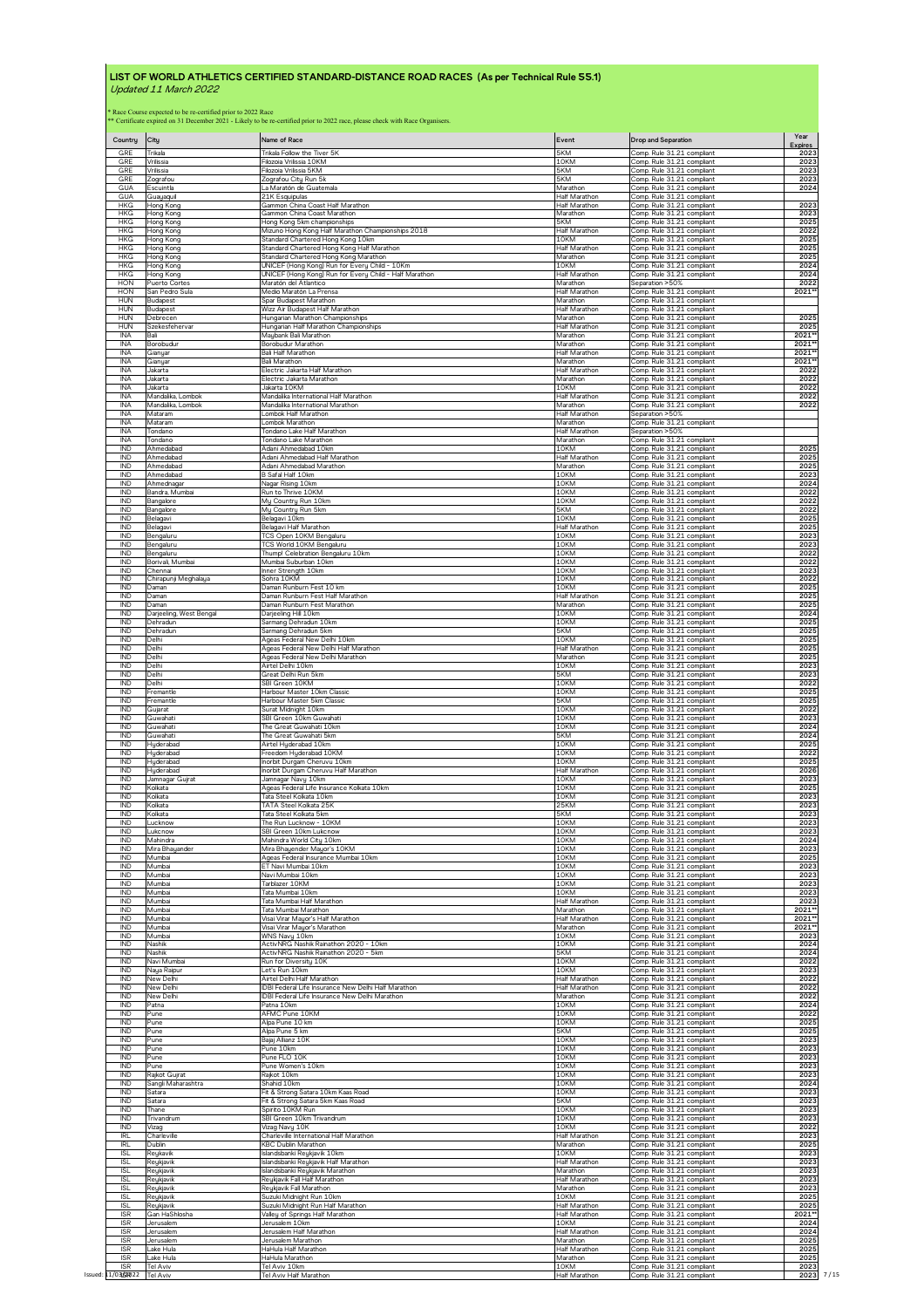| Country<br>GRE                         | City<br>Trikala                   | Name of Race<br>Trikala Follow the Tiver 5K                               | Event<br>5KM                                 | <b>Drop and Separation</b><br>Comp. Rule 31.21 compliant | Year<br><b>Expires</b><br>2023 |
|----------------------------------------|-----------------------------------|---------------------------------------------------------------------------|----------------------------------------------|----------------------------------------------------------|--------------------------------|
| GRE<br>GRE                             | Vrilissia                         | Filozoia Vrilissia 10KM                                                   | 10KM                                         | Comp. Rule 31.21 compliant<br>Comp. Rule 31.21 compliant | 2023                           |
| GRE                                    | Vrilissia                         | Filozoia Vrilissia 5KM                                                    | 5KM                                          | Comp. Rule 31.21 compliant                               | 2023                           |
| <b>GUA</b>                             | Zografou                          | Zografou City Run 5k                                                      | 5KM                                          |                                                          | 2023                           |
| GUA                                    | Escuintla<br>Guayaqui             | La Maratón de Guatemala<br>21K Esquipulas                                 | Marathon<br>Half Marathon                    | Comp. Rule 31.21 compliant<br>Comp. Rule 31.21 compliant | 2024                           |
| <b>HKG</b>                             | Hong Kong                         | Gammon China Coast Half Marathon                                          | <b>Half Marathon</b>                         | Comp. Rule 31.21 compliant                               | 2023                           |
| <b>HKG</b>                             | Hong Kong                         | Gammon China Coast Marathon                                               | Marathon                                     | Comp. Rule 31.21 compliant                               | 2023                           |
| <b>HKG</b>                             | Hong Kong                         | Hong Kong 5km championships                                               | 5KM                                          | Comp. Rule 31.21 compliant                               | 2025                           |
| <b>HKG</b>                             | Hong Konc                         | Mizuno Hong Kong Half Marathon Championships 2018                         | Half Marathon                                | Comp Rule 31.21 compliant                                | 2022                           |
| <b>HKG</b>                             | Hong Kong                         | Standard Chartered Hong Kong 10km                                         | 10KM                                         | Comp. Rule 31.21 compliant                               | 2025                           |
| <b>HKG</b>                             | Hong Konc                         | Standard Chartered Hong Kong Half Marathon                                | <b>Half Marathon</b>                         | Comp. Rule 31.21 compliant                               | 2025                           |
| <b>HKG</b>                             | Hong Kong                         | Standard Chartered Hong Kong Marathon                                     | Marathon                                     | Comp. Rule 31.21 compliant                               | 2025                           |
| <b>HKG</b>                             | Hong Kong                         | UNICEF (Hong Kong) Run for Every Child - 10Km                             | 10KM                                         | Comp. Rule 31.21 compliant                               | 2024                           |
| <b>HKG</b>                             | Hong Kong                         | UNICEF (Hong Kong) Run for Every Child - Half Marathon                    | <b>Half Marathon</b>                         | Comp. Rule 31.21 compliant                               | 2024                           |
| HON                                    | Puerto Cortes                     | Maratón del Atlantico                                                     | Marathon                                     | Separation >50%                                          | 2022                           |
| <b>HON</b>                             | San Pedro Sula                    | Medio Maratón La Prensa                                                   | Half Marathon                                | Comp. Rule 31.21 compliant                               | 2021                           |
| <b>HUN</b>                             | Budapest                          | Spar Budapest Marathon                                                    | Marathon                                     | Comp. Rule 31.21 compliant                               |                                |
| <b>HUN</b>                             | Budapest                          | Wizz Air Budapest Half Marathon                                           | Half Marathon                                | Comp. Rule 31.21 compliant<br>Comp. Rule 31.21 compliant | 2025                           |
| <b>HUN</b><br><b>HUN</b><br><b>INA</b> | Debrecer<br>Szekesfeherva<br>Bali | Hungarian Marathon Championships<br>Hungarian Half Marathon Championships | Marathon<br><b>Half Marathon</b><br>Marathon | Comp. Rule 31.21 compliant<br>Comp. Rule 31.21 compliant | 2025<br>2021*                  |
| <b>INA</b>                             | Borobudur                         | Maybank Bali Marathon<br>Borobudur Marathon                               | Marathon                                     | Comp. Rule 31.21 compliant                               | 2021'                          |
| <b>INA</b>                             | Gianyar                           | <b>Bali Half Marathon</b>                                                 | Half Marathon                                | Comp. Rule 31.21 compliant                               | 2021                           |
| INA                                    | Gianyar                           | <b>Bali Marathon</b>                                                      | Marathon                                     | Comp. Rule 31.21 compliant                               | 2021*                          |
| <b>INA</b>                             | Jakarta                           | Electric Jakarta Half Marathon                                            | Half Marathon                                | Comp. Rule 31.21 compliant                               | 2022                           |
| <b>INA</b>                             | Jakarta                           | Electric Jakarta Marathon                                                 | Marathon                                     | Comp. Rule 31.21 compliant                               | 2022                           |
| <b>INA</b>                             | Jakarta                           | Jakarta 10KM                                                              | 10KM                                         | Comp. Rule 31.21 compliant                               | 2022                           |
| INA                                    | Mandalika, Lombok                 | Mandalika International Half Marathon                                     | <b>Half Marathon</b>                         | Comp. Rule 31.21 compliant                               | 2022                           |
| <b>INA</b>                             | Mandalika, Lombok                 | Mandalika International Marathon                                          | Marathon                                     | Comp. Rule 31.21 compliant                               | 2022                           |
| <b>INA</b>                             | Mataram                           | Lombok Half Marathon                                                      | <b>Half Marathon</b>                         | Separation >50%                                          |                                |
| <b>INA</b>                             | Mataram                           | Lombok Marathon                                                           | Marathon                                     | Comp. Rule 31.21 compliant                               |                                |
| INA                                    | Tondano                           | Tondano Lake Half Marathon                                                | Half Marathon                                | Separation > 50%                                         |                                |
| <b>INA</b>                             | Tondano                           | Tondano Lake Marathon                                                     | Marathon                                     | Comp. Rule 31.21 compliant                               |                                |
| IND                                    | Ahmedabad                         | Adani Ahmedabad 10km                                                      | 10KM                                         | Comp. Rule 31.21 compliant                               | 2025                           |
| IND                                    | Ahmedabad                         | Adani Ahmedabad Half Marathon                                             | Half Marathon                                | Comp. Rule 31.21 compliant                               | 2025                           |
| IND                                    | Ahmedabad                         | Adani Ahmedabad Marathon                                                  | Marathon                                     | Comp. Rule 31.21 compliant                               | 2025                           |
| <b>IND</b>                             | Ahmedabad                         | B Safal Half 10km                                                         | 10KM                                         | Comp. Rule 31.21 compliant                               | 2023                           |
| IND                                    | Ahmednagar                        | Nagar Rising 10km                                                         | 10KM                                         | Comp. Rule 31.21 compliant                               | 2024                           |
| IND                                    | Bandra, Mumbai                    | Run to Thrive 10KM                                                        | 10KM                                         | Comp. Rule 31.21 compliant                               | 2022                           |
| IND                                    | Bangalore                         | My Country Run 10km                                                       | 10KM                                         | Comp. Rule 31.21 compliant                               | 2022                           |
| IND                                    | Bangalore                         | My Country Run 5km                                                        | 5KM                                          | Comp. Rule 31.21 compliant                               | 2022                           |
| <b>IND</b>                             | Belagavi                          | Belagavi 10km                                                             | 10KM                                         | Comp. Rule 31.21 compliant                               | 2025                           |
| IND                                    |                                   | Belagavi Half Marathon                                                    | Half Marathon                                | Comp. Rule 31.21 compliant                               | 2025                           |
| IND                                    | Belagavi<br>Bengaluru             | TCS Open 10KM Bengaluru                                                   | 10KM                                         | Comp. Rule 31.21 compliant                               | 2023                           |
| IND                                    | Bengaluru                         | TCS World 10KM Bengaluru                                                  | 10KM                                         | Comp. Rule 31.21 compliant                               | 2023                           |
| IND                                    | Bengaluru                         | Thump! Celebration Bengaluru 10km                                         | 10KM                                         | Comp. Rule 31.21 compliant                               | 2022                           |
| IND                                    | Borivali, Mumbai                  | Mumbai Suburban 10km                                                      | 10KM                                         | Comp. Rule 31.21 compliant                               | 2022                           |
| IND                                    | Chennai                           | Inner Strength 10km                                                       | 10KM                                         | Comp. Rule 31.21 compliant                               | 2023                           |
| IND                                    | Chirapunji Meghalaya              | Sohra 10KM                                                                | 10KM                                         | Comp. Rule 31.21 compliant                               | 2022                           |
| IND                                    | Daman                             | Daman Runburn Fest 10 km                                                  | 10KM                                         | Comp. Rule 31.21 compliant                               | 2025                           |
| IND                                    | Daman                             | Daman Runburn Fest Half Marathon                                          | Half Marathon                                | Comp. Rule 31.21 compliant                               | 2025                           |
| <b>IND</b>                             | Daman                             | Daman Runburn Fest Marathon                                               | Marathon                                     | Comp. Rule 31.21 compliant                               | 2025                           |
| <b>IND</b>                             | Darjeeling, West Bengal           | Darjeeling Hill 10km                                                      | 10KM                                         | Comp. Rule 31.21 compliant                               | 2024                           |
| IND                                    | Dehradun                          | Sarmang Dehradun 10km                                                     | 10KM                                         | Comp. Rule 31.21 compliant                               | 2025                           |
| IND                                    | Dehradun                          | Sarmang Dehradun 5km                                                      | 5KM                                          | Comp. Rule 31.21 compliant                               | 2025                           |
| IND                                    | Delhi                             | Ageas Federal New Delhi 10km                                              | 10KM                                         | Comp. Rule 31.21 compliant                               | 2025                           |
| <b>IND</b>                             | Delhi                             | Ageas Federal New Delhi Half Marathon                                     | Half Marathon                                | Comp. Rule 31.21 compliant                               | 2025                           |
| IND                                    | Delhi                             | Ageas Federal New Delhi Marathon                                          | Marathon                                     | Comp. Rule 31.21 compliant                               | 2025                           |
| <b>IND</b>                             | Delhi                             | Airtel Delhi 10km                                                         | 10KM                                         | Comp. Rule 31.21 compliant                               | 2023                           |
| IND                                    | Delhi                             | Great Delhi Run 5km                                                       | 5KM                                          | Comp. Rule 31.21 compliant                               | 2023                           |
| <b>IND</b>                             | Delhi                             | SBI Green 10KM                                                            | 10KM                                         | Comp. Rule 31.21 compliant                               | 2022                           |
| IND                                    | Fremantle                         | Harbour Master 10km Classic                                               | 10KM                                         | Comp. Rule 31.21 compliant                               | 2025                           |
| IND                                    | Fremantle                         | Harbour Master 5km Classic                                                | 5KM                                          | Comp. Rule 31.21 compliant                               | 2025                           |
| IND                                    | Gujarat                           | Surat Midnight 10km                                                       | 10KM                                         | Comp. Rule 31.21 compliant                               | 2022                           |
| IND                                    |                                   | SBI Green 10km Guwahati                                                   | 10KM                                         | Comp. Rule 31.21 compliant                               | 2023                           |
| IND                                    | <u>Guwahati</u><br>Guwahati       | The Great Guwahati 10km                                                   | 10KM                                         | Comp. Rule 31.21 compliant                               | 2024                           |
| <b>IND</b>                             | Guwahati                          | The Great Guwahati 5km                                                    | 5KM                                          | Comp. Rule 31.21 compliant                               | 2024                           |
| IND                                    | Huderabad                         | Airtel Hyderabad 10km                                                     | 10KM                                         | Comp. Rule 31.21 compliant                               | 2025                           |
| IND                                    | Hyderabad                         | Freedom Hyderabad 10KM                                                    | 10KM                                         | Comp. Rule 31.21 compliant                               | 2022                           |
| IND                                    | Hyderabad                         | Inorbit Durgam Cheruvu 10km                                               | 10KM                                         | Comp. Rule 31.21 compliant                               | 2025                           |
| IND                                    | Hyderabad                         | Inorbit Durgam Cheruvu Half Marathon                                      | Half Marathon                                | Comp. Rule 31.21 compliant                               | 2026                           |
| IND                                    | Jamnagar Gujrat                   | Jamnagar Navy 10km                                                        | 10KM                                         | Comp. Rule 31.21 compliant                               | 2023                           |
| IND                                    | Kolkata                           | Ageas Federal Life Insurance Kolkata 10km                                 | 10KM                                         | Comp. Rule 31.21 compliant                               | 2025                           |
| IND                                    | Kolkata                           | Tata Steel Kolkata 10km                                                   | 10KM                                         | Comp. Rule 31.21 compliant                               | 2023                           |
| <b>IND</b>                             | Kolkata                           | TATA Steel Kolkata 25K                                                    | <b>25KM</b>                                  | Comp. Rule 31.21 compliant                               | 2023                           |
| <b>IND</b>                             | Kolkata                           | Tata Steel Kolkata 5km                                                    | 5KM                                          | Comp. Rule 31.21 compliant                               | 2023                           |
| IND                                    | Lucknow                           | The Run Lucknow - 10KM                                                    | 10KM<br>10KM                                 | Comp. Rule 31.21 compliant                               | 2023                           |
| <b>IND</b>                             | Lukcnow                           | SBI Green 10km Lukcnow                                                    | 10KM                                         | Comp. Rule 31.21 compliant                               | 2023                           |
| IND                                    | Mahindra                          | Mahindra World City 10km                                                  |                                              | Comp. Rule 31.21 compliant                               | 2024                           |
| IND                                    | Mira Bhayander                    | Mira Bhayender Mayor's 10KM                                               | 10KM                                         | Comp. Rule 31.21 compliant                               | 2023                           |
| IND                                    | Mumbai                            | Ageas Federal Insurance Mumbai 10km                                       | 10KM                                         | Comp. Rule 31.21 compliant                               | 2025                           |
| <b>IND</b>                             | Mumbai                            | ET Navi Mumbai 10km                                                       | 10KM                                         | Comp. Rule 31.21 compliant                               | 2023                           |
| IND                                    | Mumbai                            | Navi Mumbai 10km                                                          | 10KM                                         | Comp. Rule 31.21 compliant                               | 2023                           |
| IND                                    | Mumbai                            | Tarblazer 10KM                                                            | 10KM                                         | Comp. Rule 31.21 compliant                               | 2023                           |
| IND                                    | Mumbai                            | Tata Mumbai 10km                                                          | 10KM                                         | Comp. Rule 31.21 compliant                               | 2023                           |
| <b>IND</b>                             | Mumbai                            | Tata Mumbai Half Marathon                                                 | <b>Half Marathon</b>                         | Comp. Rule 31.21 compliant                               | 2023                           |
| IND                                    | Mumbai                            | Tata Mumbai Marathon                                                      | Marathon                                     | Comp. Rule 31.21 compliant                               | 2021*                          |
| IND                                    | Mumbai                            | Visai Virar Mayor's Half Marathon                                         | Half Marathon                                | Comp. Rule 31.21 compliant                               | 2021**                         |
| IND                                    | Mumbai                            | Visai Virar Mayor's Marathon                                              | Marathon                                     | Comp. Rule 31.21 compliant                               | 2021**                         |
| IND                                    | Mumbai                            | WNS Navy 10km                                                             | 10KM                                         | Comp. Rule 31.21 compliant                               | 2023                           |
| <b>IND</b>                             | Nashik                            | ActivNRG Nashik Rainathon 2020 - 10km                                     | 10KM                                         | Comp. Rule 31.21 compliant                               | 2024                           |
| IND                                    | Nashik                            | ActivNRG Nashik Rainathon 2020 - 5km                                      | 5KM                                          | Comp. Rule 31.21 compliant                               | 2024                           |
| IND                                    | Navi Mumbai                       | Run for Diversity 10K                                                     | 10KM                                         | Comp. Rule 31.21 compliant                               | 2022                           |
| IND                                    | Naya Raipur                       | Let's Run 10km                                                            | 10KM                                         | Comp. Rule 31.21 compliant                               | 2023                           |
| IND                                    | New Delhi                         | Airtel Delhi Half Marathon                                                | Half Marathon                                | Comp. Rule 31.21 compliant                               | 2022                           |
| IND                                    | New Delh                          | IDBI Federal Life Insurance New Delhi Half Marathon                       | Half Marathon                                | Comp. Rule 31.21 compliant                               | 2022                           |
| IND                                    | New Delhi                         | IDBI Federal Life Insurance New Delhi Marathon                            | Marathon                                     | Comp. Rule 31.21 compliant                               | 2022                           |
| IND                                    | Patna                             | Patna 10km                                                                | 10KM                                         | Comp. Rule 31.21 compliant                               | 2024                           |
| IND                                    | Pune                              | AFMC Pune 10KM                                                            | 10KM                                         | Comp. Rule 31.21 compliant                               | 2022                           |
| IND                                    | Pune                              | Alpa Pune 10 km                                                           | 10KM                                         | Comp. Rule 31.21 compliant                               | 2025                           |
| IND                                    | Pune                              | Alpa Pune 5 km                                                            | 5KM                                          | Comp. Rule 31.21 compliant                               | 2025                           |
| <b>IND</b>                             | Pune                              | Bajaj Allianz 10K                                                         | 10KM                                         | Comp. Rule 31.21 compliant                               | 2023                           |
| IND                                    | Pune                              | Pune 10km                                                                 | 10KM                                         | Comp. Rule 31.21 compliant                               | 2023                           |
| IND                                    | Pune                              | Pune FLO 10K                                                              | 10KM                                         | Comp. Rule 31.21 compliant                               | 2023                           |
| IND                                    | Pune                              | Pune Women's 10km                                                         | 10KM                                         | Comp. Rule 31.21 compliant                               | 2023                           |
| <b>IND</b>                             | Rajkot Gujrat                     | Rajkot 10km                                                               | 10KM                                         | Comp. Rule 31.21 compliant                               | 2023                           |
| IND                                    | Sangli Maharashtra                | Shahid 10km                                                               | 10KM                                         | Comp. Rule 31.21 compliant                               | 2024                           |
| IND                                    | Satara                            | Fit & Strong Satara 10km Kaas Road                                        | 10KM                                         | Comp. Rule 31.21 compliant                               | 2023                           |
| <b>IND</b>                             | Satara                            | Fit & Strong Satara 5km Kaas Road                                         | 5KM                                          | Comp. Rule 31.21 compliant                               | 2023                           |
| <b>IND</b>                             | Thane                             | Spirito 10KM Run                                                          | 10KM                                         | Comp. Rule 31.21 compliant                               | 2023                           |
| IND                                    | Trivandrum                        | SBI Green 10km Trivandrum                                                 | 10KM                                         | Comp. Rule 31.21 compliant                               | 2023                           |
| <b>IND</b>                             | Vizag                             | Vizag Navy 10K                                                            | 10KM                                         | Comp. Rule 31.21 compliant                               | 2022                           |
| IRL                                    | Charleville                       | Charleville International Half Marathon                                   | Half Marathon                                | Comp. Rule 31.21 compliant                               | 2023                           |
| IRI                                    | Dublin                            | KBC Dublin Marathon                                                       | Marathon                                     | Comp. Rule 31.21 compliant                               | 2025                           |
| <b>ISL</b>                             | Reukavik                          | Islandsbanki Reykjavik 10km                                               | 10KM                                         | Comp. Rule 31.21 compliant                               | 2023                           |
| <b>ISL</b>                             | Reykjavik                         | Islandsbanki Reykjavik Half Marathon                                      | Half Marathon                                | Comp. Rule 31.21 compliant                               | 2023                           |
| <b>ISL</b>                             | Reykjavik                         | Islandsbanki Reykjavik Marathon                                           | Marathon                                     | Comp. Rule 31.21 compliant                               | 2023                           |
| <b>ISL</b>                             | Reykjavik                         | Reykjavik Fall Half Marathon                                              | <b>Half Marathon</b>                         | Comp. Rule 31.21 compliant                               | 2023                           |
| <b>ISL</b>                             | Reykjavik                         | Reykjavik Fall Marathon                                                   | Marathon                                     | Comp. Rule 31.21 compliant                               | 2023                           |
| <b>ISL</b>                             | Reukjavik                         | Suzuki Midnight Run 10km                                                  | 10KM                                         | Comp. Rule 31.21 compliant                               | 2025                           |
| <b>ISL</b>                             | Reykjavik                         | Suzuki Midnight Run Half Marathon                                         | Half Marathon                                | Comp. Rule 31.21 compliant                               | 2025                           |
| <b>ISR</b>                             | Gan HaShlosha                     | Valley of Springs Half Marathon                                           | Half Marathon                                | Comp. Rule 31.21 compliant                               | 2021*                          |
| <b>ISR</b>                             | Jerusalem                         | Jerusalem 10km                                                            | 10KM                                         | Comp. Rule 31.21 compliant                               | 2024                           |
| <b>ISR</b>                             | Jerusalem                         | Jerusalem Half Marathon                                                   | Half Marathon                                | Comp. Rule 31.21 compliant                               | 2024                           |
| <b>ISR</b>                             | Jerusalem                         | Jerusalem Marathon                                                        | Marathon                                     | Comp. Rule 31.21 compliant                               | 2025                           |
| <b>ISR</b>                             | Lake Hula                         | HaHula Half Marathon                                                      | Half Marathon                                | Comp. Rule 31.21 compliant                               | 2025                           |
| <b>ISR</b>                             | Lake Hula                         | HaHula Marathon                                                           | Marathon                                     | Comp. Rule 31.21 compliant                               | 2025                           |
| <b>ISR</b>                             | Tel Aviv                          | Tel Aviv 10km                                                             | 10KM                                         | Comp. Rule 31.21 compliant                               | 2023<br>2023                   |
|                                        | Issued: 11/03 ST022 Tel Aviv      | Tel Aviv Half Marathon                                                    | Half Marathon                                | Comp. Rule 31.21 compliant                               |                                |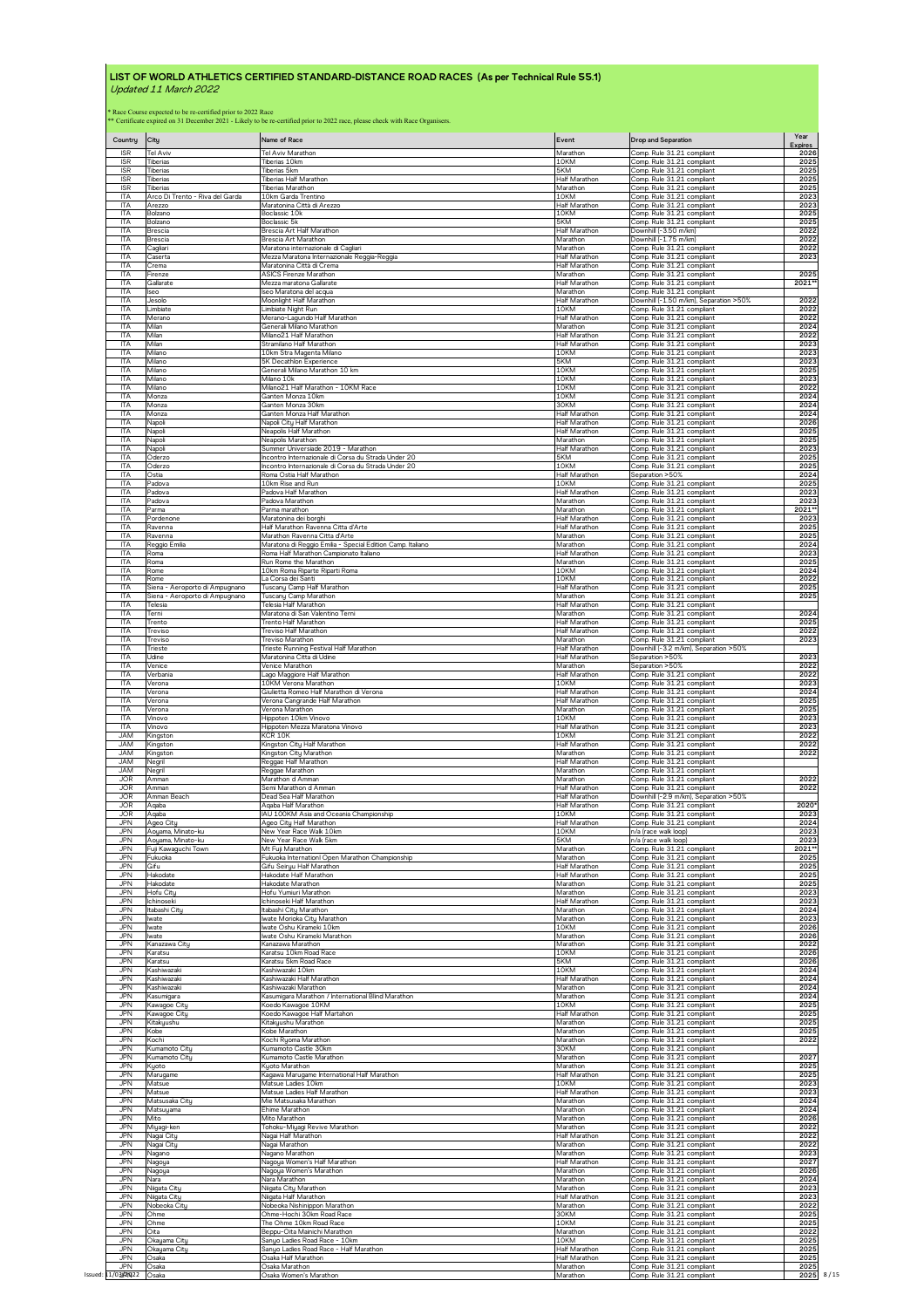| Country                  | City                                                                                                                    | Name of Race                                               | Event                            | <b>Drop and Separation</b>                               | Year<br><b>Expires</b> |
|--------------------------|-------------------------------------------------------------------------------------------------------------------------|------------------------------------------------------------|----------------------------------|----------------------------------------------------------|------------------------|
| <b>ISR</b>               | Tel Aviv                                                                                                                | Tel Aviv Marathon                                          | Marathon                         | Comp. Rule 31.21 compliant                               | 2026                   |
| <b>ISR</b>               | Tiberias                                                                                                                | Tiberias 10km                                              | 10KM                             | Comp. Rule 31.21 compliant                               | 2025                   |
| <b>ISR</b>               | Tiberias                                                                                                                | Tiberias 5km                                               | 5KM                              | Comp. Rule 31.21 compliant                               | 2025                   |
| <b>ISR</b>               | Tiberias                                                                                                                | Tiberias Half Marathon                                     | Half Marathon                    | Comp. Rule 31.21 compliant                               | 2025                   |
| <b>ISR</b>               | Tiberias                                                                                                                | Tiberias Marathon                                          | Marathon                         | Comp. Rule 31.21 compliant                               | 2025                   |
| <b>ITA</b>               | Arco Di Trento - Riva del Garda                                                                                         | 10km Garda Trentino                                        | 10KM                             | Comp. Rule 31.21 compliant                               | 2023                   |
| <b>ITA</b>               | Arezzo                                                                                                                  | Maratonina Città di Arezzo                                 | Half Marathon                    | Comp. Rule 31.21 compliant                               | 2023                   |
| <b>ITA</b>               | Bolzano                                                                                                                 | Boclassic 10k                                              | 10KM                             | Comp. Rule 31.21 compliant                               | 2025                   |
| ITA                      | Bolzano                                                                                                                 | Boclassic 5k                                               | 5KM                              | Comp. Rule 31.21 compliant                               | 2025                   |
| <b>ITA</b>               | Brescia                                                                                                                 | Brescia Art Half Marathon                                  | Half Marathon                    | Downhill (-3.50 m/km)                                    | 2022                   |
| <b>ITA</b>               | Brescia                                                                                                                 | Brescia Art Marathon                                       | Marathon                         | Downhill (-1.75 m/km)                                    | 2022                   |
| <b>ITA</b>               | Cagliari                                                                                                                | Maratona internazionale di Cagliari                        | Marathon                         | Comp. Rule 31.21 compliant                               | 2022                   |
| <b>ITA</b>               | Caserta                                                                                                                 | Mezza Maratona Internazionale Reggia-Reggia                | Half Marathon                    | Comp. Rule 31.21 compliant                               | 2023                   |
| <b>ITA</b>               | $\overline{C}$ rema                                                                                                     | Maratonina Città di Crema                                  | <b>Half Marathon</b>             | Comp. Rule 31.21 compliant                               |                        |
| <b>ITA</b>               | Firenze                                                                                                                 | ASICS Firenze Marathon                                     | Marathon                         | Comp. Rule 31.21 compliant                               | 2025                   |
| <b>ITA</b>               | Gallarate                                                                                                               | Mezza maratona Gallarate                                   | <b>Half Marathon</b>             | Comp. Rule 31.21 compliant                               | 2021*                  |
| ITA                      | lseo                                                                                                                    | Iseo Maratona del acqua                                    | Marathon                         | Comp. Rule 31.21 compliant                               |                        |
| <b>ITA</b>               | Jesolo                                                                                                                  | Moonlight Half Marathon                                    | Half Marathon                    | Downhill (-1.50 m/km), Separation >50%                   | 2022                   |
| <b>ITA</b>               | Limbiate                                                                                                                | Limbiate Night Run                                         | 10KM                             | Comp. Rule 31.21 compliant                               | 2022                   |
| <b>ITA</b>               | Merano                                                                                                                  | Merano-Lagundo Half Marathon                               | Half Marathon                    | Comp. Rule 31.21 compliant                               | 2022                   |
| <b>ITA</b>               | Milan                                                                                                                   | Generali Milano Marathor                                   | Marathon                         | Comp. Rule 31.21 compliant                               | 2024                   |
| <b>ITA</b>               | Milan                                                                                                                   | Milano <sub>21</sub> Half Marathon                         | Half Marathon                    | Comp. Rule 31.21 compliant                               | 2022                   |
| <b>ITA</b>               | Milan                                                                                                                   | Stramilano Half Marathon                                   | <b>Half Marathon</b>             | Comp. Rule 31.21 compliant                               | 2023                   |
| <b>ITA</b>               | Milano                                                                                                                  | 10km Stra Magenta Milano                                   | 10KM                             | Comp. Rule 31.21 compliant                               | 2023                   |
| <b>ITA</b>               | Milano                                                                                                                  | 5K Decathlon Experience                                    | 5KM                              | Comp. Rule 31.21 compliant                               | 2023                   |
| <b>ITA</b>               | Milano                                                                                                                  | Generali Milano Marathon 10 km                             | 10KM                             | Comp. Rule 31.21 compliant                               | 2025                   |
| <b>ITA</b>               | Milano                                                                                                                  | Milano 10k                                                 | 10KM                             | Comp. Rule 31.21 compliant                               | 2023                   |
| <b>ITA</b>               | Milano                                                                                                                  | Milano21 Half Marathon - 10KM Race                         | 10KM                             | Comp. Rule 31.21 compliant                               | 2022                   |
| <b>ITA</b>               | Monza                                                                                                                   | Ganten Monza 10km                                          | 10KM                             | Comp. Rule 31.21 compliant                               | 2024                   |
| <b>ITA</b><br><b>ITA</b> | Monza                                                                                                                   | Ganten Monza 30km                                          | 30KM<br>Half Marathor            | Comp. Rule 31.21 compliant                               | 2024<br>2024           |
| <b>ITA</b>               | Monza<br>Napoli                                                                                                         | Ganten Monza Half Marathon<br>Napoli City Half Marathon    | Half Marathon                    | Comp. Rule 31.21 compliant<br>Comp. Rule 31.21 compliant | 2026                   |
| <b>ITA</b>               | Napoli                                                                                                                  | Neapolis Half Marathon                                     | <b>Half Marathon</b>             | Comp. Rule 31.21 compliant                               | 2025                   |
| <b>ITA</b>               | Napoli                                                                                                                  | Neapolis Marathon                                          | Marathon                         | Comp. Rule 31.21 compliant                               | 2025                   |
| <b>ITA</b>               | Napoli                                                                                                                  | Summer Universiade 2019 - Marathon                         | Half Marathon                    | Comp. Rule 31.21 compliant                               | 2023                   |
| <b>ITA</b>               | Oderzo                                                                                                                  | Incontro Internazionale di Corsa du Strada Under 20        | 5KM                              | Comp. Rule 31.21 compliant                               | 2025                   |
| <b>ITA</b>               | Oderzo                                                                                                                  | Incontro Internazionale di Corsa du Strada Under 20        | 10KM                             | Comp. Rule 31.21 compliant                               | 2025                   |
| <b>ITA</b>               | Ostia                                                                                                                   | Roma Ostia Half Marathon                                   | Half Marathon                    | Separation >50%                                          | 2024                   |
| <b>ITA</b>               | Padova                                                                                                                  | 10km Rise and Run                                          | 10KM                             | Comp. Rule 31.21 compliant                               | 2025                   |
| <b>ITA</b>               | Padova                                                                                                                  | Padova Half Marathon                                       | Half Marathon                    | Comp. Rule 31.21 compliant                               | 2023                   |
| <b>ITA</b>               | Padova                                                                                                                  | Padova Marathon                                            | Marathon                         | Comp Rule 31.21 compliant                                | 2023                   |
| <b>ITA</b>               | <sup>3</sup> arma                                                                                                       | Parma marathon                                             | Marathon                         | Comp. Rule 31.21 compliant                               | 2021*                  |
| <b>ITA</b>               | Pordenone                                                                                                               | Maratonina dei borghi                                      | <b>Half Marathon</b>             | Comp. Rule 31.21 compliant                               | 2023                   |
| <b>ITA</b>               | Ravenna                                                                                                                 | Half Marathon Ravenna Citta d'Arte                         | Half Marathon                    | Comp. Rule 31.21 compliant                               | 2025                   |
| <b>ITA</b>               | Ravenna                                                                                                                 | Marathon Ravenna Citta d'Arte                              | Marathon                         | Comp. Rule 31.21 compliant                               | 2025                   |
| <b>ITA</b>               | Reggio Emilia                                                                                                           | Maratona di Reggio Emilia - Special Edition Camp. Italiano | Marathon                         | Comp. Rule 31.21 compliant                               | 2024                   |
| ITA                      | Roma                                                                                                                    | Roma Half Marathon Campionato Italiano                     | <b>Half Marathon</b>             | Comp. Rule 31.21 compliant                               | 2023                   |
| <b>ITA</b>               | Roma                                                                                                                    | Run Rome the Marathon                                      | Marathon                         | Comp. Rule 31.21 compliant                               | 2025                   |
| <b>ITA</b>               | Rome                                                                                                                    | 10km Roma Riparte Riparti Roma                             | 10KM                             | Comp Rule 31.21 compliant                                | 2024                   |
| <b>ITA</b><br><b>ITA</b> | Rome<br>Siena -<br>Aeroporto di Ampugnano                                                                               | La Corsa dei Santi<br>Tuscany Camp Half Marathon           | 10KM<br>Half Marathor            | Comp. Rule 31.21 compliant<br>Comp. Rule 31.21 compliant | 2022<br>2025           |
| <b>ITA</b>               | Siena - Aeroporto di Ampugnano                                                                                          | Tuscany Camp Marathon                                      | Marathon                         | Comp. Rule 31.21 compliant                               | 2025                   |
| <b>ITA</b>               | Telesia                                                                                                                 | Telesia Half Marathon                                      | Half Marathon                    | Comp. Rule 31.21 compliant                               |                        |
| <b>ITA</b>               | Terni                                                                                                                   | Maratona di San Valentino Terni                            | Marathon                         | Comp. Rule 31.21 compliant                               | 2024                   |
| <b>ITA</b>               | Trento                                                                                                                  | Trento Half Marathon                                       | <b>Half Marathon</b>             | Comp. Rule 31.21 compliant                               | 2025                   |
| <b>ITA</b>               | Treviso                                                                                                                 | Treviso Half Marathon                                      | Half Marathon                    | Comp. Rule 31.21 compliant                               | 2022                   |
| <b>ITA</b>               | Treviso                                                                                                                 | Treviso Marathon                                           | Marathon                         | Comp. Rule 31.21 compliant                               | 2023                   |
| <b>ITA</b>               | Trieste                                                                                                                 | Trieste Running Festival Half Marathon                     | Half Marathon                    | Downhill (-3.2 m/km), Separation >50%                    |                        |
| <b>ITA</b>               | Udine                                                                                                                   | Maratonina Citta di Udine                                  | Half Marathon                    | Separation > 50%                                         | 2023                   |
| <b>ITA</b>               | Venice                                                                                                                  | Venice Marathon                                            | Marathon                         | Separation > 50%                                         | 2022                   |
| <b>ITA</b>               | Verbania                                                                                                                | Lago Maggiore Half Marathon                                | <b>Half Marathor</b>             | Comp. Rule 31.21 compliant                               | 2022                   |
| <b>ITA</b>               | Verona                                                                                                                  | 10KM Verona Marathon                                       | 10KM                             | Comp. Rule 31.21 compliant                               | 2023                   |
| <b>ITA</b>               | Verona                                                                                                                  | Giulietta Romeo Half Marathon di Verona                    | <b>Half Marathon</b>             | Comp. Rule 31.21 compliant                               | 2024                   |
| <b>ITA</b>               | Verona                                                                                                                  | Verona Cangrande Half Marathon                             | Half Marathon                    | Comp. Rule 31.21 compliant                               | 2025                   |
| <b>ITA</b>               | Verona                                                                                                                  | Verona Marathon                                            | Marathon                         | Comp. Rule 31.21 compliant                               | 2025                   |
| <b>ITA</b>               | Vinovo                                                                                                                  | Hippoten 10km Vinovo                                       | 10KM                             | Comp. Rule 31.21 compliant                               | 2023                   |
| <b>ITA</b>               | Vinovo                                                                                                                  | Hippoten Mezza Maratona Vinovo                             | Half Marathon                    | Comp. Rule 31.21 compliant                               | 2023                   |
| <b>JAM</b>               | Kingston                                                                                                                | KCR 10K                                                    | 10KM                             | Comp. Rule 31.21 compliant                               | 2022                   |
| <b>JAM</b>               | Kingston                                                                                                                | Kingston City Half Marathon                                | <b>Half Marathon</b>             | Comp. Rule 31.21 compliant                               | 2022                   |
| JAM                      | Kingston                                                                                                                | Kingston City Marathon                                     | Marathon                         | Comp. Rule 31.21 compliant                               | 2022                   |
| <b>JAM</b>               | Negril                                                                                                                  | Reggae Half Marathon                                       | Half Marathon                    | Comp. Rule 31.21 compliant                               |                        |
| <b>JAM</b>               | Negril                                                                                                                  | Reggae Marathon                                            | Marathon                         | Comp. Rule 31.21 compliant                               | 2022                   |
| JOR                      | Ammar                                                                                                                   | Marathon d Amman                                           | Marathon                         | Comp. Rule 31.21 compliant                               |                        |
| JOR                      | Amman                                                                                                                   | Semi Marathon d Amman                                      | <b>Half Marathon</b>             | Comp. Rule 31.21 compliant                               | 2022                   |
| JOR                      | Amman Beach                                                                                                             | Dead Sea Half Marathon                                     | Half Marathon                    | Downhill (-2.9 m/km), Separation >50%                    |                        |
| <b>JOR</b>               | Aqaba                                                                                                                   | Agaba Half Marathon                                        | <b>Half Marathon</b>             | Comp. Rule 31.21 compliant                               | 2020                   |
| JOR                      | Aqaba                                                                                                                   | IAU 100KM Asia and Oceania Championship                    | 10KM                             | Comp. Rule 31.21 compliant                               | 2023                   |
| JPN                      | Ageo City                                                                                                               | Ageo City Half Marathon                                    | <b>Half Marathon</b>             | Comp. Rule 31.21 compliant                               | 2024                   |
| <b>JPN</b>               | Aoyama, Minato-ku                                                                                                       | New Year Race Walk 10km                                    | 10KM                             | n/a (race walk loop)                                     | 2023                   |
| <b>JPN</b>               | Aoyama, Minato-ku                                                                                                       | New Year Race Walk 5km                                     | 5KM                              | 1/a (race walk loop)                                     | 2023                   |
| JPN                      | Fuji Kawaguchi Town                                                                                                     | Mt Fuji Marathon                                           | Marathon                         | Comp. Rule 31.21 compliant                               | 2021*                  |
| JPN                      | Fukuoka                                                                                                                 | Fukuoka InternationI Open Marathon Championship            | Marathon<br><b>Half Marathon</b> | Comp. Rule 31.21 compliant                               | 2025                   |
| <b>JPN</b>               | Gifu                                                                                                                    | Gifu Seiryu Half Marathon                                  | Half Marathon                    | Comp. Rule 31.21 compliant                               | 2025                   |
| <b>JPN</b>               | Hakodate                                                                                                                | Hakodate Half Marathon                                     |                                  | Comp. Rule 31.21 compliant                               | 2025                   |
| JPN                      | Hakodate                                                                                                                | Hakodate Marathon                                          | Marathon                         | Comp. Rule 31.21 compliant                               | 2025                   |
| JPN                      | Hofu Citu                                                                                                               | Hofu Yumiuri Marathon                                      | Marathon                         | Comp. Rule 31.21 compliant                               | 2023                   |
| <b>JPN</b>               | chinoseki                                                                                                               | Ichinoseki Half Marathon                                   | Half Marathon                    | Comp. Rule 31.21 compliant                               | 2023                   |
| JPN                      | ltabashi City                                                                                                           | Itabashi City Marathon                                     | Marathon                         | Comp. Rule 31.21 compliant                               | 2024                   |
| JPN                      | lwate                                                                                                                   | Iwate Morioka City Marathon                                | Marathon                         | Comp. Rule 31.21 compliant                               | 2023                   |
| JPN                      | lwate                                                                                                                   | Iwate Oshu Kirameki 10km                                   | 10KM                             | Comp. Rule 31.21 compliant                               | 2026                   |
| <b>JPN</b>               | lwate                                                                                                                   | Iwate Oshu Kirameki Marathon                               | Marathon                         | Comp. Rule 31.21 compliant                               | 2026                   |
| JPN                      | Kanazawa City                                                                                                           | Kanazawa Marathon                                          | Marathon                         | Comp. Rule 31.21 compliant                               | 2022                   |
| <b>JPN</b>               | Karatsu                                                                                                                 | Karatsu 10km Road Race                                     | 10KM                             | Comp. Rule 31.21 compliant                               | 2026                   |
| JPN                      | Karatsu                                                                                                                 | Karatsu 5km Road Race                                      | 5KM                              | Comp. Rule 31.21 compliant                               | 2026                   |
| <b>JPN</b>               | <ashiwazaki< td=""><td>Kashiwazaki 10km</td><td>10KM</td><td>Comp. Rule 31.21 compliant</td><td>2024</td></ashiwazaki<> | Kashiwazaki 10km                                           | 10KM                             | Comp. Rule 31.21 compliant                               | 2024                   |
| JPN                      | Kashiwazaki                                                                                                             | Kashiwazaki Half Marathon                                  | Half Marathon                    | Comp. Rule 31.21 compliant                               | 2024                   |
| JPN                      | Kashiwazaki                                                                                                             | Kashiwazaki Marathon                                       | Marathon                         | Comp. Rule 31.21 compliant                               | 2024                   |
| JPN                      | Kasumigara                                                                                                              | Kasumigara Marathon / International Blind Marathon         | Marathon                         | Comp. Rule 31.21 compliant                               | 2024                   |
| <b>JPN</b>               | Kawagoe City                                                                                                            | Koedo Kawagoe 10KM                                         | 10KM                             | Comp. Rule 31.21 compliant                               | 2025                   |
| JPN                      | Kawagoe City                                                                                                            | Koedo Kawagoe Half Martahon                                | Half Marathon                    | Comp. Rule 31.21 compliant                               | 2025                   |
| <b>JPN</b>               | Kitakyushu                                                                                                              | Kitakyushu Marathon                                        | Marathon                         | Comp. Rule 31.21 compliant                               | 2025                   |
| <b>JPN</b>               | Kobe                                                                                                                    | Kobe Marathon                                              | Marathon                         | Comp. Rule 31.21 compliant                               | 2025                   |
| JPN                      | Kochi                                                                                                                   | Kochi Ryoma Marathon                                       | Marathon                         | Comp. Rule 31.21 compliant                               | 2022                   |
| JPN                      | Kumamoto City                                                                                                           | Kumamoto Castle 30km                                       | 30KM                             | Comp. Rule 31.21 compliant                               | 2027                   |
| <b>JPN</b>               | Kumamoto Citu                                                                                                           | Kumamoto Castle Marathon                                   | Marathon                         | Comp. Rule 31.21 compliant                               |                        |
| <b>JPN</b>               | Kyoto                                                                                                                   | Kyoto Marathon                                             | Marathon                         | Comp. Rule 31.21 compliant                               | 2025                   |
| JPN                      | Marugame                                                                                                                | Kagawa Marugame International Half Marathon                | Half Marathon                    | Comp. Rule 31.21 compliant                               | 2025                   |
| <b>JPN</b>               | Matsue                                                                                                                  | Matsue Ladies 10km                                         | 10KM                             | Comp. Rule 31.21 compliant                               | 2023                   |
| JPN                      | Matsue                                                                                                                  | Matsue Ladies Half Marathon                                | Half Marathon                    | Comp. Rule 31.21 compliant                               | 2023                   |
| <b>JPN</b>               | Matsusaka City                                                                                                          | Mie Matsusaka Marathon                                     | Marathon                         | Comp. Rule 31.21 compliant                               | 2024                   |
| JPN                      | Matsuyama                                                                                                               | Ehime Marathon                                             | Marathon                         | Comp. Rule 31.21 compliant                               | 2024                   |
| <b>JPN</b>               | Mito                                                                                                                    | Mito Marathon                                              | Marathon                         | Comp. Rule 31.21 compliant                               | 2026                   |
| JPN                      | Miyagi-ken                                                                                                              | Tohoku-Miyagi Revive Marathon                              | Marathon                         | Comp. Rule 31.21 compliant                               | 2022                   |
| <b>JPN</b>               | Nagai City                                                                                                              | Nagai Half Marathon                                        | Half Marathon                    | Comp. Rule 31.21 compliant                               | 2022                   |
| JPN                      | Nagai City                                                                                                              | Nagai Marathon                                             | Marathon                         | Comp. Rule 31.21 compliant                               | 2022                   |
| <b>JPN</b>               | Nagano                                                                                                                  | Nagano Marathon                                            | Marathon                         | Comp. Rule 31.21 compliant                               | 2023                   |
| <b>JPN</b>               | Nagoya                                                                                                                  | Nagoya Women's Half Marathon                               | Half Marathon                    | Comp. Rule 31.21 compliant                               | 2027                   |
| JPN                      | Nagoya                                                                                                                  | Nagoya Women's Marathon                                    | Marathon                         | Comp. Rule 31.21 compliant                               | 2026                   |
| JPN                      | Nara                                                                                                                    | Nara Marathon                                              | Marathon                         | Comp. Rule 31.21 compliant                               | 2024                   |
| <b>JPN</b>               | Niigata City                                                                                                            | Niigata City Marathon                                      | Marathon                         | Comp. Rule 31.21 compliant                               | 2023                   |
| <b>JPN</b>               | Niigata City                                                                                                            | Niigata Half Marathon                                      | <b>Half Marathon</b>             | Comp. Rule 31.21 compliant                               | 2023                   |
| JPN                      | Nobeoka City                                                                                                            | Nobeoka Nishinippon Marathon                               | Marathon                         | Comp. Rule 31.21 compliant                               | 2022                   |
| JPN                      | Ohme                                                                                                                    | Ohme-Hochi 30km Road Race                                  | 30KM                             | Comp. Rule 31.21 compliant                               | 2025                   |
| JPN                      | Ohme                                                                                                                    | The Ohme 10km Road Race                                    | 10KM                             | Comp. Rule 31.21 compliant                               | 2025                   |
| <b>JPN</b>               | Oita                                                                                                                    | Beppu-Oita Mainichi Marathon                               | Marathon                         | Comp. Rule 31.21 compliant                               | 2022                   |
| JPN                      | Okayama City                                                                                                            | Sanyo Ladies Road Race - 10km                              | 10KM                             | Comp. Rule 31.21 compliant                               | 2025                   |
| JPN                      | Okayama City                                                                                                            | Sanyo Ladies Road Race - Half Marathon                     | <b>Half Marathon</b>             | Comp. Rule 31.21 compliant                               | 2025                   |
| .JPN                     | Osaka                                                                                                                   | Osaka Half Marathon                                        | <b>Half Marathon</b>             | Comp. Rule 31.21 compliant                               | 2025                   |
| <b>JPN</b>               | Osaka                                                                                                                   | Osaka Marathon                                             | Marathon                         | Comp. Rule 31.21 compliant                               | 2025                   |
| Issued: 11/03/2022       | Osaka                                                                                                                   | Osaka Women's Marathon                                     | Marathon                         | Comp. Rule 31.21 compliant                               | 2025                   |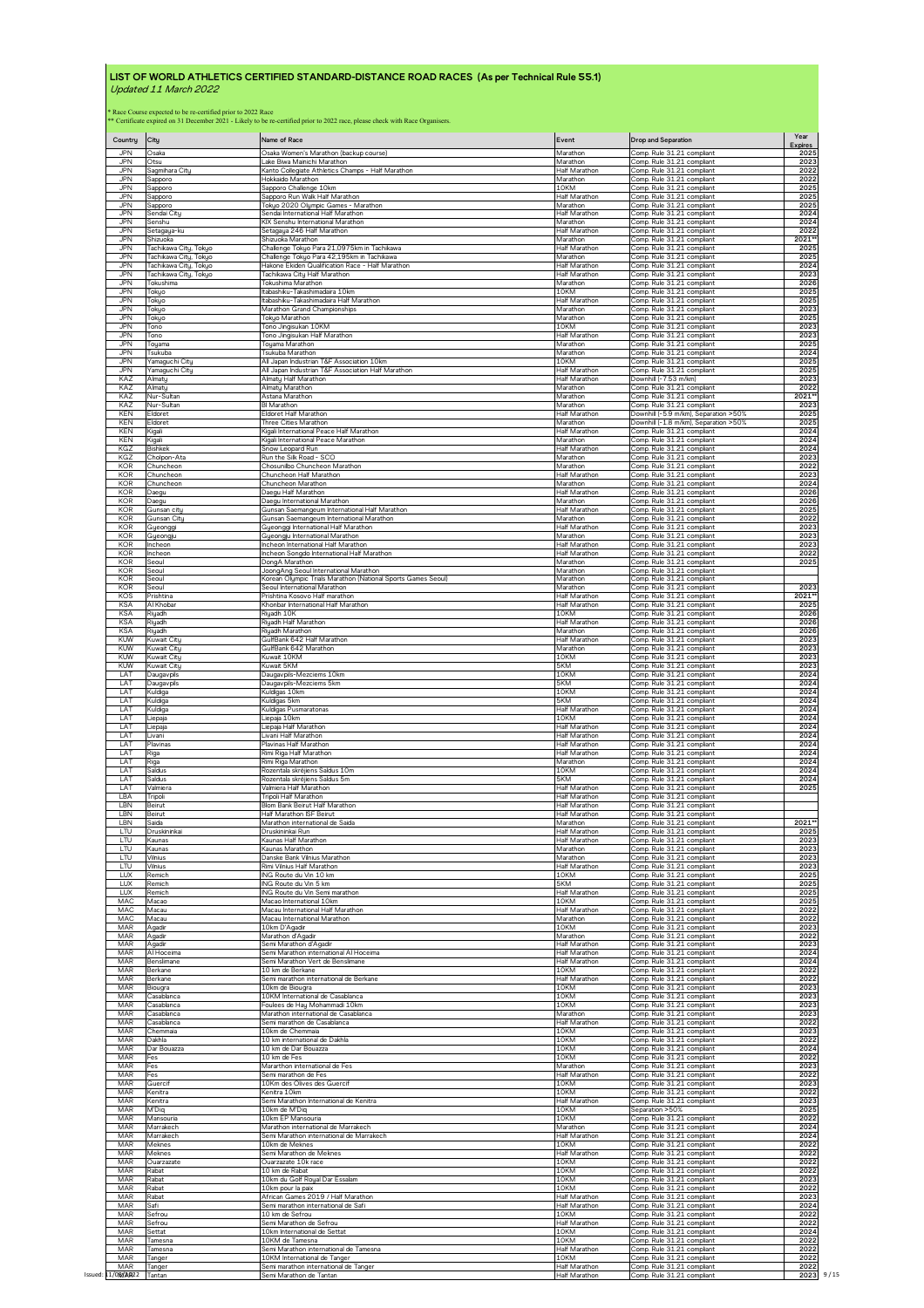| Country<br>JPN                  | City<br>Osaka                                                                                               | Name of Race<br>Osaka Women's Marathon (backup course)                           | Event<br>Marathon                 | <b>Drop and Separation</b><br>Comp. Rule 31.21 compliant | Year<br><b>Expires</b><br>2025 |
|---------------------------------|-------------------------------------------------------------------------------------------------------------|----------------------------------------------------------------------------------|-----------------------------------|----------------------------------------------------------|--------------------------------|
| <b>JPN</b>                      | Otsu                                                                                                        | Lake Biwa Mainichi Marathon                                                      | Marathon                          | Comp. Rule 31.21 compliant<br>Comp. Rule 31.21 compliant | 2023                           |
| <b>JPN</b><br><b>JPN</b><br>JPN | Sagmihara Citu<br>Sapporo                                                                                   | Kanto Collegiate Athletics Champs - Half Marathon<br>Hokkaido Marathon           | Half Marathon<br>Marathon<br>10KM | Comp. Rule 31.21 compliant                               | 2022<br>2022                   |
| JPN                             | Sapporo<br>Sapporo                                                                                          | Sapporo Challenge 10km<br>Sapporo Run Walk Half Marathon                         | Half Marathon                     | Comp. Rule 31.21 compliant<br>Comp. Rule 31.21 compliant | 2025<br>2025                   |
| <b>JPN</b>                      | Sapporo                                                                                                     | Tokyo 2020 Olympic Games - Marathon                                              | Marathon                          | Comp. Rule 31.21 compliant                               | 2025                           |
| JPN                             | Sendai Citu                                                                                                 | Sendai International Half Marathon                                               | Half Marathon                     | Comp. Rule 31.21 compliant                               | 2024                           |
| JPN                             | Senshu                                                                                                      | KIX Senshu International Marathon                                                | Marathon                          | Comp. Rule 31.21 compliant                               | 2024                           |
| JPN                             | Setagaya-ku                                                                                                 | Setagaya 246 Half Marathon                                                       | Half Marathon                     | Comp Rule 31.21 compliant                                | 2022                           |
| <b>JPN</b>                      | Shizuoka                                                                                                    | Shizuoka Marathon                                                                | Marathon                          | Comp. Rule 31.21 compliant                               | 2021*                          |
| JPN                             | Tachikawa City, Tokyo                                                                                       | Challenge Tokyo Para 21,0975km in Tachikawa                                      | <b>Half Marathon</b>              | Comp. Rule 31.21 compliant                               | 2025                           |
| JPN                             | Tachikawa City, Tokyo                                                                                       | Challenge Tokyo Para 42,195km in Tachikawa                                       | Marathon                          | Comp. Rule 31.21 compliant                               | 2025                           |
| .JPN                            | Tachikawa City, Tokyo                                                                                       | Hakone Ekiden Qualification Race - Half Marathon                                 | Half Marathon                     | Comp. Rule 31.21 compliant                               | 2024                           |
| <b>JPN</b>                      | Tachikawa City, Tokyo                                                                                       | Tachikawa City Half Marathon                                                     | <b>Half Marathon</b>              | Comp. Rule 31.21 compliant                               | 2023                           |
| JPN                             | Tokushima                                                                                                   | Tokushima Marathon                                                               | Marathon                          | Comp. Rule 31.21 compliant                               | 2026                           |
| JPN                             | Tokyo                                                                                                       | Itabashiku-Takashimadaira 10km                                                   | 10KM                              | Comp. Rule 31.21 compliant                               | 2025                           |
| <b>JPN</b>                      | Tokyo                                                                                                       | Itabashiku-Takashimadaira Half Marathon                                          | Half Marathon                     | Comp. Rule 31.21 compliant                               | 2025                           |
| <b>JPN</b>                      | Tokyo                                                                                                       | Marathon Grand Championships                                                     | Marathon                          | Comp. Rule 31.21 compliant                               | 2023                           |
| JPN                             | Tokyo                                                                                                       | Tokyo Marathon                                                                   | Marathon                          | Comp. Rule 31.21 compliant                               | 2025                           |
| <b>JPN</b>                      | Tono                                                                                                        | Tono Jingisukan 10KM                                                             | 10KM                              | Comp. Rule 31.21 compliant                               | 2023                           |
| <b>JPN</b>                      | Tono                                                                                                        | Tono Jingisukan Half Marathon                                                    | <b>Half Marathon</b>              | Comp. Rule 31.21 compliant                               | 2023                           |
| JPN                             | Toyama                                                                                                      | Toyama Marathon                                                                  | Marathon                          | Comp. Rule 31.21 compliant                               | 2025                           |
| JPN                             | Tsukuba                                                                                                     | Tsukuba Marathon                                                                 | Marathon                          | Comp. Rule 31.21 compliant                               | 2024                           |
| JPN                             | Yamaguchi City                                                                                              | All Japan Industrian T&F Association 10km                                        | 10KM                              | Comp. Rule 31.21 compliant                               | 2025                           |
| <b>JPN</b>                      | Yamaguchi City                                                                                              | All Japan Industrian T&F Association Half Marathon                               | Half Marathon                     | Comp. Rule 31.21 compliant                               | 2025                           |
| KAZ<br>KAZ                      | Almaty                                                                                                      | Almaty Half Marathon                                                             | Half Marathon                     | Downhill (-7.53 m/km)                                    | 2023                           |
| KAZ                             | Almatu                                                                                                      | Almaty Marathon                                                                  | Marathon                          | Comp. Rule 31.21 compliant                               | 2022                           |
|                                 | Nur-Sultan                                                                                                  | Astana Marathon                                                                  | Marathon                          | Comp. Rule 31.21 compliant                               | 2021**                         |
| KAZ                             | Nur-Sultan                                                                                                  | BI Marathon                                                                      | Marathon                          | Comp. Rule 31.21 compliant                               | 2023                           |
| KEN                             | Eldoret                                                                                                     | Eldoret Half Marathon                                                            | <b>Half Marathon</b>              | Downhill (-5.9 m/km), Separation >50%                    | 2025                           |
| KEN                             | Eldoret                                                                                                     | Three Cities Marathon                                                            | Marathon                          | Downhill (-1.8 m/km), Separation >50%                    | 2025                           |
| KEN                             | Kigali                                                                                                      | Kigali International Peace Half Marathon                                         | Half Marathon                     | Comp. Rule 31.21 compliant                               | 2024                           |
| <b>KEN</b>                      | Kigali                                                                                                      | Kigali International Peace Marathon                                              | Marathon                          | Comp. Rule 31.21 compliant                               | 2024                           |
| KGZ                             | <b>Bishkel</b>                                                                                              | Snow Leopard Run                                                                 | <b>Half Marathor</b>              | Comp. Rule 31.21 compliant                               | 2024                           |
| KGZ                             | Cholpon-Ata                                                                                                 | Run the Silk Road - SCO                                                          | Marathon                          | Comp. Rule 31.21 compliant                               | 2023                           |
| <b>KOR</b>                      | Chuncheor                                                                                                   | Chosunilbo Chuncheon Marathon                                                    | Marathon                          | Comp. Rule 31.21 compliant                               | 2022                           |
| <b>KOR</b>                      | Chuncheon                                                                                                   | Chuncheon Half Marathon                                                          | Half Marathon                     | Comp. Rule 31.21 compliant                               | 2023                           |
| <b>KOR</b>                      | Chuncheon                                                                                                   | Chuncheon Marathon                                                               | Marathon                          | Comp. Rule 31.21 compliant                               | 2024                           |
| KOR                             | Daegu                                                                                                       | Daegu Half Marathon                                                              | Half Marathon                     | Comp. Rule 31.21 compliant                               | 2026                           |
| KOR                             | Daegu                                                                                                       | Daegu International Marathon                                                     | Marathon                          | Comp. Rule 31.21 compliant                               | 2026                           |
| <b>KOR</b>                      | Gunsan citu                                                                                                 | Gunsan Saemangeum International Half Marathon                                    | Half Marathon                     | Comp. Rule 31.21 compliant                               | 2025                           |
| <b>KOR</b>                      | Gunsan Citu                                                                                                 |                                                                                  | Marathon                          | Comp. Rule 31.21 compliant                               | 2022                           |
| KOR<br>KOR                      | Gyeongg                                                                                                     | Gunsan Saemangeum International Marathon<br>Gyeonggi International Half Marathon | <b>Half Marathon</b><br>Marathon  | Comp. Rule 31.21 compliant                               | 2023<br>2023                   |
| <b>KOR</b>                      | Gyeongju<br>Incheon                                                                                         | Gyeongju International Marathon<br>Incheon International Half Marathon           | <b>Half Marathon</b>              | Comp. Rule 31.21 compliant<br>Comp. Rule 31.21 compliant | 2023                           |
| <b>KOR</b>                      | Incheon                                                                                                     | Incheon Songdo International Half Marathon                                       | Half Marathon                     | Comp. Rule 31.21 compliant                               | 2022                           |
| KOR                             | Seoul                                                                                                       | DongA Marathon                                                                   | Marathon                          | Comp. Rule 31.21 compliant                               | 2025                           |
| KOR                             | Seoul                                                                                                       | JoongAng Seoul International Marathon                                            | Marathon                          | Comp. Rule 31.21 compliant                               |                                |
| <b>KOR</b>                      | Seoul                                                                                                       | Korean Olympic Trials Marathon (National Sports Games Seoul)                     | Marathon                          | Comp. Rule 31.21 compliant                               |                                |
| <b>KOR</b>                      | Seoul                                                                                                       | Seoul International Marathon                                                     | Marathon                          | Comp. Rule 31.21 compliant                               | 2023                           |
| KOS                             | Prishtina                                                                                                   | Prishtina Kosovo Half marathor                                                   | Half Marathon                     | Comp. Rule 31.21 compliant                               | 2021*                          |
| <b>KSA</b>                      | Al Khoba                                                                                                    | Khonbar International Half Marathon                                              | <b>Half Marathon</b>              | Comp. Rule 31.21 compliant                               | 2025                           |
| <b>KSA</b>                      | Riyadh                                                                                                      | Riyadh 10K                                                                       | 10KM                              | Comp. Rule 31.21 compliant                               | 2026                           |
| <b>KSA</b>                      | Riuadh                                                                                                      | Riyadh Half Marathon                                                             | Half Marathon                     | Comp. Rule 31.21 compliant                               | 2026                           |
| <b>KSA</b>                      | Riyadh                                                                                                      | Riyadh Marathon                                                                  | Marathon                          | Comp. Rule 31.21 compliant                               | 2026                           |
| <b>KUW</b>                      | <b>Kuwait City</b>                                                                                          | GulfBank 642 Half Marathon                                                       | Half Marathon                     | Comp. Rule 31.21 compliant                               | 2023                           |
| <b>KUW</b>                      | Kuwait City                                                                                                 | GulfBank 642 Marathon                                                            | Marathon                          | Comp. Rule 31.21 compliant                               | 2023                           |
| <b>KUW</b>                      | Kuwait City                                                                                                 | Kuwait 10KM                                                                      | 10KM                              | Comp. Rule 31.21 compliant                               | 2023                           |
| <b>KUW</b>                      | Kuwait City                                                                                                 | Kuwait 5KM                                                                       | 5KM                               | Comp. Rule 31.21 compliant                               | 2023                           |
| LAT                             | Daugavpils                                                                                                  | Daugavpils-Mezciems 10km                                                         | 10KM                              | Comp. Rule 31.21 compliant                               | 2024                           |
| LAT                             |                                                                                                             | Daugavpils-Mezciems 5km                                                          | 5KM                               | Comp. Rule 31.21 compliant                               | 2024                           |
| LAT                             | Daugavpils<br>Kuldiga                                                                                       | Kuldigas 10km                                                                    | 10KM<br>5KM                       | Comp. Rule 31.21 compliant                               | 2024                           |
| LAT                             | <b>Kuldiga</b>                                                                                              | Kuldīgas 5km                                                                     | Half Marathon                     | Comp. Rule 31.21 compliant                               | 2024                           |
| LAT                             | <b>Kuldiga</b>                                                                                              | Kuldigas Pusmaratonas                                                            |                                   | Comp. Rule 31.21 compliant                               | 2024                           |
| LAT                             | Liepaja                                                                                                     | <u>Liepaja 10km</u>                                                              | 10KM                              | Comp. Rule 31.21 compliant                               | 2024                           |
| LAT                             | Liepaja                                                                                                     | Liepaja Half Marathon                                                            | Half Marathon                     | Comp. Rule 31.21 compliant                               | 2024                           |
| LAT                             | Livani                                                                                                      | Livani Half Marathon                                                             | <b>Half Marathon</b>              | Comp. Rule 31.21 compliant                               | 2024                           |
| LAT                             | Plavinas                                                                                                    | Plavinas Half Marathon                                                           | Half Marathon                     | Comp. Rule 31.21 compliant                               | 2024                           |
| LAT                             | Riga                                                                                                        | Rimi Riga Half Marathon                                                          | Half Marathon                     | Comp. Rule 31.21 compliant                               | 2024                           |
| LA <sub>1</sub>                 | Riqa                                                                                                        | Rimi Riga Marathon                                                               | Marathon                          | Comp. Rule 31.21 compliant                               | 2024                           |
| LAT                             | Saldus                                                                                                      | Rozentala skrējiens Saldus 10m                                                   | 10KM                              | Comp. Rule 31.21 compliant                               | 2024                           |
| <b>IAT</b>                      | Saldus                                                                                                      | Rozentala skrējiens Saldus 5m                                                    | 5KM                               | Comp. Rule 31.21 compliant                               | 2024                           |
| LAT                             | Valmiera                                                                                                    | Valmiera Half Marathon                                                           | Half Marathon                     | Comp. Rule 31.21 compliant                               | 2025                           |
| LBA                             | Tripoli                                                                                                     | Tripoli Half Marathon                                                            | <b>Half Marathor</b>              | Comp. Rule 31.21 compliant                               |                                |
| LBN                             | Beirut                                                                                                      | Blom Bank Beirut Half Marathon                                                   | Half Marathon                     | Comp. Rule 31.21 compliant                               |                                |
| LBN                             | Beirut                                                                                                      | Half Marathon ISF Beirut                                                         | Half Marathon                     | Comp. Rule 31.21 compliant                               |                                |
| LBN                             | Saida                                                                                                       | Marathon international de Saida                                                  | Marathon                          | Comp. Rule 31.21 compliant                               | 2021                           |
| LTU                             | Druskininkai                                                                                                | Druskininkai Run                                                                 | Half Marathon                     | Comp. Rule 31.21 compliant                               | 2025                           |
| LTU<br>LTU                      | Kaunas                                                                                                      | Kaunas Half Marathon                                                             | Half Marathon                     | Comp. Rule 31.21 compliant                               | 2023<br>2023                   |
| LTU                             | Kaunas<br>Vilnius                                                                                           | Kaunas Marathon<br>Danske Bank Vilnius Marathon                                  | Marathon<br>Marathon              | Comp. Rule 31.21 compliant<br>Comp. Rule 31.21 compliant | 2023                           |
| LTU                             | Vilnius                                                                                                     | Rimi Vilnius Half Marathon                                                       | Half Marathon                     | Comp. Rule 31.21 compliant                               | 2023                           |
| <b>LUX</b>                      | Remich                                                                                                      | ING Route du Vin 10 km                                                           | 10KM                              | Comp. Rule 31.21 compliant                               | 2025                           |
| TUX                             | Remich                                                                                                      | ING Route du Vin 5 km                                                            | 5KM                               | Comp. Rule 31.21 compliant                               | 2025                           |
| LUX                             | Remich                                                                                                      | ING Route du Vin Semi marathon                                                   | Half Marathon                     | Comp. Rule 31.21 compliant                               | 2025                           |
| <b>MAC</b>                      | Macao                                                                                                       | Macao International 10km                                                         | 10KM                              | Comp. Rule 31.21 compliant                               | 2025                           |
| MAC                             | Macau                                                                                                       | Macau International Half Marathon                                                | Half Marathon                     | Comp. Rule 31.21 compliant                               | 2022                           |
| MAC                             | Macau                                                                                                       | Macau International Marathon                                                     | Marathon                          | Comp. Rule 31.21 compliant                               | 2022                           |
| MAR                             | Agadir                                                                                                      | 10km D'Agadir                                                                    | 10KM                              | Comp. Rule 31.21 compliant                               | 2023                           |
| MAR                             | Agadir                                                                                                      | Marathon d'Agadir                                                                | Marathon                          | Comp. Rule 31.21 compliant                               | 2022                           |
| MAR                             | Agadir                                                                                                      | Semi Marathon d'Agadir                                                           | <b>Half Marathon</b>              | Comp. Rule 31.21 compliant                               | 2023                           |
| MAR                             | Al Hoceima                                                                                                  | Semi Marathon international Al Hoceima                                           | Half Marathon                     | Comp. Rule 31.21 compliant                               | 2024                           |
| MAR                             | Benslimane                                                                                                  | Semi Marathon Vert de Benslimane                                                 | Half Marathon                     | Comp. Rule 31.21 compliant                               | 2024                           |
| MAR                             | Berkane                                                                                                     | 10 km de Berkane                                                                 | 10KM                              | Comp. Rule 31.21 compliant                               | 2022                           |
| MAR                             | Berkane                                                                                                     | Semi marathon international de Berkane                                           | <b>Half Marathon</b>              | Comp. Rule 31.21 compliant                               | 2022                           |
| MAR<br>MAR                      | Biouara                                                                                                     | 10km de Biougra                                                                  | 10KM<br>10KM                      | Comp. Rule 31.21 compliant                               | 2023<br>2023                   |
| MAR                             | Casablanca<br>Casablanca                                                                                    | 10KM International de Casablanca<br>Foulees de Hay Mohammadi 10km                | 10KM                              | Comp. Rule 31.21 compliant<br>Comp. Rule 31.21 compliant | 2023                           |
| MAR                             | Casablanca                                                                                                  | Marathon international de Casablanca                                             | Marathon                          | Comp. Rule 31.21 compliant                               | 2023                           |
| MAR                             | Casablanca                                                                                                  | Semi marathon de Casablanca                                                      | Half Marathon                     | Comp. Rule 31.21 compliant                               | 2022                           |
| MAR                             | Chemmaia                                                                                                    | 10km de Chemmaia                                                                 | 10KM                              | Comp. Rule 31.21 compliant                               | 2023                           |
| MAR                             | Dakhla                                                                                                      | 10 km international de Dakhla                                                    | 10KM                              | Comp. Rule 31.21 compliant                               | 2022                           |
| MAR                             | Dar Bouazza                                                                                                 | 10 km de Dar Bouazza                                                             | 10KM                              | Comp. Rule 31.21 compliant                               | 2024                           |
| MAR                             | Fes                                                                                                         | 10 km de Fes                                                                     | 10KM                              | Comp. Rule 31.21 compliant                               | 2022                           |
| MAR                             | Fes                                                                                                         | Mararthon international de Fes                                                   | Marathon                          | Comp. Rule 31.21 compliant                               | 2023                           |
| MAR                             | Fes                                                                                                         | Semi marathon de Fes                                                             | Half Marathon                     | Comp. Rule 31.21 compliant                               | 2022                           |
| MAR                             | Guercif                                                                                                     | 10Km des Olives des Guercif                                                      | 10KM                              | Comp. Rule 31.21 compliant                               | 2023                           |
| MAR                             | <enitra< td=""><td>Kenitra 10km</td><td>10KM</td><td>Comp. Rule 31.21 compliant</td><td>2022</td></enitra<> | Kenitra 10km                                                                     | 10KM                              | Comp. Rule 31.21 compliant                               | 2022                           |
| MAR                             | Kenitra                                                                                                     | Semi Marathon International de Kenitra                                           | Half Marathon                     | Comp. Rule 31.21 compliant                               | 2023                           |
| MAR                             | M'Diq                                                                                                       | 10km de M'Diq                                                                    | 10KM                              | Separation > 50%                                         | 2025                           |
| MAR                             | Mansouria                                                                                                   | 10km EP Mansouria                                                                | 10KM                              | Comp. Rule 31.21 compliant                               | 2022                           |
| MAR                             | Marrakech                                                                                                   | Marathon international de Marrakech                                              | Marathon                          | Comp. Rule 31.21 compliant                               | 2024                           |
| MAR<br>MAR                      | Marrakech                                                                                                   | Semi Marathon international de Marrakech                                         | Half Marathon<br>10KM             | Comp. Rule 31.21 compliant                               | 2024                           |
| MAR                             | Meknes<br>Meknes                                                                                            | 10km de Meknes<br>Semi Marathon de Meknes                                        | Half Marathon                     | Comp. Rule 31.21 compliant<br>Comp. Rule 31.21 compliant | 2022<br>2022                   |
| MAR                             | Ouarzazate                                                                                                  | Ouarzazate 10k race                                                              | 10KM                              | Comp. Rule 31.21 compliant                               | 2022                           |
| MAR                             | Rabat                                                                                                       | 10 km de Rabat                                                                   | 10KM                              | Comp. Rule 31.21 compliant                               | 2022                           |
| MAR                             | Rabat                                                                                                       | 10km du Golf Royal Dar Essalam                                                   | 10KM                              | Comp. Rule 31.21 compliant                               | 2023                           |
| MAR                             | Rabat                                                                                                       | 10km pour la paix                                                                | 10KM                              | Comp. Rule 31.21 compliant                               | 2022                           |
| MAR                             | Rabat                                                                                                       | African Games 2019 / Half Marathon                                               | <b>Half Marathon</b>              | Comp. Rule 31.21 compliant                               | 2023                           |
| MAR                             | Safi                                                                                                        | Semi marathon international de Safi                                              | Half Marathon                     | Comp. Rule 31.21 compliant                               | 2024                           |
| MAR                             | Sefrou                                                                                                      | 10 km de Sefrou                                                                  | 10KM                              | Comp. Rule 31.21 compliant                               | 2022                           |
| MAR                             | Sefrou                                                                                                      | Semi Marathon de Sefrou                                                          | Half Marathon                     | Comp. Rule 31.21 compliant                               | 2022                           |
| MAR                             | Settat                                                                                                      | 10km International de Settat                                                     | 10KM                              | Comp. Rule 31.21 compliant                               | 2024                           |
| MAR                             | Tamesna                                                                                                     | 10KM de Tamesna                                                                  | 10KM                              | Comp. Rule 31.21 compliant                               | 2022                           |
| MAR                             | Tamesna                                                                                                     | Semi Marathon international de Tamesna                                           | Half Marathon                     | Comp. Rule 31.21 compliant                               | 2022                           |
| MAR                             |                                                                                                             | 10KM International de Tange                                                      | 10KM                              | Comp. Rule 31.21 compliant                               | 2022                           |
| MAR                             | Tanger<br>Tanger                                                                                            | Semi marathon international de Tanger                                            | <b>Half Marathon</b>              | Comp. Rule 31.21 compliant                               | 2022                           |
| Issued: 11/08/A022 Tantan       |                                                                                                             | Semi Marathon de Tantan                                                          | Half Marathon                     | Comp. Rule 31.21 compliant                               | 2023                           |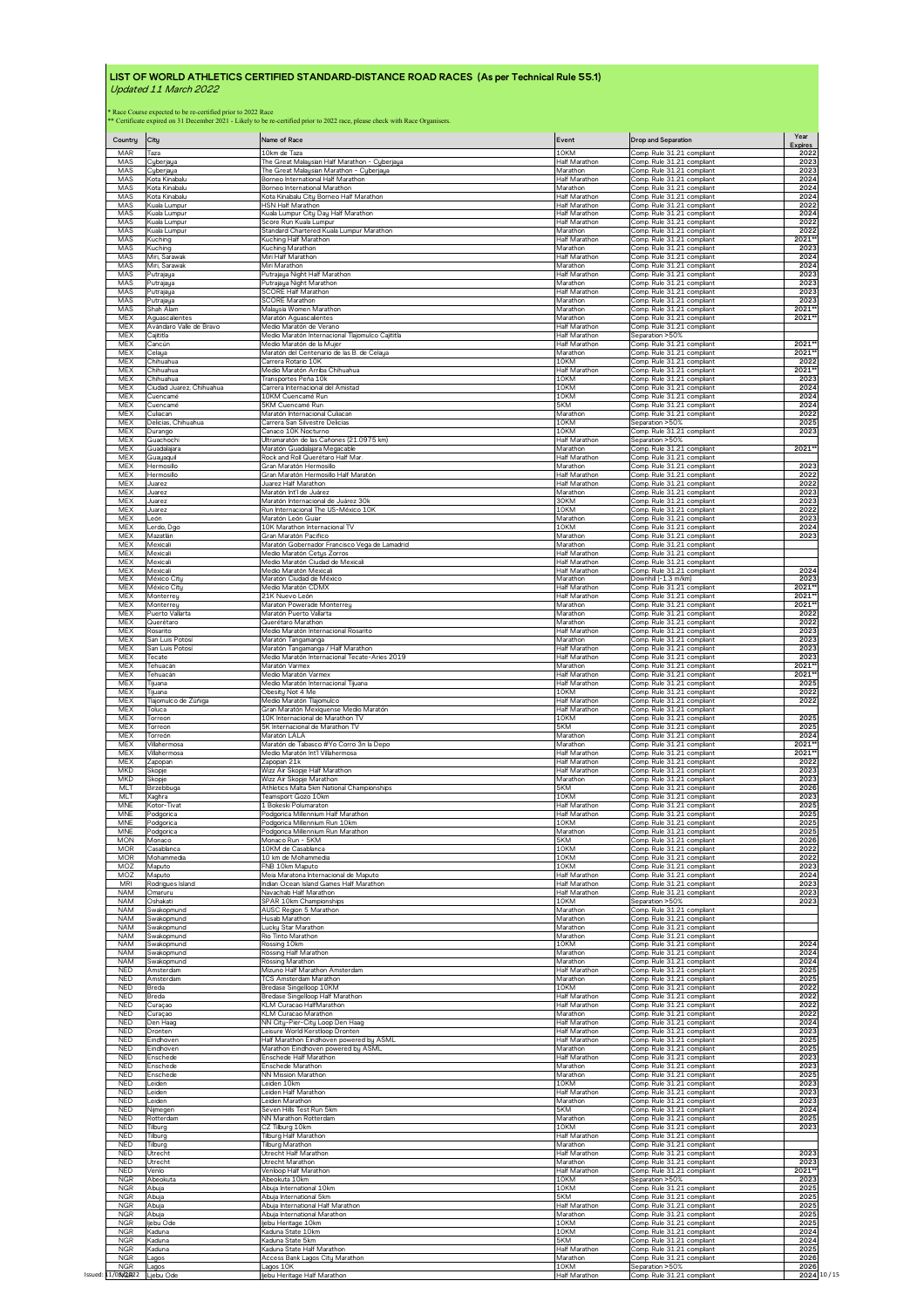| Country            | City                                                                                                           | Name of Race                                     | Event                | <b>Drop and Separation</b>                              | Year<br><b>Expires</b> |
|--------------------|----------------------------------------------------------------------------------------------------------------|--------------------------------------------------|----------------------|---------------------------------------------------------|------------------------|
| MAR                | Taza                                                                                                           | 10km de Taza                                     | 10KM                 | Comp. Rule 31.21 compliant                              | 2022                   |
| MAS                | Cyberjaya                                                                                                      | The Great Malaysian Half Marathon - Cyberjaya    | Half Marathon        | Comp. Rule 31.21 compliant                              | 2023                   |
| MAS                | Cyberjaya                                                                                                      | The Great Malaysian Marathon - Cyberjaya         | Marathon             | Comp. Rule 31.21 compliant                              | 2023                   |
| MAS                | Kota Kinabalu                                                                                                  | Borneo International Half Marathon               | Half Marathon        | Comp. Rule 31.21 compliant                              | 2024                   |
| MAS                | Kota Kinabalu                                                                                                  | Borneo International Marathon                    | Marathon             | Comp. Rule 31.21 compliant                              | 2024                   |
| MAS                | Kota Kinabalu                                                                                                  | Kota Kinabalu City Borneo Half Marathon          | <b>Half Marathon</b> | Comp. Rule 31.21 compliant                              | 2024                   |
| MAS                | Kuala Lumpu                                                                                                    | HSN Half Marathon                                | Half Marathon        | Comp. Rule 31.21 compliant                              | 2022                   |
| MAS                |                                                                                                                | Kuala Lumpur City Day Half Marathon              | <b>Half Marathor</b> | Comp. Rule 31.21 compliant                              | 2024                   |
| MAS                | Kuala Lumpur<br>Kuala Lumpur                                                                                   | Score Run Kuala Lumpur                           | Half Marathon        | Comp. Rule 31.21 compliant                              | 2022                   |
| MAS                | Kuala Lumpur                                                                                                   | Standard Chartered Kuala Lumpur Marathon         | Marathon             | Comp. Rule 31.21 compliant                              | 2022                   |
| MAS                | Kuching                                                                                                        | Kuching Half Marathon                            | Half Marathon        | Comp. Rule 31.21 compliant                              | 2021*                  |
| MAS                | <b>Kuching</b>                                                                                                 | Kuching Marathon                                 | Marathon             | Comp. Rule 31.21 compliant                              | 2023                   |
| MAS                | Miri, Sarawak                                                                                                  | Miri Half Marathon                               | Half Marathon        | Comp. Rule 31.21 compliant                              | 2024                   |
| MAS                | Miri, Sarawak                                                                                                  | Miri Marathon                                    | Marathon             | Comp. Rule 31.21 compliant                              | 2024                   |
| MAS                | Putraiaua                                                                                                      | Putrajaya Night Half Marathon                    | Half Marathon        | Comp. Rule 31.21 compliant                              | 2023                   |
| MAS                | Putrajaya                                                                                                      | Putrajaya Night Marathon                         | Marathon             | Comp. Rule 31.21 compliant                              | 2023                   |
| MAS                | Putrajaya                                                                                                      | <b>SCORE Half Marathon</b>                       | Half Marathon        | Comp. Rule 31.21 compliant                              | 2023                   |
| MAS                | Putrajaya                                                                                                      | SCORE Marathon                                   | Marathon             | Comp. Rule 31.21 compliant                              | 2023                   |
| MAS                | Shah Alam                                                                                                      | Malausia Women Marathon                          | Marathon             | Comp. Rule 31.21 compliant                              | 2021                   |
| <b>MEX</b>         | Aguascalientes                                                                                                 | Maratón Aguascalientes                           | Marathon             | Comp. Rule 31.21 compliant                              | 2021                   |
| <b>MEX</b>         | Avándaro Valle de Bravo                                                                                        | Medio Maratón de Verano                          | Half Marathor        | Comp. Rule 31.21 compliant                              |                        |
| <b>MEX</b>         | Caiititla                                                                                                      | Medio Maratón Internacional Tlajomulco Cajititla | <b>Half Marathon</b> | Separation >50%                                         |                        |
| <b>MEX</b>         | Cancún                                                                                                         | Medio Maratón de la Mujer                        | <b>Half Marathon</b> | Comp. Rule 31.21 compliant                              | 2021                   |
| MEX                | Celaya                                                                                                         | Maratón del Centenario de las B. de Celaya       | Marathon             | Comp. Rule 31.21 compliant                              | 2021'                  |
| <b>MEX</b>         | Chihuahua                                                                                                      | Carrera Rotario 10K                              | 10KM                 | Comp. Rule 31.21 compliant                              | 2022                   |
| <b>MEX</b>         | Chihuahua                                                                                                      | Medio Maratón Arriba Chihuahua                   | Half Marathon        | Comp. Rule 31.21 compliant                              | 2021*                  |
| <b>MEX</b>         | Chihuahua                                                                                                      | Transportes Peña 10k                             | 10KM                 | Comp. Rule 31.21 compliant                              | 2023                   |
| MEX                | Ciudad Juarez, Chihuahua                                                                                       | Carrera Internacional del Amistad                | 10KM                 | Comp. Rule 31.21 compliant                              | 2024                   |
| <b>MEX</b>         | Cuencamé                                                                                                       | 10KM Cuencamé Run                                | 10KM                 | Comp. Rule 31.21 compliant                              | 2024                   |
| <b>MEX</b>         | Cuencamé                                                                                                       | 5KM Cuencamé Run                                 | 5KM                  | Comp. Rule 31.21 compliant                              | 2024                   |
| <b>MEX</b>         | Culiacan                                                                                                       | Maratón Internacional Culiacan                   | Marathon             | Comp. Rule 31.21 compliant                              | 2022                   |
| MEX                | Delicias, Chihuahua                                                                                            | Carrera San Silvestre Delicias                   | 10KM                 | Separation >50%                                         | 2025                   |
| <b>MEX</b>         | Durango                                                                                                        | Canaco 10K Nocturno                              | 10KM                 | Comp. Rule 31.21 compliant                              | 2023                   |
| MEX                | Guachochi                                                                                                      | Ultramaratón de las Cañones (21.0975 km)         | Half Marathon        | Separation > 50%                                        |                        |
| <b>MEX</b>         | Guadalajara                                                                                                    | Maratón Guadalajara Megacable                    | Marathon             | Comp. Rule 31.21 compliant                              | 2021*                  |
| MEX                | Guauaquil                                                                                                      | Rock and Roll Querétaro Half Mar                 | <b>Half Marathor</b> | Comp. Rule 31.21 compliant                              | 2023                   |
| <b>MFX</b>         | Hermosillo                                                                                                     | Gran Maratón Hermosillo                          | Marathon             | Comp. Rule 31.21 compliant                              |                        |
| <b>MEX</b>         | Hermosillo                                                                                                     | Gran Maratón Hermosillo Half Maratón             | <b>Half Marathor</b> | Comp. Rule 31.21 compliant                              | 2022                   |
| <b>MEX</b>         | Juarez                                                                                                         | Juarez Half Marathon                             | Half Marathon        | Comp. Rule 31.21 compliant                              | 2022                   |
| <b>MEX</b>         | Juarez                                                                                                         | Maratón Int'l de Juárez                          | Marathon             | Comp. Rule 31.21 compliant<br>Comp Rule 31.21 compliant | 2023                   |
| <b>MEX</b>         | Juarez                                                                                                         | Maratón Internacional de Juárez 30k              | 30KM                 | Comp. Rule 31.21 compliant                              | 2023                   |
| <b>MEX</b>         | Juarez                                                                                                         | Run Internacional The US-México 10K              | 10KM                 |                                                         | 2022                   |
| MEX                | _eón                                                                                                           | Maratón León Guiar                               | Marathon             | Comp. Rule 31.21 compliant                              | 2023                   |
| <b>MEX</b>         | Lerdo, Dgo                                                                                                     | 10K Marathon Internacional TV                    | 10KM                 | Comp. Rule 31.21 compliant                              | 2024                   |
| <b>MEX</b>         | Mazatlán                                                                                                       | Gran Maratón Pacifico                            | Marathon             | Comp Rule 31.21 compliant                               | 2023                   |
| <b>MEX</b>         | Mexical                                                                                                        | Maratón Gobernador Francisco Vega de Lamadrid    | Marathon             | Comp. Rule 31.21 compliant                              |                        |
| <b>MEX</b>         | Mexicali                                                                                                       | Medio Maratón Cetus Zorros                       | Half Marathon        | Comp. Rule 31.21 compliant                              |                        |
| <b>MEX</b>         | Mexicali                                                                                                       | Medio Maratón Ciudad de Mexicali                 | <b>Half Marathon</b> | Comp. Rule 31.21 compliant                              | 2024                   |
| <b>MEX</b>         | Mexicali                                                                                                       | Medio Maratón Mexicali                           | Half Marathon        | Comp. Rule 31.21 compliant                              |                        |
| <b>MEX</b>         | México Citu                                                                                                    | Maratón Ciudad de México                         | Marathon             | Downhill (-1.3 m/km)                                    | 202                    |
| MEX                | México Citu                                                                                                    | Medio Maratón CDMX                               | Half Marathor        | Comp. Rule 31.21 compliant                              | 2021*                  |
| <b>MFX</b>         | Monterrey                                                                                                      | 21K Nuevo León                                   | <b>Half Marathor</b> | Comp. Rule 31.21 compliant                              | 2021                   |
| MEX                | Monterreu                                                                                                      | Maraton Powerade Monterreu                       | Marathon             | Comp. Rule 31.21 compliant                              | 2021*                  |
| <b>MEX</b>         | Puerto Vallarta                                                                                                | Maratón Puerto Vallarta                          | Marathon             | Comp. Rule 31.21 compliant                              | 2022                   |
| <b>MEX</b>         | Querétaro                                                                                                      | Querétaro Marathon                               | Marathon             | Comp. Rule 31.21 compliant                              | 2022                   |
| <b>MEX</b>         | Rosarito                                                                                                       | Medio Maratón Internacional Rosarito             | Half Marathon        | Comp. Rule 31.21 compliant                              | 2023                   |
| MEX                | San Luis Potosí                                                                                                | Maratón Tangamanga                               | Marathon             | Comp. Rule 31.21 compliant                              | 2023                   |
| MEX                | San Luis Potosi                                                                                                | Maratón Tangamanga / Half Marathon               | Half Marathon        | Comp. Rule 31.21 compliant                              | 2023                   |
| <b>MEX</b>         | Tecate                                                                                                         | Medio Maratón Internacional Tecate-Aries 2019    | <b>Half Marathor</b> | Comp. Rule 31.21 compliant                              | 2023                   |
| <b>MEX</b>         | Tehuacán                                                                                                       | Maratón Varmex                                   | Marathon             | Comp. Rule 31.21 compliant                              | 2021*                  |
| <b>MEX</b>         | Tehuacár                                                                                                       | Medio Maratón Varmex                             | <b>Half Marathor</b> | Comp. Rule 31.21 compliant                              | 2021*                  |
| <b>MEX</b>         | Tijuana                                                                                                        | Medio Maratón Internacional Tijuana              | <b>Half Marathon</b> | Comp. Rule 31.21 compliant                              | 2025                   |
| <b>MEX</b>         | Tijuana                                                                                                        | Obesity Not 4 Me                                 | 10KM                 | Comp. Rule 31.21 compliant                              | 2022                   |
| <b>MEX</b>         | Tlajomulco de Zúñiga                                                                                           | Medio Maratón Tlajomulco                         | Half Marathon        | Comp. Rule 31.21 compliant                              | 2022                   |
| MEX                | Toluca                                                                                                         | Gran Maratón Mexiquense Medio Maratón            | Half Marathon        | Comp. Rule 31.21 compliant                              | 2025                   |
| MEX                | Torreor                                                                                                        | 10K Internacional de Marathon TV                 | 10KM                 | Comp. Rule 31.21 compliant                              |                        |
| <b>MFX</b>         | Torreon                                                                                                        | 5K Internacional de Marathon TV                  | 5KM                  | Comp. Rule 31.21 compliant                              | 2025                   |
| MEX                | Torreón                                                                                                        | Maratón LALA                                     | Marathon             | Comp. Rule 31.21 compliant                              | 2024                   |
| <b>MEX</b>         | Villahermosa                                                                                                   | Maratón de Tabasco #Yo Corro 3n la Depo          | Marathon             | Comp. Rule 31.21 compliant                              | 2021*                  |
| <b>MEX</b>         | Villahermosa                                                                                                   | Medio Maratón Int'l Villahermosa                 | <b>Half Marathon</b> | Comp. Rule 31.21 compliant                              | 2021                   |
| <b>MEX</b>         | Zapopan                                                                                                        | Zapopan 21k                                      | Half Marathon        | Comp. Rule 31.21 compliant                              | 2022                   |
| <b>MKD</b>         | Skopje                                                                                                         | Wizz Air Skopje Half Marathon                    | Half Marathon        | Comp. Rule 31.21 compliant                              | 2023                   |
| MKD                | Skopje                                                                                                         | Wizz Air Skopje Marathon                         | Marathon             | Comp. Rule 31.21 compliant                              | 2023                   |
| <b>MLT</b>         | Birzebbuga                                                                                                     | Athletics Malta 5km National Championships       | 5KM                  | Comp. Rule 31.21 compliant                              | 2026                   |
| MLT                |                                                                                                                | Teamsport Gozo 10km                              | 10KM                 | Comp. Rule 31.21 compliant                              | 2023                   |
| MNE                | Xaghra<br>Kotor-Tivat                                                                                          | 1 Bokeski Polumaraton                            | <b>Half Marathor</b> | Comp. Rule 31.21 compliant                              | 2025                   |
| MNE                | Podgorica                                                                                                      | Podgorica Millennium Half Marathon               | <b>Half Marathon</b> | Comp. Rule 31.21 compliant                              | 2025                   |
| MNF                | Podgorica                                                                                                      | Podaorica Millennium Run 10km                    | 10KM                 | Comp. Rule 31.21 compliant                              | 2025                   |
| MNE                | Podgorica                                                                                                      | Podgorica Millennium Run Marathon                | Marathon             | Comp. Rule 31.21 compliant                              | 2025                   |
| <b>MON</b>         | Monaco                                                                                                         | Monaco Run - 5KM                                 | 5KM                  | Comp. Rule 31.21 compliant                              | 2026                   |
| <b>MOR</b>         | Casablanca                                                                                                     | 10KM de Casablanca                               | 10KM                 | Comp. Rule 31.21 compliant                              | 2022                   |
| <b>MOR</b>         | Mohammedia                                                                                                     | 10 km de Mohammedia                              | 10KM                 | Comp. Rule 31.21 compliant                              | 2022                   |
| MOZ                | Maputo                                                                                                         | FNB 10km Maputo                                  | 10KM                 | Comp. Rule 31.21 compliant                              | 2023                   |
| MOZ                | Maputo                                                                                                         | Meia Maratona Internacional de Maputo            | Half Marathon        | Comp. Rule 31.21 compliant                              | 2024                   |
| MRI                | Rodrigues Island                                                                                               | Indian Ocean Island Games Half Marathon          | Half Marathon        | Comp. Rule 31.21 compliant                              | 2023                   |
| <b>NAM</b>         | Omaruru                                                                                                        | Navachab Half Marathon                           | Half Marathon        | Comp. Rule 31.21 compliant                              | 2023                   |
| <b>NAM</b>         | Oshakati                                                                                                       | SPAR 10km Championships                          | 10KM                 |                                                         | 2023                   |
| <b>NAM</b>         | Swakopmund                                                                                                     | AUSC Region 5 Marathon                           | Marathon             | Separation >50%<br>Comp. Rule 31.21 compliant           |                        |
| <b>NAM</b>         | Swakopmund                                                                                                     | Husab Marathon                                   | Marathon             | Comp. Rule 31.21 compliant                              |                        |
| <b>NAM</b>         | Swakoomund                                                                                                     | Lucku Star Marathon                              | Marathon             | Comp. Rule 31.21 compliant                              |                        |
| <b>NAM</b>         | Swakopmund                                                                                                     | Rio Tinto Marathon                               | Marathon             | Comp. Rule 31.21 compliant                              | 2024                   |
| <b>NAM</b>         | Swakopmund                                                                                                     | Rossing 10km                                     | 10KM                 | Comp. Rule 31.21 compliant                              |                        |
| <b>NAM</b>         | Swakopmund                                                                                                     | Rössing Half Marathon                            | Marathon             | Comp. Rule 31.21 compliant                              | 2024                   |
| <b>NAM</b>         | Swakonmund                                                                                                     | Rössing Marathon                                 | Marathon             | Comp. Rule 31.21 compliant                              | 2024                   |
| <b>NED</b>         | Amsterdam                                                                                                      | Mizuno Half Marathon Amsterdam                   | Half Marathon        | Comp. Rule 31.21 compliant                              | 2025                   |
| <b>NED</b>         | Amsterdam                                                                                                      | TCS Amsterdam Marathon                           | Marathon             | Comp. Rule 31.21 compliant                              | 2025                   |
| <b>NED</b>         | Breda                                                                                                          | Bredase Singelloop 10KM                          | 10KM                 | Comp. Rule 31.21 compliant                              | 2022                   |
| <b>NED</b>         | Breda                                                                                                          | Bredase Singelloop Half Marathon                 | Half Marathon        | Comp. Rule 31.21 compliant                              | 2022                   |
| <b>NED</b>         | Curaçao                                                                                                        | KLM Curacao HalfMarathon                         | Half Marathon        | Comp. Rule 31.21 compliant                              | 2022                   |
| <b>NED</b>         | Curaçao                                                                                                        | KLM Curacao Marathon                             | Marathon             | Comp. Rule 31.21 compliant                              | 2022                   |
| <b>NED</b>         | Den Haag                                                                                                       | NN City-Pier-City Loop Den Haag                  | Half Marathon        | Comp. Rule 31.21 compliant                              | 2024                   |
| <b>NED</b>         | Dronten                                                                                                        | Leisure World Kerstloop Dronten                  | Half Marathon        | Comp. Rule 31.21 compliant                              | 2023                   |
| <b>NED</b>         | Eindhoven                                                                                                      | Half Marathon Eindhoven powered by ASML          | <b>Half Marathon</b> | Comp. Rule 31.21 compliant                              | 2025                   |
| <b>NED</b>         | Eindhoven                                                                                                      | Marathon Eindhoven powered by ASML               | Marathon             | Comp. Rule 31.21 compliant                              | 2025                   |
| <b>NED</b>         | Enschede                                                                                                       | Enschede Half Marathon                           | Half Marathon        | Comp. Rule 31.21 compliant                              | 2023                   |
| <b>NED</b>         | Enschede                                                                                                       | Enschede Marathon                                | Marathon             | Comp. Rule 31.21 compliant                              | 2023                   |
| <b>NED</b>         | Enschede                                                                                                       | NN Mission Marathon                              | Marathon             | Comp. Rule 31.21 compliant                              | 2025                   |
| NED                | Leiden                                                                                                         | Leiden 10km                                      | 10KM                 | Comp. Rule 31.21 compliant                              | 2023                   |
| <b>NED</b>         | Leiden                                                                                                         | Leiden Half Marathon                             | Half Marathon        | Comp. Rule 31.21 compliant                              | 2023                   |
| <b>NED</b>         | eiden                                                                                                          | Leiden Marathon                                  | Marathon             | Comp. Rule 31.21 compliant                              | 2023                   |
| <b>NED</b>         | Nijmegen                                                                                                       | Seven Hills Test Run 5km                         | 5KM                  | Comp. Rule 31.21 compliant                              | 2024                   |
| <b>NED</b>         | Rotterdam                                                                                                      | NN Marathon Rotterdam                            | Marathon             | Comp. Rule 31.21 compliant                              | 2025                   |
| <b>NED</b>         | Tilburg                                                                                                        | CZ Tilburg 10km                                  | 10KM                 | Comp. Rule 31.21 compliant                              | 2023                   |
| <b>NED</b>         | Tilburg                                                                                                        | Tilburg Half Marathon                            | Half Marathon        | Comp. Rule 31.21 compliant                              |                        |
| <b>NED</b>         | Tilburg                                                                                                        | Tilburg Marathon                                 | Marathon             | Comp. Rule 31.21 compliant                              |                        |
| <b>NED</b>         | Utrecht                                                                                                        | Utrecht Half Marathon                            | Half Marathon        | Comp. Rule 31.21 compliant                              | 2023                   |
| <b>NED</b>         | Utrecht                                                                                                        | Utrecht Marathon                                 | Marathon             | Comp. Rule 31.21 compliant                              | 2023                   |
| <b>NED</b>         | Venlo                                                                                                          | Venloop Half Marathon                            | Half Marathon        | Comp. Rule 31.21 compliant                              | 2021**                 |
| <b>NGR</b>         | Abeokuta                                                                                                       | Abeokuta 10km                                    | 10KM                 | Separation >50%                                         | 2023                   |
| <b>NGR</b>         | Abuia                                                                                                          | Abuia International 10km                         | 10KM                 | Comp. Rule 31.21 compliant                              | 2025                   |
| <b>NGR</b>         | Abuja                                                                                                          | Abuja International 5km                          | 5KM                  | Comp. Rule 31.21 compliant                              | 2025                   |
| <b>NGR</b>         | Abuja                                                                                                          | Abuja International Half Marathon                | <b>Half Marathon</b> | Comp. Rule 31.21 compliant                              | 2025                   |
| <b>NGR</b>         | Abuja                                                                                                          | Abuja International Marathon                     | Marathon             | Comp. Rule 31.21 compliant                              | 2025                   |
| <b>NGR</b>         | iebu Ode                                                                                                       | ljebu Heritage 10km                              | 10KM                 | Comp. Rule 31.21 compliant                              | 2025                   |
| <b>NGR</b>         | <aduna< td=""><td>Kaduna State 10km</td><td>10KM</td><td>Comp. Rule 31.21 compliant</td><td>2024</td></aduna<> | Kaduna State 10km                                | 10KM                 | Comp. Rule 31.21 compliant                              | 2024                   |
| <b>NGR</b>         | Kaduna                                                                                                         | Kaduna State 5km                                 | 5KM                  | Comp. Rule 31.21 compliant                              | 2024                   |
| <b>NGR</b>         | Kaduna                                                                                                         | Kaduna State Half Marathon                       | Half Marathon        | Comp. Rule 31.21 compliant                              | 2025                   |
| <b>NGR</b>         | Lagos                                                                                                          | Access Bank Lagos City Marathon                  | Marathon             | Comp. Rule 31.21 compliant                              | 2026                   |
| <b>NGR</b>         | Lagos                                                                                                          | Lagos 10K                                        | 10KM                 | Separation >50%                                         | 2026                   |
| Issued: 11/0BJQ022 | Ljebu Ode                                                                                                      | ljebu Heritage Half Marathon                     | Half Marathon        | Comp. Rule 31.21 compliant                              | 2024                   |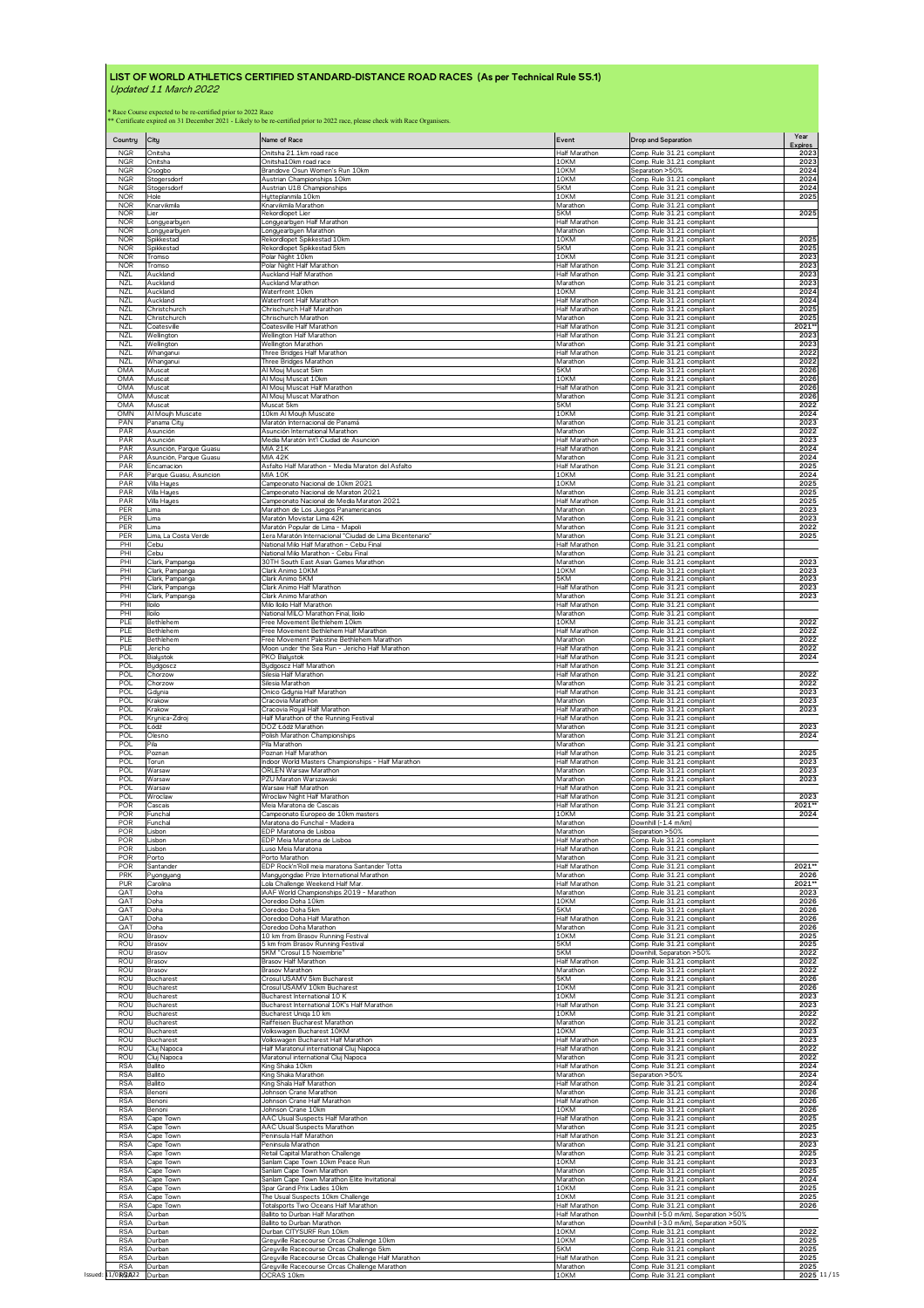| Country                  | City                                                                                                               | Name of Race                                                                   | Event                                      | <b>Drop and Separation</b>                                                             | Year<br><b>Expires</b> |
|--------------------------|--------------------------------------------------------------------------------------------------------------------|--------------------------------------------------------------------------------|--------------------------------------------|----------------------------------------------------------------------------------------|------------------------|
| <b>NGR</b>               | Onitsha                                                                                                            | Onitsha 21.1km road race                                                       | Half Marathon                              | Comp. Rule 31.21 compliant                                                             | 2023                   |
| <b>NGR</b>               | Onitsha                                                                                                            | Onitsha10km road race                                                          | 10KM                                       | Comp. Rule 31.21 compliant                                                             | 2023                   |
| <b>NGR</b>               | Osogbo                                                                                                             | Brandove Osun Women's Run 10km                                                 | 10KM                                       | Separation >50%                                                                        | 2024                   |
| <b>NGR</b>               | Stogersdorf                                                                                                        | Austrian Championships 10km                                                    | 10KM                                       | Comp. Rule 31.21 compliant                                                             | 2024                   |
| <b>NGR</b>               | Stogersdorf                                                                                                        | Austrian U18 Championships                                                     | 5KM                                        | Comp. Rule 31.21 compliant                                                             | 2024                   |
| <b>NOR</b>               | Hole                                                                                                               | Hytteplanmila 10km                                                             | 10KM                                       | Comp. Rule 31.21 compliant                                                             | 2025                   |
| <b>NOR</b>               | Knarvikmila                                                                                                        | Knarvikmila Marathon                                                           | Marathon                                   | Comp. Rule 31.21 compliant                                                             | 2025                   |
| <b>NOR</b>               | Lier                                                                                                               | Rekordlopet Lier                                                               | 5KM                                        | Comp. Rule 31.21 compliant                                                             |                        |
| <b>NOR</b>               | Longyearbyen                                                                                                       | Longyearbyen Half Marathon                                                     | Half Marathon                              | Comp. Rule 31.21 compliant                                                             |                        |
| <b>NOR</b>               | Longyearbyen                                                                                                       | Longyearbyen Marathon                                                          | Marathon                                   | Comp. Rule 31.21 compliant                                                             |                        |
| <b>NOR</b>               | Spikkestad                                                                                                         | Rekordlopet Spikkestad 10km                                                    | 10KM                                       | Comp. Rule 31.21 compliant                                                             | 2025                   |
| <b>NOR</b>               | Spikkestad                                                                                                         | Rekordlopet Spikkestad 5km                                                     | 5KM                                        | Comp. Rule 31.21 compliant                                                             | 2025                   |
| <b>NOR</b>               | Tromso                                                                                                             | Polar Night 10km                                                               | 10KM                                       | Comp. Rule 31.21 compliant                                                             | 2023                   |
| <b>NOR</b>               | Tromso                                                                                                             | Polar Night Half Marathon                                                      | <b>Half Marathon</b>                       | Comp. Rule 31.21 compliant                                                             | 2023                   |
| <b>NZL</b>               | Auckland                                                                                                           | Auckland Half Marathon                                                         | Half Marathon                              | Comp. Rule 31.21 compliant                                                             | 2023                   |
| <b>NZL</b>               | Auckland                                                                                                           | Auckland Marathon                                                              | Marathon                                   | Comp. Rule 31.21 compliant                                                             | 2023                   |
| <b>NZL</b>               | Auckland                                                                                                           | Waterfront 10km                                                                | 10KM                                       | Comp. Rule 31.21 compliant                                                             | 2024                   |
| <b>NZI</b>               | Auckland                                                                                                           | Waterfront Half Marathon                                                       | Half Marathon                              | Comp. Rule 31.21 compliant                                                             | 2024                   |
| NZL                      | Christchurch                                                                                                       | Chrischurch Half Marathon                                                      | Half Marathon                              | Comp. Rule 31.21 compliant                                                             | 2025                   |
| NZL                      | Christchurch                                                                                                       | Chrischurch Marathon                                                           | Marathon                                   | Comp. Rule 31.21 compliant                                                             | 2025                   |
| NZL                      | Coatesville                                                                                                        | Coatesville Half Marathor                                                      | Half Marathor                              | Comp. Rule 31.21 compliant                                                             | 2021*                  |
| <b>NZL</b>               | Wellington                                                                                                         | Wellington Half Marathon                                                       | Half Marathon                              | Comp. Rule 31.21 compliant                                                             | 2023                   |
| NZL                      | Wellingtor                                                                                                         | Wellington Marathon                                                            | Marathon                                   | Comp. Rule 31.21 compliant                                                             | 2023                   |
| NZL                      | Whanganui                                                                                                          | Three Bridges Half Marathon                                                    | Half Marathon                              | Comp. Rule 31.21 compliant                                                             | 2022                   |
| <b>NZL</b>               | Whanganui                                                                                                          | Three Bridges Marathon                                                         | Marathon                                   | Comp. Rule 31.21 compliant                                                             | 2022                   |
| OMA                      | Muscat                                                                                                             | Al Mouj Muscat 5km                                                             | 5KM                                        | Comp. Rule 31.21 compliant                                                             | 2026                   |
| OMA                      | Muscat                                                                                                             | Al Mouj Muscat 10km                                                            | 10KM                                       | Comp. Rule 31.21 compliant                                                             | 2026                   |
| OMA                      | Muscat                                                                                                             | Al Mouj Muscat Half Marathon                                                   | <b>Half Marathon</b>                       | Comp. Rule 31.21 compliant                                                             | 2026                   |
| OMA                      | Muscat                                                                                                             | Al Mouj Muscat Marathon                                                        | Marathon                                   | Comp. Rule 31.21 compliant                                                             | 2026                   |
| OMA                      | Muscat                                                                                                             | Muscat 5km                                                                     | 5KM                                        | Comp. Rule 31.21 compliant                                                             | 2022                   |
| OMN                      | Al Moujh Muscate                                                                                                   | 10km Al Moujh Muscate                                                          | 10KM                                       | Comp. Rule 31.21 compliant                                                             | 2024                   |
| PAN                      | Panama City                                                                                                        | Maratón Internacional de Panamá                                                | Marathon                                   | Comp. Rule 31.21 compliant                                                             | 2023                   |
| PAR                      | Asunción                                                                                                           | Asunción International Marathon                                                | Marathon                                   | Comp. Rule 31.21 compliant                                                             | 2022                   |
| PAR                      | Asunción                                                                                                           | Media Maratón Int'l Ciudad de Asuncion                                         | Half Marathon                              | Comp. Rule 31.21 compliant                                                             | 2023                   |
| PAR                      | Asunción, Parque Guasu                                                                                             | <b>MIA 21K</b>                                                                 | Half Marathon                              | Comp. Rule 31.21 compliant                                                             | 2024                   |
| PAR                      | Asunción, Parque Guasu                                                                                             | <b>MIA 42K</b>                                                                 | Marathon                                   | Comp. Rule 31.21 compliant                                                             | 2024                   |
| PAR                      | Encamacion                                                                                                         | Asfalto Half Marathon - Media Maraton del Asfalto                              | Half Marathon                              | Comp. Rule 31.21 compliant                                                             | 2025                   |
| PAR                      | Parque Guasu, Asuncion                                                                                             | <b>MIA 10K</b>                                                                 | 10KM                                       | Comp. Rule 31.21 compliant                                                             | 2024                   |
| PAR                      | Villa Hayes                                                                                                        | Campeonato Nacional de 10km 2021                                               | 10KM                                       | Comp. Rule 31.21 compliant                                                             | 2025                   |
| PAR                      | Villa Hayes                                                                                                        | Campeonato Nacional de Maraton 2021                                            | Marathon                                   | Comp. Rule 31.21 compliant                                                             | 2025                   |
| PAR                      | Villa Hayes                                                                                                        | Campeonato Nacional de Media Maraton 2021                                      | Half Marathon                              | Comp Rule 31.21 compliant                                                              | 2025                   |
| PER                      | _ima                                                                                                               | Marathon de Los Juegos Panamericanos                                           | Marathon                                   | Comp. Rule 31.21 compliant                                                             | 2023                   |
| PER                      | ima                                                                                                                | Maratón Movistar Lima 42K                                                      | Marathon                                   | Comp. Rule 31.21 compliant                                                             | 2023                   |
| PER                      | Lima                                                                                                               | Maratón Popular de Lima - Mapoli                                               | Marathon                                   | Comp. Rule 31.21 compliant                                                             | 2022                   |
| PER                      | Lima, La Costa Verde                                                                                               | 1era Maratón Internacional "Ciudad de Lima Bicentenario"                       | Marathon                                   | Comp. Rule 31.21 compliant                                                             | 2025                   |
| PH                       | Cebu                                                                                                               | National Milo Half Marathon - Cebu Final                                       | <b>Half Marathor</b>                       | Comp. Rule 31.21 compliant                                                             |                        |
| PHI                      | Cebu                                                                                                               | National Milo Marathon - Cebu Final                                            | Marathon                                   | Comp. Rule 31.21 compliant                                                             |                        |
| PHI                      | Clark, Pampanga                                                                                                    | 30TH South East Asian Games Marathon                                           | Marathon                                   | Comp. Rule 31.21 compliant                                                             | 2023                   |
| PHI                      | Clark, Pampanga                                                                                                    | Clark Animo 10KM                                                               | 10KM                                       | Comp Rule 31.21 compliant                                                              | 2023                   |
| PHI                      | Clark, Pampanga                                                                                                    | Clark Animo 5KM                                                                | 5KM                                        | Comp. Rule 31.21 compliant                                                             | 2023                   |
| PHI<br>PHI<br>PHI        | Clark, Pampanga<br>Clark, Pampanga<br>lloilo                                                                       | Clark Animo Half Marathon<br>Clark Animo Marathon<br>Milo lloilo Half Marathon | Half Marathor<br>Marathon<br>Half Marathon | Comp. Rule 31.21 compliant<br>Comp. Rule 31.21 compliant<br>Comp. Rule 31.21 compliant | 2023<br>2023           |
| PHI<br>PIF               | lloilo                                                                                                             | National MILO Marathon Final, Iloilo                                           | Marathon<br>10KM                           | Comp. Rule 31.21 compliant                                                             | 2022                   |
| PLE                      | Bethlehem<br>Bethlehem                                                                                             | Free Movement Bethlehem 10km<br>Free Movement Bethlehem Half Marathon          | Half Marathon                              | Comp. Rule 31.21 compliant<br>Comp. Rule 31.21 compliant                               | 2022                   |
| PLE                      | Bethlehem                                                                                                          | Free Movement Palestine Bethlehem Marathon                                     | Marathon                                   | Comp. Rule 31.21 compliant                                                             | 2022                   |
| PLE                      | Jericho                                                                                                            | Moon under the Sea Run - Jericho Half Marathon                                 | Half Marathon                              | Comp. Rule 31.21 compliant                                                             | 2022                   |
| <b>POL</b>               | Bialystok                                                                                                          | <b>PKO Bialystok</b>                                                           | Half Marathon                              | Comp. Rule 31.21 compliant                                                             | 2024                   |
| <b>POL</b>               | Bydgoscz                                                                                                           | Bydgoscz Half Marathon                                                         | <b>Half Marathor</b>                       | Comp. Rule 31.21 compliant                                                             |                        |
| POL                      | Chorzow                                                                                                            | Silesia Half Marathon                                                          | <b>Half Marathor</b>                       | Comp. Rule 31.21 compliant                                                             | 2022                   |
| POL                      | Chorzow                                                                                                            | Silesia Marathon                                                               | Marathon                                   | Comp. Rule 31.21 compliant                                                             | 2022                   |
| POL                      | Gdynia                                                                                                             | Onico Gdynia Half Marathon                                                     | Half Marathon                              | Comp. Rule 31.21 compliant                                                             | 2023                   |
| <b>POL</b>               | <rakow< td=""><td>Cracovia Marathon</td><td>Marathon</td><td>Comp. Rule 31.21 compliant</td><td>2023</td></rakow<> | Cracovia Marathon                                                              | Marathon                                   | Comp. Rule 31.21 compliant                                                             | 2023                   |
| POL                      | Krakow                                                                                                             | Cracovia Royal Half Marathon                                                   | Half Marathon                              | Comp. Rule 31.21 compliant                                                             | 2023                   |
| <b>POL</b>               | Krynica-Zdro                                                                                                       | Half Marathon of the Running Festival                                          | Half Marathor                              | Comp. Rule 31.21 compliant                                                             |                        |
| POL                      | Łódź                                                                                                               | DOZ Łódź Marathon                                                              | Marathon                                   | Comp. Rule 31.21 compliant                                                             | 2023                   |
| POL                      | Olesno                                                                                                             | Polish Marathon Championships                                                  | Marathon                                   | Comp. Rule 31.21 compliant                                                             | 2024                   |
| POL                      | Pila                                                                                                               | Pila Marathon                                                                  | Marathon                                   | Comp. Rule 31.21 compliant                                                             | 2025                   |
| <b>POL</b>               | Poznan                                                                                                             | Poznan Half Marathon                                                           | Half Marathon                              | Comp. Rule 31.21 compliant                                                             |                        |
| <b>POL</b>               | Torun                                                                                                              | Indoor World Masters Championships - Half Marathon                             | Half Marathon                              | Comp. Rule 31.21 compliant                                                             | 2023                   |
| POL                      | Warsaw                                                                                                             | ORLEN Warsaw Marathon                                                          | Marathon                                   | Comp. Rule 31.21 compliant                                                             | 2023                   |
| <b>POL</b>               | Warsaw                                                                                                             | PZU Maraton Warszawski                                                         | Marathon                                   | Comp. Rule 31.21 compliant                                                             | 2023                   |
| POL                      | Warsaw                                                                                                             | Warsaw Half Marathon                                                           | <b>Half Marathon</b>                       | Comp. Rule 31.21 compliant                                                             |                        |
| <b>POL</b>               | Wroclaw                                                                                                            | Wroclaw Night Half Marathon                                                    | Half Marathon                              | Comp. Rule 31.21 compliant                                                             | 2023                   |
| POR                      | Cascais                                                                                                            | Meia Maratona de Cascais                                                       | <b>Half Marathon</b>                       | Comp. Rule 31.21 compliant                                                             | 2021**                 |
| POR                      | Funchal                                                                                                            | Campeonato Europeo de 10km masters                                             | 10KM                                       | Comp. Rule 31.21 compliant<br>Downhill (-1.4 m/km)                                     | 2024                   |
| POR<br>POR               | Funchal<br>Lisbon                                                                                                  | Maratona do Funchal - Madeira<br>EDP Maratona de Lisboa                        | Marathon<br>Marathon                       | Separation >50%                                                                        |                        |
| POR                      | isbon                                                                                                              | EDP Meia Maratona de Lisboa                                                    | Half Marathon                              | Comp. Rule 31.21 compliant                                                             |                        |
| POR                      | Lisbon                                                                                                             | Luso Meia Maratona                                                             | Half Marathon                              | Comp. Rule 31.21 compliant                                                             |                        |
| POR                      | Porto                                                                                                              | Porto Marathon                                                                 | Marathon                                   | Comp. Rule 31.21 compliant                                                             | 2021**                 |
| POR                      | Santander                                                                                                          | EDP Rock'n'Roll meia maratona Santander Totta                                  | Half Marathon                              | Comp. Rule 31.21 compliant                                                             |                        |
| PRK                      | Pyongyang                                                                                                          | Mangyongdae Prize International Marathon                                       | Marathon                                   | Comp. Rule 31.21 compliant                                                             | 2026                   |
| PUR                      | Carolina                                                                                                           | Lola Challenge Weekend Half Mar                                                | Half Marathon                              | Comp. Rule 31.21 compliant                                                             | 2021**                 |
| QAT                      | Doha                                                                                                               | IAAF World Championships 2019 - Marathon                                       | Marathon                                   | Comp. Rule 31.21 compliant                                                             | 2023                   |
| QA1                      | Doha                                                                                                               | Ooredoo Doha 10km                                                              | 10KM                                       | Comp. Rule 31.21 compliant                                                             | 2026                   |
| QAT                      | Doha                                                                                                               | Ooredoo Doha 5km                                                               | 5KM                                        | Comp. Rule 31.21 compliant                                                             | 2026                   |
| QAT                      | Doha                                                                                                               | Ooredoo Doha Half Marathon                                                     | <b>Half Marathon</b>                       | Comp. Rule 31.21 compliant                                                             | 2026                   |
| QAT                      | Doha                                                                                                               | Ooredoo Doha Marathon                                                          | Marathon                                   | Comp. Rule 31.21 compliant                                                             | 2026                   |
| <b>ROU</b>               | Brasov                                                                                                             | 10 km from Brasov Running Festival                                             | 10KM                                       | Comp. Rule 31.21 compliant                                                             | 2025                   |
| ROU                      | Brasov                                                                                                             | 5 km from Brasov Running Festival                                              | 5KM                                        | Comp. Rule 31.21 compliant                                                             | 2025                   |
| ROU                      | Brasov                                                                                                             | 5KM "Crosul 15 Noiembrie"                                                      | 5KM                                        | Downhill, Separation >50%                                                              | 2022                   |
| <b>ROU</b>               | Brasov                                                                                                             | Brasov Half Marathon                                                           | Half Marathon                              | Comp. Rule 31.21 compliant                                                             | 2022                   |
| <b>ROU</b>               | Brasov                                                                                                             | Brasov Marathon                                                                | Marathon                                   | Comp. Rule 31.21 compliant                                                             | 2022                   |
| <b>ROU</b>               | Bucharest                                                                                                          | Crosul USAMV 5km Bucharest                                                     | 5KM                                        | Comp. Rule 31.21 compliant                                                             | 2026                   |
| <b>ROU</b>               | <b>Bucharest</b>                                                                                                   | Crosul USAMV 10km Bucharest                                                    | 10KM                                       | Comp. Rule 31.21 compliant                                                             | 2026                   |
| <b>ROU</b><br><b>ROU</b> | Bucharest                                                                                                          | Bucharest International 10 K                                                   | 10KM                                       | Comp. Rule 31.21 compliant                                                             | 2023                   |
| ROU                      | Bucharest                                                                                                          | Bucharest International 10K's Half Marathon                                    | Half Marathon                              | Comp. Rule 31.21 compliant                                                             | 2023                   |
|                          | <b>Bucharest</b>                                                                                                   | Bucharest Uniqa 10 km                                                          | 10KM                                       | Comp. Rule 31.21 compliant                                                             | 2022                   |
| ROU                      | <b>Bucharest</b>                                                                                                   | Raiffeisen Bucharest Marathon                                                  | Marathon                                   | Comp. Rule 31.21 compliant                                                             | 2022                   |
| <b>ROU</b>               | <b>Bucharest</b>                                                                                                   | Volkswagen Bucharest 10KM                                                      | 10KM                                       | Comp. Rule 31.21 compliant                                                             | 2023                   |
| <b>ROU</b>               | <b>Bucharest</b>                                                                                                   | Volkswagen Bucharest Half Marathon                                             | <b>Half Marathon</b>                       | Comp. Rule 31.21 compliant                                                             | 2023                   |
| <b>ROU</b>               | Cluj Napoca                                                                                                        | Half Maratonul international Cluj Napoca                                       | <b>Half Marathon</b>                       | Comp. Rule 31.21 compliant                                                             | 2022                   |
| <b>ROU</b>               | Clui Napoca                                                                                                        | Maratonul international Cluj Napoca                                            | Marathon                                   | Comp. Rule 31.21 compliant                                                             | 2022                   |
| <b>RSA</b>               | Ballito                                                                                                            | King Shaka 10km                                                                | <b>Half Marathon</b>                       | Comp. Rule 31.21 compliant                                                             | 2024                   |
| <b>RSA</b>               | Ballito                                                                                                            | King Shaka Marathon                                                            | Marathon                                   | Separation >50%                                                                        | 2024                   |
| <b>RSA</b>               | Ballito                                                                                                            | King Shala Half Marathon                                                       | Half Marathon                              | Comp. Rule 31.21 compliant                                                             | 2024                   |
| <b>RSA</b>               | Benoni                                                                                                             | Johnson Crane Marathon                                                         | Marathon                                   | Comp. Rule 31.21 compliant                                                             | 2026                   |
| <b>RSA</b>               | Benoni                                                                                                             | Johnson Crane Half Marathon                                                    | Half Marathon                              | Comp. Rule 31.21 compliant                                                             | 2026                   |
| <b>RSA</b>               | Benoni                                                                                                             | Johnson Crane 10km                                                             | 10KM                                       | Comp. Rule 31.21 compliant                                                             | 2026                   |
| <b>RSA</b>               | Cape Town                                                                                                          | AAC Usual Suspects Half Marathon                                               | Half Marathon                              | Comp. Rule 31.21 compliant                                                             | 2025                   |
| <b>RSA</b>               | Cape Town                                                                                                          | AAC Usual Suspects Marathon                                                    | Marathon                                   | Comp. Rule 31.21 compliant                                                             | 2025                   |
| <b>RSA</b>               | Cape Town                                                                                                          | Peninsula Half Marathon                                                        | <b>Half Marathon</b>                       | Comp. Rule 31.21 compliant                                                             | 2023                   |
| <b>RSA</b><br><b>RSA</b> | Cape Town                                                                                                          | Peninsula Marathon                                                             | Marathon                                   | Comp. Rule 31.21 compliant                                                             | 2023                   |
| <b>RSA</b>               | Cape Town                                                                                                          | Retail Capital Marathon Challenge                                              | Marathon                                   | Comp. Rule 31.21 compliant                                                             | 2025                   |
|                          | Cape Town                                                                                                          | Sanlam Cape Town 10km Peace Run                                                | 10KM                                       | Comp. Rule 31.21 compliant                                                             | 2023                   |
| <b>RSA</b>               | Cape Town                                                                                                          | Sanlam Cape Town Marathon                                                      | Marathon                                   | Comp. Rule 31.21 compliant                                                             | 2025                   |
| <b>RSA</b>               | Cape Town                                                                                                          | Sanlam Cape Town Marathon Elite Invitational                                   | Marathon                                   | Comp. Rule 31.21 compliant                                                             | 2024                   |
| <b>RSA</b>               | Cape Town                                                                                                          | Spar Grand Prix Ladies 10km                                                    | 10KM                                       | Comp. Rule 31.21 compliant                                                             | 2025                   |
| <b>RSA</b>               | Cape Town                                                                                                          | The Usual Suspects 10km Challenge                                              | 10KM                                       | Comp. Rule 31.21 compliant                                                             | 2025                   |
| <b>RSA</b>               | Cape Town                                                                                                          | Totalsports Two Oceans Half Marathon                                           | Half Marathon                              | Comp. Rule 31.21 compliant                                                             | 2026                   |
| <b>RSA</b>               | Durban                                                                                                             | Ballito to Durban Half Marathon                                                | Half Marathon                              | Downhill (-5.0 m/km), Separation >50%                                                  |                        |
| <b>RSA</b>               | Durban                                                                                                             | Ballito to Durban Marathon                                                     | Marathon                                   | Downhill (-3.0 m/km), Separation >50%                                                  | 2022                   |
| <b>RSA</b>               | <b>Durban</b>                                                                                                      | Durban CITYSURF Run 10km                                                       | 10KM                                       | Comp. Rule 31.21 compliant                                                             |                        |
| <b>RSA</b>               | Durban                                                                                                             | Greyville Racecourse Orcas Challenge 10km                                      | 10KM                                       | Comp. Rule 31.21 compliant                                                             | 2025                   |
| <b>RSA</b>               | Durban                                                                                                             | Greyville Racecourse Orcas Challenge 5km                                       | 5KM                                        | Comp. Rule 31.21 compliant                                                             | 2025                   |
| <b>RSA</b>               | Durban                                                                                                             | Greyville Racecourse Orcas Challenge Half Marathon                             | Half Marathon                              | Comp. Rule 31.21 compliant                                                             | 2025                   |
| <b>RSA</b>               | Durbar                                                                                                             | Greyville Racecourse Orcas Challenge Marathon                                  | Marathon                                   | Comp. Rule 31.21 compliant                                                             | 2025                   |
| Issued: 11/0现仅022        | Durbar                                                                                                             | OCRAS 10km                                                                     | 10KM                                       | Comp. Rule 31.21 compliant                                                             | 2025 11/15             |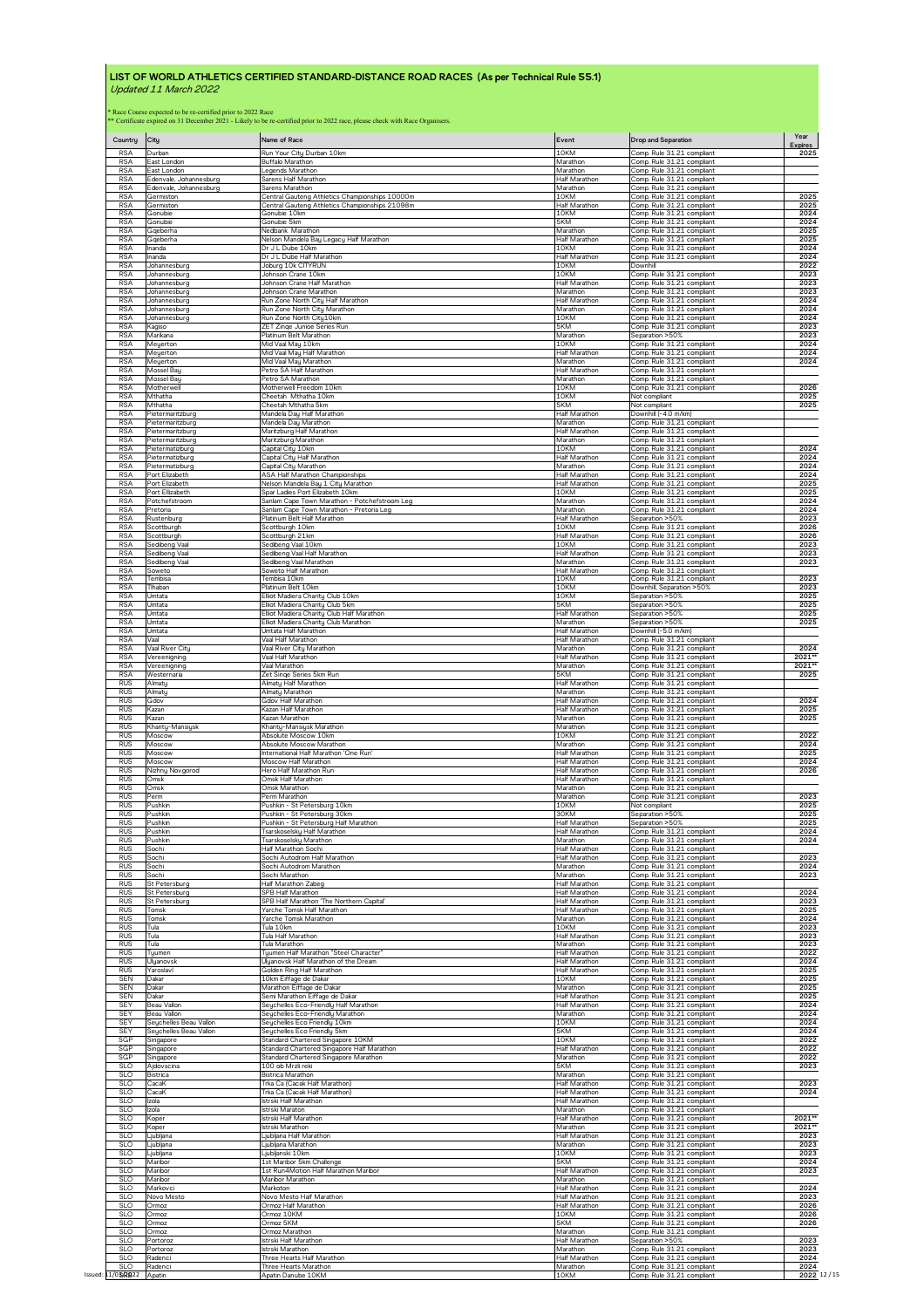| Country                  | City                      | Name of Race                                                                     | Event                | Drop and Separation                                      | Year<br><b>Expires</b> |
|--------------------------|---------------------------|----------------------------------------------------------------------------------|----------------------|----------------------------------------------------------|------------------------|
| <b>RSA</b>               | Durbar                    | Run Your City Durban 10km                                                        | 10KM                 | Comp. Rule 31.21 compliant                               | 2025                   |
| <b>RSA</b>               | East London               | Buffalo Marathon                                                                 | Marathon             | Comp. Rule 31.21 compliant                               |                        |
| <b>RSA</b>               | East London               | Legends Marathor                                                                 | Marathon             | Comp. Rule 31.21 compliant                               |                        |
| <b>RSA</b>               | Edenvale, Johannesburg    | Sarens Half Marathon                                                             | <b>Half Marathon</b> | Comp. Rule 31.21 compliant                               |                        |
| <b>RSA</b>               | Edenvale, Johannesburg    | Sarens Marathon                                                                  | Marathon             | Comp. Rule 31.21 compliant                               | 2025                   |
| <b>RSA</b>               | Germiston                 | Central Gauteng Athletics Championships 10000m                                   | 10KM                 | Comp. Rule 31.21 compliant                               |                        |
| <b>RSA</b>               | Germiston                 | Central Gauteng Athletics Championships 21098m                                   | Half Marathon        | Comp. Rule 31.21 compliant                               | 2025                   |
| <b>RSA</b>               | Gonubie                   | Gonubie 10km                                                                     | 10KM                 | Comp. Rule 31.21 compliant                               | 2024                   |
| <b>RSA</b>               | Gonubie                   | Gonubie 5km                                                                      | 5KM                  | Comp. Rule 31.21 compliant                               | 2024                   |
| <b>RSA</b>               | Gqeberha                  | Nedbank Marathon                                                                 | Marathon             | Comp. Rule 31.21 compliant                               | 2025                   |
| <b>RSA</b>               | Gqeberha                  | Nelson Mandela Bay Legacy Half Marathon                                          | <b>Half Marathor</b> | Comp. Rule 31.21 compliant                               | 2025                   |
| <b>RSA</b>               | Inanda                    | Dr J L Dube 10km                                                                 | 10KM                 | Comp. Rule 31.21 compliant                               | 2024                   |
| <b>RSA</b>               | Inanda                    | Dr J L Dube Half Marathon                                                        | Half Marathon        | Comp. Rule 31.21 compliant                               | 2024                   |
| <b>RSA</b>               | Johannesburg              | Joburg 10k CITYRUN                                                               | 10KM                 | Downhill                                                 | 2022                   |
| <b>RSA</b>               | Johannesburg              | Johnson Crane 10km                                                               | 10KM                 | Comp. Rule 31.21 compliant                               | 2023                   |
| <b>RSA</b>               | Johannesburg              | Johnson Crane Half Marathon                                                      | Half Marathon        | Comp. Rule 31.21 compliant                               | 2023                   |
| <b>RSA</b>               | Johannesburg              | Johnson Crane Marathon                                                           | Marathon             | Comp. Rule 31.21 compliant                               | 2023                   |
| <b>RSA</b>               | Johannesburg              | Run Zone North Citu Half Marathon                                                | Half Marathon        | Comp. Rule 31.21 compliant                               | 2024                   |
| <b>RSA</b>               | Johannesburg              | Run Zone North City Marathon                                                     | Marathon             | Comp. Rule 31.21 compliant                               | 2024                   |
| <b>RSA</b>               | Johannesburg              | Run Zone North City10km                                                          | 10KM<br>5KM          | Comp. Rule 31.21 compliant                               | 2024                   |
| <b>RSA</b>               | Kagiso                    | ZET Zinge Junioe Series Run                                                      | Marathon             | Comp. Rule 31.21 compliant                               | 2023                   |
| <b>RSA</b>               | Marikana                  | Platinum Belt Marathon                                                           |                      | Separation >50%                                          | 2023                   |
| <b>RSA</b>               | Meyerton                  | Mid Vaal May 10km                                                                | 10KM                 | Comp. Rule 31.21 compliant                               | 2024                   |
| <b>RSA</b>               | Meyerton                  | Mid Vaal May Half Marathon                                                       | Half Marathon        | Comp. Rule 31.21 compliant                               | 2024                   |
| <b>RSA</b>               | Meyerton                  | Mid Vaal May Marathon                                                            | Marathon             | Comp. Rule 31.21 compliant                               | 2024                   |
| <b>RSA</b>               | Mossel Bay                | Petro SA Half Marathon                                                           | <b>Half Marathor</b> | Comp. Rule 31.21 compliant                               |                        |
| <b>RSA</b>               | Mossel Bay                | Petro SA Marathon                                                                | Marathon             | Comp. Rule 31.21 compliant                               | 2026                   |
| <b>RSA</b>               | Motherwell                | Motherwell Freedom 10km                                                          | 10KM                 | Comp. Rule 31.21 compliant                               |                        |
| <b>RSA</b>               | Mthatha                   | Cheetah Mthatha 10km                                                             | 10KM                 | Not compliant                                            | 2025                   |
| <b>RSA</b>               | Mthatha                   | Cheetah Mthatha 5km                                                              | 5KM                  | <b>Vot compliant</b>                                     | 2025                   |
| <b>RSA</b>               | Pietermaritzburg          | Mandela Day Half Marathon                                                        | Half Marathon        | Downhill (-4.0 m/km)                                     |                        |
| <b>RSA</b>               | Pietermaritzburc          | Mandela Day Marathon                                                             | Marathon             | Comp. Rule 31.21 compliant                               |                        |
| <b>RSA</b>               | Pietermaritzburo          | Maritzburg Half Marathon                                                         | <b>Half Marathon</b> | Comp. Rule 31.21 compliant                               |                        |
| <b>RSA</b>               | Pietermaritzburg          | Maritzburg Marathon                                                              | Marathon             | Comp. Rule 31.21 compliant                               | 2024                   |
| <b>RSA</b>               | Pietermatizburg           | Capital City 10km                                                                | 10KM                 | Comp. Rule 31.21 compliant                               |                        |
| <b>RSA</b>               | Pietermatizburc           | Capital City Half Marathon                                                       | Half Marathon        | Comp. Rule 31.21 compliant                               | 2024                   |
| <b>RSA</b>               | Pietermatizburg           | Capital Citu Marathon                                                            | Marathon             | Comp. Rule 31.21 compliant                               | 2024                   |
| <b>RSA</b>               | Port Elizabeth            | ASA Half Marathon Championships                                                  | Half Marathon        | Comp. Rule 31.21 compliant                               | 2024                   |
| <b>RSA</b>               | Port Elizabeth            | Nelson Mandela Bay 1 City Marathon                                               | Half Marathon        | Comp. Rule 31.21 compliant                               | 2025                   |
| <b>RSA</b>               | Port Ellizabeth           | Spar Ladies Port Elizabeth 10km<br>Sanlam Cape Town Marathon - Potchefstroom Leg | 10KM                 | Comp. Rule 31.21 compliant                               | 2025<br>2024           |
| <b>RSA</b><br><b>RSA</b> | Potchefstroom<br>Pretoria | Sanlam Cape Town Marathon - Pretoria Leg                                         | Marathon<br>Marathon | Comp. Rule 31.21 compliant<br>Comp. Rule 31.21 compliant | 2024                   |
| <b>RSA</b>               | Rustenburg                | Platinum Belt Half Marathon                                                      | <b>Half Marathon</b> | Separation >50%                                          | 2023                   |
| <b>RSA</b>               | Scottburgh                | Scottburgh 10km                                                                  | 10KM                 | Comp. Rule 31.21 compliant                               | 2026                   |
| <b>RSA</b>               | Scottburgh                | Scottburgh 21km                                                                  | Half Marathon        | Comp. Rule 31.21 compliant                               | 2026                   |
| <b>RSA</b>               | Sedibeng Vaal             | Sedibeng Vaal 10km                                                               | 10KM                 | Comp. Rule 31.21 compliant                               | 2023                   |
| <b>RSA</b>               | Sedibeng Vaal             | Sedibeng Vaal Half Marathon                                                      | Half Marathon        | Comp. Rule 31.21 compliant                               | 2023                   |
| <b>RSA</b>               | Sedibeng Vaal             | Sedibeng Vaal Marathon                                                           | Marathon             | Comp. Rule 31.21 compliant                               | 2023                   |
| <b>RSA</b>               | Soweto                    | Soweto Half Marathon                                                             | <b>Half Marathon</b> | Comp. Rule 31.21 compliant                               | 2023                   |
| <b>RSA</b>               | Tembisa                   | Tembisa 10km                                                                     | 10KM                 | Comp. Rule 31.21 compliant                               |                        |
| <b>RSA</b>               | Tihaban                   | Platinum Belt 10km                                                               | 10KM                 | Downhill, Separation >50%                                | 2023                   |
| <b>RSA</b>               | Jmtata                    | Elliot Madiera Charity Club 10km                                                 | 10KM                 | Separation >50%                                          | 2025                   |
| <b>RSA</b>               | Jmtata                    | Elliot Madiera Charity Club 5km                                                  | 5KM                  | Separation >50%                                          | 2025                   |
| <b>RSA</b>               | Umtata                    | Elliot Madiera Charity Club Half Marathon                                        | Half Marathon        | Separation >50%                                          | 2025                   |
| <b>RSA</b>               | Umtata                    | Elliot Madiera Charity Club Marathon                                             | Marathon             | Separation >50%                                          | 2025                   |
| <b>RSA</b>               | Umtata                    | Umtata Half Marathon                                                             | <b>Half Marathor</b> | Downhill (-5.0 m/km)                                     |                        |
| <b>RSA</b>               | Vaal                      | Vaal Half Marathon                                                               | Half Marathon        | Comp. Rule 31.21 compliant                               |                        |
| <b>RSA</b>               | Vaal River City           | Vaal River City Marathon                                                         | Marathon             | Comp. Rule 31.21 compliant                               | 2024                   |
| <b>RSA</b>               | Vereenianina              | Vaal Half Marathon                                                               | Half Marathon        | Comp. Rule 31.21 compliant                               | 2021**                 |
| <b>RSA</b>               | Vereenigning              | Vaal Marathon                                                                    | Marathon<br>5KM      | Comp. Rule 31.21 compliant                               | 2021**                 |
| <b>RSA</b><br><b>RUS</b> | Westernaria<br>Almaty     | Zet Singe Series 5km Run<br>Almaty Half Marathon                                 | <b>Half Marathon</b> | Comp. Rule 31.21 compliant<br>Comp. Rule 31.21 compliant | 2025                   |
| <b>RUS</b>               | Almatu                    | Almaty Marathon                                                                  | Marathon             | Comp. Rule 31.21 compliant                               | 2024                   |
| <b>RUS</b>               | Gdov                      | Gdov Half Marathon                                                               | <b>Half Marathor</b> | Comp. Rule 31.21 compliant                               |                        |
| <b>RUS</b>               | Kazan                     | Kazan Half Marathon                                                              | Half Marathon        | Comp. Rule 31.21 compliant                               | 2025                   |
| <b>RUS</b>               | Kazan                     | Kazan Marathon                                                                   | Marathon             | Comp. Rule 31.21 compliant                               | 2025                   |
| <b>RUS</b>               | Khanty-Mansiysk           | Khanty-Mansiysk Marathon                                                         | Marathon             | Comp. Rule 31.21 compliant                               | 2022                   |
| <b>RUS</b>               | Moscow                    | Absolute Moscow 10km                                                             | 10KM                 | Comp. Rule 31.21 compliant                               |                        |
| <b>RUS</b>               | Moscow                    | Absolute Moscow Marathon                                                         | Marathon             | Comp. Rule 31.21 compliant                               | 2024                   |
| <b>RUS</b>               | Moscow                    | International Half Marathon 'One Run'                                            | Half Marathon        | Comp. Rule 31.21 compliant                               | 2025                   |
| <b>RUS</b>               | Moscow                    | Moscow Half Marathon                                                             | Half Marathon        | Comp. Rule 31.21 compliant                               | 2024                   |
| <b>RUS</b>               | Nizhny Novgorod           | Hero Half Marathon Run                                                           | Half Marathon        | Comp. Rule 31.21 compliant                               | 2026                   |
| <b>RUS</b>               | Omsk                      | Omsk Half Marathon                                                               | Half Marathon        | Comp. Rule 31.21 compliant                               |                        |
| <b>RUS</b>               | Omsk                      | Omsk Marathon                                                                    | Marathon             | Comp. Rule 31.21 compliant                               | 2023                   |
| <b>RUS</b>               | Perm                      | Perm Marathon                                                                    | Marathon             | Comp. Rule 31.21 compliant                               |                        |
| <b>RUS</b>               | <sup>5</sup> ushkin       | Pushkin - St Petersburg 10km                                                     | 10KM                 | Not compliant                                            | 2025                   |
| <b>RUS</b>               | Pushkin                   | Pushkin - St Petersburg 30km                                                     | 30KM                 | Separation >50%                                          | 2025                   |
| RUS <sup></sup>          | ıshki                     | Pushkin - St Petershura H                                                        | Half Marathon        | naration >                                               | 202                    |
| <b>RUS</b>               | Pushkir                   | Tsarskoselsky Half Marathon                                                      |                      | Comp. Rule 31.21 compliant                               | 2024                   |
| <b>RUS</b>               | Pushkin                   | Tsarskoselsky Marathon                                                           | Marathon             | Comp. Rule 31.21 compliant                               | 2024                   |
| <b>RUS</b>               | Sochi                     | Half Marathon Sochi                                                              | Half Marathon        | Comp. Rule 31.21 compliant                               | 2023                   |
| <b>RUS</b>               | Sochi                     | Sochi Autodrom Half Marathon                                                     | Half Marathon        | Comp. Rule 31.21 compliant                               |                        |
| <b>RUS</b>               | Sochi                     | Sochi Autodrom Marathon                                                          | Marathon             | Comp. Rule 31.21 compliant                               | 2024                   |
| <b>RUS</b>               | Sochi                     | Sochi Marathon                                                                   | Marathon             | Comp. Rule 31.21 compliant                               | 2023                   |
| <b>RUS</b>               | St Petersburg             | Half Marathon Zabeg                                                              | Half Marathon        | Comp. Rule 31.21 compliant                               | 2024                   |
| <b>RUS</b>               | St Petersburg             | SPB Half Marathon                                                                | <b>Half Marathon</b> | Comp. Rule 31.21 compliant                               |                        |
| <b>RUS</b>               | St Petersburg             | SPB Half Marathon 'The Northern Capital'                                         | Half Marathon        | Comp. Rule 31.21 compliant                               | 2023                   |
| <b>RUS</b>               | Tomsk                     | Yarche Tomsk Half Marathon                                                       | <b>Half Marathon</b> | Comp. Rule 31.21 compliant                               | 2025                   |
| <b>RUS</b><br><b>RUS</b> | Tomsk                     | Yarche Tomsk Marathon                                                            | Marathon<br>10KM     | Comp. Rule 31.21 compliant                               | 2024                   |
| <b>RUS</b>               | Tula<br>Tula              | Tula 10km<br>Tula Half Marathon                                                  | Half Marathon        | Comp. Rule 31.21 compliant<br>Comp. Rule 31.21 compliant | 2023<br>2023           |
| <b>RUS</b>               | Tula                      | Tula Marathon                                                                    | Marathon             | Comp. Rule 31.21 compliant                               | 2023                   |
| <b>RUS</b>               | Tyumer                    | Tyumen Half Marathon "Steel Character"                                           | <b>Half Marathon</b> | Comp. Rule 31.21 compliant                               | 2022                   |
| <b>RUS</b>               | Ulyanovsl                 | Ulyanovsk Half Marathon of the Dream                                             | <b>Half Marathon</b> | Comp. Rule 31.21 compliant                               | 2024                   |
| <b>RUS</b>               | Yaroslavl                 | Golden Ring Half Marathon                                                        | <b>Half Marathon</b> | Comp. Rule 31.21 compliant                               | 2025                   |
| SEN                      | Dakar                     | 10km Eiffage de Dakar                                                            | 10KM                 | Comp. Rule 31.21 compliant                               | 2025                   |
| <b>SEN</b>               | Dakar                     | Marathon Eiffage de Dakar                                                        | Marathon             | Comp. Rule 31.21 compliant                               | 2025                   |
| <b>SEN</b>               | Dakar                     | Semi Marathon Eiffage de Dakar                                                   | Half Marathon        | Comp. Rule 31.21 compliant                               | 2025                   |
| SEY                      | Beau Vallon               | Seychelles Eco-Friendly Half Marathon                                            | Half Marathor        | Comp. Rule 31.21 compliant                               | 2024                   |
| SEY                      | Beau Vallon               | Seychelles Eco-Friendly Marathon                                                 | Marathon             | Comp. Rule 31.21 compliant                               | 2024                   |
| <b>SEY</b>               | Seuchelles Beau Vallon    | Seychelles Eco Friendly 10km                                                     | 10KM                 | Comp. Rule 31.21 compliant                               | 2024                   |
| SEY                      | Seychelles Beau Vallon    | Seychelles Eco Friendly 5km                                                      | 5KM                  | Comp. Rule 31.21 compliant                               | 2024                   |
| SGP                      | Singapore                 | Standard Chartered Singapore 10KM                                                | 10KM                 | Comp. Rule 31.21 compliant                               | 2022                   |
| SGP                      | Singapore                 | Standard Chartered Singapore Half Marathon                                       | Half Marathon        | Comp. Rule 31.21 compliant                               | 2022                   |
| SGP                      | Singapore                 | Standard Chartered Singapore Marathon                                            | Marathon             | Comp. Rule 31.21 compliant                               | 2022                   |
| <b>SLO</b>               | Ajdovscina                | 100 ob Mrzli reki                                                                | 5KM                  | Comp. Rule 31.21 compliant                               | 2023                   |
| <b>SLO</b>               | Bistrica                  | Bistrica Marathon                                                                | Marathon             | Comp. Rule 31.21 compliant                               | 2023                   |
| <b>SLO</b>               | CacaK                     | Trka Ca (Cacak Half Marathon)                                                    | <b>Half Marathor</b> | Comp. Rule 31.21 compliant                               |                        |
| <b>SLO</b>               | CacaK                     | Trka Ca (Cacak Half Marathon)                                                    | <b>Half Marathor</b> | Comp. Rule 31.21 compliant                               | 2024                   |
| <b>SLO</b>               | Izola                     | Istrski Half Marathon                                                            | Half Marathon        | Comp. Rule 31.21 compliant                               |                        |
| <b>SLO</b>               | Izola                     | Istrski Maraton                                                                  | Marathon             | Comp. Rule 31.21 compliant                               |                        |
| <b>SLO</b>               | Koper                     | Istrski Half Marathon                                                            | Half Marathon        | Comp. Rule 31.21 compliant                               | 2021**                 |
| SLO                      | Koper                     | Istrski Marathon                                                                 | Marathon             | Comp. Rule 31.21 compliant                               | 2021**                 |
| <b>SLO</b>               | Ljubljana                 | Ljubljana Half Marathon                                                          | Half Marathon        | Comp. Rule 31.21 compliant                               | 2023                   |
| <b>SLO</b>               | Ljubljana                 | Ljubljana Marathon                                                               | Marathon             | Comp. Rule 31.21 compliant                               | 2023                   |
| <b>SLO</b>               | Ljubljana                 | Ljubljanski 10km                                                                 | 10KM                 | Comp. Rule 31.21 compliant                               | 2023                   |
| <b>SLO</b>               | Maribor                   | 1st Maribor 5km Challenge                                                        | 5KM                  | Comp. Rule 31.21 compliant                               | 2024                   |
| SLO                      | Maribor                   | 1st Run4Motion Half Marathon Maribor                                             | Half Marathon        | Comp. Rule 31.21 compliant                               | 2023                   |
| <b>SLO</b>               | Maribor                   | Maribor Marathon                                                                 | Marathon             | Comp. Rule 31.21 compliant                               | 2024                   |
| <b>SLO</b>               | Markovci                  | Markoton                                                                         | Half Marathon        | Comp. Rule 31.21 compliant                               |                        |
| <b>SLO</b>               | Novo Mesto                | Novo Mesto Half Marathon                                                         | Half Marathon        | Comp. Rule 31.21 compliant                               | 2023                   |
| <b>SLO</b>               | Ormoz                     | Ormoz Half Marathon                                                              | <b>Half Marathon</b> | Comp. Rule 31.21 compliant                               | 2026                   |
| <b>SLO</b><br><b>SLO</b> | Ormoz                     | Ormoz 10KM                                                                       | 10KM<br>5KM          | Comp. Rule 31.21 compliant<br>Comp. Rule 31.21 compliant | 2026                   |
| <b>SLO</b>               | Ormoz<br>Ormoz            | Ormoz 5KM<br>Ormoz Marathon                                                      | Marathon             | Comp. Rule 31.21 compliant                               | 2026                   |
| <b>SLO</b>               | Portoroz                  | Istrski Half Marathon                                                            | Half Marathon        | Separation >50%                                          | 2023                   |
| <b>SLO</b>               | Portoroz                  | Istrski Marathon                                                                 | Marathon             | Comp. Rule 31.21 compliant                               | 2023                   |
| <b>SLO</b>               | Radenci                   | Three Hearts Half Marathon                                                       | Half Marathon        | Comp. Rule 31.21 compliant                               | 2024                   |
| <b>SLO</b>               | Radenci                   | Three Hearts Marathon                                                            | Marathon             | Comp. Rule 31.21 compliant                               | 2024                   |
| Issued: 11/05/2822       | Apatin                    | Apatin Danube 10KM                                                               | 10KM                 | Comp. Rule 31.21 compliant                               | $2022$ 12/15           |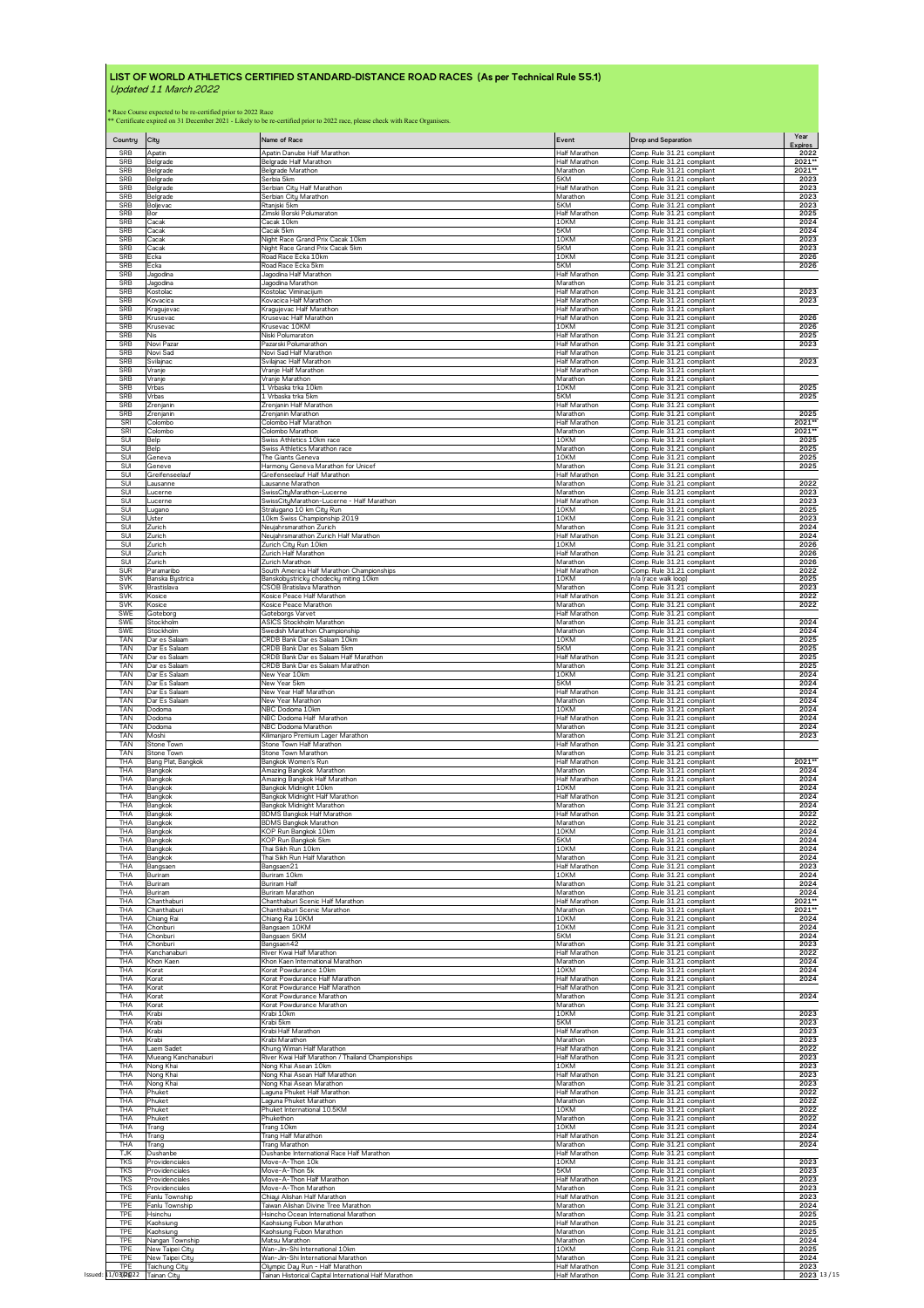| Country            | City                | Name of Race                                          | Event                | Drop and Separation        | Year<br>Expires |
|--------------------|---------------------|-------------------------------------------------------|----------------------|----------------------------|-----------------|
| SRB                | Apatin              | Apatin Danube Half Marathon                           | Half Marathon        | Comp. Rule 31.21 compliant | 2022            |
| SRB                | Belgrade            | Belgrade Half Marathon                                | Half Marathon        | Comp. Rule 31.21 compliant | 2021**          |
| SRB                | Belgrade            | Belgrade Marathon                                     | Marathon             | Comp. Rule 31.21 compliant | $2021$ **       |
| SRB                | Belgrade            | Serbia 5km                                            | 5KM                  | Comp. Rule 31.21 compliant | 2023            |
| SRB                | Belgrade            | Serbian City Half Marathon                            | Half Marathon        | Comp. Rule 31.21 compliant | 2023            |
| SRB                | Belgrade            | Serbian City Marathon                                 | Marathon             | Comp. Rule 31.21 compliant | 2023            |
| <b>SRB</b>         | Boljevac            | Rtanjski 5km                                          | 5KM                  | Comp. Rule 31.21 compliant | 2023            |
| <b>SRB</b>         | Bor                 | Zimski Borski Polumaraton                             | Half Marathon        | Comp. Rule 31.21 compliant | 2025            |
| <b>SRB</b>         | Cacak               | Cacak 10km                                            | 10KM                 | Comp. Rule 31.21 compliant | 2024            |
| SRB                | Cacak               | Cacak 5km                                             | 5KM                  | Comp. Rule 31.21 compliant | 2024            |
| <b>SRB</b>         | Cacak               | Night Race Grand Prix Cacak 10km                      | 10KM                 | Comp. Rule 31.21 compliant | 2023            |
| <b>SRB</b>         | Cacak               | Night Race Grand Prix Cacak 5km                       | 5KM                  | Comp. Rule 31.21 compliant | 2023            |
| <b>SRB</b>         | Ecka                | Road Race Ecka 10km                                   | 10KM                 | Comp. Rule 31.21 compliant | 2026            |
| SRB                | Ecka                | Road Race Ecka 5km                                    | 5KM                  | Comp. Rule 31.21 compliant | 2026            |
| <b>SRB</b>         | Jagodina            | Jagodina Half Marathon                                | Half Marathon        | Comp. Rule 31.21 compliant |                 |
| <b>SRB</b>         | Jagodina            | Jagodina Marathon                                     | Marathon             | Comp. Rule 31.21 compliant | 2023            |
| SRB                | Kostolac            | Kostolac Viminacijum                                  | <b>Half Marathon</b> | Comp. Rule 31.21 compliant |                 |
| SRB                | Kovacica            | Kovacica Half Marathon                                | Half Marathon        | Comp. Rule 31.21 compliant | 2023            |
| SRB                | Kragujevac          | Kragujevac Half Marathon                              | Half Marathon        | Comp. Rule 31.21 compliant |                 |
| SRB                | Krusevac            | Krusevac Half Marathon                                | Half Marathon        | Comp. Rule 31.21 compliant | 2026            |
| SRB                | Krusevac            | Krusevac 10KM                                         | 10KM                 | Comp. Rule 31.21 compliant | 2026            |
| <b>SRB</b>         | Nis                 | Niski Polumarator                                     | Half Marathon        | Comp. Rule 31.21 compliant | 2025            |
| <b>SRB</b>         | Novi Pazar          | Pazarski Polumarathor                                 | Half Marathon        | Comp. Rule 31.21 compliant | 2023            |
| <b>SRB</b>         | Novi Sad            | Novi Sad Half Marathor                                | <b>Half Marathon</b> | Comp. Rule 31.21 compliant | 2023            |
| SRB                | Svilajnac           | Svilajnac Half Marathon                               | Half Marathon        | Comp. Rule 31.21 compliant |                 |
| <b>SRB</b>         | Vranje              | Vranje Half Marathon                                  | Half Marathon        | Comp. Rule 31.21 compliant |                 |
| <b>SRB</b>         | Vranie              | Vranie Marathon                                       | Marathon             | Comp. Rule 31.21 compliant |                 |
| SRB                | Vrbas               | Vrbaska trka 10km                                     | 10KM                 | Comp. Rule 31.21 compliant | 2025            |
| SRB                | Vrbas               | 1 Vrbaska trka 5km                                    | 5KM                  | Comp. Rule 31.21 compliant | 2025            |
| <b>SRB</b>         | Zrenjanin           | Zrenjanin Half Marathon                               | Half Marathon        | Comp. Rule 31.21 compliant |                 |
| <b>SRB</b>         | Zrenianin           | Zrenianin Marathon                                    | Marathon             | Comp. Rule 31.21 compliant | 2025            |
| SRI                | Colombo             | Colombo Half Marathon                                 | Half Marathon        | Comp. Rule 31.21 compliant | 2021**          |
| SRI                | Colombo             | Colombo Marathon                                      | Marathon             | Comp. Rule 31.21 compliant | $2021**$        |
| SUI                | Belp                | Swiss Athletics 10km race                             | 10KM                 | Comp. Rule 31.21 compliant | 2025            |
| SUI                | Belo                | Swiss Athletics Marathon race                         | Marathon             | Comp. Rule 31.21 compliant | 2025            |
| SUI                | Geneva              | The Giants Geneva                                     | 10KM                 | Comp. Rule 31.21 compliant | 2025            |
| SUI                | Geneve              | Harmony Geneva Marathon for Unicef                    | Marathon             | Comp. Rule 31.21 compliant | 2025            |
| SUI                | Greifenseelauf      | Greifenseelauf Half Marathon                          | Half Marathon        | Comp. Rule 31.21 compliant |                 |
| SUI                | Lausanne            | Lausanne Marathon                                     | Marathon             | Comp. Rule 31.21 compliant | 2022            |
| SUI                | Lucerne             | SwissCityMarathon-Lucerne                             | Marathon             | Comp. Rule 31.21 compliant | 2023            |
| SUI                | Lucerne             | SwissCityMarathon-Lucerne - Half Marathon             | Half Marathon        | Comp. Rule 31.21 compliant | 2023            |
| SUI                | Lugano              | Stralugano 10 km City Run                             | 10KM                 | Comp Rule 31.21 compliant  | 2025            |
| SUI                | Uster               | LOkm Swiss Championship 2019                          | 10KM                 | Comp. Rule 31.21 compliant | 2023            |
| SUI                | Zurich              | Neujahrsmarathon Zurich                               | Marathon             | Comp. Rule 31.21 compliant | 2024            |
| SUI                | Zurich              | Neujahrsmarathon Zurich Half Marathon                 | Half Marathon        | Comp. Rule 31.21 compliant | 2024            |
| SUI                | Zurich              | Zurich Citu Run 10km                                  | 10KM                 | Comp. Rule 31.21 compliant | 2026            |
| SUI                | Zurich              | Zurich Half Marathon                                  | <b>Half Marathon</b> | Comp. Rule 31.21 compliant | 2026            |
| SUI                | Zurich              | Zurich Marathon                                       | Marathon             | Comp. Rule 31.21 compliant | 2026            |
| <b>SUR</b>         | Paramaribo          | South America Half Marathon Championships             | Half Marathon        | Comp. Rule 31.21 compliant | 2022            |
| SVK                | Banska Bystrica     | Banskobystricky chodecky miting 10km                  | 10KM                 | n/a (race walk loop)       | 2025            |
| SVK                | Brastislava         | CSOB Bratislava Marathon                              | Marathon             | Comp. Rule 31.21 compliant | 2023            |
| <b>SVK</b>         | Kosice              | Kosice Peace Half Marathon                            | Half Marathon        | Comp. Rule 31.21 compliant | 2022            |
| SVK                | Kosice              | Kosice Peace Marathon                                 | Marathon             | Comp. Rule 31.21 compliant | 2022            |
| SWE                | Goteborg            | Goteborgs Varvet                                      | Half Marathon        | Comp. Rule 31.21 compliant | 2024            |
| SWE                | Stockholm           | ASICS Stockholm Marathon                              | Marathon             | Comp. Rule 31.21 compliant |                 |
| <b>SWE</b>         | Stockholm           | Swedish Marathon Championship                         | Marathon             | Comp. Rule 31.21 compliant | 2024            |
| TAN                | Dar es Salaam       | CRDB Bank Dar es Salaam 10km                          | 10KM                 | Comp. Rule 31.21 compliant | 2025            |
| TAN                | Dar Es Salaam       | CRDB Bank Dar es Salaam 5km                           | 5KM                  | Comp. Rule 31.21 compliant | 2025            |
| TAN                | Dar es Salaam       | CRDB Bank Dar es Salaam Half Marathon                 | Half Marathon        | Comp. Rule 31.21 compliant | 2025            |
| TAN                | Dar es Salaam       | CRDB Bank Dar es Salaam Marathon                      | Marathon             | Comp. Rule 31.21 compliant | 2025            |
| <b>TAN</b>         | Dar Es Salaam       | New Year 10km                                         | 10KM                 | Comp. Rule 31.21 compliant | 2024            |
| <b>TAN</b>         | Dar Es Salaam       | New Year 5km                                          | 5KM                  | Comp. Rule 31.21 compliant | 2024            |
| TAN                | Dar Es Salaam       | New Year Half Marathon                                | Half Marathon        | Comp. Rule 31.21 compliant | 2024            |
| TAN                | Dar Es Salaam       | New Year Marathon                                     | Marathon             | Comp. Rule 31.21 compliant | 2024            |
| TAN                | Dodoma              | NBC Dodoma 10km                                       | 10KM                 | Comp. Rule 31.21 compliant | 2024            |
| TAN                | Dodoma              | NBC Dodoma Half Marathon                              | Half Marathon        | Comp. Rule 31.21 compliant | 2024            |
| TAN                | Dodoma              | NBC Dodoma Marathon                                   | Marathon             | Comp. Rule 31.21 compliant | 2024            |
| TAN                | Moshi               | Kilimanjaro Premium Lager Marathon                    | Marathon             | Comp. Rule 31.21 compliant | 2023            |
| TAN                | Stone Town          | Stone Town Half Marathon                              | Half Marathon        | Comp. Rule 31.21 compliant |                 |
| TAN                | Stone Town          | Stone Town Marathon                                   | Marathon             | Comp. Rule 31.21 compliant |                 |
| THA                | Bang Plat, Bangkok  | Bangkok Women's Run                                   | Half Marathon        | Comp. Rule 31.21 compliant | 2021**          |
| THA                | Bangkok             | Amazing Bangkok Marathon                              | Marathon             | Comp. Rule 31.21 compliant | 2024            |
| THA                | Bangkok             | Amazing Bangkok Half Marathon                         | Half Marathon        | Comp. Rule 31.21 compliant | 2024            |
| THA                | Bangkok             | Bangkok Midnight 10km                                 | 10KM                 | Comp. Rule 31.21 compliant | 2024            |
| THA                | Bangkok             | Bangkok Midnight Half Marathon                        | Half Marathon        | Comp. Rule 31.21 compliant | 2024            |
| THA                | Bangkok             | Bangkok Midnight Marathon                             | Marathon             | Comp. Rule 31.21 compliant | 2024            |
| THA                | Bangkok             | <b>BDMS Bangkok Half Marathon</b>                     | <b>Half Marathon</b> | Comp. Rule 31.21 compliant | 2022            |
| THA                | Bangkok             | <b>BDMS Bangkok Marathon</b>                          | Marathon             | Comp. Rule 31.21 compliant | 2022            |
| THA                | Bangkok             | KOP Run Bangkok 10km                                  | 10KM                 | Comp. Rule 31.21 compliant | 2024            |
| THA                | Bangkok             | KOP Run Bangkok 5km                                   | 5KM                  | Comp. Rule 31.21 compliant | 2024            |
| THA                | Bangkok             | Thai Sikh Run 10km                                    | 10KM                 | Comp. Rule 31.21 compliant | 2024            |
| THA                | Bangkok             | Thai Sikh Run Half Marathon                           | Marathon             | Comp. Rule 31.21 compliant | 2024            |
| THA                | Bangsaen            | Bangsaen21                                            | Half Marathon        | Comp. Rule 31.21 compliant | 2023            |
| THA                | Buriram             | Buriram 10km                                          | 10KM                 | Comp. Rule 31.21 compliant | 2024            |
| THA                | Buriram             | Buriram Half                                          | Marathon             | Comp. Rule 31.21 compliant | 2024            |
| THA                | Buriram             | Buriram Marathon                                      | Marathon             | Comp. Rule 31.21 compliant | 2024            |
| THA                | Chanthaburi         | Chanthaburi Scenic Half Marathon                      | Half Marathon        | Comp. Rule 31.21 compliant | 2021**          |
| THA                | Chanthaburi         | Chanthaburi Scenic Marathon                           | Marathon             | Comp. Rule 31.21 compliant | 2021**          |
| THA                | Chiang Rai          | Chiang Rai 10KM                                       | 10KM                 | Comp. Rule 31.21 compliant | 2024            |
| THA                | Chonburi            | Bangsaen 10KM                                         | 10KM                 | Comp. Rule 31.21 compliant | 2024            |
| THA                | Chonburi            | Bangsaen 5KM                                          | 5KM                  | Comp. Rule 31.21 compliant | 2024            |
| THA                | Chonburi            | Bangsaen42                                            | Marathon             | Comp. Rule 31.21 compliant | 2023            |
| THA                | Kanchanaburi        | River Kwai Half Marathon                              | Half Marathon        | Comp. Rule 31.21 compliant | 2022            |
| THA                | Khon Kaen           | Khon Kaen International Marathon                      | Marathon             | Comp. Rule 31.21 compliant | 2024            |
| THA                | Korat               | Korat Powdurance 10km                                 | 10KM                 | Comp. Rule 31.21 compliant | 2024            |
| THA                | Korat               | Korat Powdurance Half Marathon                        | Half Marathon        | Comp. Rule 31.21 compliant | 2024            |
| THA                | Korat               | Korat Powdurance Half Marathon                        | Half Marathon        | Comp. Rule 31.21 compliant |                 |
| THA                | Korat               | Korat Powdurance Marathon                             | Marathon             | Comp. Rule 31.21 compliant | 2024            |
| THA                | Korat               | Korat Powdurance Marathon                             | Marathon             | Comp. Rule 31.21 compliant | 2023            |
| THA                | Krabi               | Krabi 10km                                            | 10KM                 | Comp. Rule 31.21 compliant |                 |
| THA                | Krabi               | Krabi 5km                                             | 5KM                  | Comp. Rule 31.21 compliant | 2023            |
| THA                | Krabi               | Krabi Half Marathon                                   | Half Marathon        | Comp. Rule 31.21 compliant | 2023            |
| THA                | Krabi               | Crabi Marathon                                        | Marathon             | Comp. Rule 31.21 compliant | 2023            |
| THA                | aem Sadet           | Khung Wiman Half Marathon                             | Half Marathon        | Comp. Rule 31.21 compliant | 2022            |
| THA                | Mueang Kanchanaburi | River Kwai Half Marathon / Thailand Championships     | Half Marathon        | Comp. Rule 31.21 compliant | 2023            |
| THA                | Nong Khai           | Nong Khai Asean 10km                                  | 10KM                 | Comp. Rule 31.21 compliant | 2023            |
| THA                | Nong Khai           | Nong Khai Asean Half Marathon                         | Half Marathon        | Comp. Rule 31.21 compliant | 2023            |
| THA                | Nong Khai           | Nong Khai Asean Marathon                              | Marathon             | Comp. Rule 31.21 compliant | 2023            |
| THA                | Phuket              | Laguna Phuket Half Marathon                           | Half Marathon        | Comp. Rule 31.21 compliant | 2022            |
| THA                | Phuket              | Laguna Phuket Marathon                                | Marathon             | Comp. Rule 31.21 compliant | 2022            |
| THA                | Phuket              | Phuket International 10.5KM                           | 10KM                 | Comp. Rule 31.21 compliant | 2022            |
| THA                | Phuket              | Phukethon                                             | Marathon             | Comp. Rule 31.21 compliant | 2022            |
| THA                | Trang               | Trang 10km                                            | 10KM                 | Comp. Rule 31.21 compliant | 2024            |
| THA                | Trang               | Trang Half Marathon                                   | Half Marathon        | Comp. Rule 31.21 compliant | 2024            |
| THA                | Trang               | Trang Marathon                                        | Marathon             | Comp. Rule 31.21 compliant | 2024            |
| <b>TJK</b>         | Dushanbe            | Dushanbe International Race Half Marathon             | Half Marathon        | Comp. Rule 31.21 compliant | 2023            |
| <b>TKS</b>         | Providenciales      | Move-A-Thon 10k                                       | 10KM                 | Comp. Rule 31.21 compliant |                 |
| <b>TKS</b>         | Providenciales      | Move-A-Thon 5k                                        | 5KM                  | Comp. Rule 31.21 compliant | 2023            |
| <b>TKS</b>         | Providenciales      | Move-A-Thon Half Marathon                             | Half Marathon        | Comp. Rule 31.21 compliant | 2023            |
| <b>TKS</b>         | Providenciales      | Move-A-Thon Marathon                                  | Marathon             | Comp. Rule 31.21 compliant | 2023            |
| TPE                | Fanlu Township      | Chiaui Alishan Half Marathon                          | Half Marathon        | Comp. Rule 31.21 compliant | 2023            |
| <b>TPE</b>         | Fanlu Township      | Taiwan Alishan Divine Tree Marathon                   | Marathon             | Comp. Rule 31.21 compliant | 2024            |
| TPE                | Hsinchu             | Hsincho Ocean International Marathon                  | Marathon             | Comp. Rule 31.21 compliant | 2025            |
| TPE                | Kaohsiung           | Kaohsiung Fubon Marathon                              | Half Marathon        | Comp. Rule 31.21 compliant | 2025            |
| TPE                | Kaohsiung           | Kaohsiung Fubon Marathon                              | Marathon             | Comp. Rule 31.21 compliant | 2025            |
| TPE                | Nangan Township     | Matsu Marathon                                        | Marathon             | Comp. Rule 31.21 compliant | 2024            |
| TPE                | New Taipei City     | Wan-Jin-Shi International 10km                        | 10KM                 | Comp. Rule 31.21 compliant | 2025            |
| <b>TPE</b>         | New Taipei City     | Wan-Jin-Shi International Marathon                    | Marathon             | Comp. Rule 31.21 compliant | 2024            |
| TPF                | Taichung City       | Olympic Day Run - Half Marathon                       | Half Marathon        | Comp. Rule 31.21 compliant | 2023            |
| Issued: 11/03/2022 | Tainan City         | Tainan Historical Capital International Half Marathon | Half Marathon        | Comp. Rule 31.21 compliant | 2023 13/15      |
|                    |                     |                                                       |                      |                            |                 |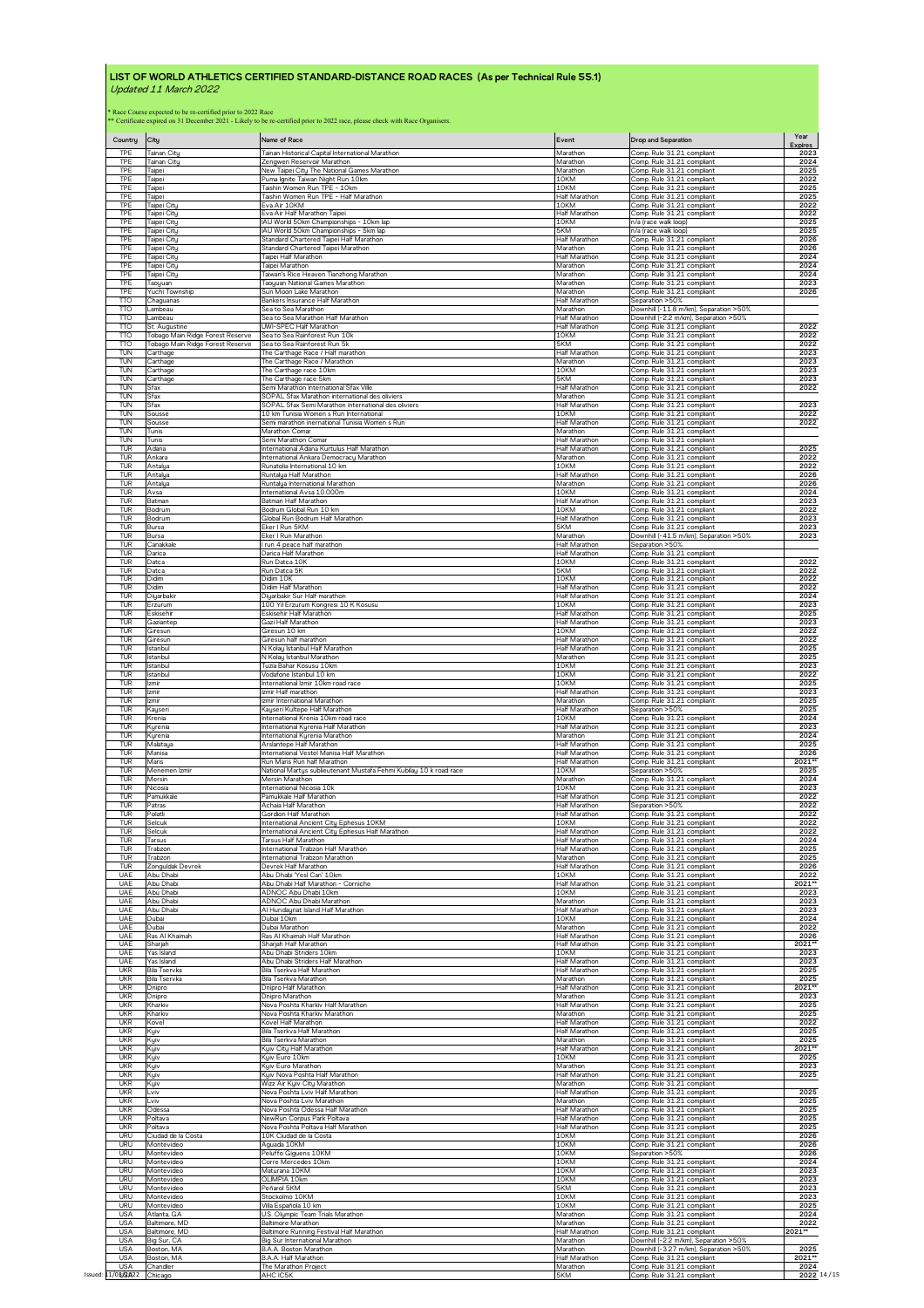| Country<br>TPE           | City                                                                                                                                        | Name of Race<br>Tainan Historical Capital International Marathon                      | Event                     | Drop and Separation                                      | Year<br><b>Expires</b> |
|--------------------------|---------------------------------------------------------------------------------------------------------------------------------------------|---------------------------------------------------------------------------------------|---------------------------|----------------------------------------------------------|------------------------|
| TPF                      | Tainan City<br>Tainan Citu                                                                                                                  | Zengwen Reservoir Marathon                                                            | Marathon<br>Marathon      | Comp. Rule 31.21 compliant<br>Comp. Rule 31.21 compliant | 2023<br>2024           |
| TPE                      | Taipei                                                                                                                                      | New Taipei City The National Games Marathon                                           | Marathon                  | Comp. Rule 31.21 compliant                               | 2025                   |
| TPE                      | Taipei                                                                                                                                      | Puma Ignite Taiwan Night Run 10km                                                     | 10KM                      | Comp. Rule 31.21 compliant                               | 2022                   |
| TPE                      | Taipei                                                                                                                                      | Taishin Women Run TPE - 10km                                                          | 10KM                      | Comp. Rule 31.21 compliant                               | 2025                   |
| TPE                      | Taipei                                                                                                                                      | Taishin Women Run TPE - Half Marathon                                                 | Half Marathon             | Comp. Rule 31.21 compliant                               | 2025                   |
| TPE                      | Taipei Citu                                                                                                                                 | Eva Air 10KM                                                                          | 10KM                      | Comp. Rule 31.21 compliant                               | 2022                   |
| TPE                      | Taipei City                                                                                                                                 | Eva Air Half Marathon Taipei                                                          | Half Marathon             | Comp. Rule 31.21 compliant                               | 2022                   |
| TPE                      | Taipei Citu                                                                                                                                 | IAU World 50km Championships - 10km lap                                               | 10KM                      | n/a (race walk loop)                                     | 2025                   |
| <b>TPE</b>               | Taipei Citu                                                                                                                                 | IAU World 50km Championships - 5km lap                                                | 5KM                       | n/a (race walk loop)                                     | 2025                   |
| <b>TPE</b>               | Taipei City                                                                                                                                 | Standard Chartered Taipei Half Marathon                                               | Half Marathon             | Comp. Rule 31.21 compliant                               | 2026                   |
| TPE                      | Taipei City                                                                                                                                 | Standard Chartered Taipei Marathon                                                    | Marathon                  | Comp. Rule 31.21 compliant                               | 2026                   |
| TPE                      | Taipei City                                                                                                                                 | Taipei Half Marathon                                                                  | Half Marathon             | Comp. Rule 31.21 compliant                               | 2024                   |
| TPE                      | Taipei City                                                                                                                                 | Taipei Marathon                                                                       | Marathon                  | Comp. Rule 31.21 compliant                               | 2024                   |
| TPE                      | Taipei Citu                                                                                                                                 | Taiwan's Rice Heaven Tianzhong Marathon                                               | Marathon                  | Comp. Rule 31.21 compliant                               | 2024                   |
| TPE                      | Taoyuan                                                                                                                                     | Taoyuan National Games Marathon                                                       | Marathon                  | Comp. Rule 31.21 compliant                               | 2023                   |
| TPE                      | Yuchi Township                                                                                                                              | Sun Moon Lake Marathon                                                                | Marathon                  | Comp. Rule 31.21 compliant                               | 2026                   |
| <b>TTO</b>               | Chaguanas                                                                                                                                   | Bankers Insurance Half Marathon                                                       | Half Marathon             | Separation >50%                                          |                        |
| TTO                      | Lambeau                                                                                                                                     | Sea to Sea Marathon                                                                   | Marathon                  | Downhill (-11.8 m/km), Separation >50%                   |                        |
| <b>TTO</b>               | Lambeau                                                                                                                                     | Sea to Sea Marathon Half Marathon                                                     | Half Marathon             | Downhill (-2.2 m/km), Separation >50%                    |                        |
| <b>TTO</b>               | St. Augustine                                                                                                                               | UWI-SPEC Half Marathon                                                                | Half Marathon             | Comp. Rule 31.21 compliant                               | 2022                   |
| TΤO                      | Tobago Main Ridge Forest Reserve                                                                                                            | Sea to Sea Rainforest Run 10k                                                         | 10KM                      | Comp. Rule 31.21 compliant                               | 2022                   |
| TTO                      | Tobago Main Ridge Forest Reserve                                                                                                            | Sea to Sea Rainforest Run 5k                                                          | 5KM                       | Comp. Rule 31.21 compliant                               | 2022                   |
| TUN                      | Carthage                                                                                                                                    | The Carthage Race / Half marathon                                                     | Half Marathon             | Comp. Rule 31.21 compliant                               | 2023                   |
| TUN                      | Carthage                                                                                                                                    | The Carthage Race / Marathon                                                          | Marathon<br>10KM          | Comp. Rule 31.21 compliant                               | 2023                   |
| TUN                      | Carthage                                                                                                                                    | The Carthage race 10km                                                                | 5KM                       | Comp. Rule 31.21 compliant                               | 2023                   |
| TUN                      | Carthage                                                                                                                                    | The Carthage race 5km                                                                 |                           | Comp. Rule 31.21 compliant                               | 2023                   |
| TUN                      | Sfax                                                                                                                                        | Semi Marathon International Sfax Ville                                                | Half Marathon             | Comp. Rule 31.21 compliant                               | 2022                   |
| TUN                      | Sfax                                                                                                                                        | SOPAL Sfax Marathon international des oliviers                                        | Marathon                  | Comp. Rule 31.21 compliant                               |                        |
| TUN                      | Sfax                                                                                                                                        | SOPAL Sfax Semi Marathon international des oliviers                                   | Half Marathon             | Comp. Rule 31.21 compliant                               | 2023                   |
| TUN                      | Sousse                                                                                                                                      | 10 km Tunisia Women s Run International                                               | 10KM                      | Comp. Rule 31.21 compliant                               | 2022                   |
| TUN                      | Sousse                                                                                                                                      | Semi marathon inernational Tunisia Women s Run                                        | Half Marathon             | Comp. Rule 31.21 compliant                               | 2022                   |
| <b>TUN</b>               | Tunis                                                                                                                                       | Marathon Comar                                                                        | Marathon                  | Comp. Rule 31.21 compliant                               |                        |
| TUN                      | Tunis                                                                                                                                       | Semi Marathon Comar                                                                   | Half Marathon             | Comp. Rule 31.21 compliant                               |                        |
| <b>TUR</b>               | Adana                                                                                                                                       | International Adana Kurtulus Half Marathon                                            | Half Marathon             | Comp. Rule 31.21 compliant                               | 2025                   |
| TUR                      | Ankara                                                                                                                                      | International Ankara Democracu Marathon                                               | Marathon                  | Comp. Rule 31.21 compliant                               | 2022                   |
| TUR                      | Antalya                                                                                                                                     | Runatolia International 10 km                                                         | 10KM                      | Comp. Rule 31.21 compliant                               | 2022                   |
| TUR                      | Antalya                                                                                                                                     | Runtalya Half Marathon                                                                | Half Marathon             | Comp. Rule 31.21 compliant                               | 2026                   |
| TUR                      | Antalua                                                                                                                                     | Runtalya International Marathon                                                       | Marathon                  | Comp. Rule 31.21 compliant                               | 2026                   |
| <b>TUR</b>               | Avsa                                                                                                                                        | International Avsa 10.000m                                                            | 10KM                      | Comp. Rule 31.21 compliant                               | 2024                   |
| TUR                      | Batman                                                                                                                                      | Batman Half Marathon                                                                  | Half Marathon             | Comp. Rule 31.21 compliant                               | 2023                   |
| TUR                      | Bodrum                                                                                                                                      | Bodrum Global Run 10 km                                                               | 10KM                      | Comp. Rule 31.21 compliant                               | 2022                   |
| TUR                      | Bodrum                                                                                                                                      | Global Run Bodrum Half Marathon                                                       | Half Marathon             | Comp. Rule 31.21 compliant                               | 2023                   |
| TUR                      | Bursa                                                                                                                                       | Eker I Run 5KM                                                                        | 5KM                       | Comp. Rule 31.21 compliant                               | 2023                   |
| TUR                      | Bursa                                                                                                                                       | Eker I Run Marathon                                                                   | Marathon                  | Downhill (-41.5 m/km), Separation >50%                   | 2023                   |
| TUR                      | Canakkale                                                                                                                                   | I run 4 peace half marathon                                                           | <b>Half Marathon</b>      | Separation >50%                                          |                        |
| TUR                      | Darica                                                                                                                                      | Darica Half Marathon                                                                  | Half Marathon             | Comp. Rule 31.21 compliant                               | 2022                   |
| <b>TUR</b>               | Datca                                                                                                                                       | Run Datca 10K                                                                         | 10KM                      | Comp. Rule 31.21 compliant                               |                        |
| TUR                      | Datca                                                                                                                                       | Run Datca 5K                                                                          | 5KM                       | Comp. Rule 31.21 compliant                               | 2022                   |
| TUR                      | <b>Didim</b>                                                                                                                                | Didim 10K                                                                             | 10KM                      | Comp. Rule 31.21 compliant                               | 2022                   |
| TUR                      | Didim                                                                                                                                       | Didim Half Marathon                                                                   | Half Marathon             | Comp. Rule 31.21 compliant                               | 2022                   |
| TUR                      | Diyarbakir                                                                                                                                  | Diyarbakir Sur Half marathon                                                          | Half Marathon             | Comp. Rule 31.21 compliant                               | 2024                   |
| TUR                      | Erzurum                                                                                                                                     | 100 Yil Erzurum Kongresi 10 K Kosusu                                                  | 10KM                      | Comp. Rule 31.21 compliant                               | 2023                   |
| TUR<br><b>TUR</b>        | Eskisehir                                                                                                                                   | Eskisehir Half Marathon                                                               | Half Marathon             | Comp. Rule 31.21 compliant<br>Comp. Rule 31.21 compliant | 2025<br>2023           |
| <b>TUR</b>               | Gaziantep<br>Giresun                                                                                                                        | Gazi Half Marathon<br>Giresun 10 km                                                   | Half Marathon<br>10KM     | Comp. Rule 31.21 compliant                               | 2022                   |
| TUR                      | Giresun                                                                                                                                     | Giresun half marathon                                                                 | Half Marathon             | Comp. Rule 31.21 compliant                               | 2022                   |
| TUR                      | Istanbul                                                                                                                                    | N Kolay Istanbul Half Marathon                                                        | Half Marathon             | Comp. Rule 31.21 compliant                               | 2025                   |
| TUR                      | Istanbul                                                                                                                                    | N Kolay Istanbul Marathon                                                             | Marathon                  | Comp. Rule 31.21 compliant                               | 2025                   |
| TUR                      | Istanbul                                                                                                                                    | Tuzia Bahar Kosusu 10km                                                               | 10KM                      | Comp. Rule 31.21 compliant                               | 2023                   |
| TUR                      | Istanbul                                                                                                                                    | Vodafone Istanbul 10 km                                                               | 10KM                      | Comp. Rule 31.21 compliant                               | 2022                   |
| TUR                      | Izmir                                                                                                                                       | International Izmir 10km road race                                                    | 10KM                      | Comp. Rule 31.21 compliant                               | 2025                   |
| <b>TUR</b>               | Izmir                                                                                                                                       | Izmir Half marathon                                                                   | <b>Half Marathon</b>      | Comp. Rule 31.21 compliant                               | 2023                   |
| TUR                      | Izmir                                                                                                                                       | Izmir International Marathon                                                          | Marathon                  | Comp. Rule 31.21 compliant                               | 2025                   |
| TUR                      | Kayseri                                                                                                                                     | Kayseri Kultepe Half Marathon                                                         | Half Marathon             | Separation >50%                                          | 2025                   |
| TUR                      | Krenia                                                                                                                                      | International Krenia 10km road race                                                   | 10KM                      | Comp. Rule 31.21 compliant                               | 2024                   |
| TUR                      | <yrenia< td=""><td>International Kyrenia Half Marathon</td><td>Half Marathon</td><td>Comp. Rule 31.21 compliant</td><td>2023</td></yrenia<> | International Kyrenia Half Marathon                                                   | Half Marathon             | Comp. Rule 31.21 compliant                               | 2023                   |
| TUR                      | Kyrenia                                                                                                                                     | International Kyrenia Marathon                                                        | Marathon                  | Comp. Rule 31.21 compliant                               | 2024                   |
| <b>TUR</b>               | Malataya                                                                                                                                    | Arslantepe Half Marathon                                                              | Half Marathon             | Comp. Rule 31.21 compliant                               | 2025                   |
| TUR                      | Manisa                                                                                                                                      | International Vestel Manisa Half Marathon                                             | <b>Half Marathon</b>      | Comp. Rule 31.21 compliant                               | 2026                   |
| <b>TUR</b>               | Maris                                                                                                                                       | Run Maris Run half Marathon                                                           | Half Marathon<br>10KM     | Comp. Rule 31.21 compliant                               | 2021**<br>2025         |
| TUR<br>TUR               | Menemen Izmir<br>Mersin                                                                                                                     | National Martys sublieutenant Mustafa Fehmi Kubilay 10 k road race<br>Mersin Marathon | Marathon                  | Separation >50%<br>Comp. Rule 31.21 compliant            | 2024                   |
| TUR                      | Nicosia                                                                                                                                     | International Nicosia 10k                                                             | 10KM                      | Comp. Rule 31.21 compliant                               | 2023                   |
| TUR                      | Pamukkale                                                                                                                                   | Pamukkale Half Marathon                                                               | <b>Half Marathon</b>      | Comp. Rule 31.21 compliant                               | 2022                   |
| TUR                      | Patras                                                                                                                                      | Achaia Half Marathon                                                                  | Half Marathon             | Separation >50%                                          | 2022                   |
| TUR                      | Polatli                                                                                                                                     | Gordion Half Marathon                                                                 | Half Marathon             | Comp. Rule 31.21 compliant                               | 2022                   |
| TUR                      | Selcu                                                                                                                                       | International Ancient Citu Ephesus 10KN                                               | 10KM                      | Comp. Rule 31.21 complian                                | 2022                   |
| TUR                      | Selcuk                                                                                                                                      | International Ancient City Ephesus Half Marathon                                      | Half Marathon             | Comp. Rule 31.21 compliant                               | 2022                   |
| TUR                      | Tarsus                                                                                                                                      | Tarsus Half Marathon                                                                  | <b>Half Marathon</b>      | Comp. Rule 31.21 compliant                               | 2024                   |
| TUR                      | Trabzon                                                                                                                                     | International Trabzon Half Marathon                                                   | Half Marathon             | Comp. Rule 31.21 compliant                               | 2025                   |
| TUR                      | Trabzon                                                                                                                                     | International Trabzon Marathon                                                        | Marathon                  | Comp. Rule 31.21 compliant                               | 2025                   |
| TUR                      | Zonguldak Devrek                                                                                                                            | Devrek Half Marathon                                                                  | Half Marathon             | Comp. Rule 31.21 compliant                               | 2026                   |
| UAF                      | Abu Dhabi                                                                                                                                   | Abu Dhabi 'Yesl Can' 10km                                                             | 10KM                      | Comp. Rule 31.21 compliant                               | 2022                   |
| UAE                      | Abu Dhabi                                                                                                                                   | Abu Dhabi Half Marathon - Corniche                                                    | Half Marathon             | Comp. Rule 31.21 compliant                               | 2021**                 |
| <b>UAE</b>               | Abu Dhabi                                                                                                                                   | ADNOC Abu Dhabi 10km                                                                  | 10KM                      | Comp. Rule 31.21 compliant                               | 2023                   |
| <b>UAE</b>               | Abu Dhabi                                                                                                                                   | ADNOC Abu Dhabi Marathon                                                              | Marathon                  | Comp. Rule 31.21 compliant                               | 2023                   |
| <b>UAE</b>               | Abu Dhabi                                                                                                                                   | Al Hundayriat Island Half Marathon                                                    | Half Marathon             | Comp. Rule 31.21 compliant                               | 2023                   |
| UAE                      | Dubai                                                                                                                                       | Dubai 10km                                                                            | 10KM                      | Comp. Rule 31.21 compliant                               | 2024                   |
| UAE                      | Dubai                                                                                                                                       | Dubai Marathon                                                                        | Marathon                  | Comp. Rule 31.21 compliant                               | 2022                   |
| <b>UAE</b>               | Ras Al Khaimah                                                                                                                              | Ras Al Khaimah Half Marathon                                                          | Half Marathon             | Comp. Rule 31.21 compliant                               | 2026                   |
| <b>UAE</b>               | Shariah                                                                                                                                     | Shariah Half Marathon                                                                 | Half Marathon             | Comp. Rule 31.21 compliant                               | 2021**                 |
| UAE                      | Yas Island                                                                                                                                  | Abu Dhabi Striders 10km                                                               | 10KM                      | Comp. Rule 31.21 compliant                               | 2023                   |
| UAE                      | Yas Island                                                                                                                                  | Abu Dhabi Striders Half Marathon                                                      | <b>Half Marathon</b>      | Comp. Rule 31.21 compliant                               | 2023                   |
| <b>UKR</b>               | <b>Bila Tservka</b>                                                                                                                         | Bila Tserkva Half Marathon                                                            | Half Marathon             | Comp. Rule 31.21 compliant                               | 2025                   |
| <b>UKR</b>               | Bila Tservka                                                                                                                                | Bila Tserkva Marathon                                                                 | Marathon                  | Comp. Rule 31.21 compliant                               | 2025                   |
| <b>UKR</b>               | Dnipro                                                                                                                                      | Dnipro Half Marathon                                                                  | Half Marathon             | Comp. Rule 31.21 compliant                               | 2021**                 |
| <b>UKR</b><br><b>UKR</b> | Dnipro                                                                                                                                      | Dnipro Marathon<br>Nova Poshta Kharkiv Half Marathon                                  | Marathon                  | Comp. Rule 31.21 compliant                               | 2023                   |
| <b>UKR</b>               | Kharkiv<br>Kharkiv                                                                                                                          | Nova Poshta Kharkiv Marathon                                                          | Half Marathon<br>Marathon | Comp. Rule 31.21 compliant<br>Comp. Rule 31.21 compliant | 2025<br>2025           |
| <b>UKR</b>               | Kovel                                                                                                                                       | Kovel Half Marathon                                                                   | <b>Half Marathon</b>      | Comp. Rule 31.21 compliant                               | 2022                   |
| <b>UKR</b>               | Kyiv                                                                                                                                        | Bila Tserkva Half Marathon                                                            | Half Marathon             | Comp. Rule 31.21 compliant                               | 2025                   |
| <b>UKR</b>               | Kyiv                                                                                                                                        | Bila Tserkva Marathon                                                                 | Marathon                  | Comp. Rule 31.21 compliant                               | 2025                   |
| UKR                      | Kyiv                                                                                                                                        | Kyiv City Half Marathon                                                               | Half Marathon             | Comp. Rule 31.21 compliant                               | 2021**                 |
| <b>UKR</b>               | <uiv< td=""><td>Kyiv Euro 10km</td><td>10KM</td><td>Comp. Rule 31.21 compliant</td><td>2025</td></uiv<>                                     | Kyiv Euro 10km                                                                        | 10KM                      | Comp. Rule 31.21 compliant                               | 2025                   |
| <b>UKR</b>               | Kyiv                                                                                                                                        | Kyiv Euro Marathon                                                                    | Marathon                  | Comp. Rule 31.21 compliant                               | 2023                   |
| <b>UKR</b>               | Kyiv                                                                                                                                        | Kyiv Nova Poshta Half Marathon                                                        | Half Marathon             | Comp. Rule 31.21 compliant                               | 2025                   |
| <b>UKR</b>               | Kyiv                                                                                                                                        | Wizz Air Kyiv City Marathon                                                           | Marathon                  | Comp. Rule 31.21 compliant                               | 2025                   |
| <b>UKR</b>               | Lviv                                                                                                                                        | Nova Poshta Lviv Half Marathon                                                        | Half Marathon             | Comp. Rule 31.21 compliant                               |                        |
| <b>UKR</b>               | Lviv                                                                                                                                        | Nova Poshta Lviv Marathon                                                             | Marathon                  | Comp. Rule 31.21 compliant                               | 2025                   |
| <b>UKR</b>               | Odessa                                                                                                                                      | Nova Poshta Odessa Half Marathon                                                      | Half Marathon             | Comp. Rule 31.21 compliant                               | 2025                   |
| <b>UKR</b>               | <sup>b</sup> oltava                                                                                                                         | NewRun Corpus Park Poltava                                                            | Half Marathon             | Comp. Rule 31.21 compliant                               | 2025                   |
| <b>UKR</b>               | Poltava                                                                                                                                     | Nova Poshta Poltava Half Marathon                                                     | Half Marathon             | Comp. Rule 31.21 compliant                               | 2025                   |
| <b>URU</b>               | Ciudad de la Costa                                                                                                                          | 10K Ciudad de la Costa                                                                | 10KM                      | Comp. Rule 31.21 compliant                               | 2026                   |
| <b>URU</b>               | Montevideo                                                                                                                                  | Aguada 10KM                                                                           | 10KM                      | Comp. Rule 31.21 compliant                               | 2026                   |
| <b>URU</b>               | Montevideo                                                                                                                                  | Peluffo Giguens 10KM                                                                  | 10KM                      | Separation >50%                                          | 2026                   |
| <b>URU</b>               | Montevideo                                                                                                                                  | Corre Mercedes 10km                                                                   | 10KM                      | Comp. Rule 31.21 compliant                               | 2024                   |
| <b>URU</b>               | Montevideo                                                                                                                                  | Maturana 10KM                                                                         | 10KM                      | Comp. Rule 31.21 compliant                               | 2023                   |
| URU                      | Montevideo                                                                                                                                  | OLIMPIA 10km                                                                          | 10KM                      | Comp. Rule 31.21 compliant                               | 2023                   |
| <b>URU</b>               | Montevideo                                                                                                                                  | Peñarol 5KM                                                                           | 5KM                       | Comp. Rule 31.21 compliant                               | 2023                   |
| <b>URU</b>               | Montevideo                                                                                                                                  | Stockolmo 10KM                                                                        | 10KM                      | Comp. Rule 31.21 compliant                               | 2023                   |
| <b>URU</b>               | Montevideo                                                                                                                                  | Villa Española 10 km                                                                  | 10KM                      | Comp. Rule 31.21 compliant                               | 2025                   |
| <b>USA</b>               | Atlanta, GA                                                                                                                                 | U.S. Olympic Team Trials Marathon                                                     | Marathon                  | Comp. Rule 31.21 compliant                               | 2024                   |
| <b>USA</b>               | Baltimore, MD                                                                                                                               | Baltimore Marathon                                                                    | Marathon                  | Comp. Rule 31.21 compliant                               | 2022                   |
| <b>USA</b>               | Baltimore, MD                                                                                                                               | Baltimore Running Festival Half Marathon                                              | Half Marathon             | Comp. Rule 31.21 compliant                               | $2021$ **              |
| <b>USA</b>               | Bia Sur, CA                                                                                                                                 | Big Sur International Marathon                                                        | Marathon                  | Downhill (-2.2 m/km), Separation >50%                    |                        |
| <b>USA</b>               | Boston, MA                                                                                                                                  | B.A.A. Boston Marathon                                                                | Marathon                  | Downhill (-3.27 m/km), Separation >50%                   | 2025                   |
| <b>USA</b>               | Boston, MA                                                                                                                                  | B.A.A. Half Marathon                                                                  | Half Marathon             | Comp. Rule 31.21 compliant                               | 2021**                 |
| USA                      | Chandler                                                                                                                                    | The Marathon Project                                                                  | Marathon                  | Comp. Rule 31.21 compliant                               | 2024                   |
| Issued: 11/08/9022       | Chicago                                                                                                                                     | AHC IC5K                                                                              | 5KM                       | Comp. Rule 31.21 compliant                               | $2022$ 14/15           |